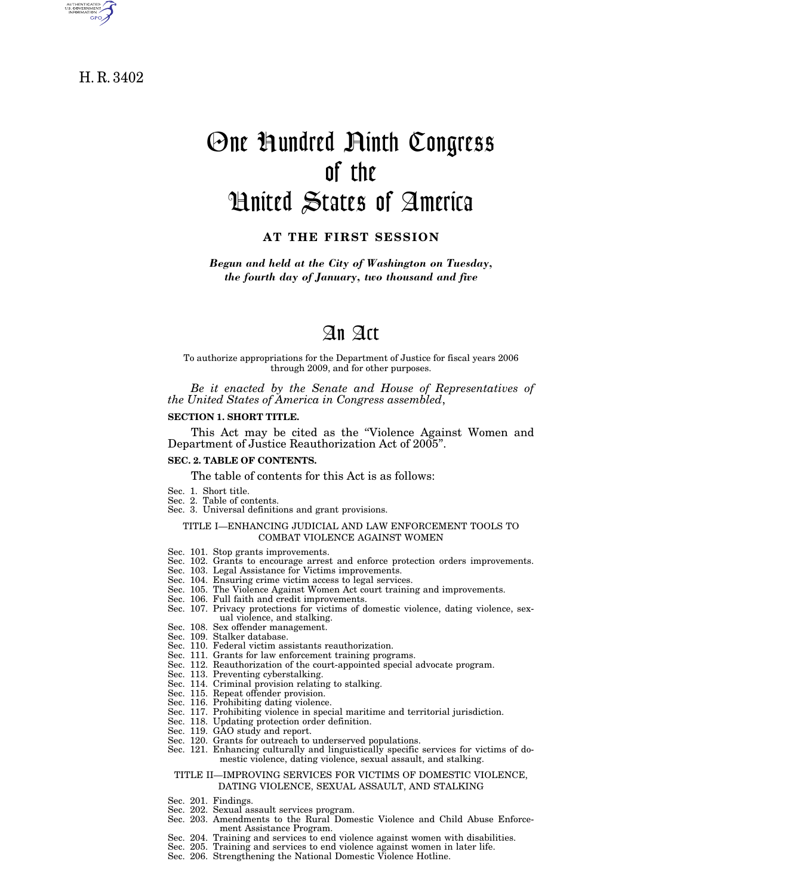

H. R. 3402

# One Hundred Ninth Congress of the United States of America

# **AT THE FIRST SESSION**

*Begun and held at the City of Washington on Tuesday, the fourth day of January, two thousand and five* 

# An Act

To authorize appropriations for the Department of Justice for fiscal years 2006 through 2009, and for other purposes.

*Be it enacted by the Senate and House of Representatives of the United States of America in Congress assembled*,

### **SECTION 1. SHORT TITLE.**

This Act may be cited as the "Violence Against Women and Department of Justice Reauthorization Act of 2005''.

#### **SEC. 2. TABLE OF CONTENTS.**

The table of contents for this Act is as follows:

- Sec. 1. Short title.
- Sec. 2. Table of contents.
- Sec. 3. Universal definitions and grant provisions.

#### TITLE I—ENHANCING JUDICIAL AND LAW ENFORCEMENT TOOLS TO COMBAT VIOLENCE AGAINST WOMEN

- Sec. 101. Stop grants improvements.
- Sec. 102. Grants to encourage arrest and enforce protection orders improvements.
- Sec. 103. Legal Assistance for Victims improvements.
- Sec. 104. Ensuring crime victim access to legal services.
- Sec. 105. The Violence Against Women Act court training and improvements.
- Sec. 106. Full faith and credit improvements.
- Sec. 107. Privacy protections for victims of domestic violence, dating violence, sexual violence, and stalking.
- Sec. 108. Sex offender management.
- Sec. 109. Stalker database.
- Sec. 110. Federal victim assistants reauthorization.
- Sec. 111. Grants for law enforcement training programs.
- Sec. 112. Reauthorization of the court-appointed special advocate program.
- Sec. 113. Preventing cyberstalking.
- Sec. 114. Criminal provision relating to stalking.
- Sec. 115. Repeat offender provision.
- Sec. 116. Prohibiting dating violence.
- Sec. 117. Prohibiting violence in special maritime and territorial jurisdiction.
- Sec. 118. Updating protection order definition.
- Sec. 119. GAO study and report.
- Sec. 120. Grants for outreach to underserved populations.
- Sec. 121. Enhancing culturally and linguistically specific services for victims of domestic violence, dating violence, sexual assault, and stalking.

#### TITLE II—IMPROVING SERVICES FOR VICTIMS OF DOMESTIC VIOLENCE, DATING VIOLENCE, SEXUAL ASSAULT, AND STALKING

- Sec. 201. Findings.
- Sec. 202. Sexual assault services program.
- Sec. 203. Amendments to the Rural Domestic Violence and Child Abuse Enforcement Assistance Program.
- Sec. 204. Training and services to end violence against women with disabilities.
- Sec. 205. Training and services to end violence against women in later life.
- Sec. 206. Strengthening the National Domestic Violence Hotline.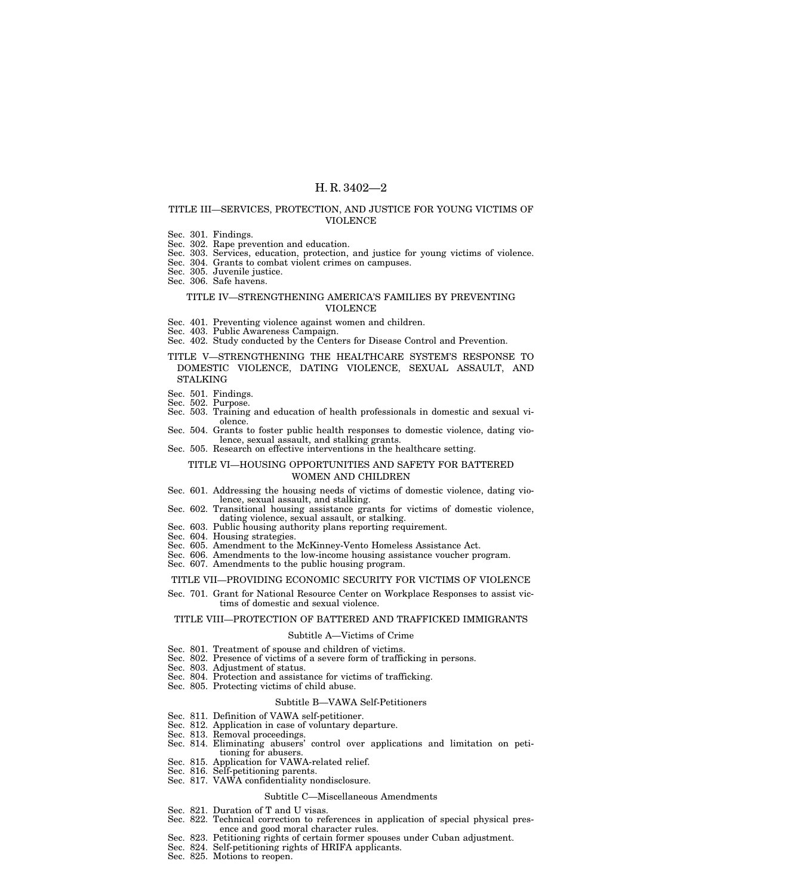#### TITLE III—SERVICES, PROTECTION, AND JUSTICE FOR YOUNG VICTIMS OF VIOLENCE

- Sec. 301. Findings.
- Sec. 302. Rape prevention and education.
- Sec. 303. Services, education, protection, and justice for young victims of violence.
- Sec. 304. Grants to combat violent crimes on campuses.
- Sec. 305. Juvenile justice.
- Sec. 306. Safe havens.

#### TITLE IV—STRENGTHENING AMERICA'S FAMILIES BY PREVENTING VIOLENCE

- Sec. 401. Preventing violence against women and children.
- Sec. 403. Public Awareness Campaign.
- Sec. 402. Study conducted by the Centers for Disease Control and Prevention.

#### TITLE V—STRENGTHENING THE HEALTHCARE SYSTEM'S RESPONSE TO DOMESTIC VIOLENCE, DATING VIOLENCE, SEXUAL ASSAULT, AND STALKING

- Sec. 501. Findings.
- Sec. 502. Purpose.
- Sec. 503. Training and education of health professionals in domestic and sexual violence.
- Sec. 504. Grants to foster public health responses to domestic violence, dating violence, sexual assault, and stalking grants.
- Sec. 505. Research on effective interventions in the healthcare setting.

#### TITLE VI—HOUSING OPPORTUNITIES AND SAFETY FOR BATTERED WOMEN AND CHILDREN

- Sec. 601. Addressing the housing needs of victims of domestic violence, dating violence, sexual assault, and stalking.
- Sec. 602. Transitional housing assistance grants for victims of domestic violence, dating violence, sexual assault, or stalking.
- Sec. 603. Public housing authority plans reporting requirement.
- Sec. 604. Housing strategies.
- Sec. 605. Amendment to the McKinney-Vento Homeless Assistance Act.
- Sec. 606. Amendments to the low-income housing assistance voucher program.
- Sec. 607. Amendments to the public housing program.

#### TITLE VII—PROVIDING ECONOMIC SECURITY FOR VICTIMS OF VIOLENCE

Sec. 701. Grant for National Resource Center on Workplace Responses to assist victims of domestic and sexual violence.

#### TITLE VIII—PROTECTION OF BATTERED AND TRAFFICKED IMMIGRANTS

#### Subtitle A—Victims of Crime

- Sec. 801. Treatment of spouse and children of victims.
- Sec. 802. Presence of victims of a severe form of trafficking in persons.
- Sec. 803. Adjustment of status.
- Sec. 804. Protection and assistance for victims of trafficking.
- Sec. 805. Protecting victims of child abuse.

#### Subtitle B—VAWA Self-Petitioners

- Sec. 811. Definition of VAWA self-petitioner.
- Sec. 812. Application in case of voluntary departure.
- 
- Sec. 813. Removal proceedings. Sec. 814. Eliminating abusers' control over applications and limitation on petitioning for abusers.
- Sec. 815. Application for VAWA-related relief.
- Sec. 816. Self-petitioning parents.
- Sec. 817. VAWA confidentiality nondisclosure.

#### Subtitle C—Miscellaneous Amendments

- Sec. 821. Duration of T and U visas.
- Sec. 822. Technical correction to references in application of special physical presence and good moral character rules.
- Sec. 823. Petitioning rights of certain former spouses under Cuban adjustment.
- Sec. 824. Self-petitioning rights of HRIFA applicants.
- Sec. 825. Motions to reopen.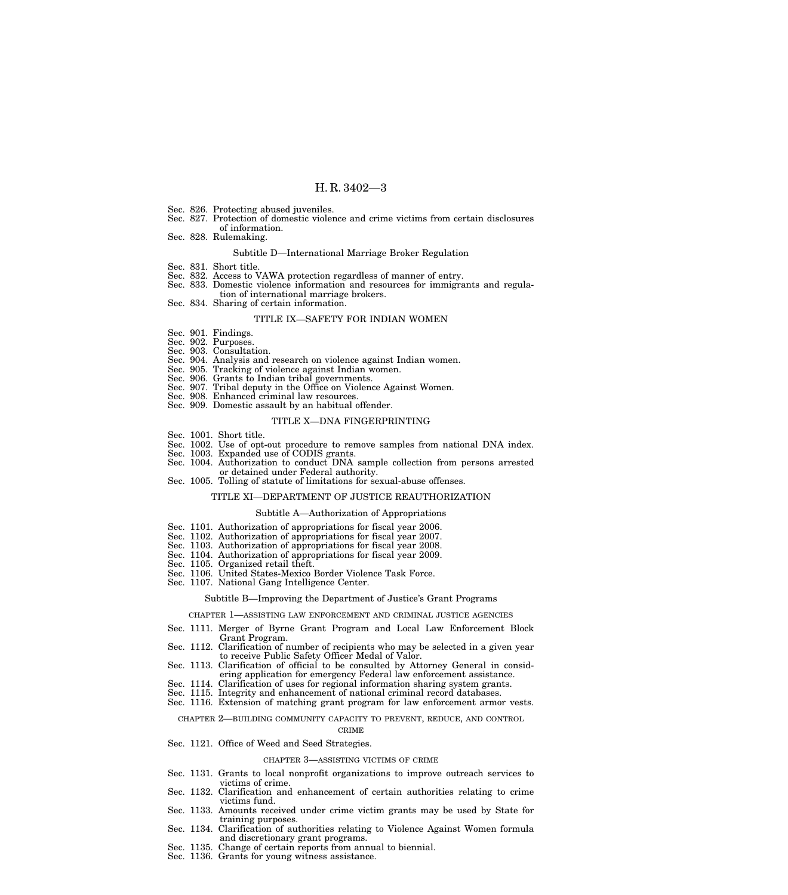- Sec. 826. Protecting abused juveniles.
- Sec. 827. Protection of domestic violence and crime victims from certain disclosures
- of information. Sec. 828. Rulemaking.

#### Subtitle D—International Marriage Broker Regulation

- 
- Sec. 831. Short title. Sec. 832. Access to VAWA protection regardless of manner of entry.
- Sec. 833. Domestic violence information and resources for immigrants and regulation of international marriage brokers.
- Sec. 834. Sharing of certain information.

#### TITLE IX—SAFETY FOR INDIAN WOMEN

- Sec. 901. Findings.
- Sec. 902. Purposes.
- Sec. 903. Consultation.
- 
- Sec. 904. Analysis and research on violence against Indian women. Sec. 905. Tracking of violence against Indian women.
- 
- Sec. 906. Grants to Indian tribal governments. Sec. 907. Tribal deputy in the Office on Violence Against Women.
- Sec. 908. Enhanced criminal law resources.
- Sec. 909. Domestic assault by an habitual offender.

#### TITLE X—DNA FINGERPRINTING

- Sec. 1001. Short title.
- Sec. 1002. Use of opt-out procedure to remove samples from national DNA index.
- Sec. 1003. Expanded use of CODIS grants.
- Sec. 1004. Authorization to conduct DNA sample collection from persons arrested
- or detained under Federal authority.
- Sec. 1005. Tolling of statute of limitations for sexual-abuse offenses.

#### TITLE XI—DEPARTMENT OF JUSTICE REAUTHORIZATION

#### Subtitle A—Authorization of Appropriations

- Sec. 1101. Authorization of appropriations for fiscal year 2006.
- Sec. 1102. Authorization of appropriations for fiscal year 2007.
- Sec. 1103. Authorization of appropriations for fiscal year 2008.
- Sec. 1104. Authorization of appropriations for fiscal year 2009.
- Sec. 1105. Organized retail theft.
- Sec. 1106. United States-Mexico Border Violence Task Force.
- Sec. 1107. National Gang Intelligence Center.

#### Subtitle B—Improving the Department of Justice's Grant Programs

#### CHAPTER 1—ASSISTING LAW ENFORCEMENT AND CRIMINAL JUSTICE AGENCIES

- Sec. 1111. Merger of Byrne Grant Program and Local Law Enforcement Block Grant Program.
- Sec. 1112. Clarification of number of recipients who may be selected in a given year to receive Public Safety Officer Medal of Valor.
- Sec. 1113. Clarification of official to be consulted by Attorney General in considering application for emergency Federal law enforcement assistance.
- Sec. 1114. Clarification of uses for regional information sharing system grants.
- Sec. 1115. Integrity and enhancement of national criminal record databases.
- Sec. 1116. Extension of matching grant program for law enforcement armor vests.

#### CHAPTER 2—BUILDING COMMUNITY CAPACITY TO PREVENT, REDUCE, AND CONTROL

# CRIME

# Sec. 1121. Office of Weed and Seed Strategies.

#### CHAPTER 3—ASSISTING VICTIMS OF CRIME

- Sec. 1131. Grants to local nonprofit organizations to improve outreach services to victims of crime.
- Sec. 1132. Clarification and enhancement of certain authorities relating to crime victims fund.
- Sec. 1133. Amounts received under crime victim grants may be used by State for training purposes.
- Sec. 1134. Clarification of authorities relating to Violence Against Women formula and discretionary grant programs.
- Sec. 1135. Change of certain reports from annual to biennial.
- Sec. 1136. Grants for young witness assistance.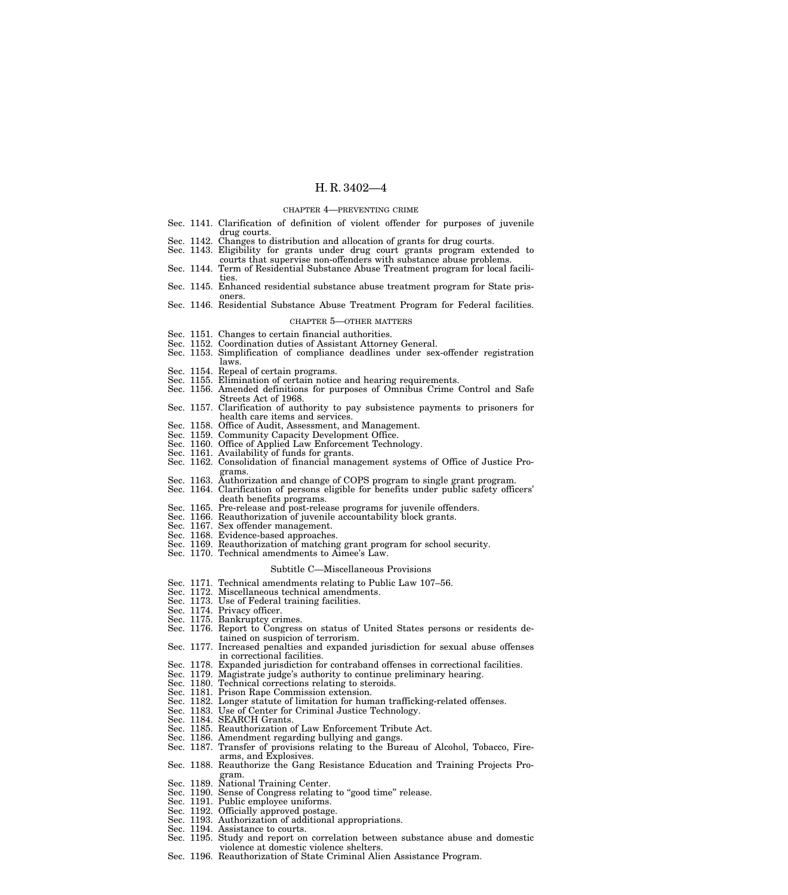#### CHAPTER 4—PREVENTING CRIME

- Sec. 1141. Clarification of definition of violent offender for purposes of juvenile drug courts.
- Sec. 1142. Changes to distribution and allocation of grants for drug courts.<br>Sec. 1143. Eligibility for grants under drug court grants program ext
- Sec. 1143. Eligibility for grants under drug court grants program extended to
- courts that supervise non-offenders with substance abuse problems. Sec. 1144. Term of Residential Substance Abuse Treatment program for local facilities.
- Sec. 1145. Enhanced residential substance abuse treatment program for State pris-
- Sec. 1146. Residential Substance Abuse Treatment Program for Federal facilities.

#### CHAPTER 5—OTHER MATTERS

- Sec. 1151. Changes to certain financial authorities.
- Sec. 1152. Coordination duties of Assistant Attorney General.
- Sec. 1153. Simplification of compliance deadlines under sex-offender registration laws.
- 
- Sec. 1154. Repeal of certain programs. Sec. 1155. Elimination of certain notice and hearing requirements.
- Sec. 1156. Amended definitions for purposes of Omnibus Crime Control and Safe Streets Act of 1968.
- Sec. 1157. Clarification of authority to pay subsistence payments to prisoners for health care items and services.
- Sec. 1158. Office of Audit, Assessment, and Management.
- Sec. 1159. Community Capacity Development Office.
- Sec. 1160. Office of Applied Law Enforcement Technology.
- 
- Sec. 1161. Availability of funds for grants. Sec. 1162. Consolidation of financial management systems of Office of Justice Programs.
- Sec. 1163. Authorization and change of COPS program to single grant program.
- Sec. 1164. Clarification of persons eligible for benefits under public safety officers' death benefits programs. Sec. 1165. Pre-release and post-release programs for juvenile offenders.
- 
- Sec. 1166. Reauthorization of juvenile accountability block grants.
- Sec. 1167. Sex offender management.
- Sec. 1168. Evidence-based approaches.
- Sec. 1169. Reauthorization of matching grant program for school security.
- Sec. 1170. Technical amendments to Aimee's Law.

#### Subtitle C—Miscellaneous Provisions

- Sec. 1171. Technical amendments relating to Public Law 107–56.
- Sec. 1172. Miscellaneous technical amendments.
- Sec. 1173. Use of Federal training facilities.
- Sec. 1174. Privacy officer.
- Sec. 1175. Bankruptcy crimes.
- Sec. 1176. Report to Congress on status of United States persons or residents detained on suspicion of terrorism.
- Sec. 1177. Increased penalties and expanded jurisdiction for sexual abuse offenses in correctional facilities.
- Sec. 1178. Expanded jurisdiction for contraband offenses in correctional facilities.
- Sec. 1179. Magistrate judge's authority to continue preliminary hearing. Sec. 1180. Technical corrections relating to steroids.
- 
- Sec. 1181. Prison Rape Commission extension.<br>Sec. 1182. Longer statute of limitation for hum
- Longer statute of limitation for human trafficking-related offenses.
- Sec. 1183. Use of Center for Criminal Justice Technology. Sec. 1184. SEARCH Grants.
- 
- Sec. 1185. Reauthorization of Law Enforcement Tribute Act.
- 
- Sec. 1186. Amendment regarding bullying and gangs. Sec. 1187. Transfer of provisions relating to the Bureau of Alcohol, Tobacco, Firearms, and Explosives.
- Sec. 1188. Reauthorize the Gang Resistance Education and Training Projects Program.
- Sec. 1189. National Training Center.
- Sec. 1190. Sense of Congress relating to "good time" release.
- Sec. 1191. Public employee uniforms.
- Sec. 1192. Officially approved postage.
- Sec. 1193. Authorization of additional appropriations.<br>Sec. 1194. Assistance to courts.
- 
- Sec. 1194. Assistance to courts.<br>Sec. 1195. Study and report on Study and report on correlation between substance abuse and domestic violence at domestic violence shelters.
- Sec. 1196. Reauthorization of State Criminal Alien Assistance Program.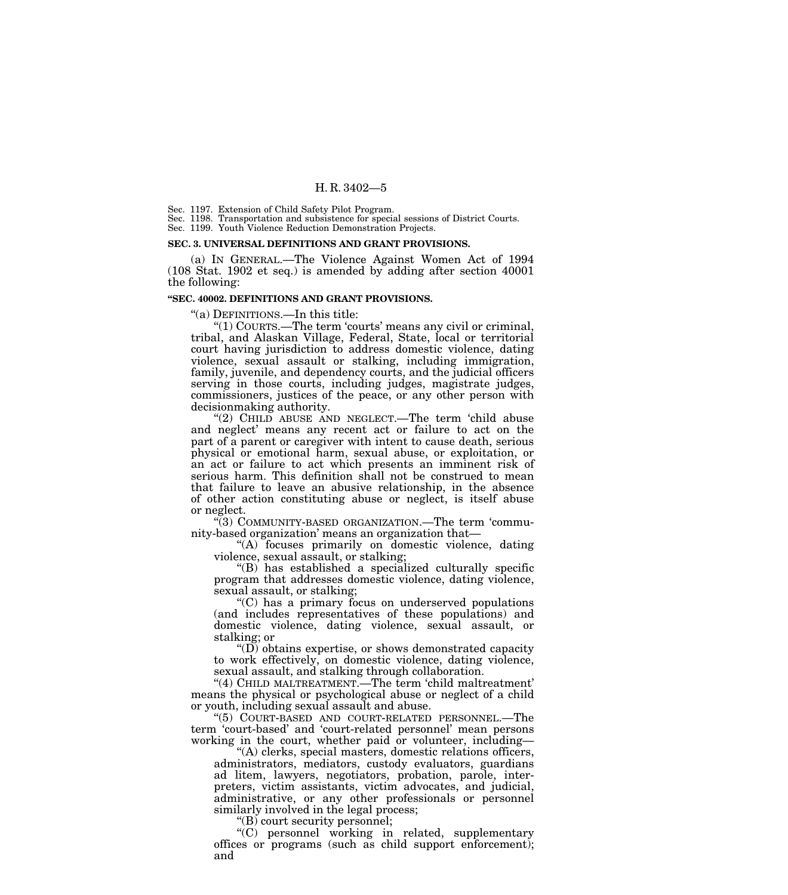Sec. 1197. Extension of Child Safety Pilot Program.

Sec. 1198. Transportation and subsistence for special sessions of District Courts. Sec. 1199. Youth Violence Reduction Demonstration Projects.

# **SEC. 3. UNIVERSAL DEFINITIONS AND GRANT PROVISIONS.**

(a) IN GENERAL.—The Violence Against Women Act of 1994 (108 Stat. 1902 et seq.) is amended by adding after section 40001 the following:

#### **''SEC. 40002. DEFINITIONS AND GRANT PROVISIONS.**

''(a) DEFINITIONS.—In this title:

''(1) COURTS.—The term 'courts' means any civil or criminal, tribal, and Alaskan Village, Federal, State, local or territorial court having jurisdiction to address domestic violence, dating violence, sexual assault or stalking, including immigration, family, juvenile, and dependency courts, and the judicial officers serving in those courts, including judges, magistrate judges, commissioners, justices of the peace, or any other person with decisionmaking authority.

"(2) CHILD ABUSE AND NEGLECT.—The term 'child abuse and neglect' means any recent act or failure to act on the part of a parent or caregiver with intent to cause death, serious physical or emotional harm, sexual abuse, or exploitation, or an act or failure to act which presents an imminent risk of serious harm. This definition shall not be construed to mean that failure to leave an abusive relationship, in the absence of other action constituting abuse or neglect, is itself abuse or neglect.

''(3) COMMUNITY-BASED ORGANIZATION.—The term 'community-based organization' means an organization that—

''(A) focuses primarily on domestic violence, dating violence, sexual assault, or stalking;

''(B) has established a specialized culturally specific program that addresses domestic violence, dating violence, sexual assault, or stalking;

''(C) has a primary focus on underserved populations (and includes representatives of these populations) and domestic violence, dating violence, sexual assault, or stalking; or

 $\mathrm{``(D)}$  obtains expertise, or shows demonstrated capacity to work effectively, on domestic violence, dating violence, sexual assault, and stalking through collaboration.

"(4) CHILD MALTREATMENT.—The term 'child maltreatment' means the physical or psychological abuse or neglect of a child or youth, including sexual assault and abuse.

''(5) COURT-BASED AND COURT-RELATED PERSONNEL.—The term 'court-based' and 'court-related personnel' mean persons working in the court, whether paid or volunteer, including—

''(A) clerks, special masters, domestic relations officers, administrators, mediators, custody evaluators, guardians ad litem, lawyers, negotiators, probation, parole, interpreters, victim assistants, victim advocates, and judicial, administrative, or any other professionals or personnel similarly involved in the legal process;

''(B) court security personnel;

''(C) personnel working in related, supplementary offices or programs (such as child support enforcement); and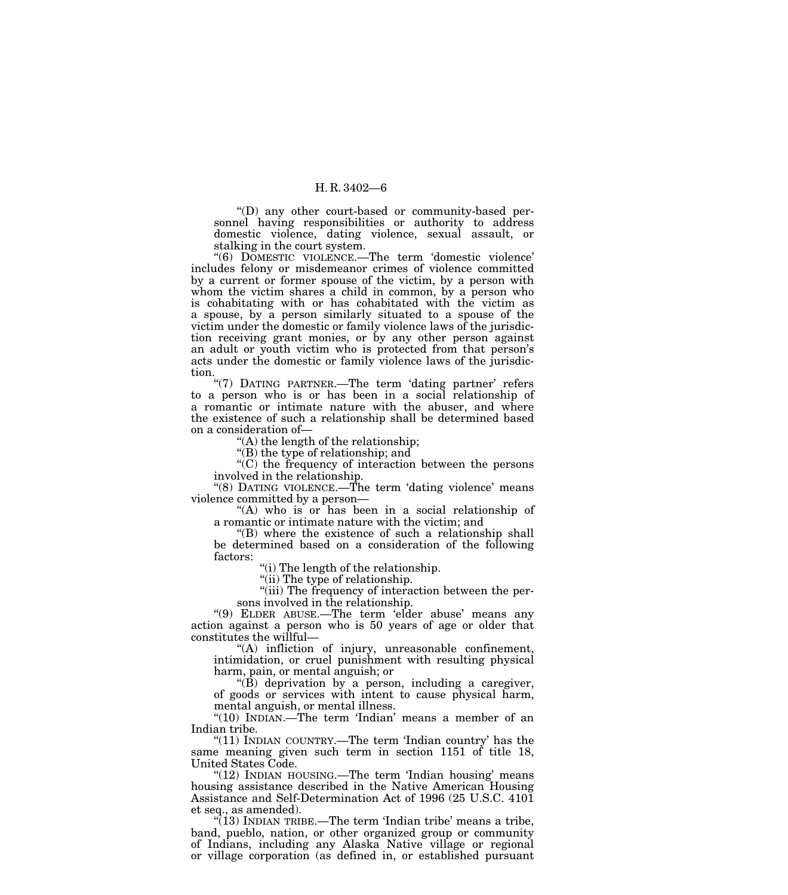''(D) any other court-based or community-based personnel having responsibilities or authority to address domestic violence, dating violence, sexual assault, or stalking in the court system.

''(6) DOMESTIC VIOLENCE.—The term 'domestic violence' includes felony or misdemeanor crimes of violence committed by a current or former spouse of the victim, by a person with whom the victim shares a child in common, by a person who is cohabitating with or has cohabitated with the victim as a spouse, by a person similarly situated to a spouse of the victim under the domestic or family violence laws of the jurisdiction receiving grant monies, or by any other person against an adult or youth victim who is protected from that person's acts under the domestic or family violence laws of the jurisdiction.

"(7) DATING PARTNER.-The term 'dating partner' refers to a person who is or has been in a social relationship of a romantic or intimate nature with the abuser, and where the existence of such a relationship shall be determined based on a consideration of—

''(A) the length of the relationship;

''(B) the type of relationship; and

''(C) the frequency of interaction between the persons involved in the relationship.

"(8) DATING VIOLENCE.—The term 'dating violence' means violence committed by a person—

''(A) who is or has been in a social relationship of a romantic or intimate nature with the victim; and

''(B) where the existence of such a relationship shall be determined based on a consideration of the following factors:

''(i) The length of the relationship.

''(ii) The type of relationship.

"(iii) The frequency of interaction between the persons involved in the relationship.

"(9) ELDER ABUSE.—The term 'elder abuse' means any action against a person who is 50 years of age or older that constitutes the willful—

"(A) infliction of injury, unreasonable confinement, intimidation, or cruel punishment with resulting physical harm, pain, or mental anguish; or

" $(B)$  deprivation by a person, including a caregiver, of goods or services with intent to cause physical harm, mental anguish, or mental illness.

"(10) INDIAN.—The term 'Indian' means a member of an Indian tribe.

"(11) INDIAN COUNTRY.—The term 'Indian country' has the same meaning given such term in section 1151 of title 18, United States Code.

"(12) INDIAN HOUSING.—The term 'Indian housing' means housing assistance described in the Native American Housing Assistance and Self-Determination Act of 1996 (25 U.S.C. 4101 et seq., as amended).

"(13) INDIAN TRIBE.—The term 'Indian tribe' means a tribe, band, pueblo, nation, or other organized group or community of Indians, including any Alaska Native village or regional or village corporation (as defined in, or established pursuant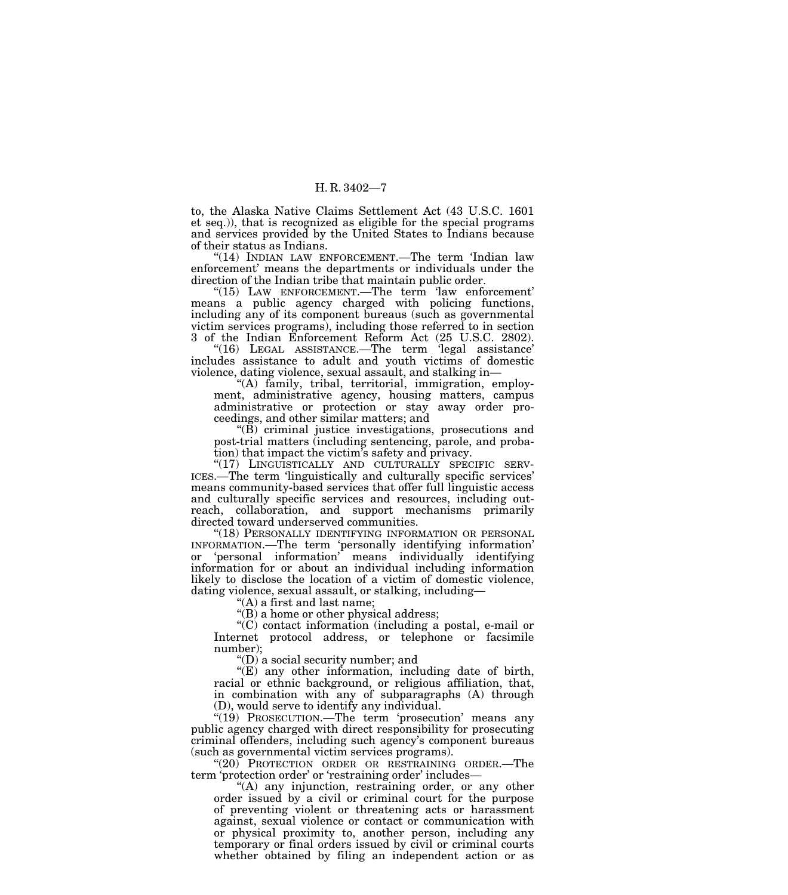to, the Alaska Native Claims Settlement Act (43 U.S.C. 1601 et seq.)), that is recognized as eligible for the special programs and services provided by the United States to Indians because of their status as Indians.

"(14) INDIAN LAW ENFORCEMENT.—The term 'Indian law enforcement' means the departments or individuals under the direction of the Indian tribe that maintain public order.

"(15) LAW ENFORCEMENT.—The term 'law enforcement' means a public agency charged with policing functions, including any of its component bureaus (such as governmental victim services programs), including those referred to in section 3 of the Indian Enforcement Reform Act (25 U.S.C. 2802).

"(16) LEGAL ASSISTANCE.—The term 'legal assistance' includes assistance to adult and youth victims of domestic violence, dating violence, sexual assault, and stalking in—

''(A) family, tribal, territorial, immigration, employment, administrative agency, housing matters, campus administrative or protection or stay away order proceedings, and other similar matters; and

 $\mathrm{``}(\overline{B})$  criminal justice investigations, prosecutions and post-trial matters (including sentencing, parole, and probation) that impact the victim's safety and privacy.<br>"(17) LINGUISTICALLY AND CULTURALLY SPECIFIC SERV-

ICES.—The term 'linguistically and culturally specific services' means community-based services that offer full linguistic access and culturally specific services and resources, including outreach, collaboration, and support mechanisms primarily directed toward underserved communities.

''(18) PERSONALLY IDENTIFYING INFORMATION OR PERSONAL INFORMATION.—The term 'personally identifying information' or 'personal information' means individually identifying information for or about an individual including information likely to disclose the location of a victim of domestic violence, dating violence, sexual assault, or stalking, including—

"(A) a first and last name;

''(B) a home or other physical address;

''(C) contact information (including a postal, e-mail or Internet protocol address, or telephone or facsimile number);

''(D) a social security number; and

 $E(E)$  any other information, including date of birth, racial or ethnic background, or religious affiliation, that, in combination with any of subparagraphs (A) through (D), would serve to identify any individual.

"(19) PROSECUTION.—The term 'prosecution' means any public agency charged with direct responsibility for prosecuting criminal offenders, including such agency's component bureaus (such as governmental victim services programs).

"(20) PROTECTION ORDER OR RESTRAINING ORDER.—The term 'protection order' or 'restraining order' includes—

''(A) any injunction, restraining order, or any other order issued by a civil or criminal court for the purpose of preventing violent or threatening acts or harassment against, sexual violence or contact or communication with or physical proximity to, another person, including any temporary or final orders issued by civil or criminal courts whether obtained by filing an independent action or as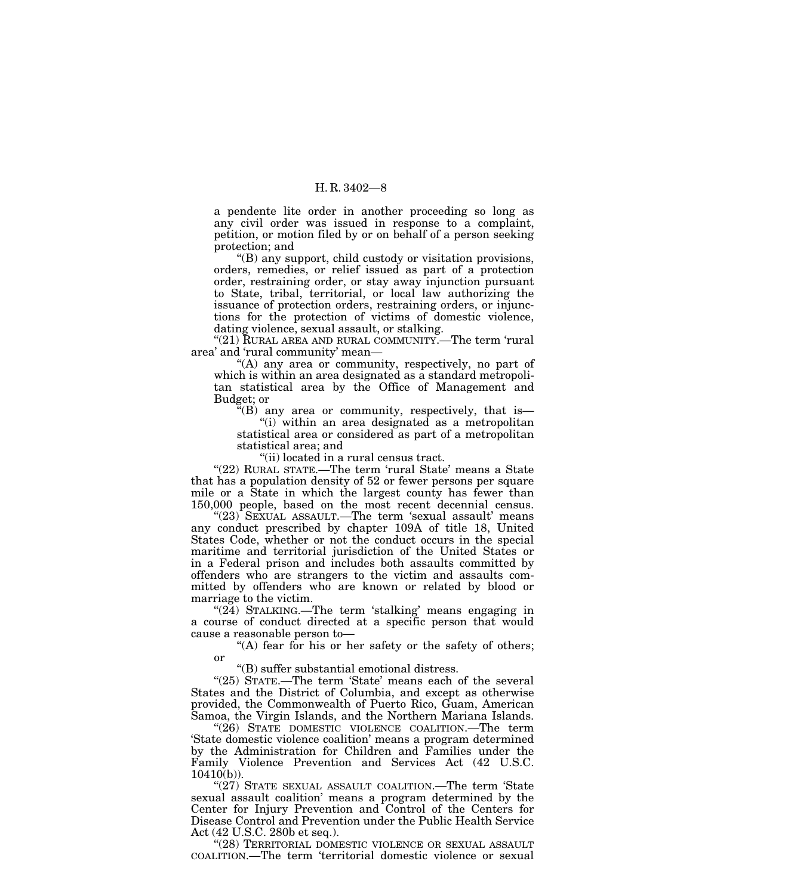a pendente lite order in another proceeding so long as any civil order was issued in response to a complaint, petition, or motion filed by or on behalf of a person seeking protection; and

''(B) any support, child custody or visitation provisions, orders, remedies, or relief issued as part of a protection order, restraining order, or stay away injunction pursuant to State, tribal, territorial, or local law authorizing the issuance of protection orders, restraining orders, or injunctions for the protection of victims of domestic violence, dating violence, sexual assault, or stalking.

"(21) RURAL AREA AND RURAL COMMUNITY.—The term 'rural area' and 'rural community' mean—

"(A) any area or community, respectively, no part of which is within an area designated as a standard metropolitan statistical area by the Office of Management and Budget; or

 $f(B)$  any area or community, respectively, that is

''(i) within an area designated as a metropolitan statistical area or considered as part of a metropolitan statistical area; and

''(ii) located in a rural census tract.

"(22) RURAL STATE.—The term 'rural State' means a State that has a population density of 52 or fewer persons per square mile or a State in which the largest county has fewer than 150,000 people, based on the most recent decennial census.

"(23) SEXUAL ASSAULT.—The term 'sexual assault' means any conduct prescribed by chapter 109A of title 18, United States Code, whether or not the conduct occurs in the special maritime and territorial jurisdiction of the United States or in a Federal prison and includes both assaults committed by offenders who are strangers to the victim and assaults committed by offenders who are known or related by blood or marriage to the victim.

"(24) STALKING.—The term 'stalking' means engaging in a course of conduct directed at a specific person that would cause a reasonable person to—

"(A) fear for his or her safety or the safety of others; or

''(B) suffer substantial emotional distress.

"(25) STATE.—The term 'State' means each of the several States and the District of Columbia, and except as otherwise provided, the Commonwealth of Puerto Rico, Guam, American Samoa, the Virgin Islands, and the Northern Mariana Islands.

"(26) STATE DOMESTIC VIOLENCE COALITION.—The term 'State domestic violence coalition' means a program determined by the Administration for Children and Families under the Family Violence Prevention and Services Act (42 U.S.C.  $10410(b)$ ).

"(27) STATE SEXUAL ASSAULT COALITION.—The term 'State sexual assault coalition' means a program determined by the Center for Injury Prevention and Control of the Centers for Disease Control and Prevention under the Public Health Service Act (42 U.S.C. 280b et seq.).

''(28) TERRITORIAL DOMESTIC VIOLENCE OR SEXUAL ASSAULT COALITION.—The term 'territorial domestic violence or sexual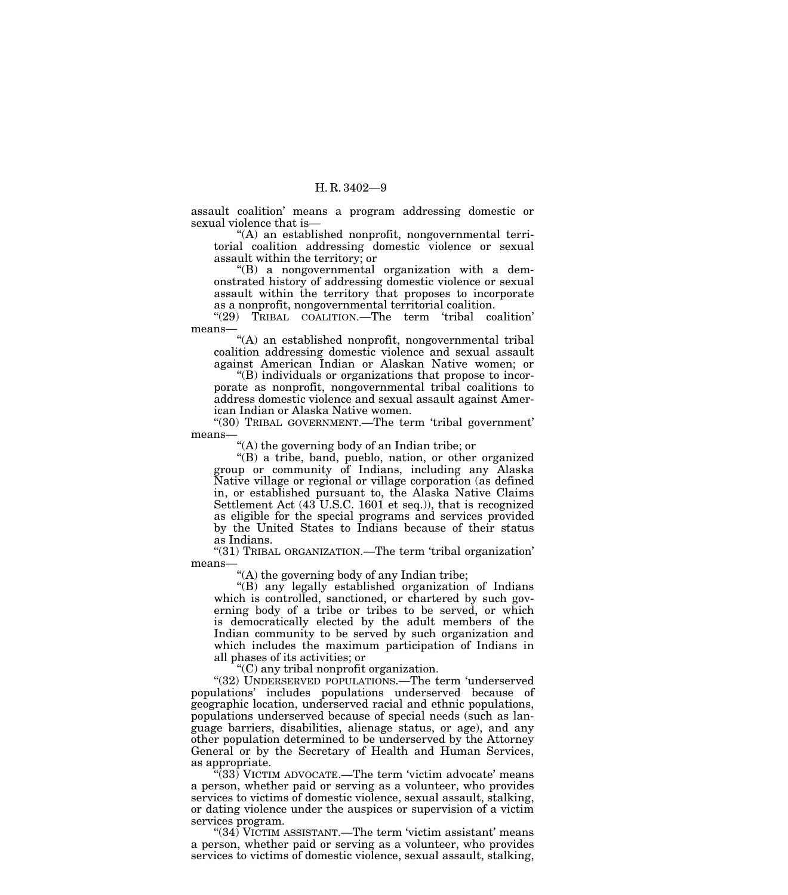assault coalition' means a program addressing domestic or sexual violence that is—

''(A) an established nonprofit, nongovernmental territorial coalition addressing domestic violence or sexual assault within the territory; or

''(B) a nongovernmental organization with a demonstrated history of addressing domestic violence or sexual assault within the territory that proposes to incorporate as a nonprofit, nongovernmental territorial coalition.

"(29) TRIBAL COALITION.—The term 'tribal coalition' means—

''(A) an established nonprofit, nongovernmental tribal coalition addressing domestic violence and sexual assault against American Indian or Alaskan Native women; or

''(B) individuals or organizations that propose to incorporate as nonprofit, nongovernmental tribal coalitions to address domestic violence and sexual assault against American Indian or Alaska Native women.

"(30) TRIBAL GOVERNMENT.—The term 'tribal government' means—

''(A) the governing body of an Indian tribe; or

''(B) a tribe, band, pueblo, nation, or other organized group or community of Indians, including any Alaska Native village or regional or village corporation (as defined in, or established pursuant to, the Alaska Native Claims Settlement Act (43 U.S.C. 1601 et seq.)), that is recognized as eligible for the special programs and services provided by the United States to Indians because of their status as Indians.

''(31) TRIBAL ORGANIZATION.—The term 'tribal organization' means—

''(A) the governing body of any Indian tribe;

''(B) any legally established organization of Indians which is controlled, sanctioned, or chartered by such governing body of a tribe or tribes to be served, or which is democratically elected by the adult members of the Indian community to be served by such organization and which includes the maximum participation of Indians in all phases of its activities; or

''(C) any tribal nonprofit organization.

"(32) UNDERSERVED POPULATIONS.—The term 'underserved populations' includes populations underserved because of geographic location, underserved racial and ethnic populations, populations underserved because of special needs (such as language barriers, disabilities, alienage status, or age), and any other population determined to be underserved by the Attorney General or by the Secretary of Health and Human Services, as appropriate.

"(33) VICTIM ADVOCATE.—The term 'victim advocate' means a person, whether paid or serving as a volunteer, who provides services to victims of domestic violence, sexual assault, stalking, or dating violence under the auspices or supervision of a victim services program.

" $(34)$  VICTIM ASSISTANT.—The term 'victim assistant' means a person, whether paid or serving as a volunteer, who provides services to victims of domestic violence, sexual assault, stalking,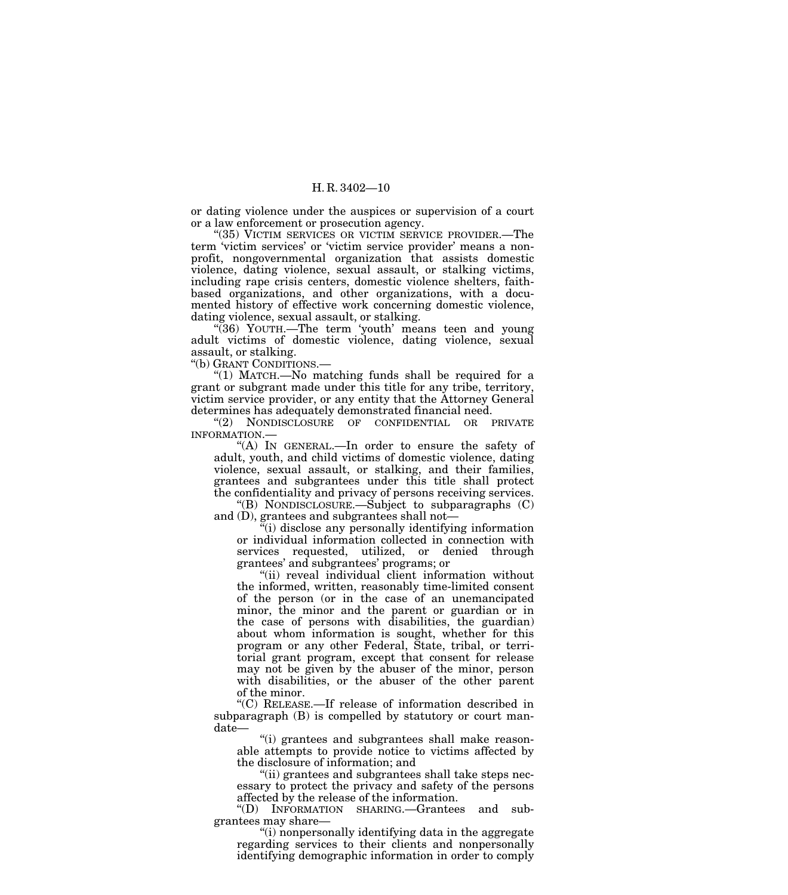or dating violence under the auspices or supervision of a court or a law enforcement or prosecution agency.

"(35) VICTIM SERVICES OR VICTIM SERVICE PROVIDER.—The term 'victim services' or 'victim service provider' means a nonprofit, nongovernmental organization that assists domestic violence, dating violence, sexual assault, or stalking victims, including rape crisis centers, domestic violence shelters, faithbased organizations, and other organizations, with a documented history of effective work concerning domestic violence, dating violence, sexual assault, or stalking.

"(36) YOUTH.—The term 'youth' means teen and young adult victims of domestic violence, dating violence, sexual assault, or stalking.

''(b) GRANT CONDITIONS.—

"(1) MATCH.—No matching funds shall be required for a grant or subgrant made under this title for any tribe, territory, victim service provider, or any entity that the Attorney General determines has adequately demonstrated financial need.

''(2) NONDISCLOSURE OF CONFIDENTIAL OR PRIVATE INFORMATION.—

"(A) In GENERAL.—In order to ensure the safety of adult, youth, and child victims of domestic violence, dating violence, sexual assault, or stalking, and their families, grantees and subgrantees under this title shall protect the confidentiality and privacy of persons receiving services.

"(B) NONDISCLOSURE.—Subject to subparagraphs  $(C)$ and (D), grantees and subgrantees shall not—

 $\mathbf{F}(i)$  disclose any personally identifying information or individual information collected in connection with services requested, utilized, or denied through grantees' and subgrantees' programs; or

"(ii) reveal individual client information without the informed, written, reasonably time-limited consent of the person (or in the case of an unemancipated minor, the minor and the parent or guardian or in the case of persons with disabilities, the guardian) about whom information is sought, whether for this program or any other Federal, State, tribal, or territorial grant program, except that consent for release may not be given by the abuser of the minor, person with disabilities, or the abuser of the other parent of the minor.

''(C) RELEASE.—If release of information described in subparagraph (B) is compelled by statutory or court mandate—

''(i) grantees and subgrantees shall make reasonable attempts to provide notice to victims affected by the disclosure of information; and

''(ii) grantees and subgrantees shall take steps necessary to protect the privacy and safety of the persons affected by the release of the information.

''(D) INFORMATION SHARING.—Grantees and subgrantees may share—

''(i) nonpersonally identifying data in the aggregate regarding services to their clients and nonpersonally identifying demographic information in order to comply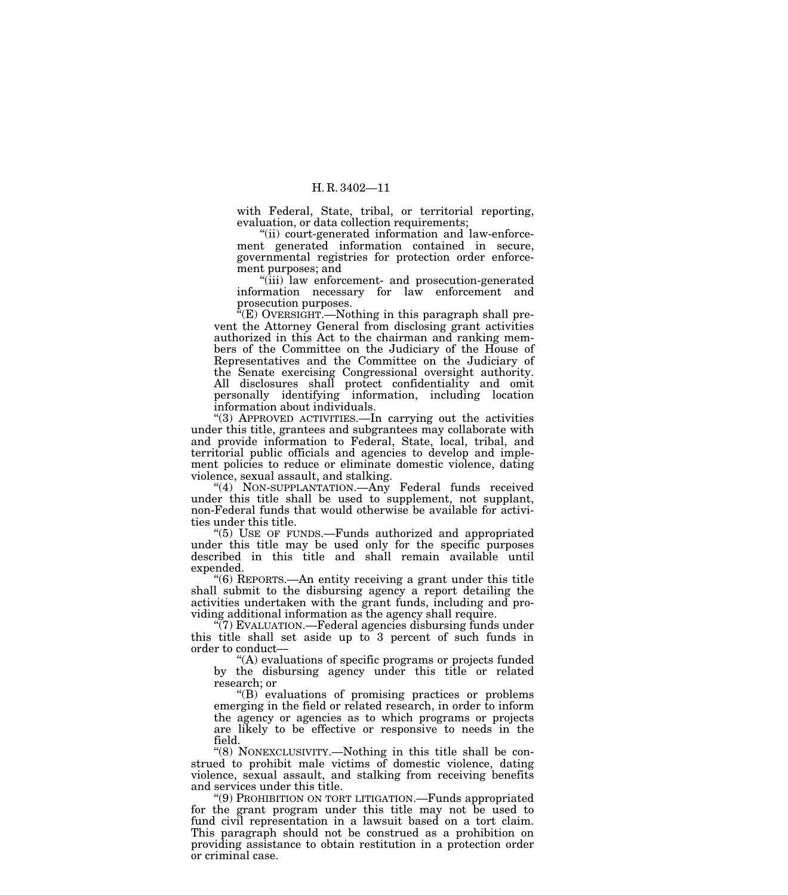with Federal, State, tribal, or territorial reporting, evaluation, or data collection requirements;

''(ii) court-generated information and law-enforcement generated information contained in secure, governmental registries for protection order enforcement purposes; and

''(iii) law enforcement- and prosecution-generated information necessary for law enforcement and prosecution purposes.

''(E) OVERSIGHT.—Nothing in this paragraph shall prevent the Attorney General from disclosing grant activities authorized in this Act to the chairman and ranking members of the Committee on the Judiciary of the House of Representatives and the Committee on the Judiciary of the Senate exercising Congressional oversight authority. All disclosures shall protect confidentiality and omit personally identifying information, including location information about individuals.

''(3) APPROVED ACTIVITIES.—In carrying out the activities under this title, grantees and subgrantees may collaborate with and provide information to Federal, State, local, tribal, and territorial public officials and agencies to develop and implement policies to reduce or eliminate domestic violence, dating violence, sexual assault, and stalking.

"(4) NON-SUPPLANTATION.—Any Federal funds received under this title shall be used to supplement, not supplant, non-Federal funds that would otherwise be available for activities under this title.

''(5) USE OF FUNDS.—Funds authorized and appropriated under this title may be used only for the specific purposes described in this title and shall remain available until expended.

''(6) REPORTS.—An entity receiving a grant under this title shall submit to the disbursing agency a report detailing the activities undertaken with the grant funds, including and providing additional information as the agency shall require.

''(7) EVALUATION.—Federal agencies disbursing funds under this title shall set aside up to 3 percent of such funds in order to conduct—

''(A) evaluations of specific programs or projects funded by the disbursing agency under this title or related research; or

''(B) evaluations of promising practices or problems emerging in the field or related research, in order to inform the agency or agencies as to which programs or projects are likely to be effective or responsive to needs in the field.

''(8) NONEXCLUSIVITY.—Nothing in this title shall be construed to prohibit male victims of domestic violence, dating violence, sexual assault, and stalking from receiving benefits and services under this title.

''(9) PROHIBITION ON TORT LITIGATION.—Funds appropriated for the grant program under this title may not be used to fund civil representation in a lawsuit based on a tort claim. This paragraph should not be construed as a prohibition on providing assistance to obtain restitution in a protection order or criminal case.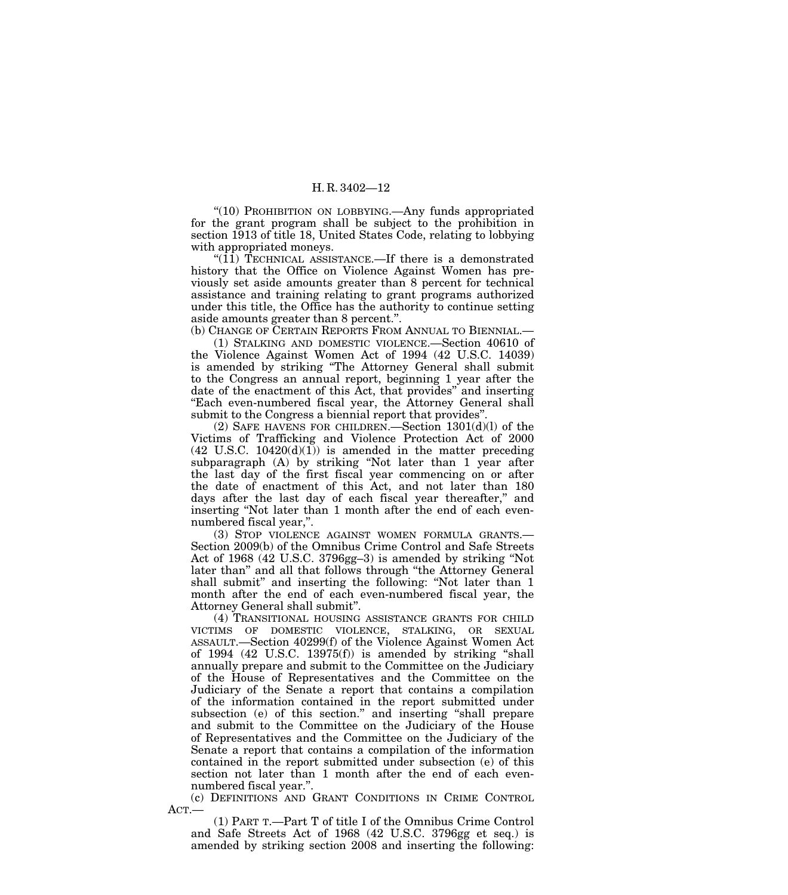''(10) PROHIBITION ON LOBBYING.—Any funds appropriated for the grant program shall be subject to the prohibition in section 1913 of title 18, United States Code, relating to lobbying with appropriated moneys.

"(11) TECHNICAL ASSISTANCE.—If there is a demonstrated history that the Office on Violence Against Women has previously set aside amounts greater than 8 percent for technical assistance and training relating to grant programs authorized under this title, the Office has the authority to continue setting aside amounts greater than 8 percent.''.

(b) CHANGE OF CERTAIN REPORTS FROM ANNUAL TO BIENNIAL.—

(1) STALKING AND DOMESTIC VIOLENCE.—Section 40610 of the Violence Against Women Act of 1994 (42 U.S.C. 14039) is amended by striking ''The Attorney General shall submit to the Congress an annual report, beginning 1 year after the date of the enactment of this Act, that provides'' and inserting ''Each even-numbered fiscal year, the Attorney General shall submit to the Congress a biennial report that provides''.

(2) SAFE HAVENS FOR CHILDREN.—Section 1301(d)(l) of the Victims of Trafficking and Violence Protection Act of 2000  $(42 \text{ U.S.C. } 10420(d)(1))$  is amended in the matter preceding subparagraph (A) by striking ''Not later than 1 year after the last day of the first fiscal year commencing on or after the date of enactment of this Act, and not later than 180 days after the last day of each fiscal year thereafter," and inserting ''Not later than 1 month after the end of each evennumbered fiscal year,".

(3) STOP VIOLENCE AGAINST WOMEN FORMULA GRANTS.— Section 2009(b) of the Omnibus Crime Control and Safe Streets Act of 1968 (42 U.S.C. 3796gg–3) is amended by striking ''Not later than'' and all that follows through ''the Attorney General shall submit" and inserting the following: "Not later than 1 month after the end of each even-numbered fiscal year, the Attorney General shall submit''.

(4) TRANSITIONAL HOUSING ASSISTANCE GRANTS FOR CHILD VICTIMS OF DOMESTIC VIOLENCE, STALKING, OR SEXUAL ASSAULT.—Section 40299(f) of the Violence Against Women Act of 1994 (42 U.S.C. 13975 $(f)$ ) is amended by striking "shall annually prepare and submit to the Committee on the Judiciary of the House of Representatives and the Committee on the Judiciary of the Senate a report that contains a compilation of the information contained in the report submitted under subsection (e) of this section." and inserting "shall prepare and submit to the Committee on the Judiciary of the House of Representatives and the Committee on the Judiciary of the Senate a report that contains a compilation of the information contained in the report submitted under subsection (e) of this section not later than 1 month after the end of each evennumbered fiscal year.''.

(c) DEFINITIONS AND GRANT CONDITIONS IN CRIME CONTROL ACT.—

(1) PART T.—Part T of title I of the Omnibus Crime Control and Safe Streets Act of 1968 (42 U.S.C. 3796gg et seq.) is amended by striking section 2008 and inserting the following: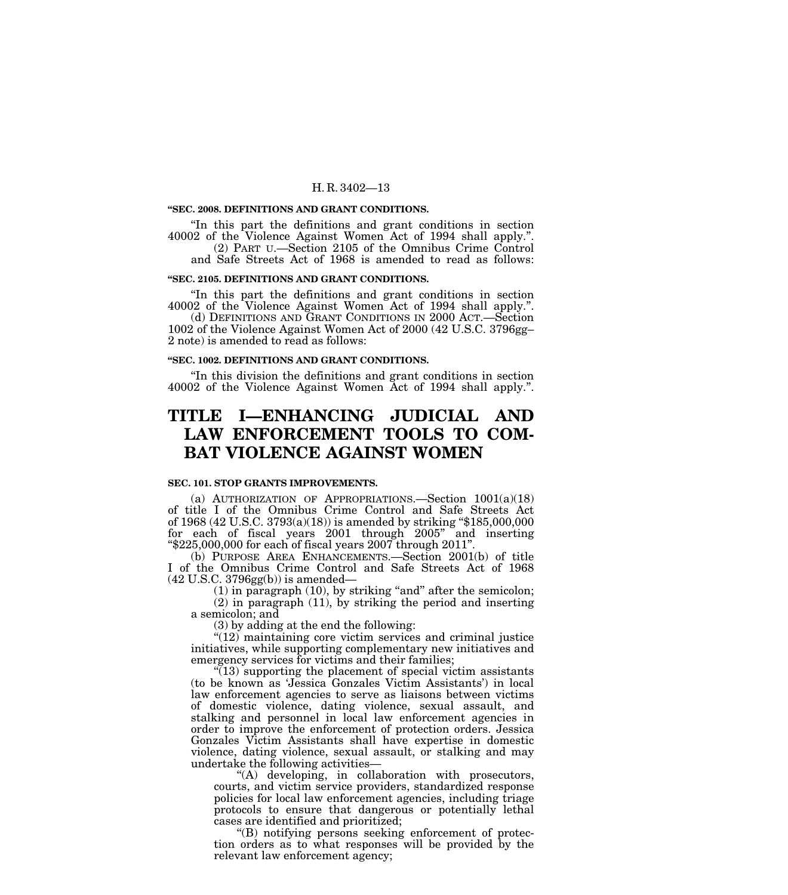#### **''SEC. 2008. DEFINITIONS AND GRANT CONDITIONS.**

''In this part the definitions and grant conditions in section 40002 of the Violence Against Women Act of 1994 shall apply.''.

(2) PART U.—Section 2105 of the Omnibus Crime Control and Safe Streets Act of 1968 is amended to read as follows:

#### **''SEC. 2105. DEFINITIONS AND GRANT CONDITIONS.**

''In this part the definitions and grant conditions in section 40002 of the Violence Against Women Act of 1994 shall apply.''.

(d) DEFINITIONS AND GRANT CONDITIONS IN 2000 ACT.—Section 1002 of the Violence Against Women Act of 2000 (42 U.S.C. 3796gg– 2 note) is amended to read as follows:

#### **''SEC. 1002. DEFINITIONS AND GRANT CONDITIONS.**

''In this division the definitions and grant conditions in section 40002 of the Violence Against Women Act of 1994 shall apply.''.

# **TITLE I—ENHANCING JUDICIAL AND LAW ENFORCEMENT TOOLS TO COM-BAT VIOLENCE AGAINST WOMEN**

# **SEC. 101. STOP GRANTS IMPROVEMENTS.**

(a) AUTHORIZATION OF APPROPRIATIONS.—Section 1001(a)(18) of title I of the Omnibus Crime Control and Safe Streets Act of 1968 (42 U.S.C. 3793(a)(18)) is amended by striking ''\$185,000,000 for each of fiscal years 2001 through 2005'' and inserting " $225,000,000$  for each of fiscal years  $2007$  through  $2011"$ ."

(b) PURPOSE AREA ENHANCEMENTS.—Section 2001(b) of title I of the Omnibus Crime Control and Safe Streets Act of 1968 (42 U.S.C. 3796gg(b)) is amended—

 $(1)$  in paragraph  $(10)$ , by striking "and" after the semicolon; (2) in paragraph (11), by striking the period and inserting a semicolon; and

(3) by adding at the end the following:

"(12) maintaining core victim services and criminal justice initiatives, while supporting complementary new initiatives and emergency services for victims and their families;

"(13) supporting the placement of special victim assistants (to be known as 'Jessica Gonzales Victim Assistants') in local law enforcement agencies to serve as liaisons between victims of domestic violence, dating violence, sexual assault, and stalking and personnel in local law enforcement agencies in order to improve the enforcement of protection orders. Jessica Gonzales Victim Assistants shall have expertise in domestic violence, dating violence, sexual assault, or stalking and may undertake the following activities—

''(A) developing, in collaboration with prosecutors, courts, and victim service providers, standardized response policies for local law enforcement agencies, including triage protocols to ensure that dangerous or potentially lethal cases are identified and prioritized;

''(B) notifying persons seeking enforcement of protection orders as to what responses will be provided by the relevant law enforcement agency;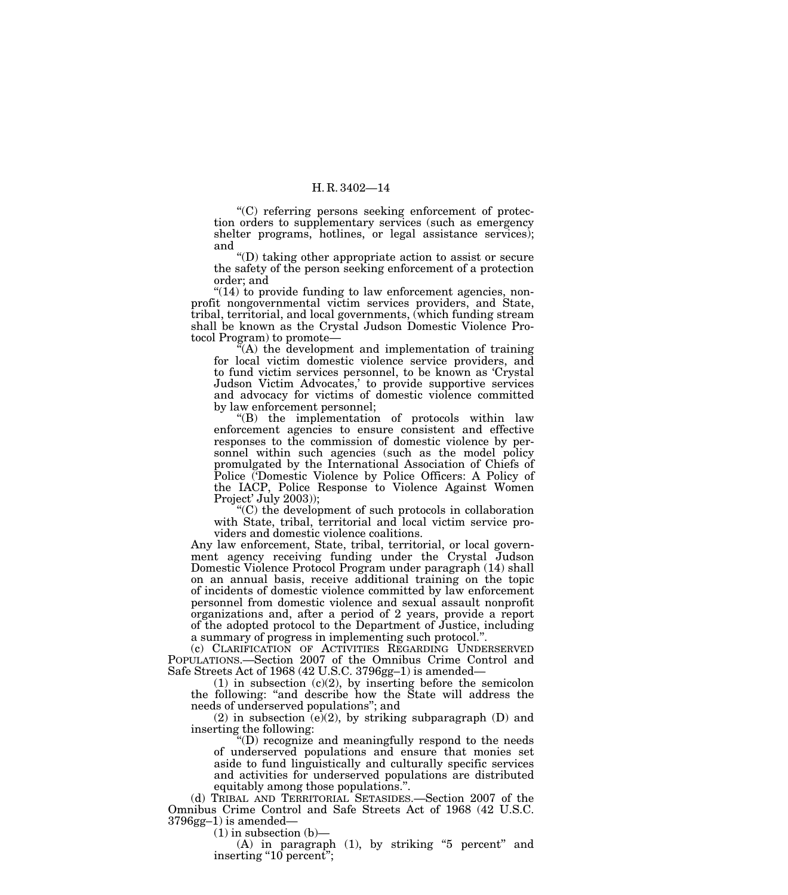''(C) referring persons seeking enforcement of protection orders to supplementary services (such as emergency shelter programs, hotlines, or legal assistance services); and

 $f(D)$  taking other appropriate action to assist or secure the safety of the person seeking enforcement of a protection order; and

 $"$ (14) to provide funding to law enforcement agencies, nonprofit nongovernmental victim services providers, and State, tribal, territorial, and local governments, (which funding stream shall be known as the Crystal Judson Domestic Violence Protocol Program) to promote—

 $\tilde{f}(A)$  the development and implementation of training for local victim domestic violence service providers, and to fund victim services personnel, to be known as 'Crystal Judson Victim Advocates,' to provide supportive services and advocacy for victims of domestic violence committed by law enforcement personnel;

''(B) the implementation of protocols within law enforcement agencies to ensure consistent and effective responses to the commission of domestic violence by personnel within such agencies (such as the model policy promulgated by the International Association of Chiefs of Police ('Domestic Violence by Police Officers: A Policy of the IACP, Police Response to Violence Against Women Project' July 2003));

''(C) the development of such protocols in collaboration with State, tribal, territorial and local victim service providers and domestic violence coalitions.

Any law enforcement, State, tribal, territorial, or local government agency receiving funding under the Crystal Judson Domestic Violence Protocol Program under paragraph (14) shall on an annual basis, receive additional training on the topic of incidents of domestic violence committed by law enforcement personnel from domestic violence and sexual assault nonprofit organizations and, after a period of 2 years, provide a report of the adopted protocol to the Department of Justice, including a summary of progress in implementing such protocol.''.

(c) CLARIFICATION OF ACTIVITIES REGARDING UNDERSERVED POPULATIONS.—Section 2007 of the Omnibus Crime Control and Safe Streets Act of 1968 (42 U.S.C. 3796gg–1) is amended—

 $(1)$  in subsection  $(c)(2)$ , by inserting before the semicolon the following: ''and describe how the State will address the needs of underserved populations''; and

(2) in subsection  $(e)(2)$ , by striking subparagraph (D) and inserting the following:

''(D) recognize and meaningfully respond to the needs of underserved populations and ensure that monies set aside to fund linguistically and culturally specific services and activities for underserved populations are distributed equitably among those populations.''.

(d) TRIBAL AND TERRITORIAL SETASIDES.—Section 2007 of the Omnibus Crime Control and Safe Streets Act of 1968 (42 U.S.C. 3796gg–1) is amended—

 $(1)$  in subsection  $(b)$ –

(A) in paragraph (1), by striking ''5 percent'' and inserting " $10$  percent";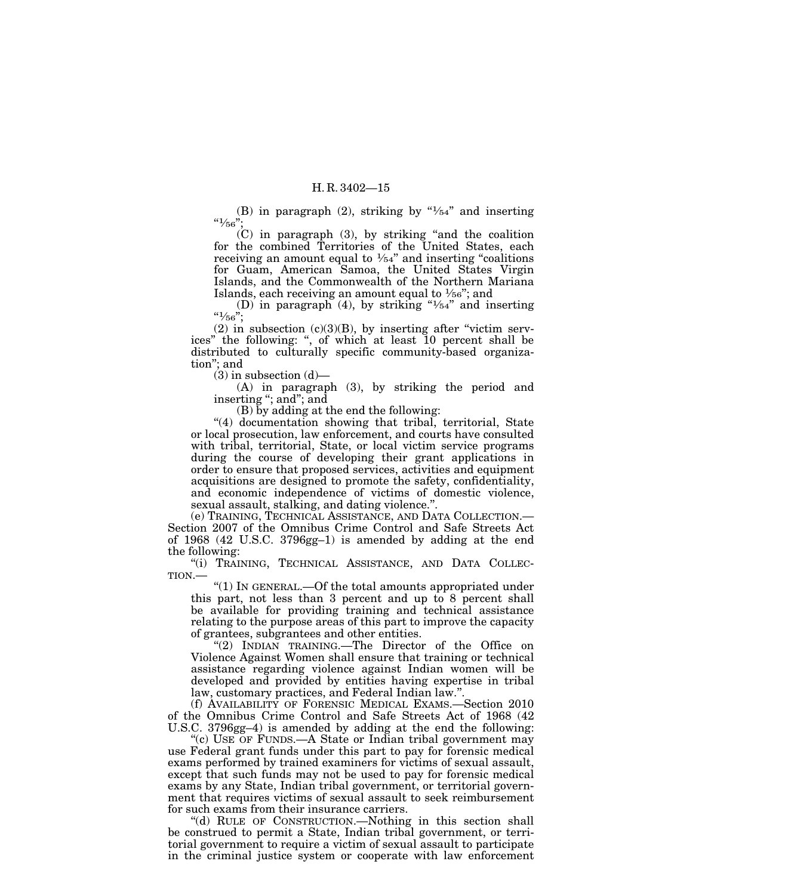(B) in paragraph (2), striking by  $4/54$ " and inserting  $``\frac{1}{56}"$ 

 $(C)$  in paragraph  $(3)$ , by striking "and the coalition for the combined Territories of the United States, each receiving an amount equal to  $\frac{1}{54}$ " and inserting "coalitions" for Guam, American Samoa, the United States Virgin Islands, and the Commonwealth of the Northern Mariana Islands, each receiving an amount equal to  $\frac{1}{56}$ , and

(D) in paragraph (4), by striking " $\frac{1}{54}$ " and inserting ''1⁄56'';

 $(2)$  in subsection  $(c)(3)(B)$ , by inserting after "victim services" the following: ", of which at least 10 percent shall be distributed to culturally specific community-based organization''; and

 $(3)$  in subsection  $(d)$ —

(A) in paragraph (3), by striking the period and inserting "; and"; and

(B) by adding at the end the following:

''(4) documentation showing that tribal, territorial, State or local prosecution, law enforcement, and courts have consulted with tribal, territorial, State, or local victim service programs during the course of developing their grant applications in order to ensure that proposed services, activities and equipment acquisitions are designed to promote the safety, confidentiality, and economic independence of victims of domestic violence, sexual assault, stalking, and dating violence.''.

(e) TRAINING, TECHNICAL ASSISTANCE, AND DATA COLLECTION.— Section 2007 of the Omnibus Crime Control and Safe Streets Act of 1968 (42 U.S.C. 3796gg–1) is amended by adding at the end the following:

''(i) TRAINING, TECHNICAL ASSISTANCE, AND DATA COLLEC-TION.—

''(1) IN GENERAL.—Of the total amounts appropriated under this part, not less than 3 percent and up to 8 percent shall be available for providing training and technical assistance relating to the purpose areas of this part to improve the capacity of grantees, subgrantees and other entities.

''(2) INDIAN TRAINING.—The Director of the Office on Violence Against Women shall ensure that training or technical assistance regarding violence against Indian women will be developed and provided by entities having expertise in tribal law, customary practices, and Federal Indian law.''.

(f) AVAILABILITY OF FORENSIC MEDICAL EXAMS.—Section 2010 of the Omnibus Crime Control and Safe Streets Act of 1968 (42 U.S.C. 3796gg–4) is amended by adding at the end the following:

''(c) USE OF FUNDS.—A State or Indian tribal government may use Federal grant funds under this part to pay for forensic medical exams performed by trained examiners for victims of sexual assault, except that such funds may not be used to pay for forensic medical exams by any State, Indian tribal government, or territorial government that requires victims of sexual assault to seek reimbursement for such exams from their insurance carriers.

''(d) RULE OF CONSTRUCTION.—Nothing in this section shall be construed to permit a State, Indian tribal government, or territorial government to require a victim of sexual assault to participate in the criminal justice system or cooperate with law enforcement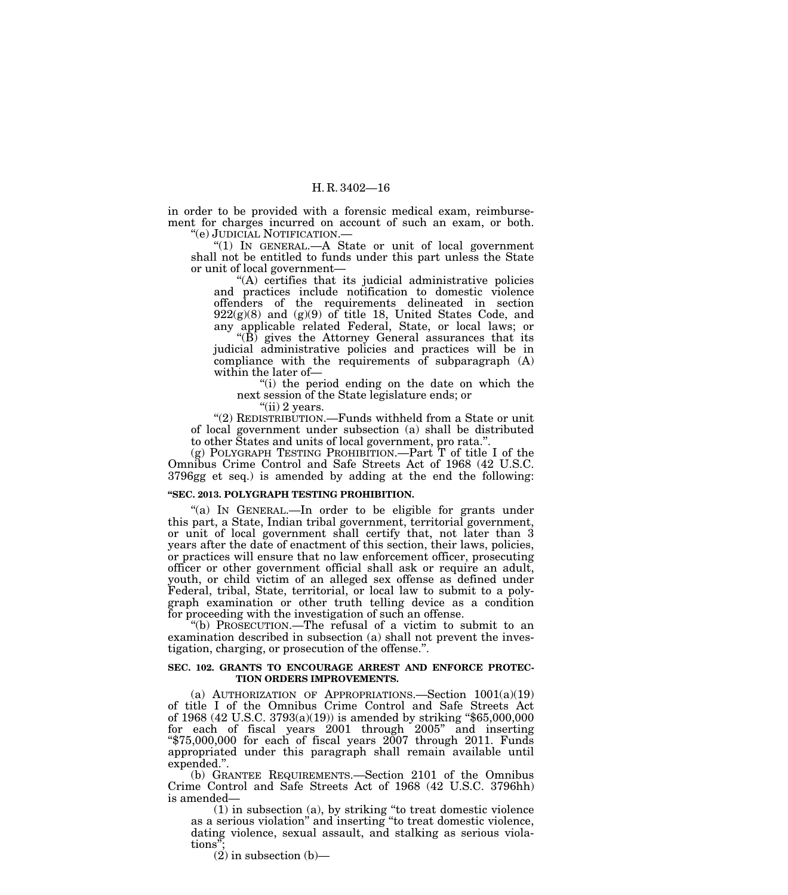in order to be provided with a forensic medical exam, reimbursement for charges incurred on account of such an exam, or both.

''(e) JUDICIAL NOTIFICATION.—

" $(1)$  In GENERAL.—A State or unit of local government shall not be entitled to funds under this part unless the State or unit of local government—

''(A) certifies that its judicial administrative policies and practices include notification to domestic violence offenders of the requirements delineated in section  $922(g)(8)$  and  $(g)(9)$  of title 18, United States Code, and any applicable related Federal, State, or local laws; or

" $(\overline{B})$  gives the Attorney General assurances that its judicial administrative policies and practices will be in compliance with the requirements of subparagraph (A) within the later of—

''(i) the period ending on the date on which the next session of the State legislature ends; or

"(ii)  $2$  years.

"(2) REDISTRIBUTION.—Funds withheld from a State or unit of local government under subsection (a) shall be distributed to other States and units of local government, pro rata.''.

(g) POLYGRAPH TESTING PROHIBITION.—Part T of title I of the Omnibus Crime Control and Safe Streets Act of 1968 (42 U.S.C. 3796gg et seq.) is amended by adding at the end the following:

# **''SEC. 2013. POLYGRAPH TESTING PROHIBITION.**

''(a) IN GENERAL.—In order to be eligible for grants under this part, a State, Indian tribal government, territorial government, or unit of local government shall certify that, not later than 3 years after the date of enactment of this section, their laws, policies, or practices will ensure that no law enforcement officer, prosecuting officer or other government official shall ask or require an adult, youth, or child victim of an alleged sex offense as defined under Federal, tribal, State, territorial, or local law to submit to a polygraph examination or other truth telling device as a condition for proceeding with the investigation of such an offense.

''(b) PROSECUTION.—The refusal of a victim to submit to an examination described in subsection (a) shall not prevent the investigation, charging, or prosecution of the offense.''.

#### **SEC. 102. GRANTS TO ENCOURAGE ARREST AND ENFORCE PROTEC-TION ORDERS IMPROVEMENTS.**

(a) AUTHORIZATION OF APPROPRIATIONS.—Section  $1001(a)(19)$ of title I of the Omnibus Crime Control and Safe Streets Act of 1968 (42 U.S.C. 3793(a)(19)) is amended by striking ''\$65,000,000 for each of fiscal years 2001 through 2005'' and inserting " $$75,000,000$  for each of fiscal years  $2007$  through 2011. Funds appropriated under this paragraph shall remain available until expended.''.

(b) GRANTEE REQUIREMENTS.—Section 2101 of the Omnibus Crime Control and Safe Streets Act of 1968 (42 U.S.C. 3796hh) is amended—

(1) in subsection (a), by striking ''to treat domestic violence as a serious violation'' and inserting ''to treat domestic violence, dating violence, sexual assault, and stalking as serious violations'';

 $(2)$  in subsection  $(b)$ —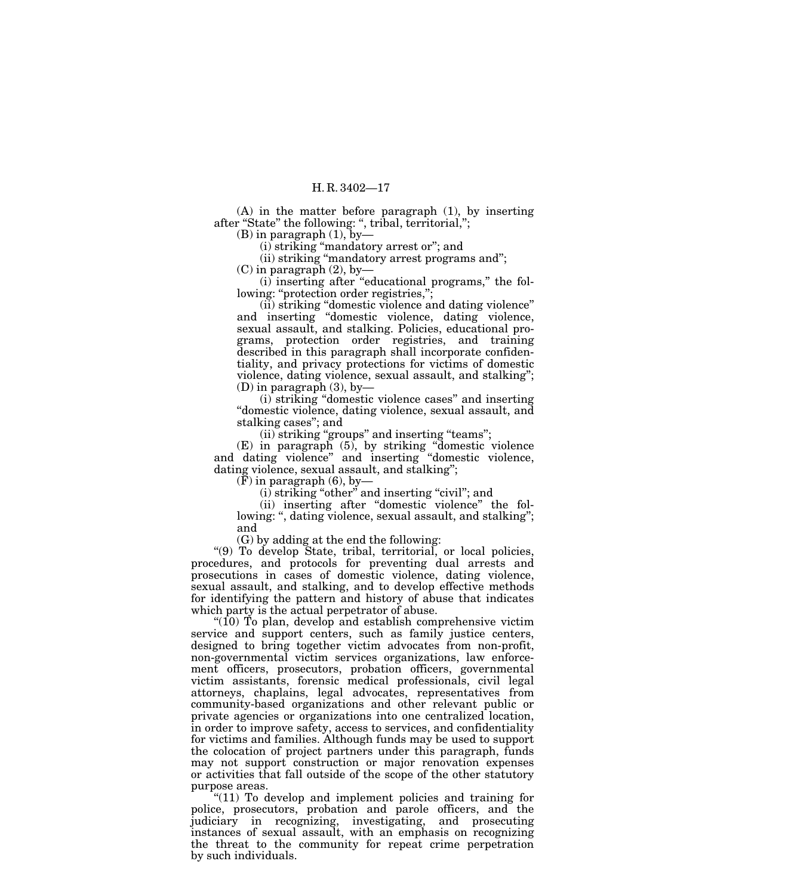(A) in the matter before paragraph (1), by inserting after "State" the following: ", tribal, territorial,";

 $(B)$  in paragraph  $(1)$ , by-

(i) striking ''mandatory arrest or''; and

(ii) striking "mandatory arrest programs and";  $(C)$  in paragraph  $(2)$ , by-

(i) inserting after ''educational programs,'' the following: "protection order registries,";

(ii) striking ''domestic violence and dating violence'' and inserting ''domestic violence, dating violence, sexual assault, and stalking. Policies, educational programs, protection order registries, and training described in this paragraph shall incorporate confidentiality, and privacy protections for victims of domestic violence, dating violence, sexual assault, and stalking'';  $(D)$  in paragraph  $(3)$ , by

(i) striking ''domestic violence cases'' and inserting ''domestic violence, dating violence, sexual assault, and stalking cases''; and

(ii) striking "groups" and inserting "teams";

(E) in paragraph (5), by striking ''domestic violence and dating violence'' and inserting ''domestic violence, dating violence, sexual assault, and stalking'';

 $(F)$  in paragraph  $(6)$ , by-

(i) striking "other" and inserting "civil"; and

(ii) inserting after ''domestic violence'' the following: ", dating violence, sexual assault, and stalking"; and

(G) by adding at the end the following:

''(9) To develop State, tribal, territorial, or local policies, procedures, and protocols for preventing dual arrests and prosecutions in cases of domestic violence, dating violence, sexual assault, and stalking, and to develop effective methods for identifying the pattern and history of abuse that indicates which party is the actual perpetrator of abuse.

" $(10)$  To plan, develop and establish comprehensive victim service and support centers, such as family justice centers, designed to bring together victim advocates from non-profit, non-governmental victim services organizations, law enforcement officers, prosecutors, probation officers, governmental victim assistants, forensic medical professionals, civil legal attorneys, chaplains, legal advocates, representatives from community-based organizations and other relevant public or private agencies or organizations into one centralized location, in order to improve safety, access to services, and confidentiality for victims and families. Although funds may be used to support the colocation of project partners under this paragraph, funds may not support construction or major renovation expenses or activities that fall outside of the scope of the other statutory purpose areas.

"(11) To develop and implement policies and training for police, prosecutors, probation and parole officers, and the judiciary in recognizing, investigating, and prosecuting instances of sexual assault, with an emphasis on recognizing the threat to the community for repeat crime perpetration by such individuals.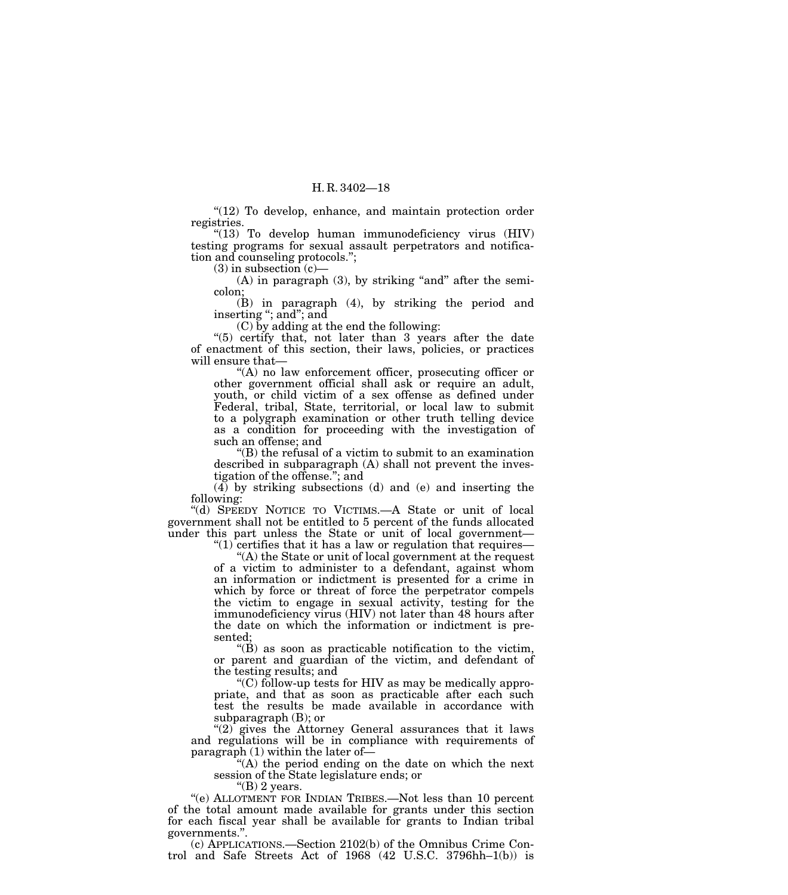" $(12)$  To develop, enhance, and maintain protection order registries.

"(13) To develop human immunodeficiency virus (HIV) testing programs for sexual assault perpetrators and notification and counseling protocols.'';

 $(3)$  in subsection  $(c)$ —

 $(A)$  in paragraph  $(3)$ , by striking "and" after the semicolon;

(B) in paragraph (4), by striking the period and inserting ''; and''; and

(C) by adding at the end the following:

''(5) certify that, not later than 3 years after the date of enactment of this section, their laws, policies, or practices will ensure that—

''(A) no law enforcement officer, prosecuting officer or other government official shall ask or require an adult, youth, or child victim of a sex offense as defined under Federal, tribal, State, territorial, or local law to submit to a polygraph examination or other truth telling device as a condition for proceeding with the investigation of such an offense; and

''(B) the refusal of a victim to submit to an examination described in subparagraph (A) shall not prevent the investigation of the offense.''; and

(4) by striking subsections (d) and (e) and inserting the following:

"(d) SPEEDY NOTICE TO VICTIMS.—A State or unit of local government shall not be entitled to 5 percent of the funds allocated under this part unless the State or unit of local government— " $(1)$  certifies that it has a law or regulation that requires—

''(A) the State or unit of local government at the request of a victim to administer to a defendant, against whom an information or indictment is presented for a crime in which by force or threat of force the perpetrator compels the victim to engage in sexual activity, testing for the immunodeficiency virus (HIV) not later than 48 hours after the date on which the information or indictment is presented;

 $f'(B)$  as soon as practicable notification to the victim, or parent and guardian of the victim, and defendant of the testing results; and

''(C) follow-up tests for HIV as may be medically appropriate, and that as soon as practicable after each such test the results be made available in accordance with subparagraph (B); or

" $(2)$  gives the Attorney General assurances that it laws and regulations will be in compliance with requirements of paragraph (1) within the later of—

''(A) the period ending on the date on which the next session of the State legislature ends; or

"(B)  $2$  years.

''(e) ALLOTMENT FOR INDIAN TRIBES.—Not less than 10 percent of the total amount made available for grants under this section for each fiscal year shall be available for grants to Indian tribal governments.''.

(c) APPLICATIONS.—Section 2102(b) of the Omnibus Crime Control and Safe Streets Act of 1968 (42 U.S.C. 3796hh–1(b)) is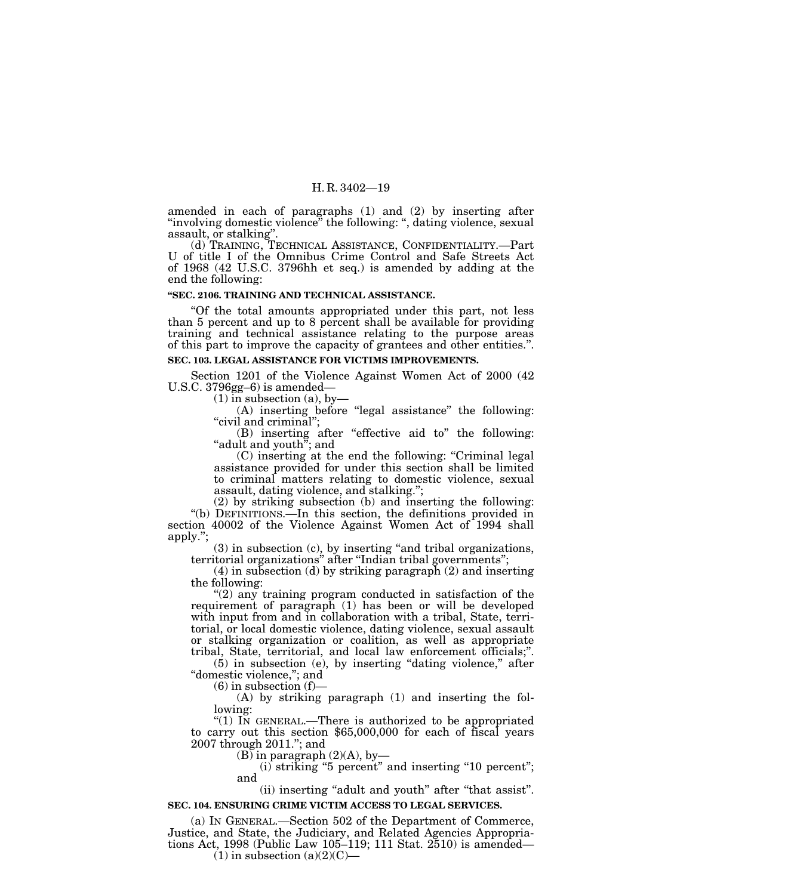amended in each of paragraphs (1) and (2) by inserting after "involving domestic violence" the following: ", dating violence, sexual assault, or stalking''.

(d) TRAINING, TECHNICAL ASSISTANCE, CONFIDENTIALITY.—Part U of title I of the Omnibus Crime Control and Safe Streets Act of 1968 (42 U.S.C. 3796hh et seq.) is amended by adding at the end the following:

#### **''SEC. 2106. TRAINING AND TECHNICAL ASSISTANCE.**

''Of the total amounts appropriated under this part, not less than 5 percent and up to 8 percent shall be available for providing training and technical assistance relating to the purpose areas of this part to improve the capacity of grantees and other entities.''.

#### **SEC. 103. LEGAL ASSISTANCE FOR VICTIMS IMPROVEMENTS.**

Section 1201 of the Violence Against Women Act of 2000 (42 U.S.C. 3796gg–6) is amended—

 $(1)$  in subsection  $(a)$ , by

(A) inserting before "legal assistance" the following: "civil and criminal";

(B) inserting after "effective aid to" the following: "adult and youth"; and

(C) inserting at the end the following: ''Criminal legal assistance provided for under this section shall be limited to criminal matters relating to domestic violence, sexual assault, dating violence, and stalking.'';

(2) by striking subsection (b) and inserting the following: ''(b) DEFINITIONS.—In this section, the definitions provided in section 40002 of the Violence Against Women Act of 1994 shall apply.'';

(3) in subsection (c), by inserting ''and tribal organizations, territorial organizations'' after ''Indian tribal governments'';

(4) in subsection (d) by striking paragraph (2) and inserting the following:

" $(2)$  any training program conducted in satisfaction of the requirement of paragraph (1) has been or will be developed with input from and in collaboration with a tribal, State, territorial, or local domestic violence, dating violence, sexual assault or stalking organization or coalition, as well as appropriate tribal, State, territorial, and local law enforcement officials;''.

 $(5)$  in subsection  $(e)$ , by inserting "dating violence," after ''domestic violence,''; and

 $(6)$  in subsection  $(f)$ —

(A) by striking paragraph (1) and inserting the following:

" $(1)$  IN GENERAL.—There is authorized to be appropriated to carry out this section \$65,000,000 for each of fiscal years 2007 through 2011.''; and

 $(B)$  in paragraph  $(2)(A)$ , by-

(i) striking "5 percent" and inserting "10 percent"; and

(ii) inserting "adult and youth" after "that assist". **SEC. 104. ENSURING CRIME VICTIM ACCESS TO LEGAL SERVICES.** 

(a) IN GENERAL.—Section 502 of the Department of Commerce, Justice, and State, the Judiciary, and Related Agencies Appropriations Act, 1998 (Public Law 105–119; 111 Stat. 2510) is amended—  $(1)$  in subsection  $(a)(2)(C)$ —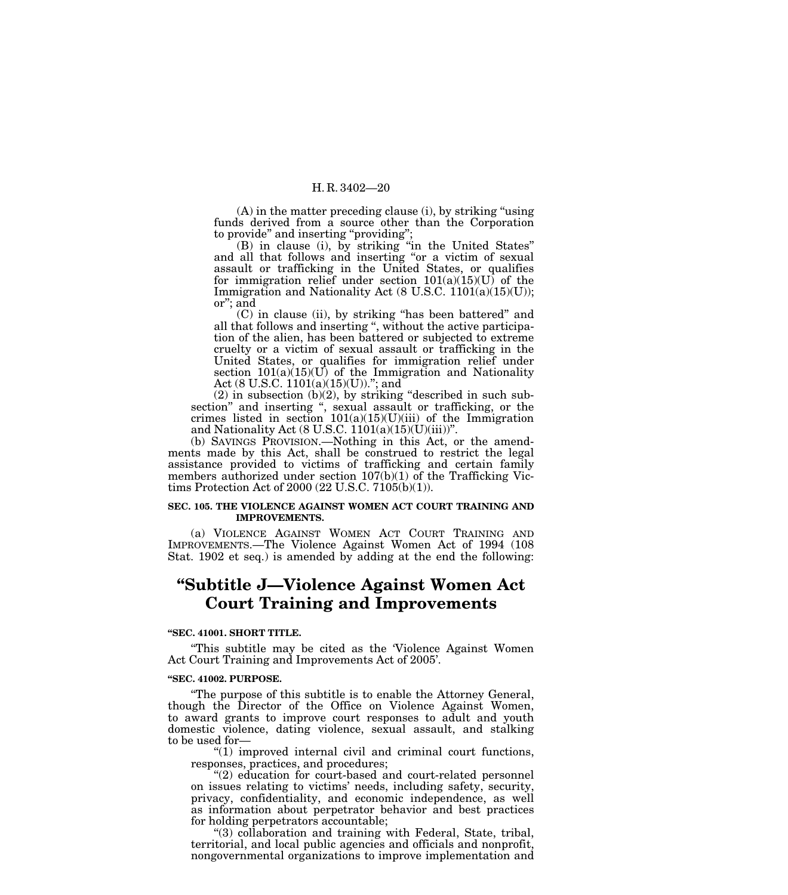(A) in the matter preceding clause (i), by striking ''using funds derived from a source other than the Corporation to provide'' and inserting ''providing'';

(B) in clause (i), by striking ''in the United States'' and all that follows and inserting ''or a victim of sexual assault or trafficking in the United States, or qualifies for immigration relief under section 101(a)(15)(U) of the Immigration and Nationality Act (8 U.S.C. 1101(a)(15)(U)); or''; and

(C) in clause (ii), by striking ''has been battered'' and all that follows and inserting '', without the active participation of the alien, has been battered or subjected to extreme cruelty or a victim of sexual assault or trafficking in the United States, or qualifies for immigration relief under section  $101(a)(15)(U)$  of the Immigration and Nationality Act (8 U.S.C.  $1101(a)(15)(U)$ )."; and

(2) in subsection  $(b)(2)$ , by striking "described in such subsection'' and inserting '', sexual assault or trafficking, or the crimes listed in section  $101(a)(15)(U)(iii)$  of the Immigration and Nationality Act (8 U.S.C.  $1101(a)(15)(U)(iii)$ ".

(b) SAVINGS PROVISION.—Nothing in this Act, or the amendments made by this Act, shall be construed to restrict the legal assistance provided to victims of trafficking and certain family members authorized under section 107(b)(1) of the Trafficking Victims Protection Act of 2000 (22 U.S.C. 7105(b)(1)).

#### **SEC. 105. THE VIOLENCE AGAINST WOMEN ACT COURT TRAINING AND IMPROVEMENTS.**

(a) VIOLENCE AGAINST WOMEN ACT COURT TRAINING AND IMPROVEMENTS.—The Violence Against Women Act of 1994 (108 Stat. 1902 et seq.) is amended by adding at the end the following:

# **''Subtitle J—Violence Against Women Act Court Training and Improvements**

# **''SEC. 41001. SHORT TITLE.**

''This subtitle may be cited as the 'Violence Against Women Act Court Training and Improvements Act of 2005'.

#### **''SEC. 41002. PURPOSE.**

''The purpose of this subtitle is to enable the Attorney General, though the Director of the Office on Violence Against Women, to award grants to improve court responses to adult and youth domestic violence, dating violence, sexual assault, and stalking to be used for—

''(1) improved internal civil and criminal court functions, responses, practices, and procedures;

''(2) education for court-based and court-related personnel on issues relating to victims' needs, including safety, security, privacy, confidentiality, and economic independence, as well as information about perpetrator behavior and best practices for holding perpetrators accountable;

''(3) collaboration and training with Federal, State, tribal, territorial, and local public agencies and officials and nonprofit, nongovernmental organizations to improve implementation and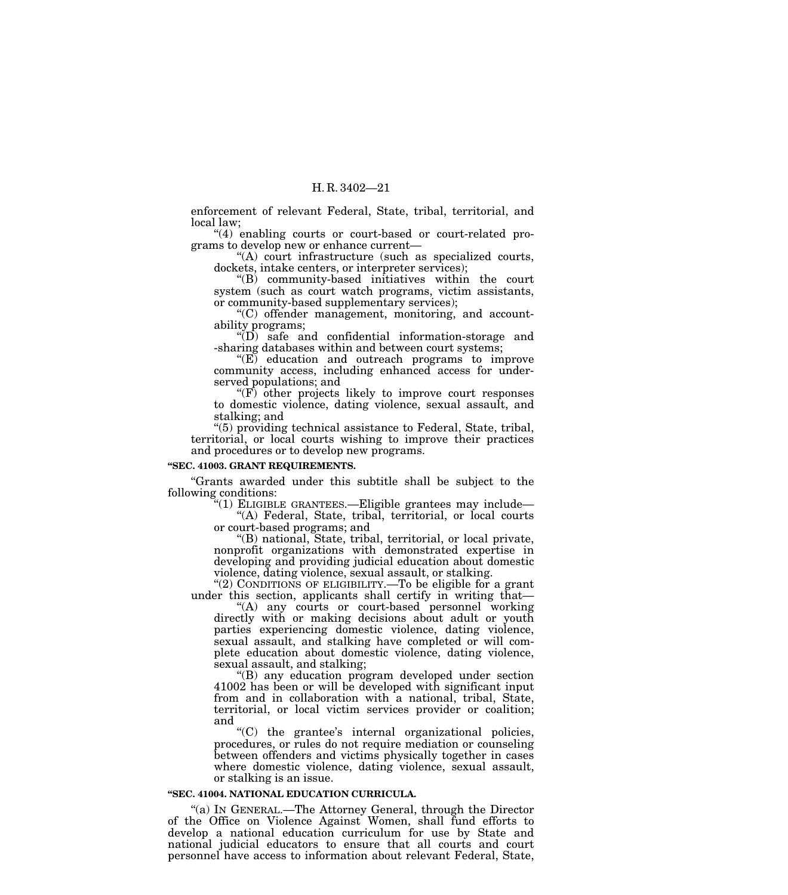enforcement of relevant Federal, State, tribal, territorial, and local law;

''(4) enabling courts or court-based or court-related programs to develop new or enhance current—

"(A) court infrastructure (such as specialized courts, dockets, intake centers, or interpreter services);

''(B) community-based initiatives within the court system (such as court watch programs, victim assistants, or community-based supplementary services);

''(C) offender management, monitoring, and accountability programs;

 $\sqrt[\alpha]{D}$  safe and confidential information-storage and -sharing databases within and between court systems;

''(E) education and outreach programs to improve community access, including enhanced access for underserved populations; and

 $\sqrt[4]{F}$  other projects likely to improve court responses to domestic violence, dating violence, sexual assault, and stalking; and

''(5) providing technical assistance to Federal, State, tribal, territorial, or local courts wishing to improve their practices and procedures or to develop new programs.

#### **''SEC. 41003. GRANT REQUIREMENTS.**

''Grants awarded under this subtitle shall be subject to the following conditions:

''(1) ELIGIBLE GRANTEES.—Eligible grantees may include—

''(A) Federal, State, tribal, territorial, or local courts or court-based programs; and

''(B) national, State, tribal, territorial, or local private, nonprofit organizations with demonstrated expertise in developing and providing judicial education about domestic violence, dating violence, sexual assault, or stalking.

''(2) CONDITIONS OF ELIGIBILITY.—To be eligible for a grant under this section, applicants shall certify in writing that—

"(A) any courts or court-based personnel working directly with or making decisions about adult or youth parties experiencing domestic violence, dating violence, sexual assault, and stalking have completed or will complete education about domestic violence, dating violence, sexual assault, and stalking;

''(B) any education program developed under section 41002 has been or will be developed with significant input from and in collaboration with a national, tribal, State, territorial, or local victim services provider or coalition; and

''(C) the grantee's internal organizational policies, procedures, or rules do not require mediation or counseling between offenders and victims physically together in cases where domestic violence, dating violence, sexual assault, or stalking is an issue.

#### **''SEC. 41004. NATIONAL EDUCATION CURRICULA.**

"(a) IN GENERAL.—The Attorney General, through the Director of the Office on Violence Against Women, shall fund efforts to develop a national education curriculum for use by State and national judicial educators to ensure that all courts and court personnel have access to information about relevant Federal, State,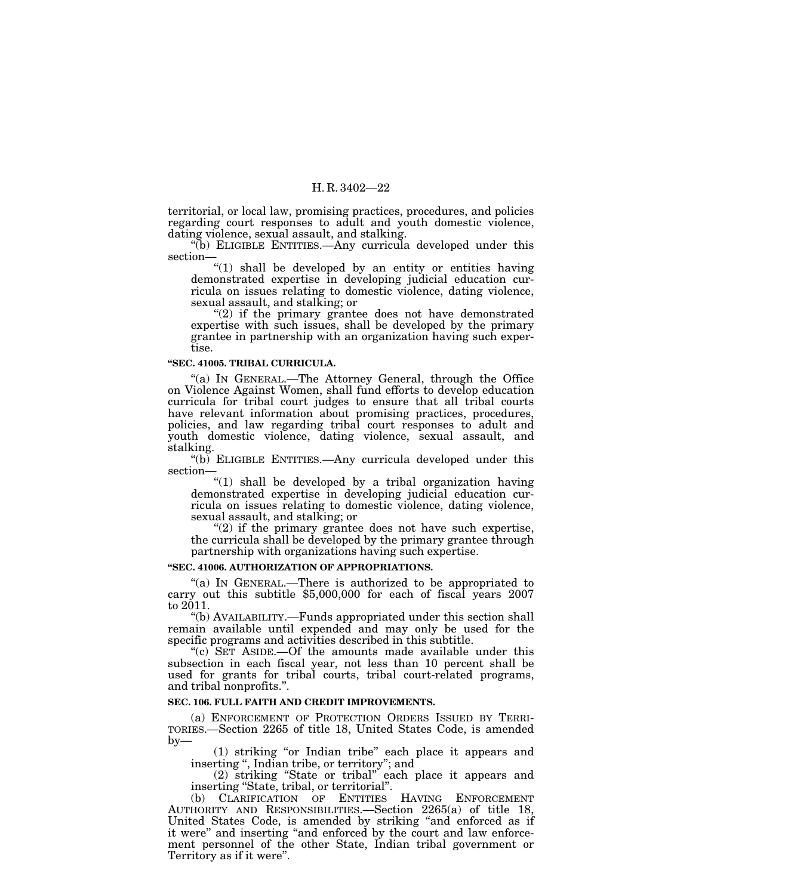territorial, or local law, promising practices, procedures, and policies regarding court responses to adult and youth domestic violence, dating violence, sexual assault, and stalking.

''(b) ELIGIBLE ENTITIES.—Any curricula developed under this section—

"(1) shall be developed by an entity or entities having demonstrated expertise in developing judicial education curricula on issues relating to domestic violence, dating violence, sexual assault, and stalking; or

" $(2)$  if the primary grantee does not have demonstrated expertise with such issues, shall be developed by the primary grantee in partnership with an organization having such expertise.

#### **''SEC. 41005. TRIBAL CURRICULA.**

"(a) IN GENERAL.—The Attorney General, through the Office on Violence Against Women, shall fund efforts to develop education curricula for tribal court judges to ensure that all tribal courts have relevant information about promising practices, procedures, policies, and law regarding tribal court responses to adult and youth domestic violence, dating violence, sexual assault, and stalking.

''(b) ELIGIBLE ENTITIES.—Any curricula developed under this section—

"(1) shall be developed by a tribal organization having demonstrated expertise in developing judicial education curricula on issues relating to domestic violence, dating violence, sexual assault, and stalking; or

" $(2)$  if the primary grantee does not have such expertise, the curricula shall be developed by the primary grantee through partnership with organizations having such expertise.

# **''SEC. 41006. AUTHORIZATION OF APPROPRIATIONS.**

''(a) IN GENERAL.—There is authorized to be appropriated to carry out this subtitle \$5,000,000 for each of fiscal years 2007 to 2011.

''(b) AVAILABILITY.—Funds appropriated under this section shall remain available until expended and may only be used for the specific programs and activities described in this subtitle.

"(c) SET ASIDE.—Of the amounts made available under this subsection in each fiscal year, not less than 10 percent shall be used for grants for tribal courts, tribal court-related programs, and tribal nonprofits.''.

# **SEC. 106. FULL FAITH AND CREDIT IMPROVEMENTS.**

(a) ENFORCEMENT OF PROTECTION ORDERS ISSUED BY TERRI- TORIES.—Section 2265 of title 18, United States Code, is amended by—

(1) striking ''or Indian tribe'' each place it appears and inserting ", Indian tribe, or territory"; and

(2) striking ''State or tribal'' each place it appears and inserting ''State, tribal, or territorial''.

(b) CLARIFICATION OF ENTITIES HAVING ENFORCEMENT AUTHORITY AND RESPONSIBILITIES.—Section 2265(a) of title 18, United States Code, is amended by striking ''and enforced as if it were'' and inserting ''and enforced by the court and law enforcement personnel of the other State, Indian tribal government or Territory as if it were''.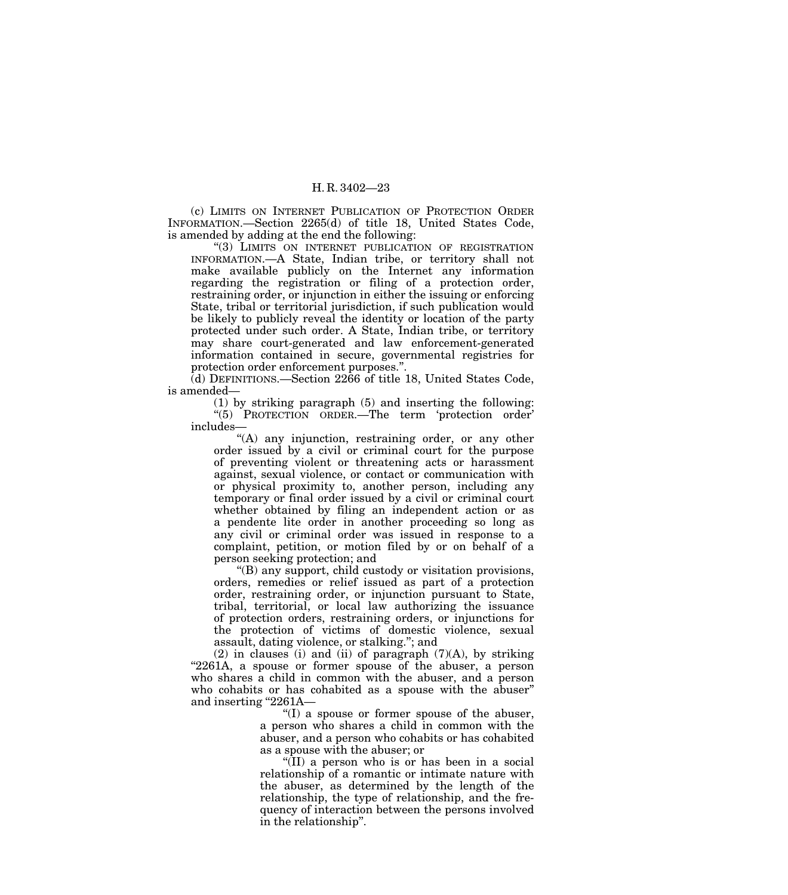(c) LIMITS ON INTERNET PUBLICATION OF PROTECTION ORDER INFORMATION.—Section 2265(d) of title 18, United States Code, is amended by adding at the end the following:

"(3) LIMITS ON INTERNET PUBLICATION OF REGISTRATION INFORMATION.—A State, Indian tribe, or territory shall not make available publicly on the Internet any information regarding the registration or filing of a protection order, restraining order, or injunction in either the issuing or enforcing State, tribal or territorial jurisdiction, if such publication would be likely to publicly reveal the identity or location of the party protected under such order. A State, Indian tribe, or territory may share court-generated and law enforcement-generated information contained in secure, governmental registries for protection order enforcement purposes.''.

(d) DEFINITIONS.—Section 2266 of title 18, United States Code, is amended—

(1) by striking paragraph (5) and inserting the following: ''(5) PROTECTION ORDER.—The term 'protection order' includes—

"(A) any injunction, restraining order, or any other order issued by a civil or criminal court for the purpose of preventing violent or threatening acts or harassment against, sexual violence, or contact or communication with or physical proximity to, another person, including any temporary or final order issued by a civil or criminal court whether obtained by filing an independent action or as a pendente lite order in another proceeding so long as any civil or criminal order was issued in response to a complaint, petition, or motion filed by or on behalf of a person seeking protection; and

''(B) any support, child custody or visitation provisions, orders, remedies or relief issued as part of a protection order, restraining order, or injunction pursuant to State, tribal, territorial, or local law authorizing the issuance of protection orders, restraining orders, or injunctions for the protection of victims of domestic violence, sexual assault, dating violence, or stalking.''; and

 $(2)$  in clauses (i) and (ii) of paragraph  $(7)(A)$ , by striking "2261A, a spouse or former spouse of the abuser, a person who shares a child in common with the abuser, and a person who cohabits or has cohabited as a spouse with the abuser'' and inserting "2261A-

> ''(I) a spouse or former spouse of the abuser, a person who shares a child in common with the abuser, and a person who cohabits or has cohabited as a spouse with the abuser; or

> ''(II) a person who is or has been in a social relationship of a romantic or intimate nature with the abuser, as determined by the length of the relationship, the type of relationship, and the frequency of interaction between the persons involved in the relationship''.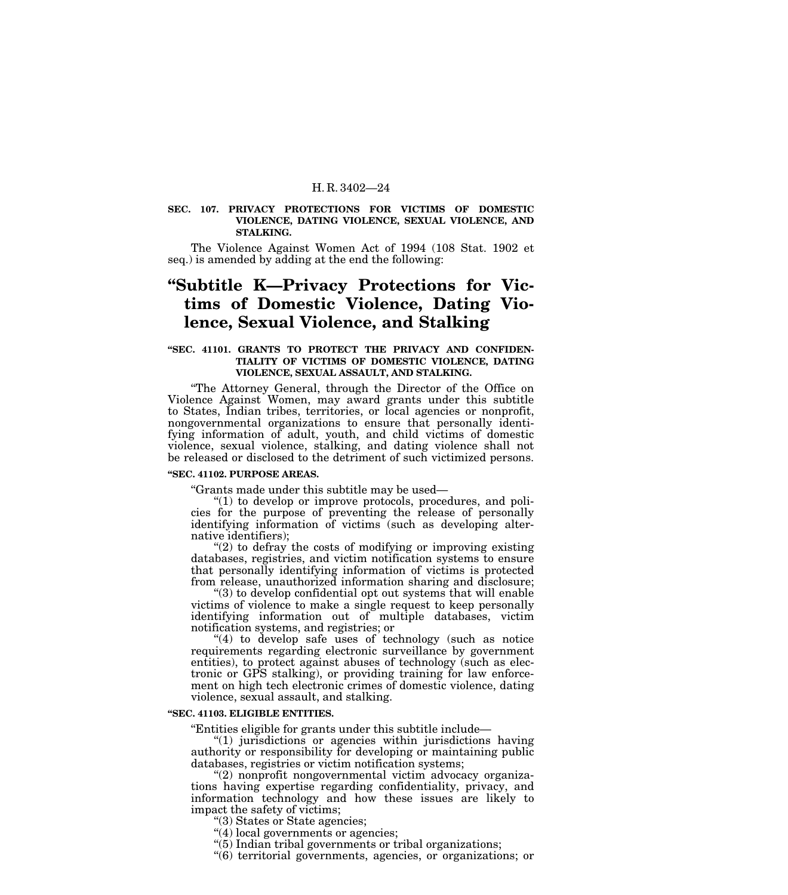## **SEC. 107. PRIVACY PROTECTIONS FOR VICTIMS OF DOMESTIC VIOLENCE, DATING VIOLENCE, SEXUAL VIOLENCE, AND STALKING.**

The Violence Against Women Act of 1994 (108 Stat. 1902 et seq.) is amended by adding at the end the following:

# **''Subtitle K—Privacy Protections for Victims of Domestic Violence, Dating Violence, Sexual Violence, and Stalking**

# **''SEC. 41101. GRANTS TO PROTECT THE PRIVACY AND CONFIDEN-TIALITY OF VICTIMS OF DOMESTIC VIOLENCE, DATING VIOLENCE, SEXUAL ASSAULT, AND STALKING.**

''The Attorney General, through the Director of the Office on Violence Against Women, may award grants under this subtitle to States, Indian tribes, territories, or local agencies or nonprofit, nongovernmental organizations to ensure that personally identifying information of adult, youth, and child victims of domestic violence, sexual violence, stalking, and dating violence shall not be released or disclosed to the detriment of such victimized persons.

# **''SEC. 41102. PURPOSE AREAS.**

''Grants made under this subtitle may be used—

 $(1)$  to develop or improve protocols, procedures, and policies for the purpose of preventing the release of personally identifying information of victims (such as developing alternative identifiers);

" $(2)$  to defray the costs of modifying or improving existing databases, registries, and victim notification systems to ensure that personally identifying information of victims is protected from release, unauthorized information sharing and disclosure;

''(3) to develop confidential opt out systems that will enable victims of violence to make a single request to keep personally identifying information out of multiple databases, victim notification systems, and registries; or

"(4) to develop safe uses of technology (such as notice requirements regarding electronic surveillance by government entities), to protect against abuses of technology (such as electronic or GPS stalking), or providing training for law enforcement on high tech electronic crimes of domestic violence, dating violence, sexual assault, and stalking.

# **''SEC. 41103. ELIGIBLE ENTITIES.**

''Entities eligible for grants under this subtitle include—

"(1) jurisdictions or agencies within jurisdictions having authority or responsibility for developing or maintaining public databases, registries or victim notification systems;

 $\degree$ (2) nonprofit nongovernmental victim advocacy organizations having expertise regarding confidentiality, privacy, and information technology and how these issues are likely to impact the safety of victims;

''(3) States or State agencies;

"(4) local governments or agencies;

- ''(5) Indian tribal governments or tribal organizations;
- ''(6) territorial governments, agencies, or organizations; or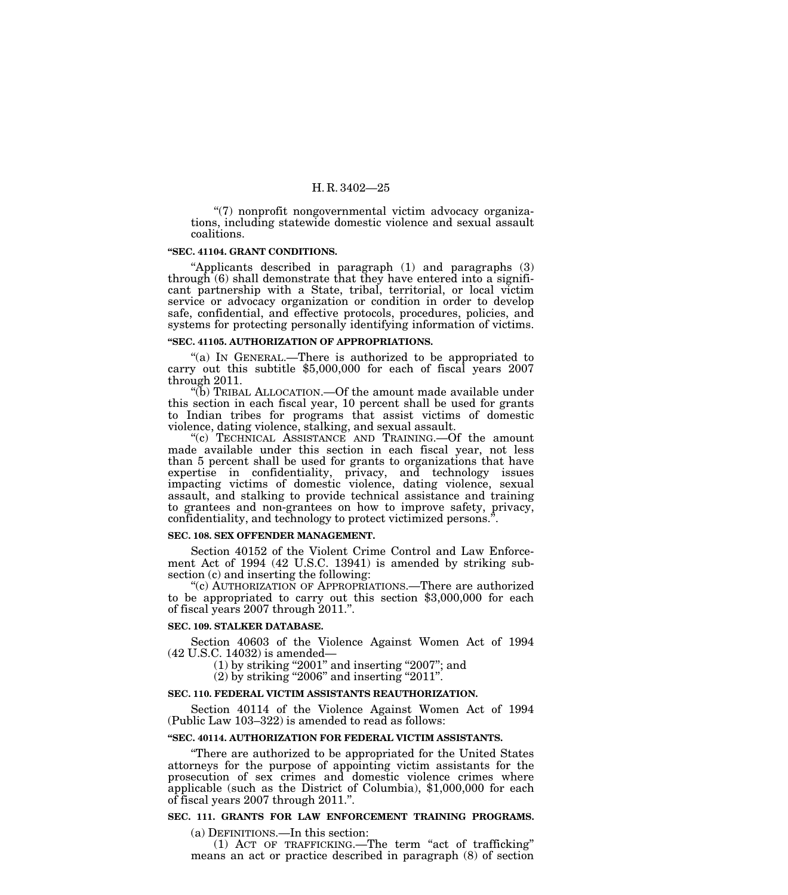''(7) nonprofit nongovernmental victim advocacy organizations, including statewide domestic violence and sexual assault coalitions.

#### **''SEC. 41104. GRANT CONDITIONS.**

''Applicants described in paragraph (1) and paragraphs (3) through (6) shall demonstrate that they have entered into a significant partnership with a State, tribal, territorial, or local victim service or advocacy organization or condition in order to develop safe, confidential, and effective protocols, procedures, policies, and systems for protecting personally identifying information of victims.

#### **''SEC. 41105. AUTHORIZATION OF APPROPRIATIONS.**

''(a) IN GENERAL.—There is authorized to be appropriated to carry out this subtitle \$5,000,000 for each of fiscal years 2007 through 2011.

''(b) TRIBAL ALLOCATION.—Of the amount made available under this section in each fiscal year, 10 percent shall be used for grants to Indian tribes for programs that assist victims of domestic violence, dating violence, stalking, and sexual assault.

"(c) TECHNICAL ASSISTANCE AND TRAINING.—Of the amount made available under this section in each fiscal year, not less than 5 percent shall be used for grants to organizations that have expertise in confidentiality, privacy, and technology issues impacting victims of domestic violence, dating violence, sexual assault, and stalking to provide technical assistance and training to grantees and non-grantees on how to improve safety, privacy, confidentiality, and technology to protect victimized persons.''.

#### **SEC. 108. SEX OFFENDER MANAGEMENT.**

Section 40152 of the Violent Crime Control and Law Enforcement Act of 1994 (42 U.S.C. 13941) is amended by striking subsection (c) and inserting the following:

''(c) AUTHORIZATION OF APPROPRIATIONS.—There are authorized to be appropriated to carry out this section \$3,000,000 for each of fiscal years 2007 through 2011.''.

#### **SEC. 109. STALKER DATABASE.**

Section 40603 of the Violence Against Women Act of 1994 (42 U.S.C. 14032) is amended—

 $(1)$  by striking "2001" and inserting "2007"; and

 $(2)$  by striking "2006" and inserting "2011".

#### **SEC. 110. FEDERAL VICTIM ASSISTANTS REAUTHORIZATION.**

Section 40114 of the Violence Against Women Act of 1994 (Public Law 103–322) is amended to read as follows:

# **''SEC. 40114. AUTHORIZATION FOR FEDERAL VICTIM ASSISTANTS.**

''There are authorized to be appropriated for the United States attorneys for the purpose of appointing victim assistants for the prosecution of sex crimes and domestic violence crimes where applicable (such as the District of Columbia), \$1,000,000 for each of fiscal years 2007 through 2011.''.

# **SEC. 111. GRANTS FOR LAW ENFORCEMENT TRAINING PROGRAMS.**

(a) DEFINITIONS.—In this section:

(1) ACT OF TRAFFICKING.—The term ''act of trafficking'' means an act or practice described in paragraph (8) of section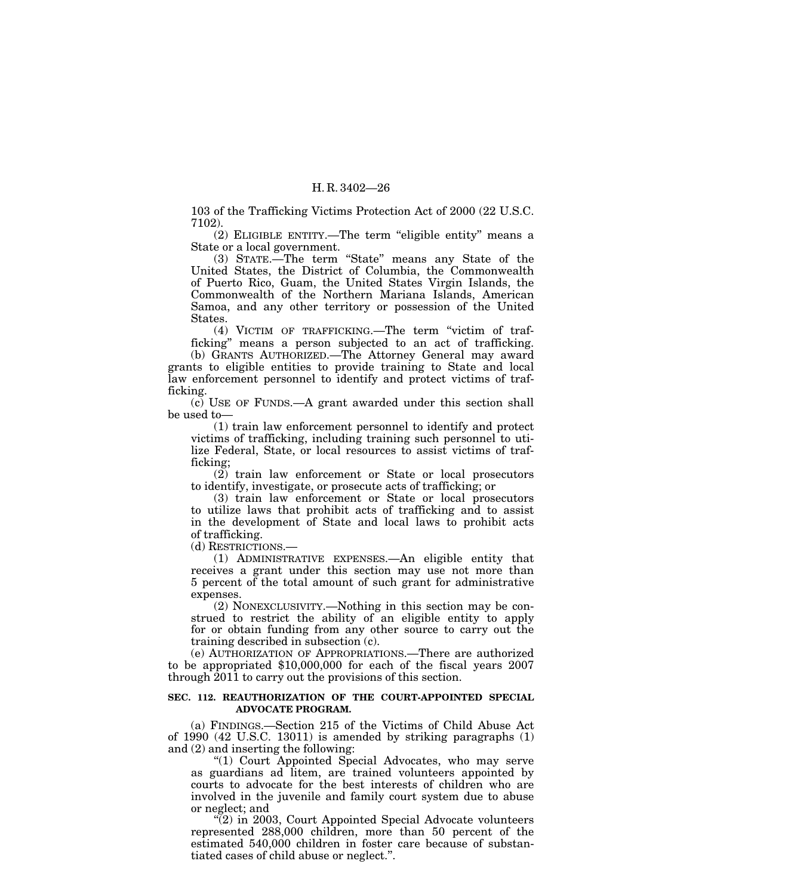103 of the Trafficking Victims Protection Act of 2000 (22 U.S.C. 7102).

(2) ELIGIBLE ENTITY.—The term ''eligible entity'' means a State or a local government.

(3) STATE.—The term ''State'' means any State of the United States, the District of Columbia, the Commonwealth of Puerto Rico, Guam, the United States Virgin Islands, the Commonwealth of the Northern Mariana Islands, American Samoa, and any other territory or possession of the United States.

(4) VICTIM OF TRAFFICKING.—The term ''victim of trafficking'' means a person subjected to an act of trafficking.

(b) GRANTS AUTHORIZED.—The Attorney General may award grants to eligible entities to provide training to State and local law enforcement personnel to identify and protect victims of trafficking.

(c) USE OF FUNDS.—A grant awarded under this section shall be used to—

(1) train law enforcement personnel to identify and protect victims of trafficking, including training such personnel to utilize Federal, State, or local resources to assist victims of trafficking;

(2) train law enforcement or State or local prosecutors to identify, investigate, or prosecute acts of trafficking; or

(3) train law enforcement or State or local prosecutors to utilize laws that prohibit acts of trafficking and to assist in the development of State and local laws to prohibit acts of trafficking.

(d) RESTRICTIONS.—

(1) ADMINISTRATIVE EXPENSES.—An eligible entity that receives a grant under this section may use not more than 5 percent of the total amount of such grant for administrative expenses.

(2) NONEXCLUSIVITY.—Nothing in this section may be construed to restrict the ability of an eligible entity to apply for or obtain funding from any other source to carry out the training described in subsection (c).

(e) AUTHORIZATION OF APPROPRIATIONS.—There are authorized to be appropriated \$10,000,000 for each of the fiscal years 2007 through 2011 to carry out the provisions of this section.

# **SEC. 112. REAUTHORIZATION OF THE COURT-APPOINTED SPECIAL ADVOCATE PROGRAM.**

(a) FINDINGS.—Section 215 of the Victims of Child Abuse Act of 1990 (42 U.S.C. 13011) is amended by striking paragraphs (1) and (2) and inserting the following:

"(1) Court Appointed Special Advocates, who may serve as guardians ad litem, are trained volunteers appointed by courts to advocate for the best interests of children who are involved in the juvenile and family court system due to abuse or neglect; and

"(2) in 2003, Court Appointed Special Advocate volunteers represented 288,000 children, more than 50 percent of the estimated 540,000 children in foster care because of substantiated cases of child abuse or neglect.''.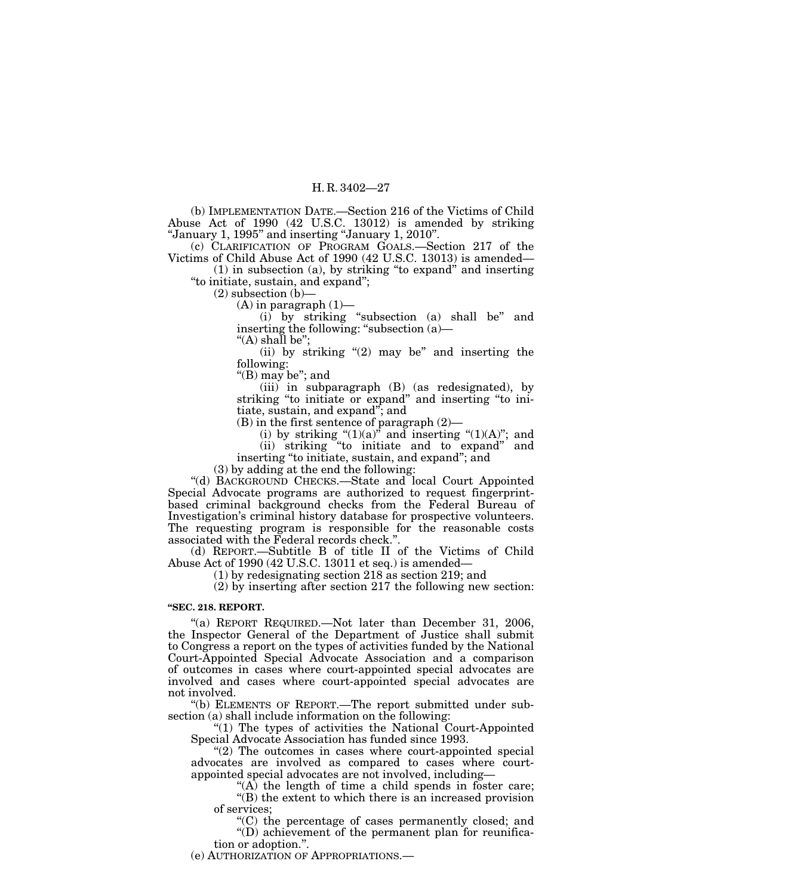(b) IMPLEMENTATION DATE.—Section 216 of the Victims of Child Abuse Act of 1990 (42 U.S.C. 13012) is amended by striking ''January 1, 1995'' and inserting ''January 1, 2010''.

(c) CLARIFICATION OF PROGRAM GOALS.—Section 217 of the Victims of Child Abuse Act of 1990 (42 U.S.C. 13013) is amended—

(1) in subsection (a), by striking ''to expand'' and inserting ''to initiate, sustain, and expand'';

(2) subsection (b)—

 $(A)$  in paragraph  $(1)$ —

(i) by striking ''subsection (a) shall be'' and inserting the following: "subsection  $(a)$ —

"(A) shall be";

(ii) by striking " $(2)$  may be" and inserting the following:

" $(B)$  may be"; and

(iii) in subparagraph (B) (as redesignated), by striking "to initiate or expand" and inserting "to initiate, sustain, and expand''; and

(B) in the first sentence of paragraph (2)—

(i) by striking " $(1)(a)$ " and inserting " $(1)(A)$ "; and (ii) striking ''to initiate and to expand'' and

inserting ''to initiate, sustain, and expand''; and  $(3)$  by adding at the end the following:

''(d) BACKGROUND CHECKS.—State and local Court Appointed Special Advocate programs are authorized to request fingerprintbased criminal background checks from the Federal Bureau of Investigation's criminal history database for prospective volunteers. The requesting program is responsible for the reasonable costs associated with the Federal records check.''.

(d) REPORT.—Subtitle B of title II of the Victims of Child Abuse Act of 1990 (42 U.S.C. 13011 et seq.) is amended—

(1) by redesignating section 218 as section 219; and

(2) by inserting after section 217 the following new section:

# **''SEC. 218. REPORT.**

"(a) REPORT REQUIRED.—Not later than December 31, 2006, the Inspector General of the Department of Justice shall submit to Congress a report on the types of activities funded by the National Court-Appointed Special Advocate Association and a comparison of outcomes in cases where court-appointed special advocates are involved and cases where court-appointed special advocates are not involved.

''(b) ELEMENTS OF REPORT.—The report submitted under subsection (a) shall include information on the following:

" $(1)$  The types of activities the National Court-Appointed Special Advocate Association has funded since 1993.

" $(2)$  The outcomes in cases where court-appointed special advocates are involved as compared to cases where courtappointed special advocates are not involved, including—

" $(A)$  the length of time a child spends in foster care;

''(B) the extent to which there is an increased provision of services;

''(C) the percentage of cases permanently closed; and ''(D) achievement of the permanent plan for reunification or adoption.''.

(e) AUTHORIZATION OF APPROPRIATIONS.—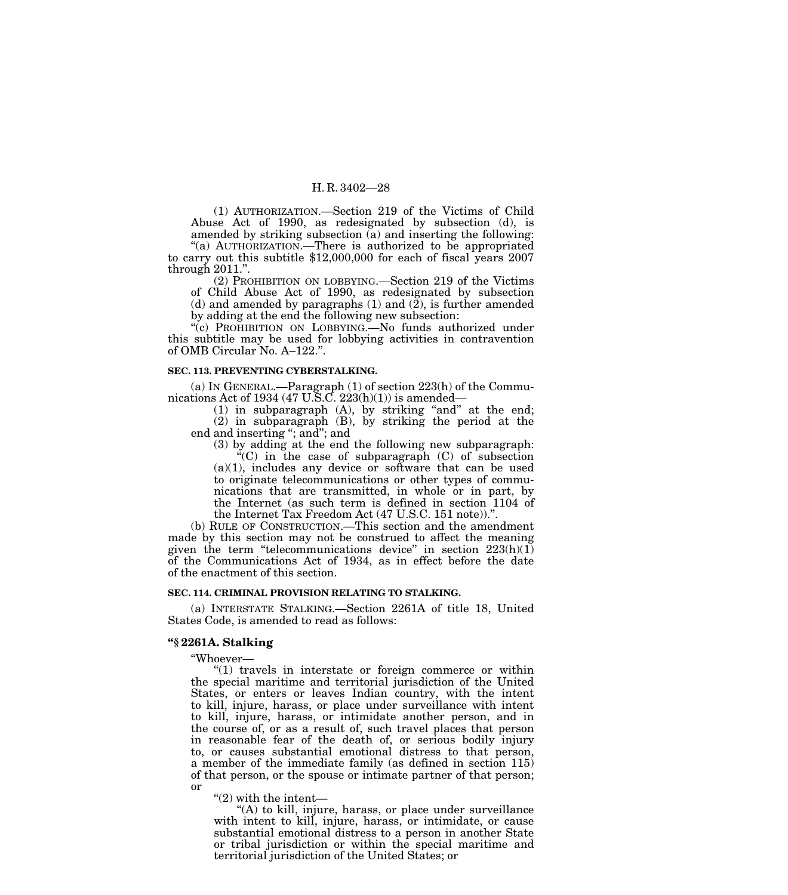(1) AUTHORIZATION.—Section 219 of the Victims of Child Abuse Act of 1990, as redesignated by subsection (d), is amended by striking subsection (a) and inserting the following:

''(a) AUTHORIZATION.—There is authorized to be appropriated to carry out this subtitle \$12,000,000 for each of fiscal years 2007 through 2011.''.

(2) PROHIBITION ON LOBBYING.—Section 219 of the Victims of Child Abuse Act of 1990, as redesignated by subsection (d) and amended by paragraphs  $(1)$  and  $(2)$ , is further amended by adding at the end the following new subsection:

"(c) PROHIBITION ON LOBBYING.—No funds authorized under this subtitle may be used for lobbying activities in contravention of OMB Circular No. A–122.''.

# **SEC. 113. PREVENTING CYBERSTALKING.**

(a) IN GENERAL.—Paragraph (1) of section 223(h) of the Communications Act of 1934 (47 U.S.C.  $223(h)(1)$ ) is amended—

(1) in subparagraph (A), by striking "and" at the end; (2) in subparagraph (B), by striking the period at the

end and inserting "; and"; and (3) by adding at the end the following new subparagraph:

 $\cdot^{\alpha}$ (C) in the case of subparagraph (C) of subsection  $(a)(1)$ , includes any device or software that can be used to originate telecommunications or other types of communications that are transmitted, in whole or in part, by the Internet (as such term is defined in section 1104 of the Internet Tax Freedom Act (47 U.S.C. 151 note)).''.

(b) RULE OF CONSTRUCTION.—This section and the amendment made by this section may not be construed to affect the meaning given the term "telecommunications device" in section  $223(h)(1)$ of the Communications Act of 1934, as in effect before the date of the enactment of this section.

# **SEC. 114. CRIMINAL PROVISION RELATING TO STALKING.**

(a) INTERSTATE STALKING.—Section 2261A of title 18, United States Code, is amended to read as follows:

# **''§ 2261A. Stalking**

''Whoever—

 $''(1)$  travels in interstate or foreign commerce or within the special maritime and territorial jurisdiction of the United States, or enters or leaves Indian country, with the intent to kill, injure, harass, or place under surveillance with intent to kill, injure, harass, or intimidate another person, and in the course of, or as a result of, such travel places that person in reasonable fear of the death of, or serious bodily injury to, or causes substantial emotional distress to that person, a member of the immediate family (as defined in section 115) of that person, or the spouse or intimate partner of that person; or

 $''(2)$  with the intent—

''(A) to kill, injure, harass, or place under surveillance with intent to kill, injure, harass, or intimidate, or cause substantial emotional distress to a person in another State or tribal jurisdiction or within the special maritime and territorial jurisdiction of the United States; or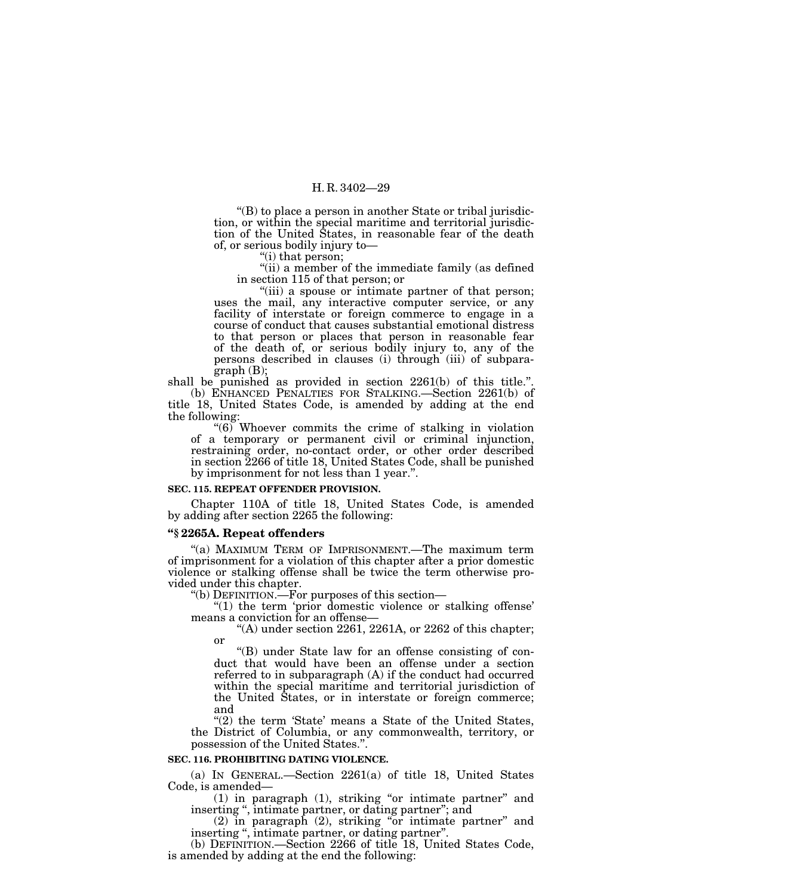$\mathrm{``(B)}$  to place a person in another State or tribal jurisdiction, or within the special maritime and territorial jurisdiction of the United States, in reasonable fear of the death of, or serious bodily injury to—

''(i) that person;

"(ii) a member of the immediate family (as defined in section 115 of that person; or

"(iii) a spouse or intimate partner of that person; uses the mail, any interactive computer service, or any facility of interstate or foreign commerce to engage in a course of conduct that causes substantial emotional distress to that person or places that person in reasonable fear of the death of, or serious bodily injury to, any of the persons described in clauses (i) through (iii) of subparagraph (B);

shall be punished as provided in section 2261(b) of this title.''. (b) ENHANCED PENALTIES FOR STALKING.—Section 2261(b) of

title 18, United States Code, is amended by adding at the end the following:

 $\mathfrak{m}(6)$  Whoever commits the crime of stalking in violation of a temporary or permanent civil or criminal injunction, restraining order, no-contact order, or other order described in section 2266 of title 18, United States Code, shall be punished by imprisonment for not less than 1 year.''.

#### **SEC. 115. REPEAT OFFENDER PROVISION.**

Chapter 110A of title 18, United States Code, is amended by adding after section 2265 the following:

#### **''§ 2265A. Repeat offenders**

''(a) MAXIMUM TERM OF IMPRISONMENT.—The maximum term of imprisonment for a violation of this chapter after a prior domestic violence or stalking offense shall be twice the term otherwise provided under this chapter.

''(b) DEFINITION.—For purposes of this section—

" $(1)$  the term 'prior domestic violence or stalking offense' means a conviction for an offense—

"(A) under section 2261, 2261A, or 2262 of this chapter; or

''(B) under State law for an offense consisting of conduct that would have been an offense under a section referred to in subparagraph (A) if the conduct had occurred within the special maritime and territorial jurisdiction of the United States, or in interstate or foreign commerce; and

"(2) the term 'State' means a State of the United States, the District of Columbia, or any commonwealth, territory, or possession of the United States."

### **SEC. 116. PROHIBITING DATING VIOLENCE.**

(a) IN GENERAL.—Section 2261(a) of title 18, United States Code, is amended—

(1) in paragraph (1), striking ''or intimate partner'' and inserting '', intimate partner, or dating partner''; and

(2) in paragraph (2), striking ''or intimate partner'' and inserting ", intimate partner, or dating partner".

(b) DEFINITION.—Section 2266 of title 18, United States Code, is amended by adding at the end the following: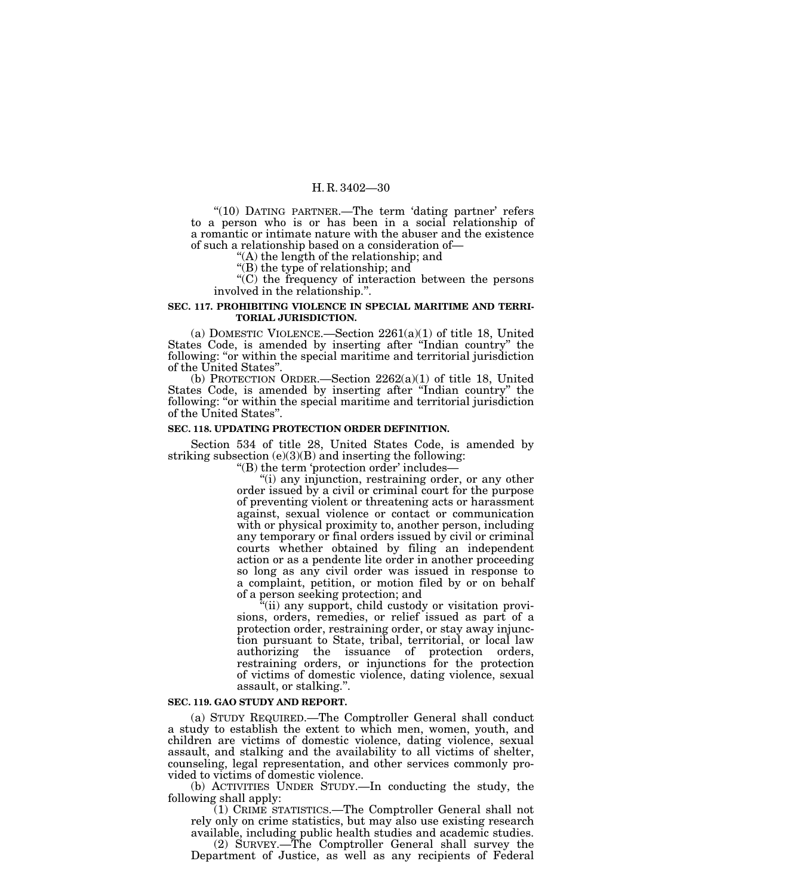"(10) DATING PARTNER.—The term 'dating partner' refers to a person who is or has been in a social relationship of a romantic or intimate nature with the abuser and the existence of such a relationship based on a consideration of—

 $(A)$  the length of the relationship; and

''(B) the type of relationship; and

''(C) the frequency of interaction between the persons involved in the relationship.''.

#### **SEC. 117. PROHIBITING VIOLENCE IN SPECIAL MARITIME AND TERRI-TORIAL JURISDICTION.**

(a) DOMESTIC VIOLENCE.—Section 2261(a)(1) of title 18, United States Code, is amended by inserting after ''Indian country'' the following: "or within the special maritime and territorial jurisdiction of the United States''.

(b) PROTECTION ORDER.—Section 2262(a)(1) of title 18, United States Code, is amended by inserting after ''Indian country'' the following: ''or within the special maritime and territorial jurisdiction of the United States''.

#### **SEC. 118. UPDATING PROTECTION ORDER DEFINITION.**

Section 534 of title 28, United States Code, is amended by striking subsection  $(e)(3)(B)$  and inserting the following:

''(B) the term 'protection order' includes—

''(i) any injunction, restraining order, or any other order issued by a civil or criminal court for the purpose of preventing violent or threatening acts or harassment against, sexual violence or contact or communication with or physical proximity to, another person, including any temporary or final orders issued by civil or criminal courts whether obtained by filing an independent action or as a pendente lite order in another proceeding so long as any civil order was issued in response to a complaint, petition, or motion filed by or on behalf of a person seeking protection; and

''(ii) any support, child custody or visitation provisions, orders, remedies, or relief issued as part of a protection order, restraining order, or stay away injunction pursuant to State, tribal, territorial, or local law authorizing the issuance of protection orders, restraining orders, or injunctions for the protection of victims of domestic violence, dating violence, sexual assault, or stalking.''.

# **SEC. 119. GAO STUDY AND REPORT.**

(a) STUDY REQUIRED.—The Comptroller General shall conduct a study to establish the extent to which men, women, youth, and children are victims of domestic violence, dating violence, sexual assault, and stalking and the availability to all victims of shelter, counseling, legal representation, and other services commonly provided to victims of domestic violence.

(b) ACTIVITIES UNDER STUDY.—In conducting the study, the following shall apply:

(1) CRIME STATISTICS.—The Comptroller General shall not rely only on crime statistics, but may also use existing research available, including public health studies and academic studies.

(2) SURVEY.—The Comptroller General shall survey the Department of Justice, as well as any recipients of Federal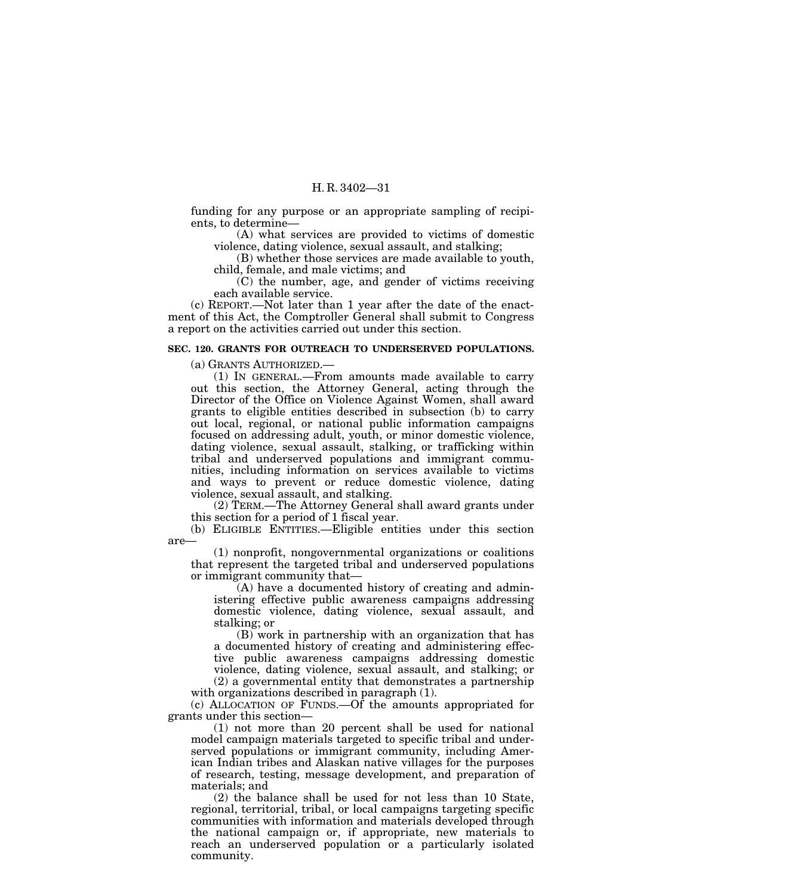funding for any purpose or an appropriate sampling of recipients, to determine—

(A) what services are provided to victims of domestic violence, dating violence, sexual assault, and stalking;

(B) whether those services are made available to youth, child, female, and male victims; and

(C) the number, age, and gender of victims receiving each available service.

(c) REPORT.—Not later than 1 year after the date of the enactment of this Act, the Comptroller General shall submit to Congress a report on the activities carried out under this section.

#### **SEC. 120. GRANTS FOR OUTREACH TO UNDERSERVED POPULATIONS.**

(a) GRANTS AUTHORIZED.—

(1) IN GENERAL.—From amounts made available to carry out this section, the Attorney General, acting through the Director of the Office on Violence Against Women, shall award grants to eligible entities described in subsection (b) to carry out local, regional, or national public information campaigns focused on addressing adult, youth, or minor domestic violence, dating violence, sexual assault, stalking, or trafficking within tribal and underserved populations and immigrant communities, including information on services available to victims and ways to prevent or reduce domestic violence, dating violence, sexual assault, and stalking.

(2) TERM.—The Attorney General shall award grants under this section for a period of 1 fiscal year.

(b) ELIGIBLE ENTITIES.—Eligible entities under this section are—

(1) nonprofit, nongovernmental organizations or coalitions that represent the targeted tribal and underserved populations or immigrant community that—

 $(A)$  have a documented history of creating and administering effective public awareness campaigns addressing domestic violence, dating violence, sexual assault, and stalking; or

(B) work in partnership with an organization that has a documented history of creating and administering effective public awareness campaigns addressing domestic violence, dating violence, sexual assault, and stalking; or (2) a governmental entity that demonstrates a partnership

with organizations described in paragraph (1).

(c) ALLOCATION OF FUNDS.—Of the amounts appropriated for grants under this section—

(1) not more than 20 percent shall be used for national model campaign materials targeted to specific tribal and underserved populations or immigrant community, including American Indian tribes and Alaskan native villages for the purposes of research, testing, message development, and preparation of materials; and

(2) the balance shall be used for not less than 10 State, regional, territorial, tribal, or local campaigns targeting specific communities with information and materials developed through the national campaign or, if appropriate, new materials to reach an underserved population or a particularly isolated community.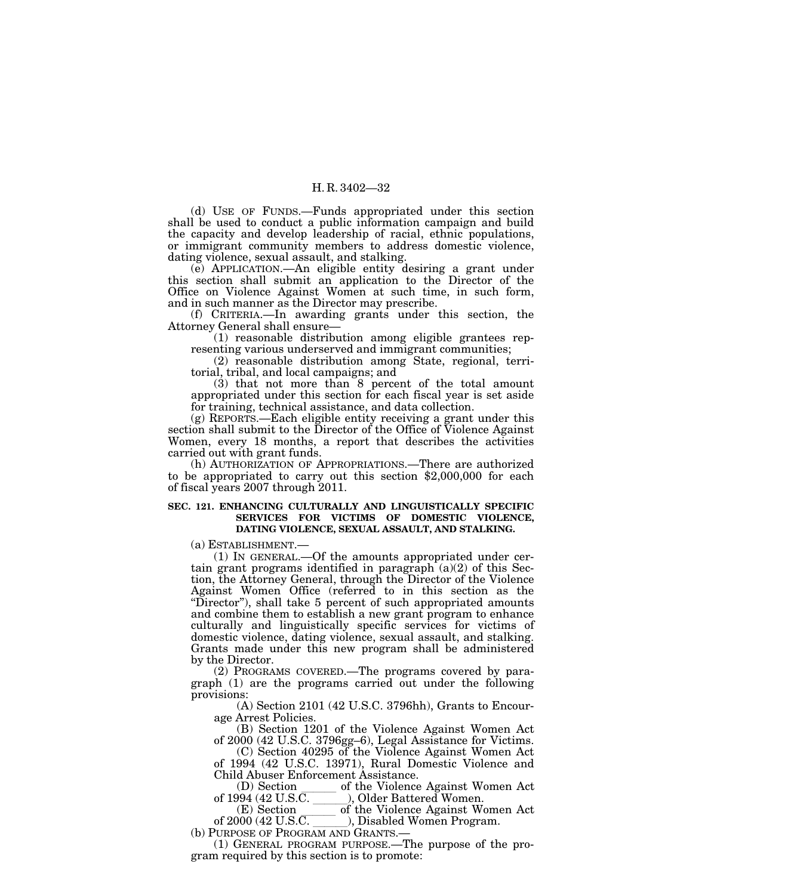(d) USE OF FUNDS.—Funds appropriated under this section shall be used to conduct a public information campaign and build the capacity and develop leadership of racial, ethnic populations, or immigrant community members to address domestic violence, dating violence, sexual assault, and stalking.

(e) APPLICATION.—An eligible entity desiring a grant under this section shall submit an application to the Director of the Office on Violence Against Women at such time, in such form, and in such manner as the Director may prescribe.

(f) CRITERIA.—In awarding grants under this section, the Attorney General shall ensure—

(1) reasonable distribution among eligible grantees representing various underserved and immigrant communities;

(2) reasonable distribution among State, regional, territorial, tribal, and local campaigns; and

(3) that not more than 8 percent of the total amount appropriated under this section for each fiscal year is set aside for training, technical assistance, and data collection.

(g) REPORTS.—Each eligible entity receiving a grant under this section shall submit to the Director of the Office of Violence Against Women, every 18 months, a report that describes the activities carried out with grant funds.

(h) AUTHORIZATION OF APPROPRIATIONS.—There are authorized to be appropriated to carry out this section \$2,000,000 for each of fiscal years 2007 through 2011.

#### **SEC. 121. ENHANCING CULTURALLY AND LINGUISTICALLY SPECIFIC SERVICES FOR VICTIMS OF DOMESTIC VIOLENCE, DATING VIOLENCE, SEXUAL ASSAULT, AND STALKING.**

(a) ESTABLISHMENT.— (1) IN GENERAL.—Of the amounts appropriated under certain grant programs identified in paragraph  $(a)(2)$  of this Section, the Attorney General, through the Director of the Violence Against Women Office (referred to in this section as the "Director"), shall take 5 percent of such appropriated amounts and combine them to establish a new grant program to enhance culturally and linguistically specific services for victims of domestic violence, dating violence, sexual assault, and stalking. Grants made under this new program shall be administered by the Director.

(2) PROGRAMS COVERED.—The programs covered by paragraph (1) are the programs carried out under the following provisions:

(A) Section 2101 (42 U.S.C. 3796hh), Grants to Encourage Arrest Policies.

(B) Section 1201 of the Violence Against Women Act of 2000 (42 U.S.C. 3796gg–6), Legal Assistance for Victims.

(C) Section 40295 of the Violence Against Women Act of 1994 (42 U.S.C. 13971), Rural Domestic Violence and Child Abuser Enforcement Assistance.

(D) Section of the Violence Against Women Act of 1994 (42 U.S.C. ), Older Battered Women.

 $994 (42 U.S.C. ...)$  Older Battered Women.<br>
(E) Section of the Violence Against Wo (E) Section of the Violence Against Women Act of  $2000 (42 \text{ U.S. C.})$ , Disabled Women Program. of 2000 (42 U.S.C. \_\_\_\_\_\_), Disabled Women Program.<br>(b) PURPOSE OF PROGRAM AND GRANTS.—

(1) GENERAL PROGRAM PURPOSE.—The purpose of the program required by this section is to promote: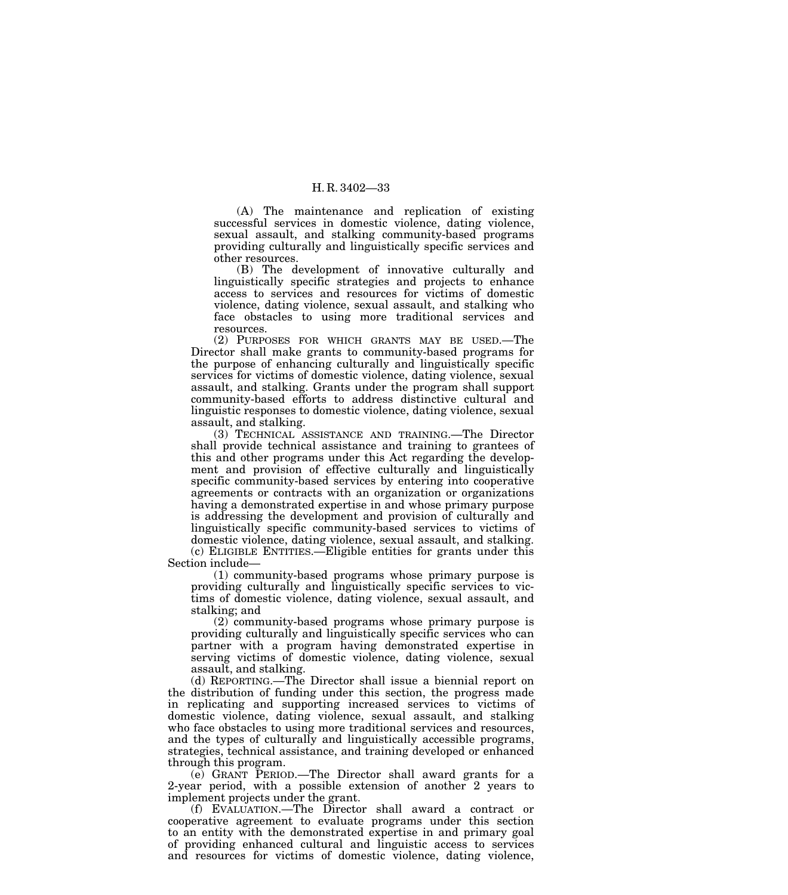(A) The maintenance and replication of existing successful services in domestic violence, dating violence, sexual assault, and stalking community-based programs providing culturally and linguistically specific services and other resources.

(B) The development of innovative culturally and linguistically specific strategies and projects to enhance access to services and resources for victims of domestic violence, dating violence, sexual assault, and stalking who face obstacles to using more traditional services and resources.

(2) PURPOSES FOR WHICH GRANTS MAY BE USED.—The Director shall make grants to community-based programs for the purpose of enhancing culturally and linguistically specific services for victims of domestic violence, dating violence, sexual assault, and stalking. Grants under the program shall support community-based efforts to address distinctive cultural and linguistic responses to domestic violence, dating violence, sexual assault, and stalking.

(3) TECHNICAL ASSISTANCE AND TRAINING.—The Director shall provide technical assistance and training to grantees of this and other programs under this Act regarding the development and provision of effective culturally and linguistically specific community-based services by entering into cooperative agreements or contracts with an organization or organizations having a demonstrated expertise in and whose primary purpose is addressing the development and provision of culturally and linguistically specific community-based services to victims of domestic violence, dating violence, sexual assault, and stalking. (c) ELIGIBLE ENTITIES.—Eligible entities for grants under this

Section include—

(1) community-based programs whose primary purpose is providing culturally and linguistically specific services to victims of domestic violence, dating violence, sexual assault, and stalking; and

(2) community-based programs whose primary purpose is providing culturally and linguistically specific services who can partner with a program having demonstrated expertise in serving victims of domestic violence, dating violence, sexual assault, and stalking.

(d) REPORTING.—The Director shall issue a biennial report on the distribution of funding under this section, the progress made in replicating and supporting increased services to victims of domestic violence, dating violence, sexual assault, and stalking who face obstacles to using more traditional services and resources, and the types of culturally and linguistically accessible programs, strategies, technical assistance, and training developed or enhanced through this program.

(e) GRANT PERIOD.—The Director shall award grants for a 2-year period, with a possible extension of another 2 years to implement projects under the grant.

(f) EVALUATION.—The Director shall award a contract or cooperative agreement to evaluate programs under this section to an entity with the demonstrated expertise in and primary goal of providing enhanced cultural and linguistic access to services and resources for victims of domestic violence, dating violence,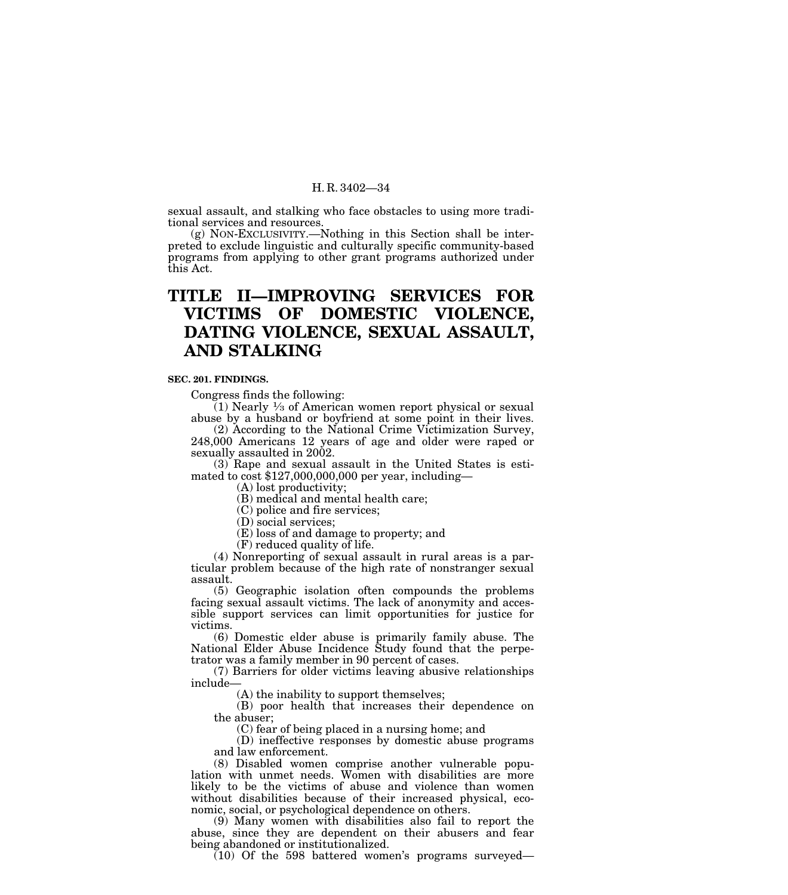sexual assault, and stalking who face obstacles to using more traditional services and resources.

(g) NON-EXCLUSIVITY.—Nothing in this Section shall be interpreted to exclude linguistic and culturally specific community-based programs from applying to other grant programs authorized under this Act.

# **TITLE II—IMPROVING SERVICES FOR VICTIMS OF DOMESTIC VIOLENCE, DATING VIOLENCE, SEXUAL ASSAULT, AND STALKING**

#### **SEC. 201. FINDINGS.**

Congress finds the following:

 $(1)$  Nearly  $\frac{1}{3}$  of American women report physical or sexual abuse by a husband or boyfriend at some point in their lives.

(2) According to the National Crime Victimization Survey, 248,000 Americans 12 years of age and older were raped or sexually assaulted in 2002.

(3) Rape and sexual assault in the United States is estimated to cost \$127,000,000,000 per year, including—

(A) lost productivity;

(B) medical and mental health care;

(C) police and fire services;

(D) social services;

(E) loss of and damage to property; and

(F) reduced quality of life.

(4) Nonreporting of sexual assault in rural areas is a particular problem because of the high rate of nonstranger sexual assault.

(5) Geographic isolation often compounds the problems facing sexual assault victims. The lack of anonymity and accessible support services can limit opportunities for justice for victims.

(6) Domestic elder abuse is primarily family abuse. The National Elder Abuse Incidence Study found that the perpetrator was a family member in 90 percent of cases.

(7) Barriers for older victims leaving abusive relationships include—

(A) the inability to support themselves;

(B) poor health that increases their dependence on the abuser;

(C) fear of being placed in a nursing home; and

(D) ineffective responses by domestic abuse programs and law enforcement.

(8) Disabled women comprise another vulnerable population with unmet needs. Women with disabilities are more likely to be the victims of abuse and violence than women without disabilities because of their increased physical, economic, social, or psychological dependence on others.

(9) Many women with disabilities also fail to report the abuse, since they are dependent on their abusers and fear being abandoned or institutionalized.

 $(10)$  Of the 598 battered women's programs surveyed—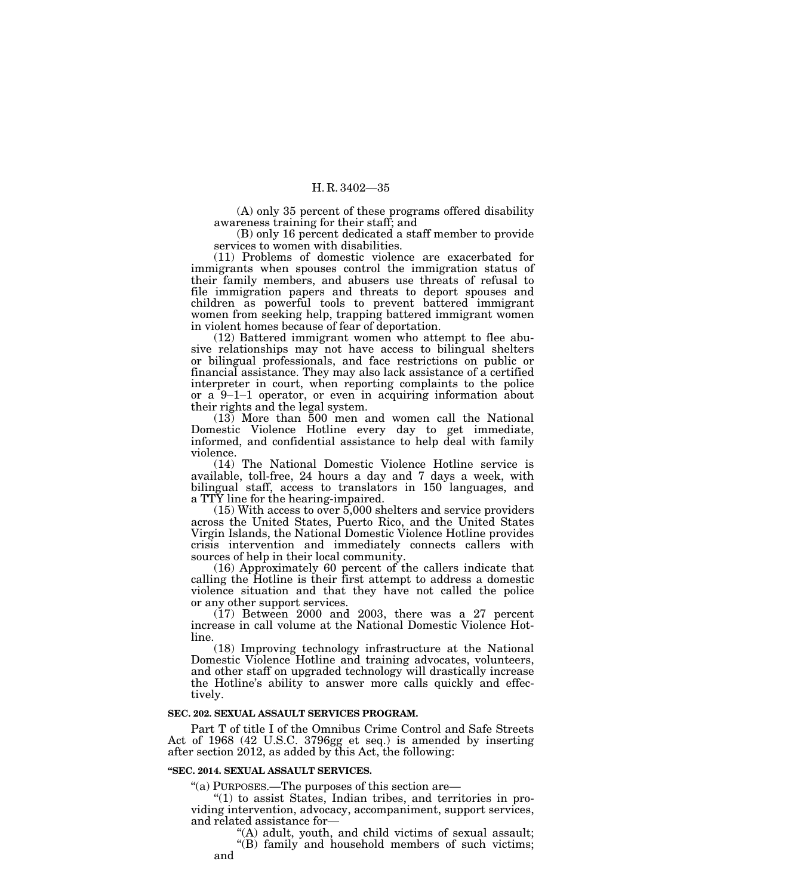(A) only 35 percent of these programs offered disability awareness training for their staff; and

(B) only 16 percent dedicated a staff member to provide services to women with disabilities.

(11) Problems of domestic violence are exacerbated for immigrants when spouses control the immigration status of their family members, and abusers use threats of refusal to file immigration papers and threats to deport spouses and children as powerful tools to prevent battered immigrant women from seeking help, trapping battered immigrant women in violent homes because of fear of deportation.

(12) Battered immigrant women who attempt to flee abusive relationships may not have access to bilingual shelters or bilingual professionals, and face restrictions on public or financial assistance. They may also lack assistance of a certified interpreter in court, when reporting complaints to the police or a 9–1–1 operator, or even in acquiring information about their rights and the legal system.

(13) More than 500 men and women call the National Domestic Violence Hotline every day to get immediate, informed, and confidential assistance to help deal with family violence.

(14) The National Domestic Violence Hotline service is available, toll-free, 24 hours a day and 7 days a week, with bilingual staff, access to translators in 150 languages, and a TTY line for the hearing-impaired.

(15) With access to over  $5,000$  shelters and service providers across the United States, Puerto Rico, and the United States Virgin Islands, the National Domestic Violence Hotline provides crisis intervention and immediately connects callers with sources of help in their local community.

(16) Approximately 60 percent of the callers indicate that calling the Hotline is their first attempt to address a domestic violence situation and that they have not called the police or any other support services.

 $(17)$  Between 2000 and 2003, there was a 27 percent increase in call volume at the National Domestic Violence Hotline.

(18) Improving technology infrastructure at the National Domestic Violence Hotline and training advocates, volunteers, and other staff on upgraded technology will drastically increase the Hotline's ability to answer more calls quickly and effectively.

# **SEC. 202. SEXUAL ASSAULT SERVICES PROGRAM.**

Part T of title I of the Omnibus Crime Control and Safe Streets Act of 1968 (42 U.S.C. 3796gg et seq.) is amended by inserting after section 2012, as added by this Act, the following:

# **''SEC. 2014. SEXUAL ASSAULT SERVICES.**

''(a) PURPOSES.—The purposes of this section are—

"(1) to assist States, Indian tribes, and territories in providing intervention, advocacy, accompaniment, support services, and related assistance for—

''(A) adult, youth, and child victims of sexual assault;

''(B) family and household members of such victims; and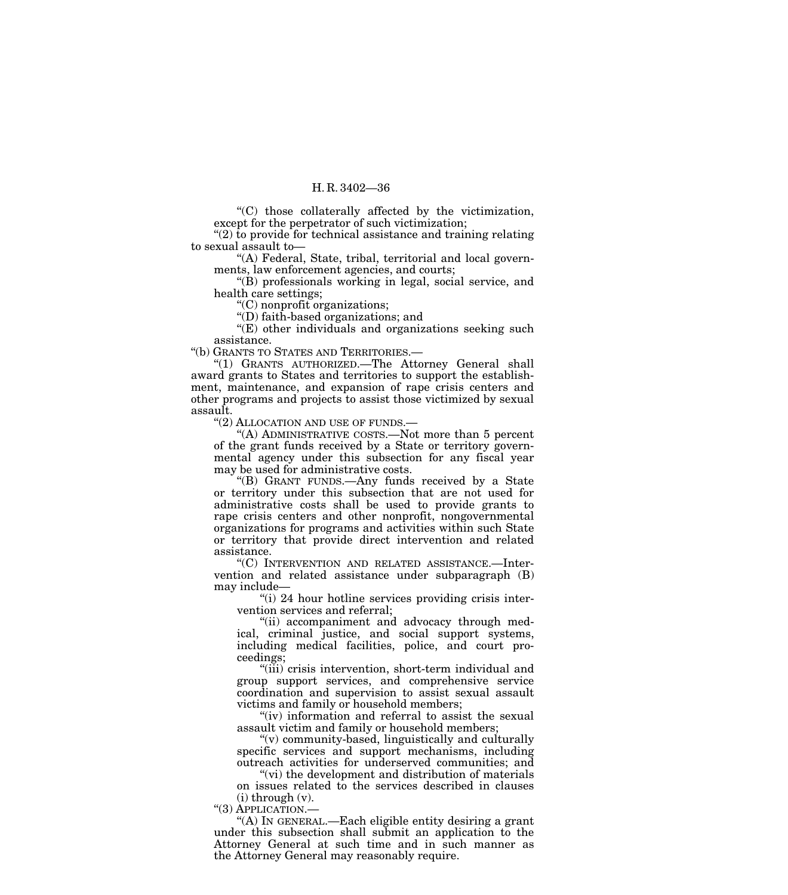''(C) those collaterally affected by the victimization, except for the perpetrator of such victimization;

 $(2)$  to provide for technical assistance and training relating to sexual assault to—

''(A) Federal, State, tribal, territorial and local governments, law enforcement agencies, and courts;

''(B) professionals working in legal, social service, and health care settings;

''(C) nonprofit organizations;

''(D) faith-based organizations; and

"(E) other individuals and organizations seeking such assistance.

''(b) GRANTS TO STATES AND TERRITORIES.—

''(1) GRANTS AUTHORIZED.—The Attorney General shall award grants to States and territories to support the establishment, maintenance, and expansion of rape crisis centers and other programs and projects to assist those victimized by sexual assault.

''(2) ALLOCATION AND USE OF FUNDS.—

''(A) ADMINISTRATIVE COSTS.—Not more than 5 percent of the grant funds received by a State or territory governmental agency under this subsection for any fiscal year may be used for administrative costs.

''(B) GRANT FUNDS.—Any funds received by a State or territory under this subsection that are not used for administrative costs shall be used to provide grants to rape crisis centers and other nonprofit, nongovernmental organizations for programs and activities within such State or territory that provide direct intervention and related assistance.

''(C) INTERVENTION AND RELATED ASSISTANCE.—Intervention and related assistance under subparagraph (B) may include—

"(i) 24 hour hotline services providing crisis intervention services and referral;

"(ii) accompaniment and advocacy through medical, criminal justice, and social support systems, including medical facilities, police, and court proceedings;

"(iii) crisis intervention, short-term individual and group support services, and comprehensive service coordination and supervision to assist sexual assault victims and family or household members;

"(iv) information and referral to assist the sexual assault victim and family or household members;

''(v) community-based, linguistically and culturally specific services and support mechanisms, including outreach activities for underserved communities; and

"(vi) the development and distribution of materials on issues related to the services described in clauses (i) through (v).

''(3) APPLICATION.—

''(A) IN GENERAL.—Each eligible entity desiring a grant under this subsection shall submit an application to the Attorney General at such time and in such manner as the Attorney General may reasonably require.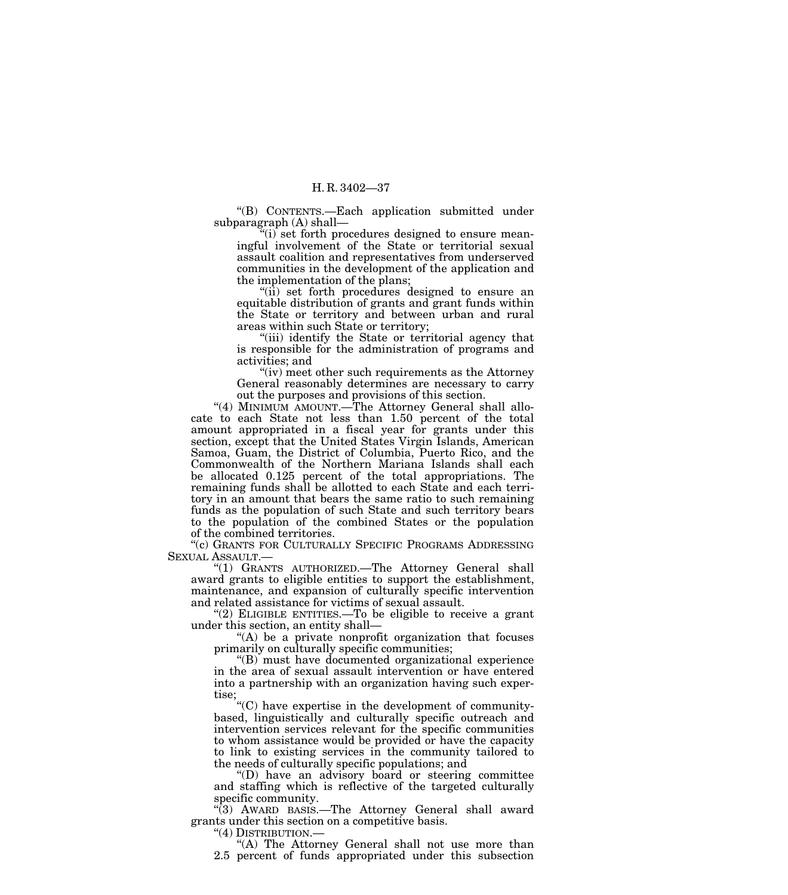''(B) CONTENTS.—Each application submitted under subparagraph (A) shall—

''(i) set forth procedures designed to ensure meaningful involvement of the State or territorial sexual assault coalition and representatives from underserved communities in the development of the application and the implementation of the plans;

''(ii) set forth procedures designed to ensure an equitable distribution of grants and grant funds within the State or territory and between urban and rural areas within such State or territory;

''(iii) identify the State or territorial agency that is responsible for the administration of programs and activities; and

"(iv) meet other such requirements as the Attorney" General reasonably determines are necessary to carry out the purposes and provisions of this section.

"(4) MINIMUM AMOUNT.—The Attorney General shall allocate to each State not less than 1.50 percent of the total amount appropriated in a fiscal year for grants under this section, except that the United States Virgin Islands, American Samoa, Guam, the District of Columbia, Puerto Rico, and the Commonwealth of the Northern Mariana Islands shall each be allocated 0.125 percent of the total appropriations. The remaining funds shall be allotted to each State and each territory in an amount that bears the same ratio to such remaining funds as the population of such State and such territory bears to the population of the combined States or the population of the combined territories.

''(c) GRANTS FOR CULTURALLY SPECIFIC PROGRAMS ADDRESSING SEXUAL ASSAULT.—

"(1) GRANTS AUTHORIZED. The Attorney General shall award grants to eligible entities to support the establishment, maintenance, and expansion of culturally specific intervention and related assistance for victims of sexual assault.

"(2) ELIGIBLE ENTITIES.—To be eligible to receive a grant under this section, an entity shall—

"(A) be a private nonprofit organization that focuses primarily on culturally specific communities;

''(B) must have documented organizational experience in the area of sexual assault intervention or have entered into a partnership with an organization having such expertise;

''(C) have expertise in the development of communitybased, linguistically and culturally specific outreach and intervention services relevant for the specific communities to whom assistance would be provided or have the capacity to link to existing services in the community tailored to the needs of culturally specific populations; and

''(D) have an advisory board or steering committee and staffing which is reflective of the targeted culturally specific community.

"(3) AWARD BASIS.—The Attorney General shall award grants under this section on a competitive basis.

''(4) DISTRIBUTION.—

"(A) The Attorney General shall not use more than 2.5 percent of funds appropriated under this subsection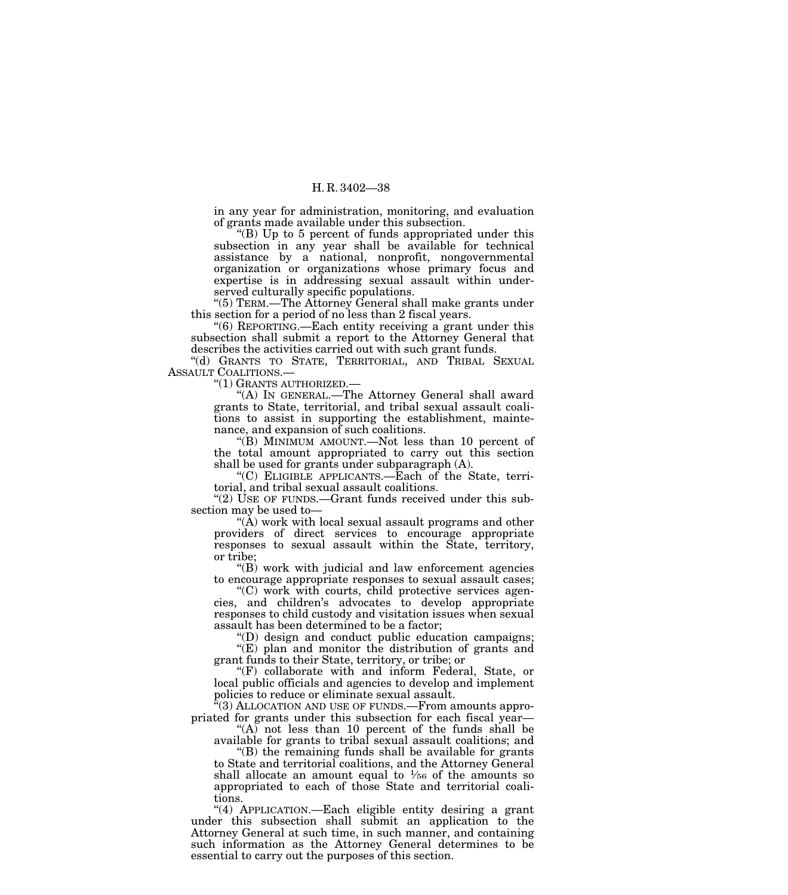in any year for administration, monitoring, and evaluation of grants made available under this subsection.

"(B) Up to 5 percent of funds appropriated under this subsection in any year shall be available for technical assistance by a national, nonprofit, nongovernmental organization or organizations whose primary focus and expertise is in addressing sexual assault within underserved culturally specific populations.

''(5) TERM.—The Attorney General shall make grants under this section for a period of no less than 2 fiscal years.

''(6) REPORTING.—Each entity receiving a grant under this subsection shall submit a report to the Attorney General that describes the activities carried out with such grant funds.

''(d) GRANTS TO STATE, TERRITORIAL, AND TRIBAL SEXUAL ASSAULT COALITIONS.—

''(1) GRANTS AUTHORIZED.—

''(A) IN GENERAL.—The Attorney General shall award grants to State, territorial, and tribal sexual assault coalitions to assist in supporting the establishment, maintenance, and expansion of such coalitions.

''(B) MINIMUM AMOUNT.—Not less than 10 percent of the total amount appropriated to carry out this section shall be used for grants under subparagraph (A).

''(C) ELIGIBLE APPLICANTS.—Each of the State, territorial, and tribal sexual assault coalitions.

" $(2)$  USE OF FUNDS.—Grant funds received under this subsection may be used to—

" $(\tilde{A})$  work with local sexual assault programs and other providers of direct services to encourage appropriate responses to sexual assault within the State, territory, or tribe;

''(B) work with judicial and law enforcement agencies to encourage appropriate responses to sexual assault cases;

''(C) work with courts, child protective services agencies, and children's advocates to develop appropriate responses to child custody and visitation issues when sexual assault has been determined to be a factor;

''(D) design and conduct public education campaigns; "(E) plan and monitor the distribution of grants and grant funds to their State, territory, or tribe; or

''(F) collaborate with and inform Federal, State, or local public officials and agencies to develop and implement policies to reduce or eliminate sexual assault.

''(3) ALLOCATION AND USE OF FUNDS.—From amounts appropriated for grants under this subsection for each fiscal year—

" $(A)$  not less than 10 percent of the funds shall be available for grants to tribal sexual assault coalitions; and

"(B) the remaining funds shall be available for grants to State and territorial coalitions, and the Attorney General shall allocate an amount equal to  $\frac{1}{56}$  of the amounts so appropriated to each of those State and territorial coalitions.

"(4) APPLICATION.—Each eligible entity desiring a grant under this subsection shall submit an application to the Attorney General at such time, in such manner, and containing such information as the Attorney General determines to be essential to carry out the purposes of this section.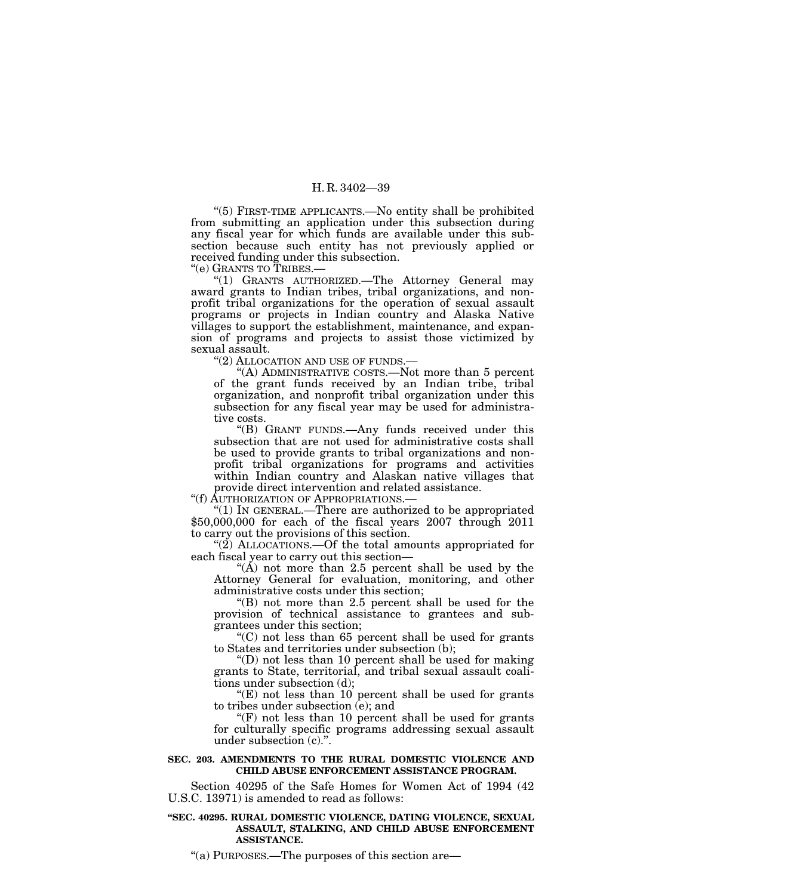''(5) FIRST-TIME APPLICANTS.—No entity shall be prohibited from submitting an application under this subsection during any fiscal year for which funds are available under this subsection because such entity has not previously applied or received funding under this subsection.

''(e) GRANTS TO TRIBES.—

''(1) GRANTS AUTHORIZED.—The Attorney General may award grants to Indian tribes, tribal organizations, and nonprofit tribal organizations for the operation of sexual assault programs or projects in Indian country and Alaska Native villages to support the establishment, maintenance, and expansion of programs and projects to assist those victimized by sexual assault.

''(2) ALLOCATION AND USE OF FUNDS.—

''(A) ADMINISTRATIVE COSTS.—Not more than 5 percent of the grant funds received by an Indian tribe, tribal organization, and nonprofit tribal organization under this subsection for any fiscal year may be used for administrative costs.

''(B) GRANT FUNDS.—Any funds received under this subsection that are not used for administrative costs shall be used to provide grants to tribal organizations and nonprofit tribal organizations for programs and activities within Indian country and Alaskan native villages that provide direct intervention and related assistance.<br>"(f) AUTHORIZATION OF APPROPRIATIONS.—

"(1) IN GENERAL.—There are authorized to be appropriated  $$50,000,000$  for each of the fiscal years 2007 through 2011 to carry out the provisions of this section.

" $(2)$  ALLOCATIONS.—Of the total amounts appropriated for each fiscal year to carry out this section—

" $(\dot{A})$  not more than 2.5 percent shall be used by the Attorney General for evaluation, monitoring, and other administrative costs under this section;

''(B) not more than 2.5 percent shall be used for the provision of technical assistance to grantees and subgrantees under this section;

 $(C)$  not less than 65 percent shall be used for grants to States and territories under subsection (b);

''(D) not less than 10 percent shall be used for making grants to State, territorial, and tribal sexual assault coalitions under subsection (d);

 $E(E)$  not less than 10 percent shall be used for grants to tribes under subsection (e); and

" $(F)$  not less than 10 percent shall be used for grants for culturally specific programs addressing sexual assault under subsection (c).''.

## **SEC. 203. AMENDMENTS TO THE RURAL DOMESTIC VIOLENCE AND CHILD ABUSE ENFORCEMENT ASSISTANCE PROGRAM.**

Section 40295 of the Safe Homes for Women Act of 1994 (42 U.S.C. 13971) is amended to read as follows:

## **''SEC. 40295. RURAL DOMESTIC VIOLENCE, DATING VIOLENCE, SEXUAL ASSAULT, STALKING, AND CHILD ABUSE ENFORCEMENT ASSISTANCE.**

''(a) PURPOSES.—The purposes of this section are—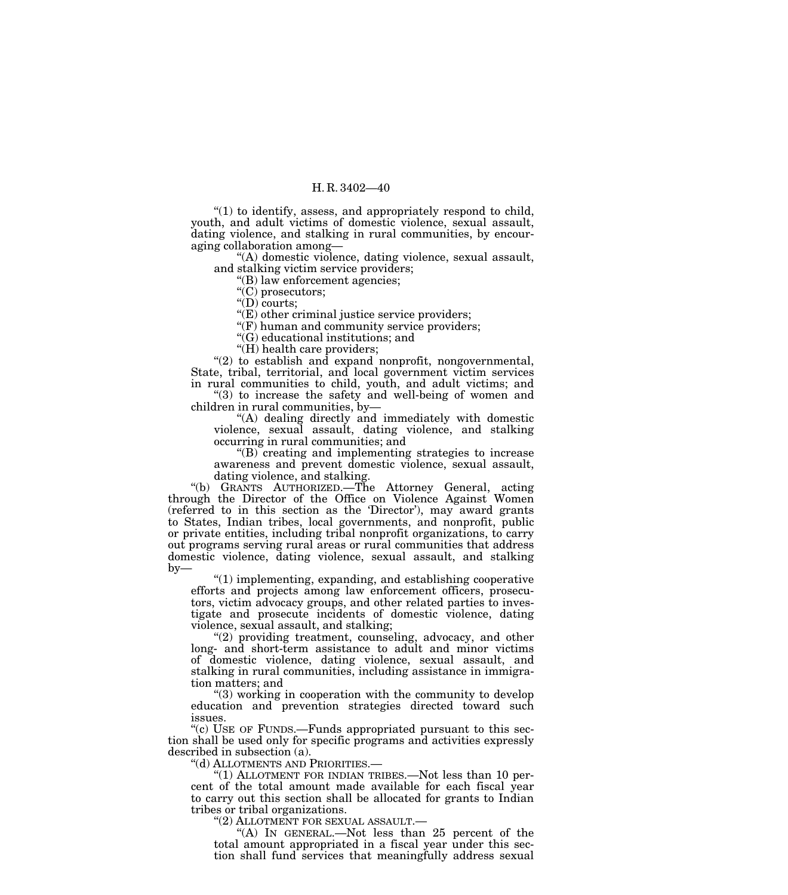$(1)$  to identify, assess, and appropriately respond to child, youth, and adult victims of domestic violence, sexual assault, dating violence, and stalking in rural communities, by encouraging collaboration among—

''(A) domestic violence, dating violence, sexual assault, and stalking victim service providers;

''(B) law enforcement agencies;

" $\overline{^nC}$ ) prosecutors;

''(D) courts;

''(E) other criminal justice service providers;

"(F) human and community service providers;

''(G) educational institutions; and

"(H) health care providers;

 $(2)$  to establish and expand nonprofit, nongovernmental, State, tribal, territorial, and local government victim services in rural communities to child, youth, and adult victims; and

 $(3)$  to increase the safety and well-being of women and children in rural communities, by—

"(A) dealing directly and immediately with domestic violence, sexual assault, dating violence, and stalking occurring in rural communities; and

''(B) creating and implementing strategies to increase awareness and prevent domestic violence, sexual assault, dating violence, and stalking.

''(b) GRANTS AUTHORIZED.—The Attorney General, acting through the Director of the Office on Violence Against Women (referred to in this section as the 'Director'), may award grants to States, Indian tribes, local governments, and nonprofit, public or private entities, including tribal nonprofit organizations, to carry out programs serving rural areas or rural communities that address domestic violence, dating violence, sexual assault, and stalking  $by-$ 

''(1) implementing, expanding, and establishing cooperative efforts and projects among law enforcement officers, prosecutors, victim advocacy groups, and other related parties to investigate and prosecute incidents of domestic violence, dating violence, sexual assault, and stalking;

"(2) providing treatment, counseling, advocacy, and other long- and short-term assistance to adult and minor victims of domestic violence, dating violence, sexual assault, and stalking in rural communities, including assistance in immigration matters; and

''(3) working in cooperation with the community to develop education and prevention strategies directed toward such issues.

"(c) USE OF FUNDS.—Funds appropriated pursuant to this section shall be used only for specific programs and activities expressly described in subsection (a).<br>"(d) ALLOTMENTS AND PRIORITIES.

"(1) ALLOTMENT FOR INDIAN TRIBES.—Not less than 10 percent of the total amount made available for each fiscal year to carry out this section shall be allocated for grants to Indian tribes or tribal organizations.

''(2) ALLOTMENT FOR SEXUAL ASSAULT.—

''(A) IN GENERAL.—Not less than 25 percent of the total amount appropriated in a fiscal year under this section shall fund services that meaningfully address sexual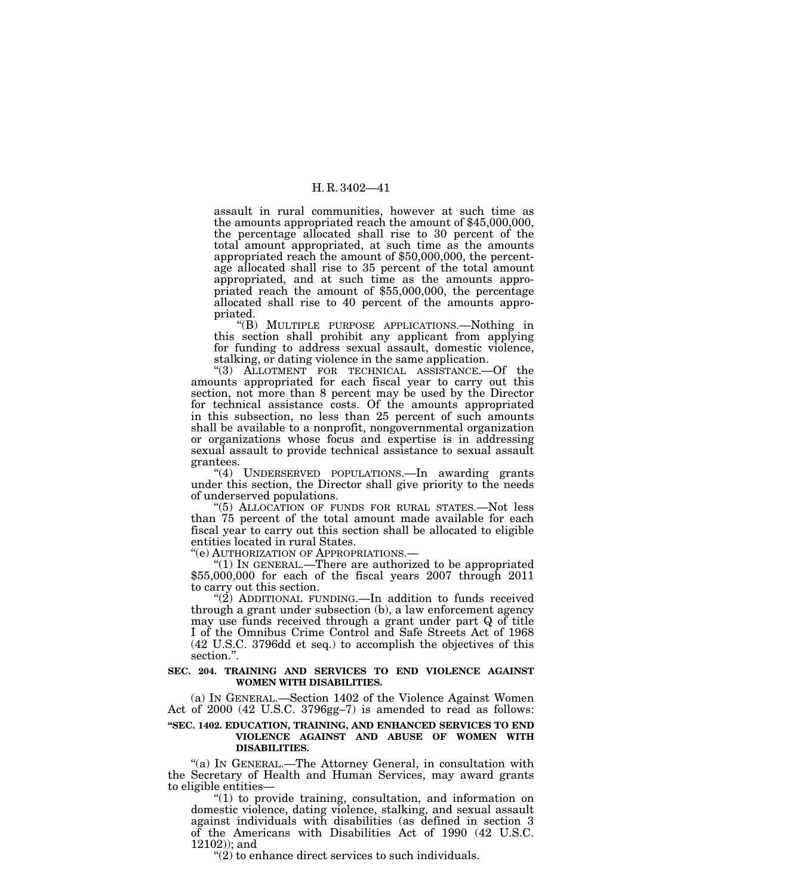assault in rural communities, however at such time as the amounts appropriated reach the amount of \$45,000,000, the percentage allocated shall rise to 30 percent of the total amount appropriated, at such time as the amounts appropriated reach the amount of \$50,000,000, the percentage allocated shall rise to 35 percent of the total amount appropriated, and at such time as the amounts appropriated reach the amount of \$55,000,000, the percentage allocated shall rise to 40 percent of the amounts appropriated.

''(B) MULTIPLE PURPOSE APPLICATIONS.—Nothing in this section shall prohibit any applicant from applying for funding to address sexual assault, domestic violence, stalking, or dating violence in the same application.

"(3) ALLOTMENT FOR TECHNICAL ASSISTANCE.—Of the amounts appropriated for each fiscal year to carry out this section, not more than 8 percent may be used by the Director for technical assistance costs. Of the amounts appropriated in this subsection, no less than 25 percent of such amounts shall be available to a nonprofit, nongovernmental organization or organizations whose focus and expertise is in addressing sexual assault to provide technical assistance to sexual assault grantees.

''(4) UNDERSERVED POPULATIONS.—In awarding grants under this section, the Director shall give priority to the needs of underserved populations.

''(5) ALLOCATION OF FUNDS FOR RURAL STATES.—Not less than 75 percent of the total amount made available for each fiscal year to carry out this section shall be allocated to eligible entities located in rural States.<br>"(e) AUTHORIZATION OF APPROPRIATIONS.—

"(1) IN GENERAL.—There are authorized to be appropriated  $$55,000,000$  for each of the fiscal years 2007 through 2011 to carry out this section.

" $(2)$  ADDITIONAL FUNDING.—In addition to funds received through a grant under subsection (b), a law enforcement agency may use funds received through a grant under part Q of title I of the Omnibus Crime Control and Safe Streets Act of 1968 (42 U.S.C. 3796dd et seq.) to accomplish the objectives of this section.''.

## **SEC. 204. TRAINING AND SERVICES TO END VIOLENCE AGAINST WOMEN WITH DISABILITIES.**

(a) IN GENERAL.—Section 1402 of the Violence Against Women Act of 2000 (42 U.S.C. 3796gg–7) is amended to read as follows:

# **''SEC. 1402. EDUCATION, TRAINING, AND ENHANCED SERVICES TO END VIOLENCE AGAINST AND ABUSE OF WOMEN WITH DISABILITIES.**

''(a) IN GENERAL.—The Attorney General, in consultation with the Secretary of Health and Human Services, may award grants to eligible entities—

''(1) to provide training, consultation, and information on domestic violence, dating violence, stalking, and sexual assault against individuals with disabilities (as defined in section 3 of the Americans with Disabilities Act of 1990 (42 U.S.C. 12102)); and

 $''(2)$  to enhance direct services to such individuals.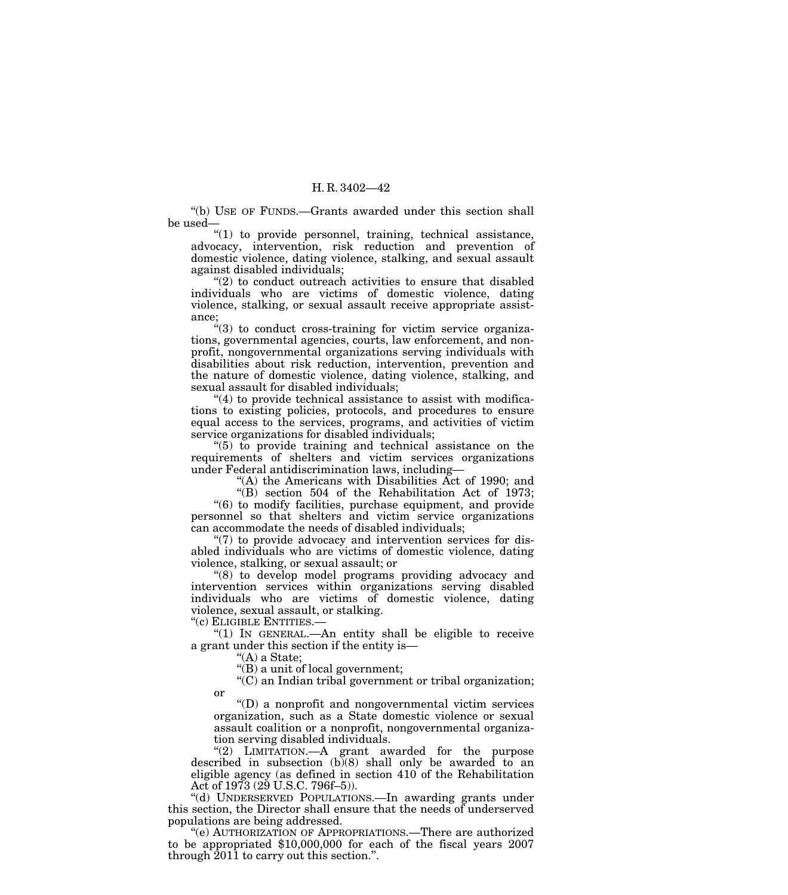''(b) USE OF FUNDS.—Grants awarded under this section shall be used—

 $''(1)$  to provide personnel, training, technical assistance, advocacy, intervention, risk reduction and prevention of domestic violence, dating violence, stalking, and sexual assault against disabled individuals;

 $''(2)$  to conduct outreach activities to ensure that disabled individuals who are victims of domestic violence, dating violence, stalking, or sexual assault receive appropriate assistance;

" $(3)$  to conduct cross-training for victim service organizations, governmental agencies, courts, law enforcement, and nonprofit, nongovernmental organizations serving individuals with disabilities about risk reduction, intervention, prevention and the nature of domestic violence, dating violence, stalking, and sexual assault for disabled individuals;

 $(4)$  to provide technical assistance to assist with modifications to existing policies, protocols, and procedures to ensure equal access to the services, programs, and activities of victim service organizations for disabled individuals;

 $(5)$  to provide training and technical assistance on the requirements of shelters and victim services organizations under Federal antidiscrimination laws, including—

''(A) the Americans with Disabilities Act of 1990; and

''(B) section 504 of the Rehabilitation Act of 1973; ''(6) to modify facilities, purchase equipment, and provide personnel so that shelters and victim service organizations

can accommodate the needs of disabled individuals;  $\degree$ (7) to provide advocacy and intervention services for dis-

abled individuals who are victims of domestic violence, dating violence, stalking, or sexual assault; or

''(8) to develop model programs providing advocacy and intervention services within organizations serving disabled individuals who are victims of domestic violence, dating violence, sexual assault, or stalking.

''(c) ELIGIBLE ENTITIES.—

" $(1)$  In GENERAL.—An entity shall be eligible to receive a grant under this section if the entity is—

''(A) a State;

''(B) a unit of local government;

''(C) an Indian tribal government or tribal organization; or

''(D) a nonprofit and nongovernmental victim services organization, such as a State domestic violence or sexual assault coalition or a nonprofit, nongovernmental organization serving disabled individuals.

"(2) LIMITATION.—A grant awarded for the purpose described in subsection  $(b)(8)$  shall only be awarded to an eligible agency (as defined in section 410 of the Rehabilitation Act of 1973 (29 U.S.C. 796f–5)).

''(d) UNDERSERVED POPULATIONS.—In awarding grants under this section, the Director shall ensure that the needs of underserved populations are being addressed.

''(e) AUTHORIZATION OF APPROPRIATIONS.—There are authorized to be appropriated \$10,000,000 for each of the fiscal years 2007 through 2011 to carry out this section.''.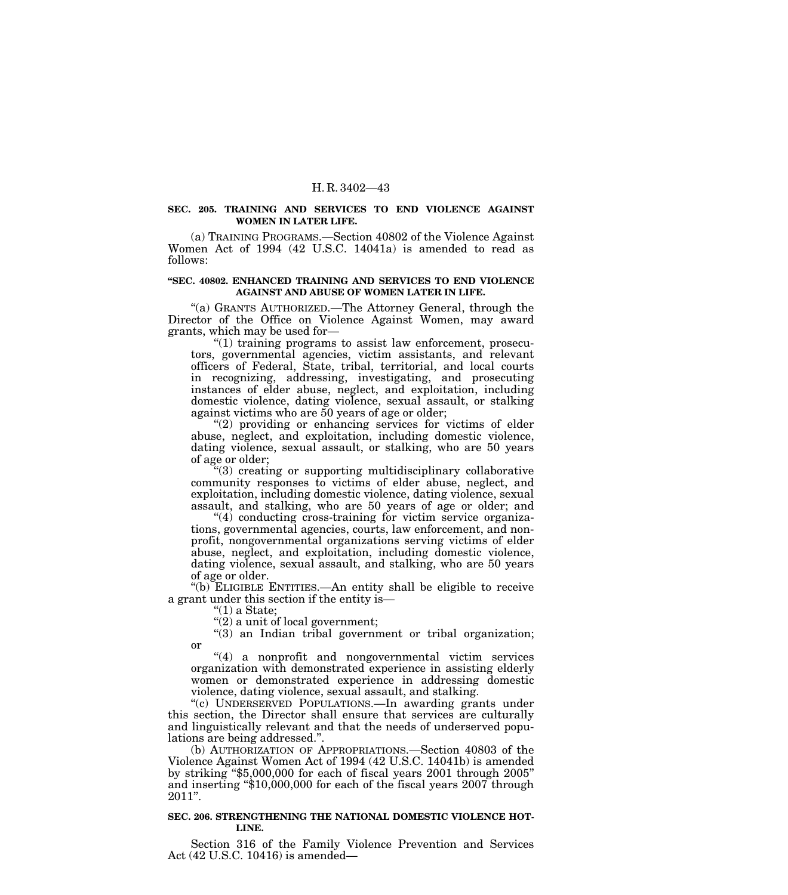## **SEC. 205. TRAINING AND SERVICES TO END VIOLENCE AGAINST WOMEN IN LATER LIFE.**

(a) TRAINING PROGRAMS.—Section 40802 of the Violence Against Women Act of 1994 (42 U.S.C. 14041a) is amended to read as follows:

## **''SEC. 40802. ENHANCED TRAINING AND SERVICES TO END VIOLENCE AGAINST AND ABUSE OF WOMEN LATER IN LIFE.**

''(a) GRANTS AUTHORIZED.—The Attorney General, through the Director of the Office on Violence Against Women, may award grants, which may be used for—

''(1) training programs to assist law enforcement, prosecutors, governmental agencies, victim assistants, and relevant officers of Federal, State, tribal, territorial, and local courts in recognizing, addressing, investigating, and prosecuting instances of elder abuse, neglect, and exploitation, including domestic violence, dating violence, sexual assault, or stalking against victims who are 50 years of age or older;

"(2) providing or enhancing services for victims of elder abuse, neglect, and exploitation, including domestic violence, dating violence, sexual assault, or stalking, who are 50 years of age or older;

''(3) creating or supporting multidisciplinary collaborative community responses to victims of elder abuse, neglect, and exploitation, including domestic violence, dating violence, sexual assault, and stalking, who are 50 years of age or older; and

 $"$ (4) conducting cross-training for victim service organizations, governmental agencies, courts, law enforcement, and nonprofit, nongovernmental organizations serving victims of elder abuse, neglect, and exploitation, including domestic violence, dating violence, sexual assault, and stalking, who are 50 years of age or older.

''(b) ELIGIBLE ENTITIES.—An entity shall be eligible to receive a grant under this section if the entity is—

" $(1)$  a State;

''(2) a unit of local government;

"(3) an Indian tribal government or tribal organization; or

"(4) a nonprofit and nongovernmental victim services organization with demonstrated experience in assisting elderly women or demonstrated experience in addressing domestic violence, dating violence, sexual assault, and stalking.

''(c) UNDERSERVED POPULATIONS.—In awarding grants under this section, the Director shall ensure that services are culturally and linguistically relevant and that the needs of underserved populations are being addressed.''.

(b) AUTHORIZATION OF APPROPRIATIONS.—Section 40803 of the Violence Against Women Act of 1994 (42 U.S.C. 14041b) is amended by striking ''\$5,000,000 for each of fiscal years 2001 through 2005'' and inserting ''\$10,000,000 for each of the fiscal years 2007 through 2011''.

## **SEC. 206. STRENGTHENING THE NATIONAL DOMESTIC VIOLENCE HOT-LINE.**

Section 316 of the Family Violence Prevention and Services Act (42 U.S.C. 10416) is amended—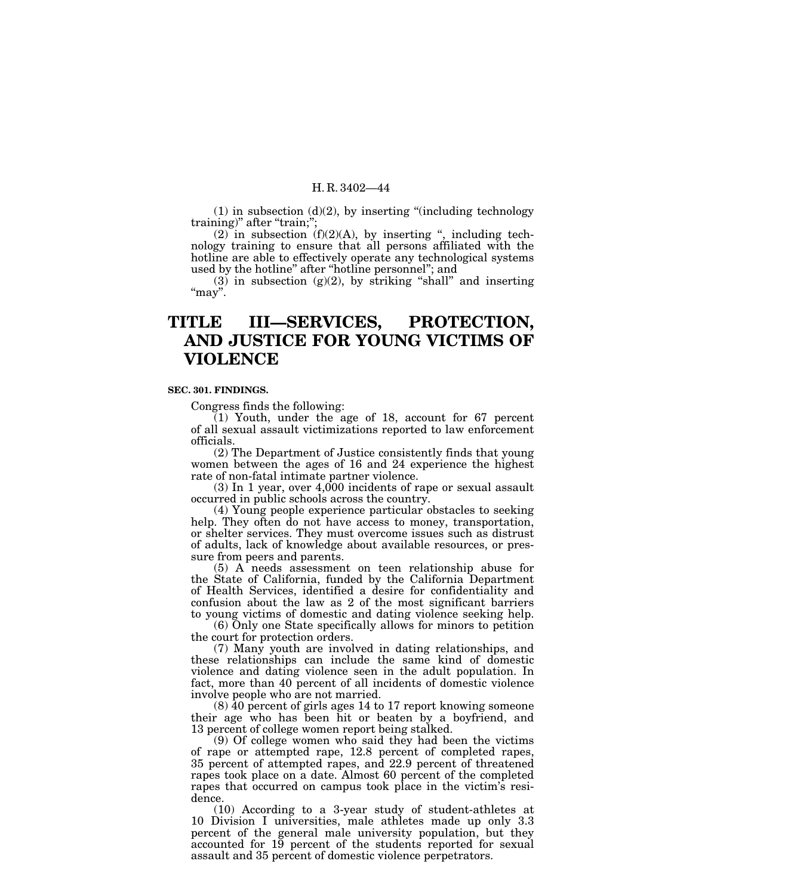(1) in subsection  $(d)(2)$ , by inserting "(including technology training)'' after ''train;'';

 $(2)$  in subsection  $(f)(2)(A)$ , by inserting ", including technology training to ensure that all persons affiliated with the hotline are able to effectively operate any technological systems used by the hotline'' after ''hotline personnel''; and

 $(3)$  in subsection  $(g)(2)$ , by striking "shall" and inserting " $max'$ .

# **TITLE III—SERVICES, PROTECTION, AND JUSTICE FOR YOUNG VICTIMS OF VIOLENCE**

#### **SEC. 301. FINDINGS.**

Congress finds the following:

 $(1)$  Youth, under the age of 18, account for 67 percent of all sexual assault victimizations reported to law enforcement officials.

(2) The Department of Justice consistently finds that young women between the ages of 16 and 24 experience the highest rate of non-fatal intimate partner violence.

 $(3)$  In 1 year, over  $4,000$  incidents of rape or sexual assault occurred in public schools across the country.

(4) Young people experience particular obstacles to seeking help. They often do not have access to money, transportation, or shelter services. They must overcome issues such as distrust of adults, lack of knowledge about available resources, or pressure from peers and parents.

(5) A needs assessment on teen relationship abuse for the State of California, funded by the California Department of Health Services, identified a desire for confidentiality and confusion about the law as 2 of the most significant barriers to young victims of domestic and dating violence seeking help.

(6) Only one State specifically allows for minors to petition the court for protection orders.

(7) Many youth are involved in dating relationships, and these relationships can include the same kind of domestic violence and dating violence seen in the adult population. In fact, more than 40 percent of all incidents of domestic violence involve people who are not married.

(8) 40 percent of girls ages 14 to 17 report knowing someone their age who has been hit or beaten by a boyfriend, and 13 percent of college women report being stalked.

(9) Of college women who said they had been the victims of rape or attempted rape, 12.8 percent of completed rapes, 35 percent of attempted rapes, and 22.9 percent of threatened rapes took place on a date. Almost 60 percent of the completed rapes that occurred on campus took place in the victim's residence.

(10) According to a 3-year study of student-athletes at 10 Division I universities, male athletes made up only 3.3 percent of the general male university population, but they accounted for 19 percent of the students reported for sexual assault and 35 percent of domestic violence perpetrators.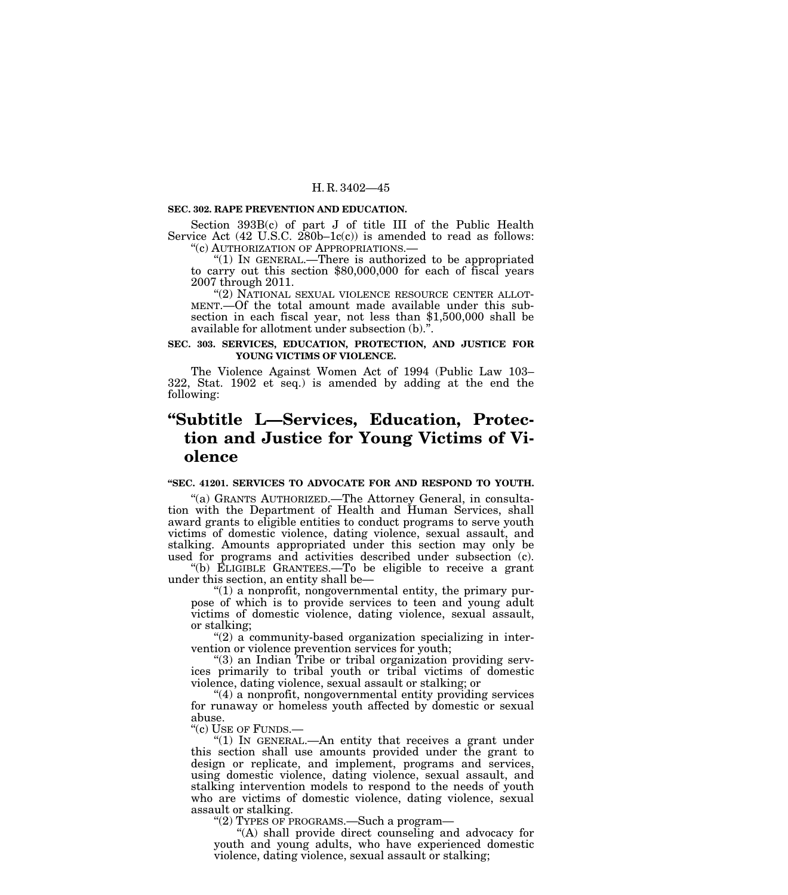## **SEC. 302. RAPE PREVENTION AND EDUCATION.**

Section 393B(c) of part J of title III of the Public Health Service Act  $(42 \text{ U.S.C. } 280b-1c(c))$  is amended to read as follows: ''(c) AUTHORIZATION OF APPROPRIATIONS.—

''(1) IN GENERAL.—There is authorized to be appropriated to carry out this section \$80,000,000 for each of fiscal years 2007 through 2011.

''(2) NATIONAL SEXUAL VIOLENCE RESOURCE CENTER ALLOT-MENT.—Of the total amount made available under this subsection in each fiscal year, not less than \$1,500,000 shall be available for allotment under subsection (b).''.

### **SEC. 303. SERVICES, EDUCATION, PROTECTION, AND JUSTICE FOR YOUNG VICTIMS OF VIOLENCE.**

The Violence Against Women Act of 1994 (Public Law 103– 322, Stat. 1902 et seq.) is amended by adding at the end the following:

# **''Subtitle L—Services, Education, Protection and Justice for Young Victims of Violence**

# **''SEC. 41201. SERVICES TO ADVOCATE FOR AND RESPOND TO YOUTH.**

''(a) GRANTS AUTHORIZED.—The Attorney General, in consultation with the Department of Health and Human Services, shall award grants to eligible entities to conduct programs to serve youth victims of domestic violence, dating violence, sexual assault, and stalking. Amounts appropriated under this section may only be used for programs and activities described under subsection (c).

''(b) ELIGIBLE GRANTEES.—To be eligible to receive a grant under this section, an entity shall be—

" $(1)$  a nonprofit, nongovernmental entity, the primary purpose of which is to provide services to teen and young adult victims of domestic violence, dating violence, sexual assault, or stalking;

 $\degree(2)$  a community-based organization specializing in intervention or violence prevention services for youth;

''(3) an Indian Tribe or tribal organization providing services primarily to tribal youth or tribal victims of domestic violence, dating violence, sexual assault or stalking; or

''(4) a nonprofit, nongovernmental entity providing services for runaway or homeless youth affected by domestic or sexual abuse.

''(c) USE OF FUNDS.—

"(1) In GENERAL.—An entity that receives a grant under this section shall use amounts provided under the grant to design or replicate, and implement, programs and services, using domestic violence, dating violence, sexual assault, and stalking intervention models to respond to the needs of youth who are victims of domestic violence, dating violence, sexual assault or stalking.

''(2) TYPES OF PROGRAMS.—Such a program—

''(A) shall provide direct counseling and advocacy for youth and young adults, who have experienced domestic violence, dating violence, sexual assault or stalking;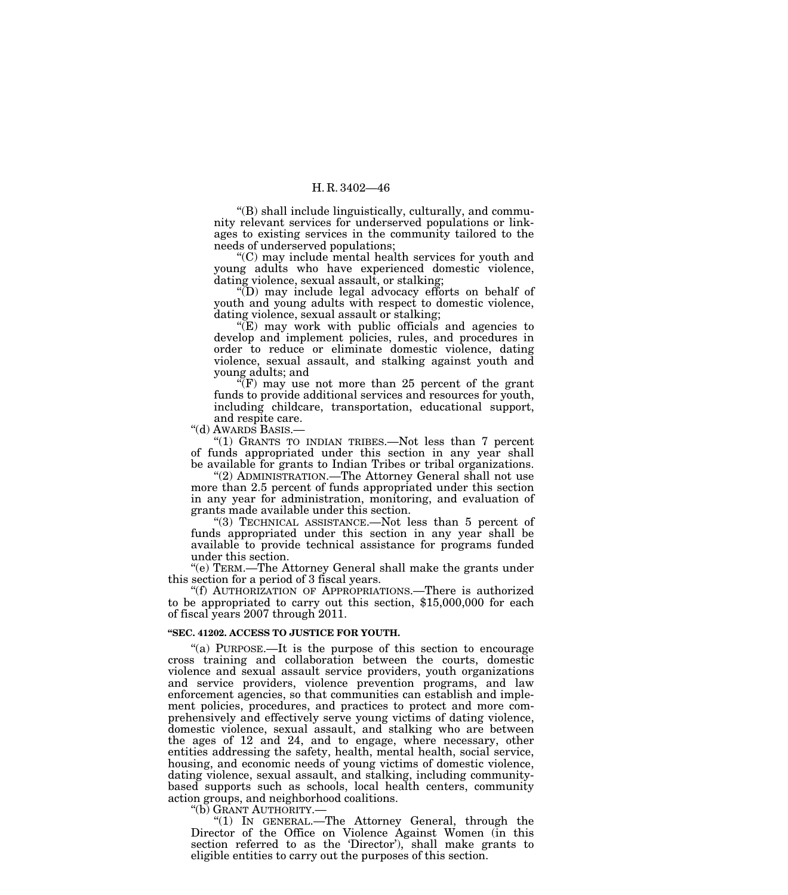''(B) shall include linguistically, culturally, and community relevant services for underserved populations or linkages to existing services in the community tailored to the needs of underserved populations;

''(C) may include mental health services for youth and young adults who have experienced domestic violence, dating violence, sexual assault, or stalking;

''(D) may include legal advocacy efforts on behalf of youth and young adults with respect to domestic violence, dating violence, sexual assault or stalking;

 $\sqrt{\text{E}}$  may work with public officials and agencies to develop and implement policies, rules, and procedures in order to reduce or eliminate domestic violence, dating violence, sexual assault, and stalking against youth and young adults; and

 $\sqrt{\text{F}}$ ) may use not more than 25 percent of the grant funds to provide additional services and resources for youth, including childcare, transportation, educational support, and respite care.<br>
"(d) AWARDS BASIS.

"(1) GRANTS TO INDIAN TRIBES.—Not less than 7 percent of funds appropriated under this section in any year shall be available for grants to Indian Tribes or tribal organizations.

"(2) ADMINISTRATION.—The Attorney General shall not use more than 2.5 percent of funds appropriated under this section in any year for administration, monitoring, and evaluation of grants made available under this section.

''(3) TECHNICAL ASSISTANCE.—Not less than 5 percent of funds appropriated under this section in any year shall be available to provide technical assistance for programs funded under this section.

''(e) TERM.—The Attorney General shall make the grants under this section for a period of 3 fiscal years.

''(f) AUTHORIZATION OF APPROPRIATIONS.—There is authorized to be appropriated to carry out this section, \$15,000,000 for each of fiscal years 2007 through 2011.

# **''SEC. 41202. ACCESS TO JUSTICE FOR YOUTH.**

"(a) PURPOSE.—It is the purpose of this section to encourage cross training and collaboration between the courts, domestic violence and sexual assault service providers, youth organizations and service providers, violence prevention programs, and law enforcement agencies, so that communities can establish and implement policies, procedures, and practices to protect and more comprehensively and effectively serve young victims of dating violence, domestic violence, sexual assault, and stalking who are between the ages of 12 and 24, and to engage, where necessary, other entities addressing the safety, health, mental health, social service, housing, and economic needs of young victims of domestic violence, dating violence, sexual assault, and stalking, including communitybased supports such as schools, local health centers, community action groups, and neighborhood coalitions.

''(b) GRANT AUTHORITY.—

''(1) IN GENERAL.—The Attorney General, through the Director of the Office on Violence Against Women (in this section referred to as the 'Director'), shall make grants to eligible entities to carry out the purposes of this section.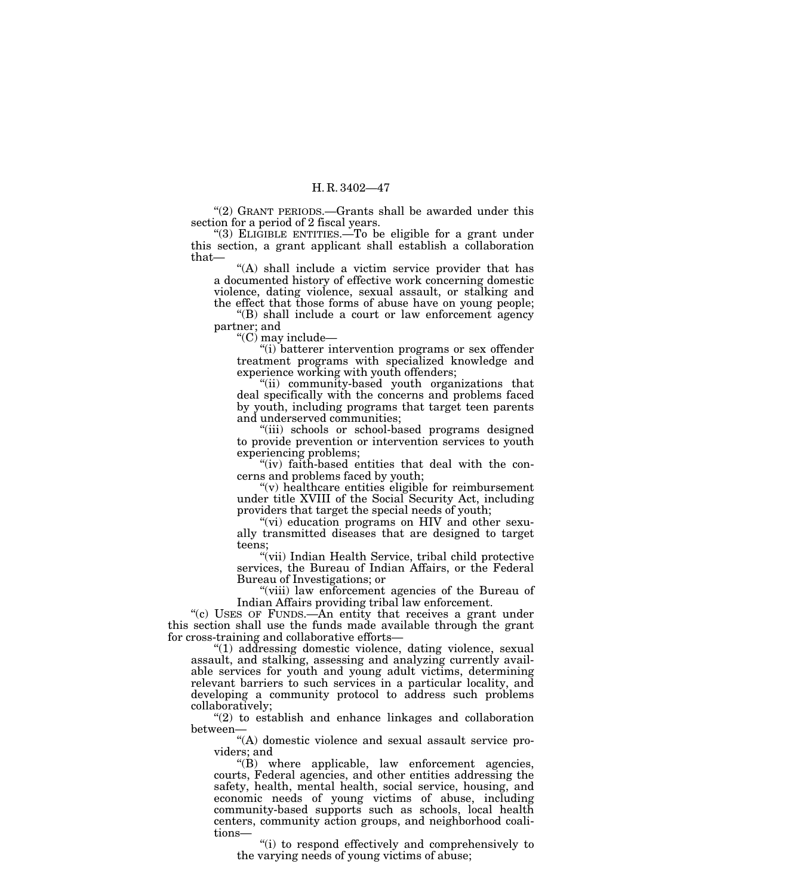"(2) GRANT PERIODS.—Grants shall be awarded under this section for a period of 2 fiscal years.

"(3) ELIGIBLE ENTITIES.—To be eligible for a grant under this section, a grant applicant shall establish a collaboration that—

"(A) shall include a victim service provider that has a documented history of effective work concerning domestic violence, dating violence, sexual assault, or stalking and the effect that those forms of abuse have on young people;

"(B) shall include a court or law enforcement agency" partner; and

''(C) may include—

''(i) batterer intervention programs or sex offender treatment programs with specialized knowledge and experience working with youth offenders;

''(ii) community-based youth organizations that deal specifically with the concerns and problems faced by youth, including programs that target teen parents and underserved communities;

''(iii) schools or school-based programs designed to provide prevention or intervention services to youth experiencing problems;

"(iv) faith-based entities that deal with the concerns and problems faced by youth;

 $''(v)$  healthcare entities eligible for reimbursement under title XVIII of the Social Security Act, including providers that target the special needs of youth;

"(vi) education programs on HIV and other sexually transmitted diseases that are designed to target teens;

''(vii) Indian Health Service, tribal child protective services, the Bureau of Indian Affairs, or the Federal Bureau of Investigations; or

''(viii) law enforcement agencies of the Bureau of Indian Affairs providing tribal law enforcement.

"(c) USES OF FUNDS.—An entity that receives a grant under this section shall use the funds made available through the grant for cross-training and collaborative efforts—

''(1) addressing domestic violence, dating violence, sexual assault, and stalking, assessing and analyzing currently available services for youth and young adult victims, determining relevant barriers to such services in a particular locality, and developing a community protocol to address such problems collaboratively;

''(2) to establish and enhance linkages and collaboration between—

"(A) domestic violence and sexual assault service providers; and

''(B) where applicable, law enforcement agencies, courts, Federal agencies, and other entities addressing the safety, health, mental health, social service, housing, and economic needs of young victims of abuse, including community-based supports such as schools, local health centers, community action groups, and neighborhood coalitions—

''(i) to respond effectively and comprehensively to the varying needs of young victims of abuse;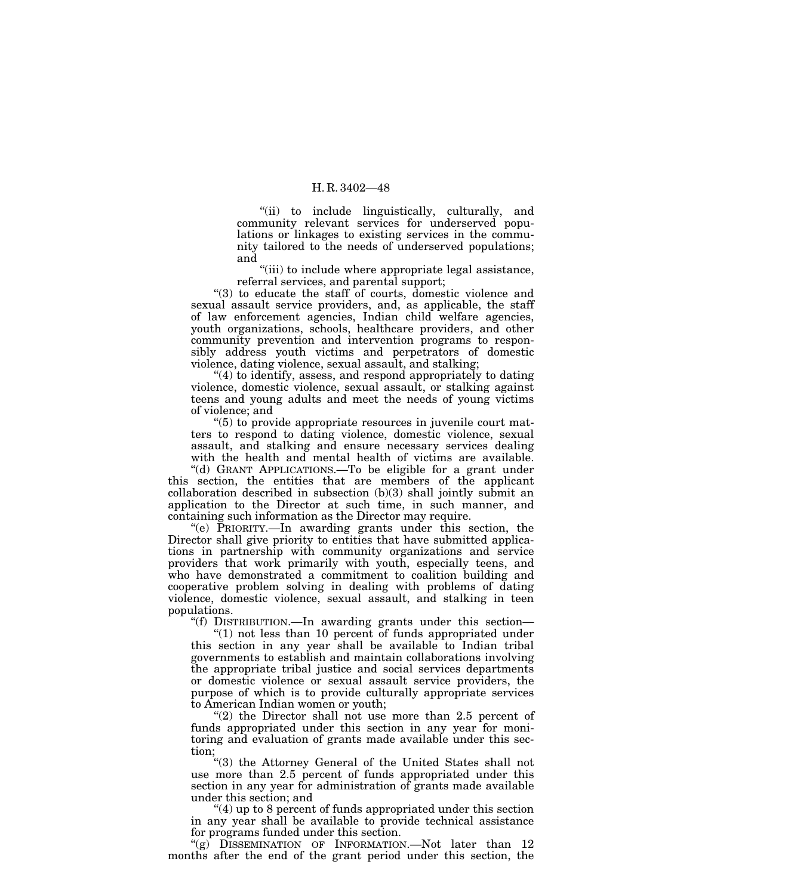''(ii) to include linguistically, culturally, and community relevant services for underserved populations or linkages to existing services in the community tailored to the needs of underserved populations; and

''(iii) to include where appropriate legal assistance, referral services, and parental support;

 $(3)$  to educate the staff of courts, domestic violence and sexual assault service providers, and, as applicable, the staff of law enforcement agencies, Indian child welfare agencies, youth organizations, schools, healthcare providers, and other community prevention and intervention programs to responsibly address youth victims and perpetrators of domestic violence, dating violence, sexual assault, and stalking;

''(4) to identify, assess, and respond appropriately to dating violence, domestic violence, sexual assault, or stalking against teens and young adults and meet the needs of young victims of violence; and

 $(5)$  to provide appropriate resources in juvenile court matters to respond to dating violence, domestic violence, sexual assault, and stalking and ensure necessary services dealing with the health and mental health of victims are available.

''(d) GRANT APPLICATIONS.—To be eligible for a grant under this section, the entities that are members of the applicant collaboration described in subsection (b)(3) shall jointly submit an application to the Director at such time, in such manner, and containing such information as the Director may require.

''(e) PRIORITY.—In awarding grants under this section, the Director shall give priority to entities that have submitted applications in partnership with community organizations and service providers that work primarily with youth, especially teens, and who have demonstrated a commitment to coalition building and cooperative problem solving in dealing with problems of dating violence, domestic violence, sexual assault, and stalking in teen populations.

''(f) DISTRIBUTION.—In awarding grants under this section—

 $"(1)$  not less than 10 percent of funds appropriated under this section in any year shall be available to Indian tribal governments to establish and maintain collaborations involving the appropriate tribal justice and social services departments or domestic violence or sexual assault service providers, the purpose of which is to provide culturally appropriate services to American Indian women or youth;

" $(2)$  the Director shall not use more than 2.5 percent of funds appropriated under this section in any year for monitoring and evaluation of grants made available under this section;

''(3) the Attorney General of the United States shall not use more than 2.5 percent of funds appropriated under this section in any year for administration of grants made available under this section; and

 $"(4)$  up to 8 percent of funds appropriated under this section in any year shall be available to provide technical assistance for programs funded under this section.

" $(g)$  DISSEMINATION OF INFORMATION.—Not later than 12 months after the end of the grant period under this section, the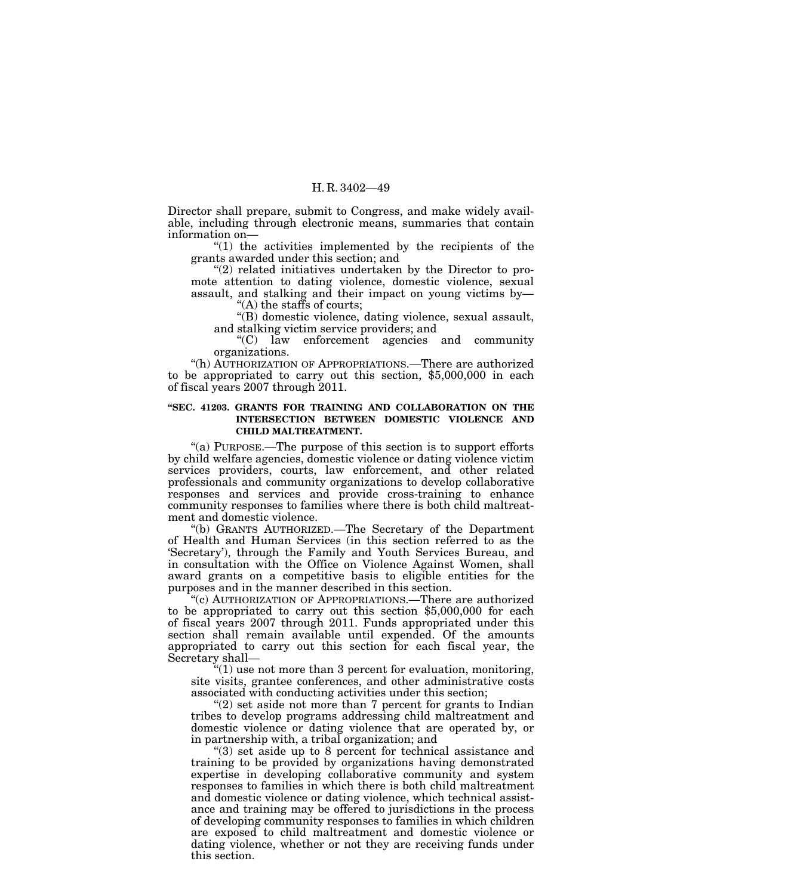Director shall prepare, submit to Congress, and make widely available, including through electronic means, summaries that contain information on—

 $''(1)$  the activities implemented by the recipients of the grants awarded under this section; and

 $''(2)$  related initiatives undertaken by the Director to promote attention to dating violence, domestic violence, sexual assault, and stalking and their impact on young victims by—

''(A) the staffs of courts;

''(B) domestic violence, dating violence, sexual assault, and stalking victim service providers; and

''(C) law enforcement agencies and community organizations.

''(h) AUTHORIZATION OF APPROPRIATIONS.—There are authorized to be appropriated to carry out this section, \$5,000,000 in each of fiscal years 2007 through 2011.

# **''SEC. 41203. GRANTS FOR TRAINING AND COLLABORATION ON THE INTERSECTION BETWEEN DOMESTIC VIOLENCE AND CHILD MALTREATMENT.**

''(a) PURPOSE.—The purpose of this section is to support efforts by child welfare agencies, domestic violence or dating violence victim services providers, courts, law enforcement, and other related professionals and community organizations to develop collaborative responses and services and provide cross-training to enhance community responses to families where there is both child maltreatment and domestic violence.

''(b) GRANTS AUTHORIZED.—The Secretary of the Department of Health and Human Services (in this section referred to as the 'Secretary'), through the Family and Youth Services Bureau, and in consultation with the Office on Violence Against Women, shall award grants on a competitive basis to eligible entities for the purposes and in the manner described in this section.

''(c) AUTHORIZATION OF APPROPRIATIONS.—There are authorized to be appropriated to carry out this section \$5,000,000 for each of fiscal years 2007 through 2011. Funds appropriated under this section shall remain available until expended. Of the amounts appropriated to carry out this section for each fiscal year, the Secretary shall—

 $(1)$  use not more than 3 percent for evaluation, monitoring, site visits, grantee conferences, and other administrative costs associated with conducting activities under this section;

" $(2)$  set aside not more than 7 percent for grants to Indian tribes to develop programs addressing child maltreatment and domestic violence or dating violence that are operated by, or in partnership with, a tribal organization; and

''(3) set aside up to 8 percent for technical assistance and training to be provided by organizations having demonstrated expertise in developing collaborative community and system responses to families in which there is both child maltreatment and domestic violence or dating violence, which technical assistance and training may be offered to jurisdictions in the process of developing community responses to families in which children are exposed to child maltreatment and domestic violence or dating violence, whether or not they are receiving funds under this section.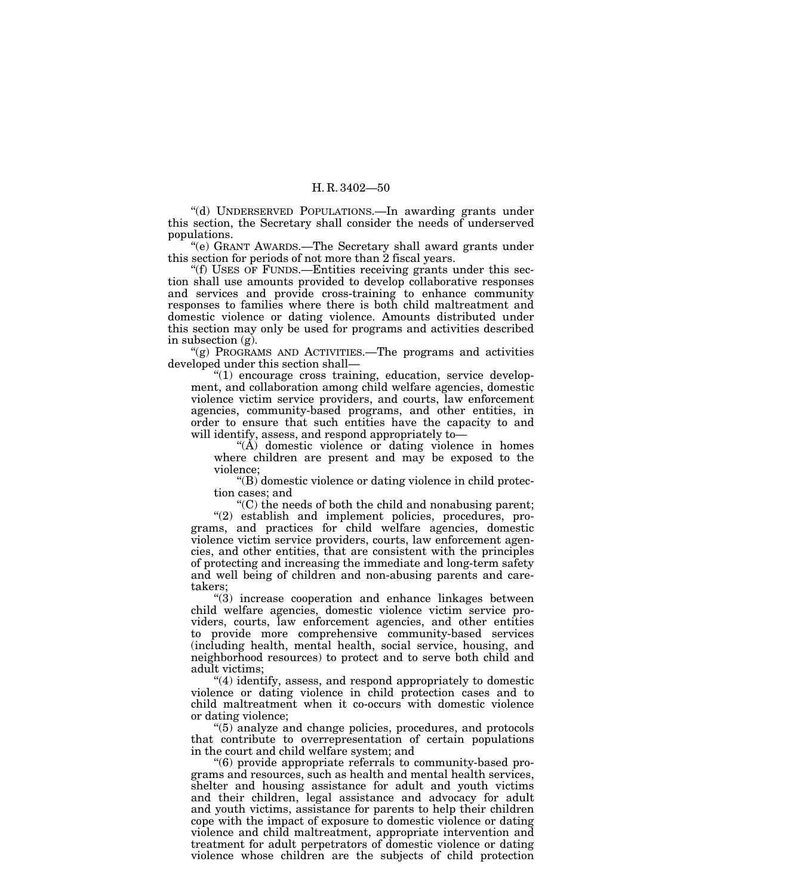''(d) UNDERSERVED POPULATIONS.—In awarding grants under this section, the Secretary shall consider the needs of underserved populations.

''(e) GRANT AWARDS.—The Secretary shall award grants under this section for periods of not more than 2 fiscal years.

''(f) USES OF FUNDS.—Entities receiving grants under this section shall use amounts provided to develop collaborative responses and services and provide cross-training to enhance community responses to families where there is both child maltreatment and domestic violence or dating violence. Amounts distributed under this section may only be used for programs and activities described in subsection (g).

 $\gamma$ (g) PROGRAMS AND ACTIVITIES.—The programs and activities developed under this section shall—

''(1) encourage cross training, education, service development, and collaboration among child welfare agencies, domestic violence victim service providers, and courts, law enforcement agencies, community-based programs, and other entities, in order to ensure that such entities have the capacity to and will identify, assess, and respond appropriately to—

"(A) domestic violence or dating violence in homes where children are present and may be exposed to the violence;

''(B) domestic violence or dating violence in child protection cases; and

 $C$ ) the needs of both the child and nonabusing parent; ''(2) establish and implement policies, procedures, programs, and practices for child welfare agencies, domestic violence victim service providers, courts, law enforcement agencies, and other entities, that are consistent with the principles of protecting and increasing the immediate and long-term safety and well being of children and non-abusing parents and caretakers;

''(3) increase cooperation and enhance linkages between child welfare agencies, domestic violence victim service providers, courts, law enforcement agencies, and other entities to provide more comprehensive community-based services (including health, mental health, social service, housing, and neighborhood resources) to protect and to serve both child and adult victims;

''(4) identify, assess, and respond appropriately to domestic violence or dating violence in child protection cases and to child maltreatment when it co-occurs with domestic violence or dating violence;

''(5) analyze and change policies, procedures, and protocols that contribute to overrepresentation of certain populations in the court and child welfare system; and

''(6) provide appropriate referrals to community-based programs and resources, such as health and mental health services, shelter and housing assistance for adult and youth victims and their children, legal assistance and advocacy for adult and youth victims, assistance for parents to help their children cope with the impact of exposure to domestic violence or dating violence and child maltreatment, appropriate intervention and treatment for adult perpetrators of domestic violence or dating violence whose children are the subjects of child protection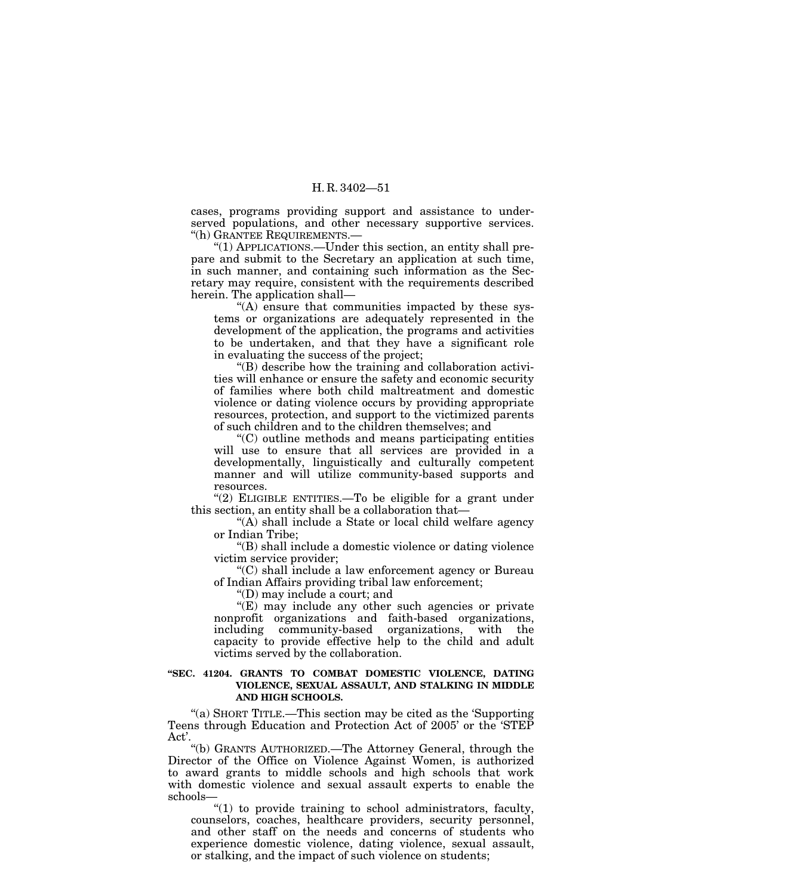cases, programs providing support and assistance to underserved populations, and other necessary supportive services. ''(h) GRANTEE REQUIREMENTS.—

''(1) APPLICATIONS.—Under this section, an entity shall prepare and submit to the Secretary an application at such time, in such manner, and containing such information as the Secretary may require, consistent with the requirements described herein. The application shall—

 $f(A)$  ensure that communities impacted by these systems or organizations are adequately represented in the development of the application, the programs and activities to be undertaken, and that they have a significant role in evaluating the success of the project;

''(B) describe how the training and collaboration activities will enhance or ensure the safety and economic security of families where both child maltreatment and domestic violence or dating violence occurs by providing appropriate resources, protection, and support to the victimized parents of such children and to the children themselves; and

''(C) outline methods and means participating entities will use to ensure that all services are provided in a developmentally, linguistically and culturally competent manner and will utilize community-based supports and resources.

" $(2)$  ELIGIBLE ENTITIES.—To be eligible for a grant under this section, an entity shall be a collaboration that—

"(A) shall include a State or local child welfare agency or Indian Tribe;

''(B) shall include a domestic violence or dating violence victim service provider;

''(C) shall include a law enforcement agency or Bureau of Indian Affairs providing tribal law enforcement;

''(D) may include a court; and

"(E) may include any other such agencies or private nonprofit organizations and faith-based organizations, including community-based organizations, with the capacity to provide effective help to the child and adult victims served by the collaboration.

### **''SEC. 41204. GRANTS TO COMBAT DOMESTIC VIOLENCE, DATING VIOLENCE, SEXUAL ASSAULT, AND STALKING IN MIDDLE AND HIGH SCHOOLS.**

''(a) SHORT TITLE.—This section may be cited as the 'Supporting Teens through Education and Protection Act of 2005' or the 'STEP Act'.

''(b) GRANTS AUTHORIZED.—The Attorney General, through the Director of the Office on Violence Against Women, is authorized to award grants to middle schools and high schools that work with domestic violence and sexual assault experts to enable the schools—

''(1) to provide training to school administrators, faculty, counselors, coaches, healthcare providers, security personnel, and other staff on the needs and concerns of students who experience domestic violence, dating violence, sexual assault, or stalking, and the impact of such violence on students;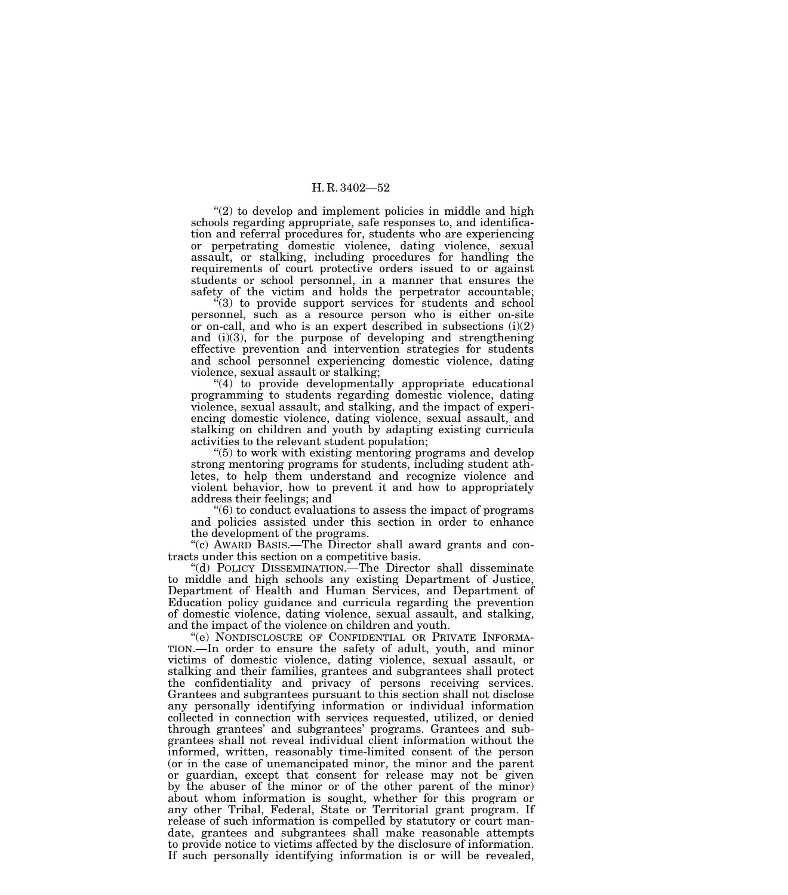$(2)$  to develop and implement policies in middle and high schools regarding appropriate, safe responses to, and identification and referral procedures for, students who are experiencing or perpetrating domestic violence, dating violence, sexual assault, or stalking, including procedures for handling the requirements of court protective orders issued to or against students or school personnel, in a manner that ensures the safety of the victim and holds the perpetrator accountable;

 $(3)$  to provide support services for students and school personnel, such as a resource person who is either on-site or on-call, and who is an expert described in subsections  $(i)(2)$ and (i)(3), for the purpose of developing and strengthening effective prevention and intervention strategies for students and school personnel experiencing domestic violence, dating violence, sexual assault or stalking;

"(4) to provide developmentally appropriate educational programming to students regarding domestic violence, dating violence, sexual assault, and stalking, and the impact of experiencing domestic violence, dating violence, sexual assault, and stalking on children and youth by adapting existing curricula activities to the relevant student population;

''(5) to work with existing mentoring programs and develop strong mentoring programs for students, including student athletes, to help them understand and recognize violence and violent behavior, how to prevent it and how to appropriately address their feelings; and

''(6) to conduct evaluations to assess the impact of programs and policies assisted under this section in order to enhance the development of the programs.

''(c) AWARD BASIS.—The Director shall award grants and contracts under this section on a competitive basis.

''(d) POLICY DISSEMINATION.—The Director shall disseminate to middle and high schools any existing Department of Justice, Department of Health and Human Services, and Department of Education policy guidance and curricula regarding the prevention of domestic violence, dating violence, sexual assault, and stalking,

and the impact of the violence on children and youth.<br>"(e) NONDISCLOSURE OF CONFIDENTIAL OR PRIVATE INFORMA-TION.—In order to ensure the safety of adult, youth, and minor victims of domestic violence, dating violence, sexual assault, or stalking and their families, grantees and subgrantees shall protect the confidentiality and privacy of persons receiving services. Grantees and subgrantees pursuant to this section shall not disclose any personally identifying information or individual information collected in connection with services requested, utilized, or denied through grantees' and subgrantees' programs. Grantees and subgrantees shall not reveal individual client information without the informed, written, reasonably time-limited consent of the person (or in the case of unemancipated minor, the minor and the parent or guardian, except that consent for release may not be given by the abuser of the minor or of the other parent of the minor) about whom information is sought, whether for this program or any other Tribal, Federal, State or Territorial grant program. If release of such information is compelled by statutory or court mandate, grantees and subgrantees shall make reasonable attempts to provide notice to victims affected by the disclosure of information. If such personally identifying information is or will be revealed,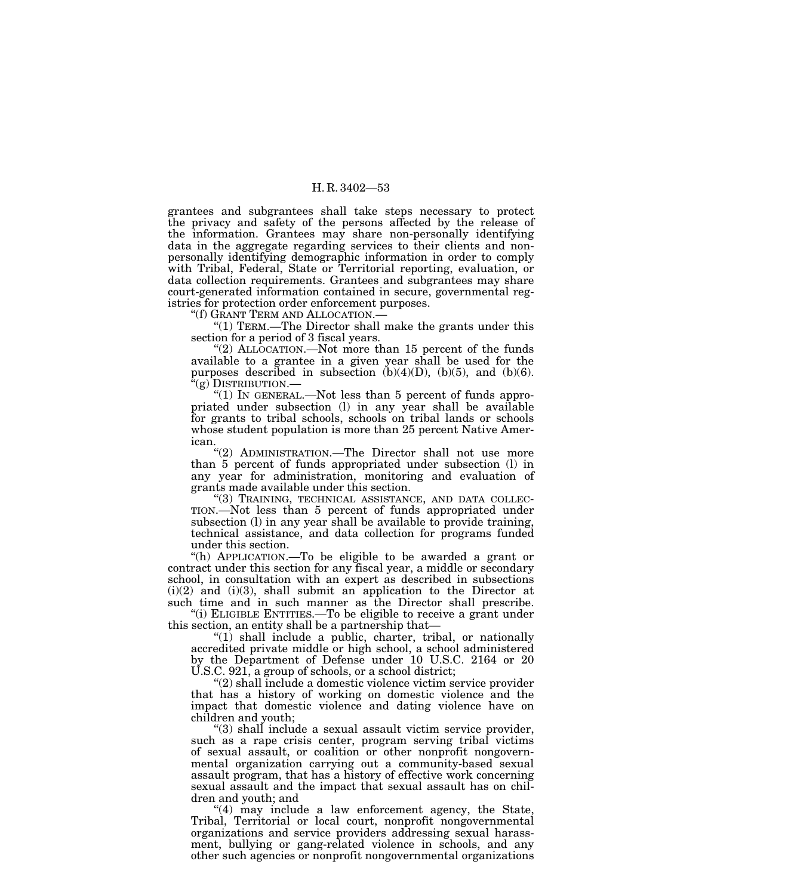grantees and subgrantees shall take steps necessary to protect the privacy and safety of the persons affected by the release of the information. Grantees may share non-personally identifying data in the aggregate regarding services to their clients and nonpersonally identifying demographic information in order to comply with Tribal, Federal, State or Territorial reporting, evaluation, or data collection requirements. Grantees and subgrantees may share court-generated information contained in secure, governmental registries for protection order enforcement purposes.

''(f) GRANT TERM AND ALLOCATION.—

 $''(1)$  TERM.—The Director shall make the grants under this section for a period of 3 fiscal years.

"(2) ALLOCATION.—Not more than 15 percent of the funds available to a grantee in a given year shall be used for the purposes described in subsection  $(b)(4)(D)$ ,  $(b)(5)$ , and  $(b)(6)$ . ''(g) DISTRIBUTION.—

" $(1)$  IN GENERAL.—Not less than 5 percent of funds appropriated under subsection (l) in any year shall be available for grants to tribal schools, schools on tribal lands or schools whose student population is more than 25 percent Native American.

''(2) ADMINISTRATION.—The Director shall not use more than 5 percent of funds appropriated under subsection (l) in any year for administration, monitoring and evaluation of grants made available under this section.

"(3) TRAINING, TECHNICAL ASSISTANCE, AND DATA COLLEC-TION.—Not less than 5 percent of funds appropriated under subsection (l) in any year shall be available to provide training, technical assistance, and data collection for programs funded under this section.

''(h) APPLICATION.—To be eligible to be awarded a grant or contract under this section for any fiscal year, a middle or secondary school, in consultation with an expert as described in subsections (i)(2) and (i)(3), shall submit an application to the Director at such time and in such manner as the Director shall prescribe.

''(i) ELIGIBLE ENTITIES.—To be eligible to receive a grant under this section, an entity shall be a partnership that—

 $(1)$  shall include a public, charter, tribal, or nationally accredited private middle or high school, a school administered by the Department of Defense under 10 U.S.C. 2164 or 20 U.S.C. 921, a group of schools, or a school district;

''(2) shall include a domestic violence victim service provider that has a history of working on domestic violence and the impact that domestic violence and dating violence have on children and youth;

''(3) shall include a sexual assault victim service provider, such as a rape crisis center, program serving tribal victims of sexual assault, or coalition or other nonprofit nongovernmental organization carrying out a community-based sexual assault program, that has a history of effective work concerning sexual assault and the impact that sexual assault has on children and youth; and

"(4) may include a law enforcement agency, the State, Tribal, Territorial or local court, nonprofit nongovernmental organizations and service providers addressing sexual harassment, bullying or gang-related violence in schools, and any other such agencies or nonprofit nongovernmental organizations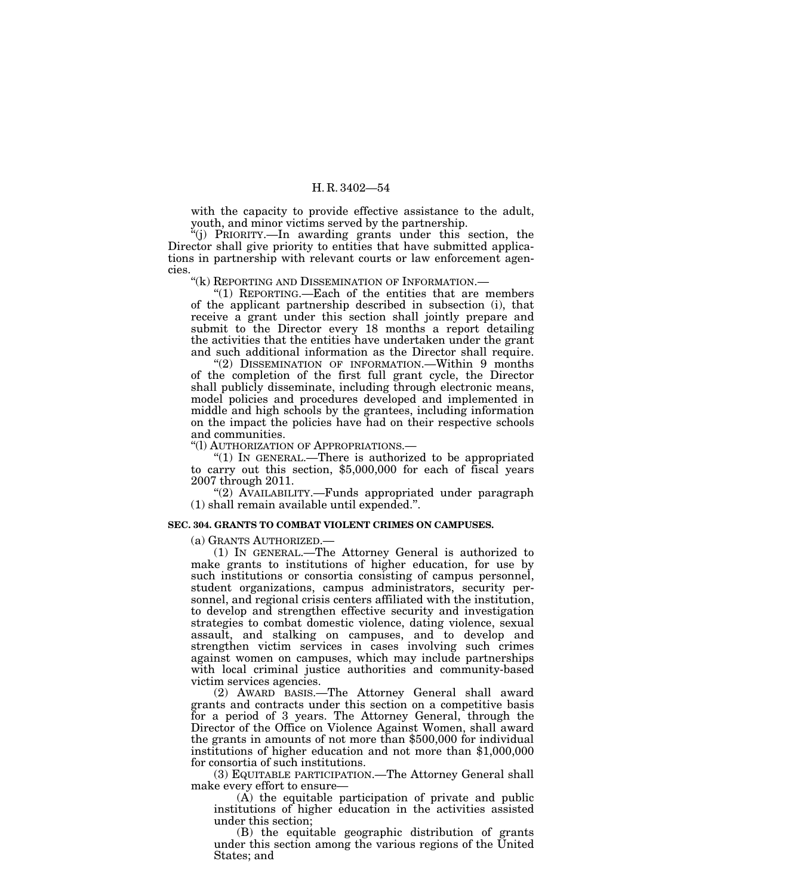with the capacity to provide effective assistance to the adult, youth, and minor victims served by the partnership.

''(j) PRIORITY.—In awarding grants under this section, the Director shall give priority to entities that have submitted applications in partnership with relevant courts or law enforcement agencies.

"(k) REPORTING AND DISSEMINATION OF INFORMATION.-

''(1) REPORTING.—Each of the entities that are members of the applicant partnership described in subsection (i), that receive a grant under this section shall jointly prepare and submit to the Director every 18 months a report detailing the activities that the entities have undertaken under the grant and such additional information as the Director shall require.

''(2) DISSEMINATION OF INFORMATION.—Within 9 months of the completion of the first full grant cycle, the Director shall publicly disseminate, including through electronic means, model policies and procedures developed and implemented in middle and high schools by the grantees, including information on the impact the policies have had on their respective schools and communities.

''(l) AUTHORIZATION OF APPROPRIATIONS.—

" $(1)$  In GENERAL.—There is authorized to be appropriated to carry out this section, \$5,000,000 for each of fiscal years 2007 through 2011.

''(2) AVAILABILITY.—Funds appropriated under paragraph (1) shall remain available until expended.''.

#### **SEC. 304. GRANTS TO COMBAT VIOLENT CRIMES ON CAMPUSES.**

(a) GRANTS AUTHORIZED.—

(1) IN GENERAL.—The Attorney General is authorized to make grants to institutions of higher education, for use by such institutions or consortia consisting of campus personnel, student organizations, campus administrators, security personnel, and regional crisis centers affiliated with the institution, to develop and strengthen effective security and investigation strategies to combat domestic violence, dating violence, sexual assault, and stalking on campuses, and to develop and strengthen victim services in cases involving such crimes against women on campuses, which may include partnerships with local criminal justice authorities and community-based victim services agencies.

(2) AWARD BASIS.—The Attorney General shall award grants and contracts under this section on a competitive basis for a period of 3 years. The Attorney General, through the Director of the Office on Violence Against Women, shall award the grants in amounts of not more than \$500,000 for individual institutions of higher education and not more than \$1,000,000 for consortia of such institutions.

(3) EQUITABLE PARTICIPATION.—The Attorney General shall make every effort to ensure—

(A) the equitable participation of private and public institutions of higher education in the activities assisted under this section;

(B) the equitable geographic distribution of grants under this section among the various regions of the United States; and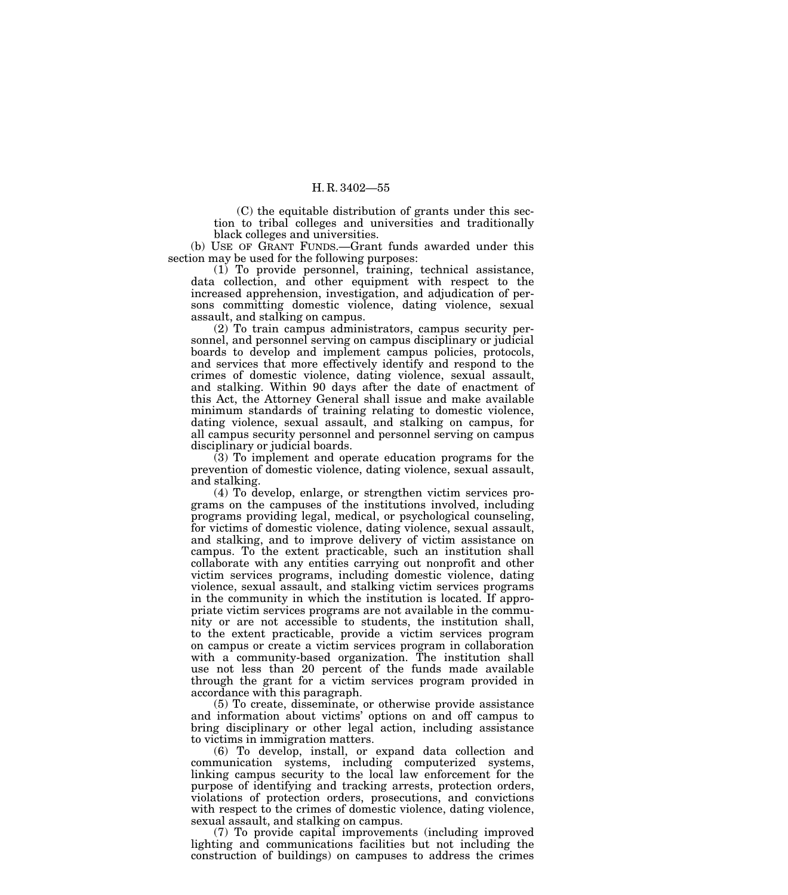(C) the equitable distribution of grants under this section to tribal colleges and universities and traditionally black colleges and universities.

(b) USE OF GRANT FUNDS.—Grant funds awarded under this section may be used for the following purposes:

(1) To provide personnel, training, technical assistance, data collection, and other equipment with respect to the increased apprehension, investigation, and adjudication of persons committing domestic violence, dating violence, sexual assault, and stalking on campus.

(2) To train campus administrators, campus security personnel, and personnel serving on campus disciplinary or judicial boards to develop and implement campus policies, protocols, and services that more effectively identify and respond to the crimes of domestic violence, dating violence, sexual assault, and stalking. Within 90 days after the date of enactment of this Act, the Attorney General shall issue and make available minimum standards of training relating to domestic violence, dating violence, sexual assault, and stalking on campus, for all campus security personnel and personnel serving on campus disciplinary or judicial boards.

(3) To implement and operate education programs for the prevention of domestic violence, dating violence, sexual assault, and stalking.

(4) To develop, enlarge, or strengthen victim services programs on the campuses of the institutions involved, including programs providing legal, medical, or psychological counseling, for victims of domestic violence, dating violence, sexual assault, and stalking, and to improve delivery of victim assistance on campus. To the extent practicable, such an institution shall collaborate with any entities carrying out nonprofit and other victim services programs, including domestic violence, dating violence, sexual assault, and stalking victim services programs in the community in which the institution is located. If appropriate victim services programs are not available in the community or are not accessible to students, the institution shall, to the extent practicable, provide a victim services program on campus or create a victim services program in collaboration with a community-based organization. The institution shall use not less than 20 percent of the funds made available through the grant for a victim services program provided in accordance with this paragraph.

(5) To create, disseminate, or otherwise provide assistance and information about victims' options on and off campus to bring disciplinary or other legal action, including assistance to victims in immigration matters.

(6) To develop, install, or expand data collection and communication systems, including computerized systems, linking campus security to the local law enforcement for the purpose of identifying and tracking arrests, protection orders, violations of protection orders, prosecutions, and convictions with respect to the crimes of domestic violence, dating violence, sexual assault, and stalking on campus.

(7) To provide capital improvements (including improved lighting and communications facilities but not including the construction of buildings) on campuses to address the crimes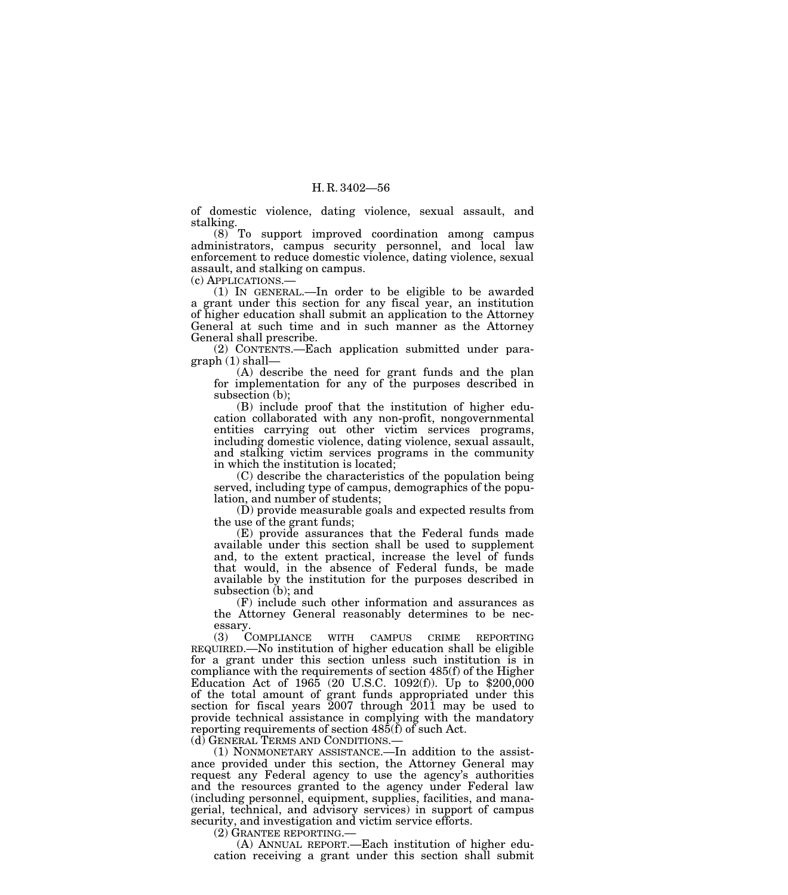of domestic violence, dating violence, sexual assault, and stalking.

(8) To support improved coordination among campus administrators, campus security personnel, and local law enforcement to reduce domestic violence, dating violence, sexual assault, and stalking on campus.

(c) APPLICATIONS.—

(1) IN GENERAL.—In order to be eligible to be awarded a grant under this section for any fiscal year, an institution of higher education shall submit an application to the Attorney General at such time and in such manner as the Attorney General shall prescribe.

(2) CONTENTS.—Each application submitted under paragraph (1) shall—

(A) describe the need for grant funds and the plan for implementation for any of the purposes described in subsection (b);

(B) include proof that the institution of higher education collaborated with any non-profit, nongovernmental entities carrying out other victim services programs, including domestic violence, dating violence, sexual assault, and stalking victim services programs in the community in which the institution is located;

(C) describe the characteristics of the population being served, including type of campus, demographics of the population, and number of students;

(D) provide measurable goals and expected results from the use of the grant funds;

(E) provide assurances that the Federal funds made available under this section shall be used to supplement and, to the extent practical, increase the level of funds that would, in the absence of Federal funds, be made available by the institution for the purposes described in subsection (b); and

(F) include such other information and assurances as the Attorney General reasonably determines to be necessary.

(3) COMPLIANCE WITH CAMPUS CRIME REPORTING REQUIRED.—No institution of higher education shall be eligible for a grant under this section unless such institution is in compliance with the requirements of section 485(f) of the Higher Education Act of 1965 (20 U.S.C. 1092(f)). Up to \$200,000 of the total amount of grant funds appropriated under this section for fiscal years 2007 through 2011 may be used to provide technical assistance in complying with the mandatory reporting requirements of section 485(f) of such Act.

(d) GENERAL TERMS AND CONDITIONS.—

(1) NONMONETARY ASSISTANCE.—In addition to the assistance provided under this section, the Attorney General may request any Federal agency to use the agency's authorities and the resources granted to the agency under Federal law (including personnel, equipment, supplies, facilities, and managerial, technical, and advisory services) in support of campus security, and investigation and victim service efforts.

(2) GRANTEE REPORTING.—

(A) ANNUAL REPORT.—Each institution of higher education receiving a grant under this section shall submit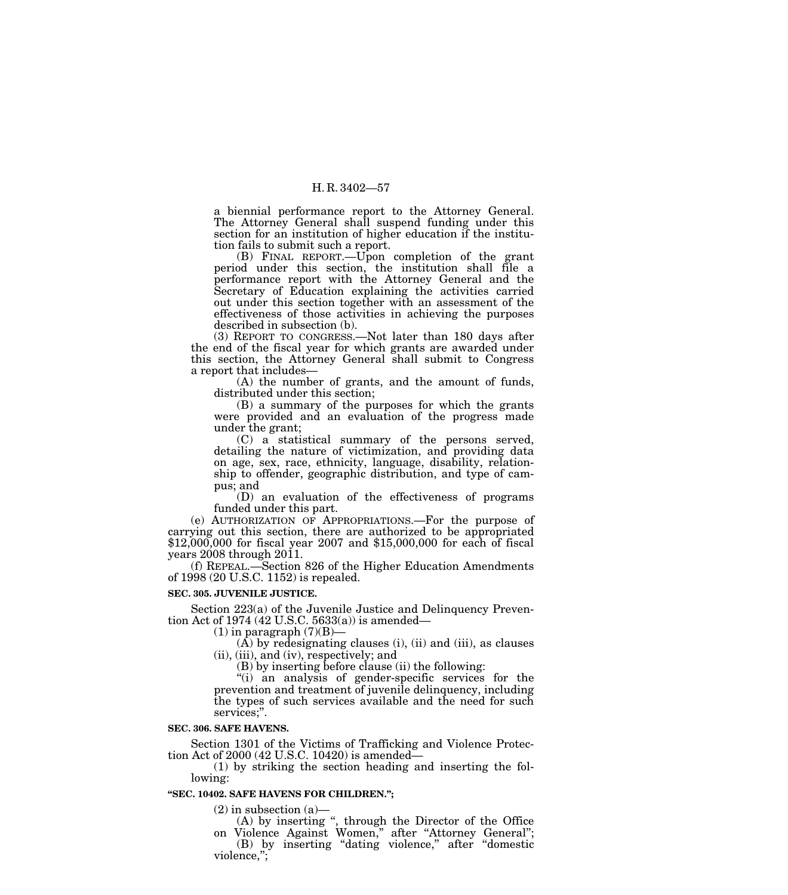a biennial performance report to the Attorney General. The Attorney General shall suspend funding under this section for an institution of higher education if the institution fails to submit such a report.

(B) FINAL REPORT.—Upon completion of the grant period under this section, the institution shall file a performance report with the Attorney General and the Secretary of Education explaining the activities carried out under this section together with an assessment of the effectiveness of those activities in achieving the purposes described in subsection (b).

(3) REPORT TO CONGRESS.—Not later than 180 days after the end of the fiscal year for which grants are awarded under this section, the Attorney General shall submit to Congress a report that includes—

(A) the number of grants, and the amount of funds, distributed under this section;

(B) a summary of the purposes for which the grants were provided and an evaluation of the progress made under the grant;

(C) a statistical summary of the persons served, detailing the nature of victimization, and providing data on age, sex, race, ethnicity, language, disability, relationship to offender, geographic distribution, and type of campus; and

(D) an evaluation of the effectiveness of programs funded under this part.

(e) AUTHORIZATION OF APPROPRIATIONS.—For the purpose of carrying out this section, there are authorized to be appropriated \$12,000,000 for fiscal year 2007 and \$15,000,000 for each of fiscal years 2008 through 2011.

(f) REPEAL.—Section 826 of the Higher Education Amendments of 1998 (20 U.S.C. 1152) is repealed.

### **SEC. 305. JUVENILE JUSTICE.**

Section 223(a) of the Juvenile Justice and Delinquency Prevention Act of 1974 (42 U.S.C. 5633(a)) is amended—

 $(1)$  in paragraph  $(7)(B)$ —

 $(\hat{A})$  by redesignating clauses (i), (ii) and (iii), as clauses (ii), (iii), and (iv), respectively; and

(B) by inserting before clause (ii) the following:

"(i) an analysis of gender-specific services for the prevention and treatment of juvenile delinquency, including the types of such services available and the need for such services;".

### **SEC. 306. SAFE HAVENS.**

Section 1301 of the Victims of Trafficking and Violence Protection Act of 2000 (42 U.S.C. 10420) is amended—

(1) by striking the section heading and inserting the following:

### **''SEC. 10402. SAFE HAVENS FOR CHILDREN.'';**

 $(2)$  in subsection  $(a)$ 

(A) by inserting '', through the Director of the Office on Violence Against Women," after "Attorney General";

(B) by inserting ''dating violence,'' after ''domestic violence,'';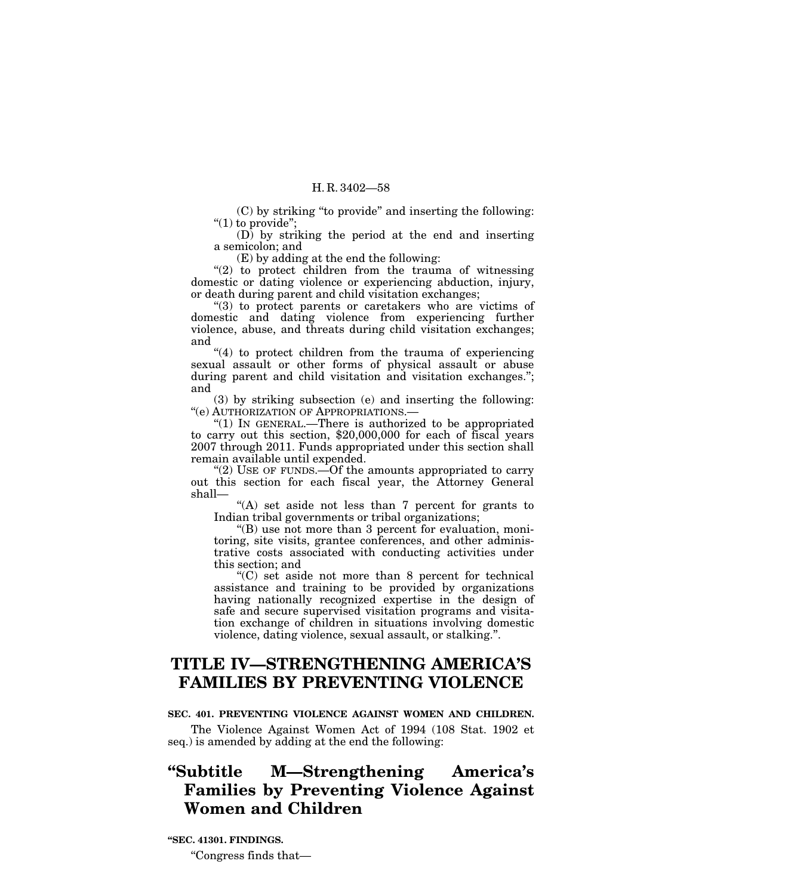(C) by striking ''to provide'' and inserting the following: " $(1)$  to provide";

(D) by striking the period at the end and inserting a semicolon; and

(E) by adding at the end the following:

 $''(2)$  to protect children from the trauma of witnessing domestic or dating violence or experiencing abduction, injury, or death during parent and child visitation exchanges;

"(3) to protect parents or caretakers who are victims of domestic and dating violence from experiencing further violence, abuse, and threats during child visitation exchanges; and

 $(4)$  to protect children from the trauma of experiencing sexual assault or other forms of physical assault or abuse during parent and child visitation and visitation exchanges.''; and

(3) by striking subsection (e) and inserting the following: ''(e) AUTHORIZATION OF APPROPRIATIONS.—

" $(1)$  IN GENERAL.—There is authorized to be appropriated to carry out this section, \$20,000,000 for each of fiscal years 2007 through 2011. Funds appropriated under this section shall remain available until expended.

" $(2)$  USE OF FUNDS.—Of the amounts appropriated to carry out this section for each fiscal year, the Attorney General shall—

"(A) set aside not less than  $7$  percent for grants to Indian tribal governments or tribal organizations;

"(B) use not more than 3 percent for evaluation, monitoring, site visits, grantee conferences, and other administrative costs associated with conducting activities under this section; and

''(C) set aside not more than 8 percent for technical assistance and training to be provided by organizations having nationally recognized expertise in the design of safe and secure supervised visitation programs and visitation exchange of children in situations involving domestic violence, dating violence, sexual assault, or stalking.''.

# **TITLE IV—STRENGTHENING AMERICA'S FAMILIES BY PREVENTING VIOLENCE**

# **SEC. 401. PREVENTING VIOLENCE AGAINST WOMEN AND CHILDREN.**

The Violence Against Women Act of 1994 (108 Stat. 1902 et seq.) is amended by adding at the end the following:

# **''Subtitle M—Strengthening America's Families by Preventing Violence Against Women and Children**

# **''SEC. 41301. FINDINGS.**

''Congress finds that—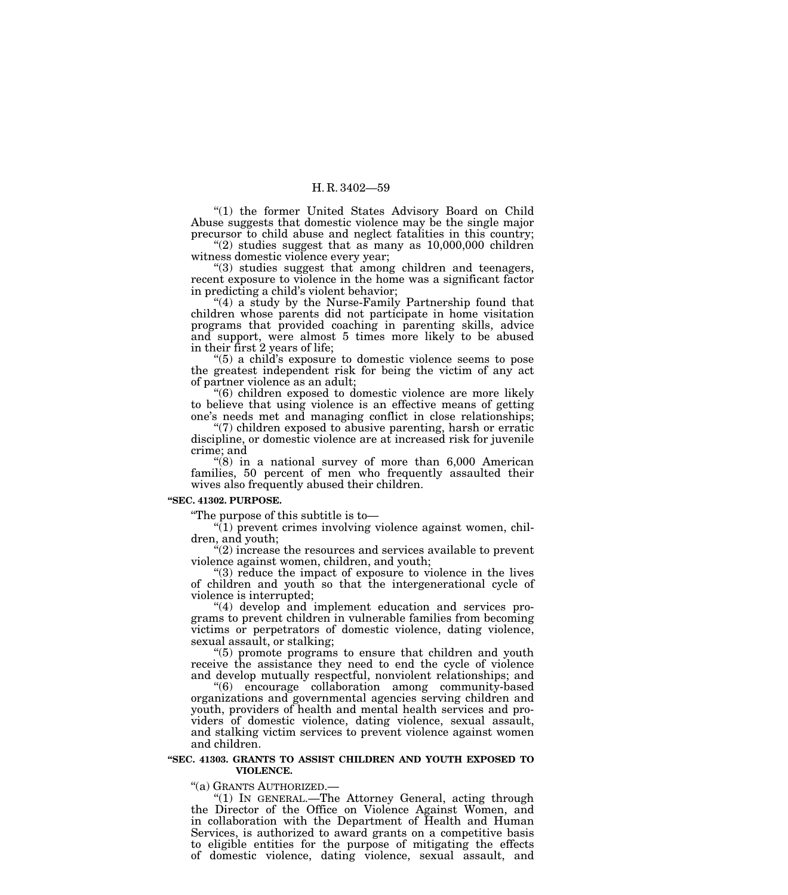''(1) the former United States Advisory Board on Child Abuse suggests that domestic violence may be the single major precursor to child abuse and neglect fatalities in this country;

" $(2)$  studies suggest that as many as  $10,000,000$  children witness domestic violence every year;

"(3) studies suggest that among children and teenagers, recent exposure to violence in the home was a significant factor in predicting a child's violent behavior;

''(4) a study by the Nurse-Family Partnership found that children whose parents did not participate in home visitation programs that provided coaching in parenting skills, advice and support, were almost 5 times more likely to be abused in their first 2 years of life;

''(5) a child's exposure to domestic violence seems to pose the greatest independent risk for being the victim of any act of partner violence as an adult;

''(6) children exposed to domestic violence are more likely to believe that using violence is an effective means of getting one's needs met and managing conflict in close relationships;

" $(7)$  children exposed to abusive parenting, harsh or erratic discipline, or domestic violence are at increased risk for juvenile crime; and

''(8) in a national survey of more than 6,000 American families, 50 percent of men who frequently assaulted their wives also frequently abused their children.

#### **''SEC. 41302. PURPOSE.**

''The purpose of this subtitle is to—

 $\sqrt{\ }$ (1) prevent crimes involving violence against women, children, and youth;

"(2) increase the resources and services available to prevent violence against women, children, and youth;

''(3) reduce the impact of exposure to violence in the lives of children and youth so that the intergenerational cycle of violence is interrupted;

''(4) develop and implement education and services programs to prevent children in vulnerable families from becoming victims or perpetrators of domestic violence, dating violence, sexual assault, or stalking;

''(5) promote programs to ensure that children and youth receive the assistance they need to end the cycle of violence and develop mutually respectful, nonviolent relationships; and

''(6) encourage collaboration among community-based organizations and governmental agencies serving children and youth, providers of health and mental health services and providers of domestic violence, dating violence, sexual assault, and stalking victim services to prevent violence against women and children.

#### **''SEC. 41303. GRANTS TO ASSIST CHILDREN AND YOUTH EXPOSED TO VIOLENCE.**

''(a) GRANTS AUTHORIZED.— ''(1) IN GENERAL.—The Attorney General, acting through the Director of the Office on Violence Against Women, and in collaboration with the Department of Health and Human Services, is authorized to award grants on a competitive basis to eligible entities for the purpose of mitigating the effects of domestic violence, dating violence, sexual assault, and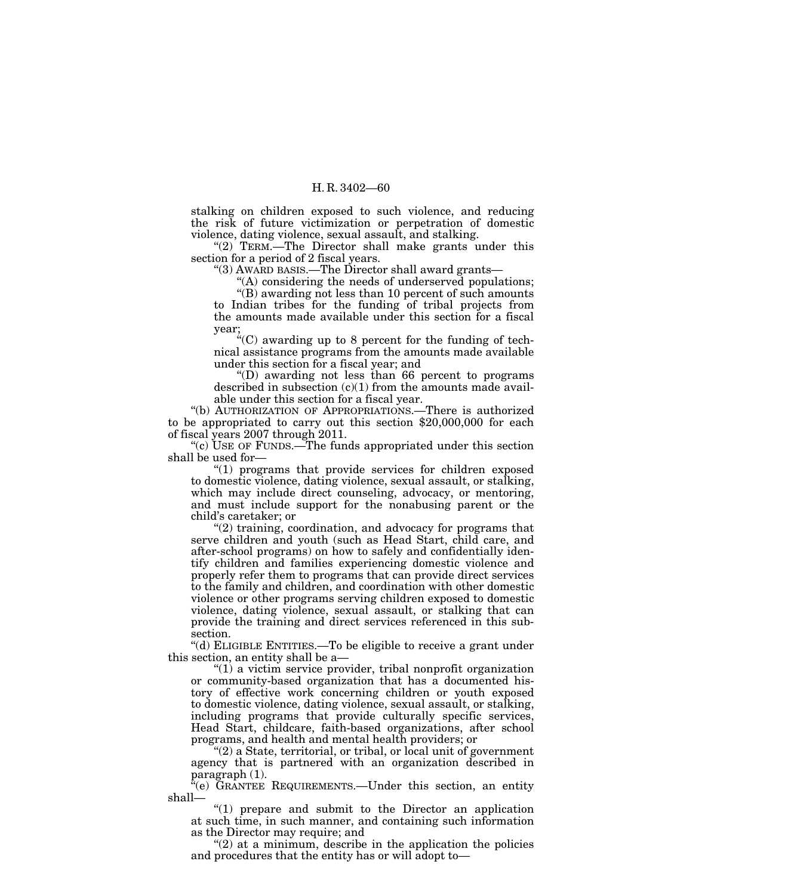stalking on children exposed to such violence, and reducing the risk of future victimization or perpetration of domestic violence, dating violence, sexual assault, and stalking.

" $(2)$  TERM.—The Director shall make grants under this section for a period of 2 fiscal years.

''(3) AWARD BASIS.—The Director shall award grants—

''(A) considering the needs of underserved populations;

''(B) awarding not less than 10 percent of such amounts to Indian tribes for the funding of tribal projects from the amounts made available under this section for a fiscal year;

 $C'$ (C) awarding up to 8 percent for the funding of technical assistance programs from the amounts made available under this section for a fiscal year; and

''(D) awarding not less than 66 percent to programs described in subsection (c)(1) from the amounts made available under this section for a fiscal year.

''(b) AUTHORIZATION OF APPROPRIATIONS.—There is authorized to be appropriated to carry out this section \$20,000,000 for each of fiscal years 2007 through 2011.

"(c) USE OF FUNDS.—The funds appropriated under this section shall be used for—

 $''(1)$  programs that provide services for children exposed to domestic violence, dating violence, sexual assault, or stalking, which may include direct counseling, advocacy, or mentoring, and must include support for the nonabusing parent or the child's caretaker; or

 $"(2)$  training, coordination, and advocacy for programs that serve children and youth (such as Head Start, child care, and after-school programs) on how to safely and confidentially identify children and families experiencing domestic violence and properly refer them to programs that can provide direct services to the family and children, and coordination with other domestic violence or other programs serving children exposed to domestic violence, dating violence, sexual assault, or stalking that can provide the training and direct services referenced in this subsection.

''(d) ELIGIBLE ENTITIES.—To be eligible to receive a grant under this section, an entity shall be a—

 $"(1)$  a victim service provider, tribal nonprofit organization or community-based organization that has a documented history of effective work concerning children or youth exposed to domestic violence, dating violence, sexual assault, or stalking, including programs that provide culturally specific services, Head Start, childcare, faith-based organizations, after school programs, and health and mental health providers; or

''(2) a State, territorial, or tribal, or local unit of government agency that is partnered with an organization described in paragraph (1).

 $e^{\alpha}(e)$  GRANTEE REQUIREMENTS.—Under this section, an entity shall—

" $(1)$  prepare and submit to the Director an application at such time, in such manner, and containing such information as the Director may require; and

 $(2)$  at a minimum, describe in the application the policies and procedures that the entity has or will adopt to—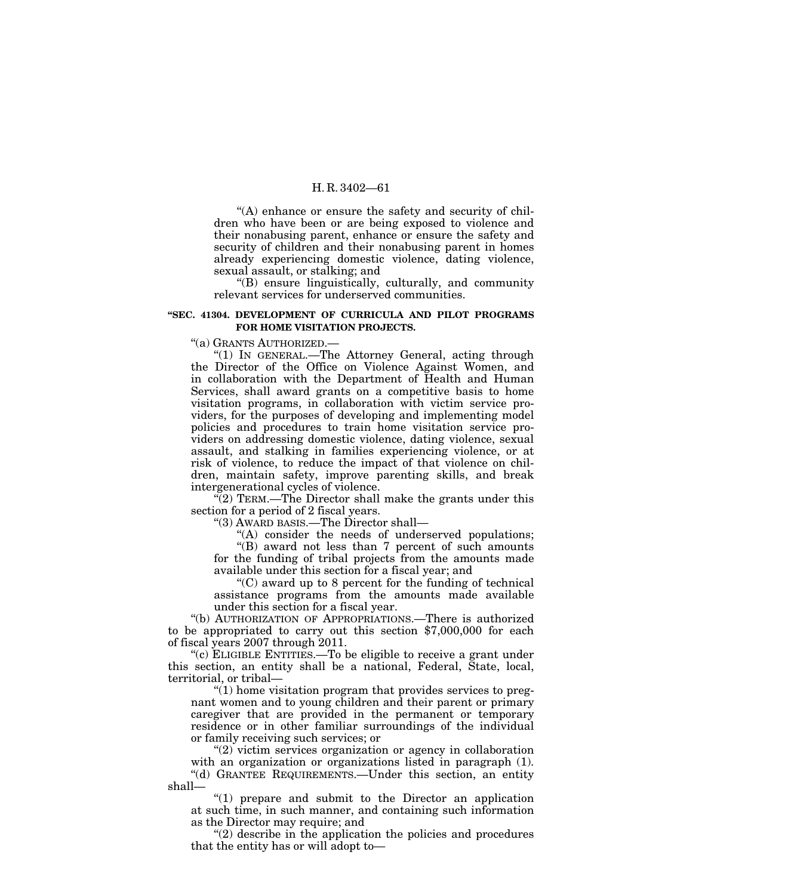''(A) enhance or ensure the safety and security of children who have been or are being exposed to violence and their nonabusing parent, enhance or ensure the safety and security of children and their nonabusing parent in homes already experiencing domestic violence, dating violence, sexual assault, or stalking; and

''(B) ensure linguistically, culturally, and community relevant services for underserved communities.

## **''SEC. 41304. DEVELOPMENT OF CURRICULA AND PILOT PROGRAMS FOR HOME VISITATION PROJECTS.**

''(a) GRANTS AUTHORIZED.—

" $(1)$  In GENERAL.—The Attorney General, acting through the Director of the Office on Violence Against Women, and in collaboration with the Department of Health and Human Services, shall award grants on a competitive basis to home visitation programs, in collaboration with victim service providers, for the purposes of developing and implementing model policies and procedures to train home visitation service providers on addressing domestic violence, dating violence, sexual assault, and stalking in families experiencing violence, or at risk of violence, to reduce the impact of that violence on children, maintain safety, improve parenting skills, and break intergenerational cycles of violence.

 $\sqrt{\ }$ (2) TERM.—The Director shall make the grants under this section for a period of 2 fiscal years.

''(3) AWARD BASIS.—The Director shall—

 $(A)$  consider the needs of underserved populations;

''(B) award not less than 7 percent of such amounts for the funding of tribal projects from the amounts made available under this section for a fiscal year; and

''(C) award up to 8 percent for the funding of technical assistance programs from the amounts made available under this section for a fiscal year.

''(b) AUTHORIZATION OF APPROPRIATIONS.—There is authorized to be appropriated to carry out this section \$7,000,000 for each of fiscal years 2007 through 2011.

 $C$ ) ELIGIBLE ENTITIES.—To be eligible to receive a grant under this section, an entity shall be a national, Federal, State, local, territorial, or tribal—

 $''(1)$  home visitation program that provides services to pregnant women and to young children and their parent or primary caregiver that are provided in the permanent or temporary residence or in other familiar surroundings of the individual or family receiving such services; or

"(2) victim services organization or agency in collaboration with an organization or organizations listed in paragraph (1). ''(d) GRANTEE REQUIREMENTS.—Under this section, an entity shall—

 $''(1)$  prepare and submit to the Director an application at such time, in such manner, and containing such information as the Director may require; and

 $(2)$  describe in the application the policies and procedures that the entity has or will adopt to—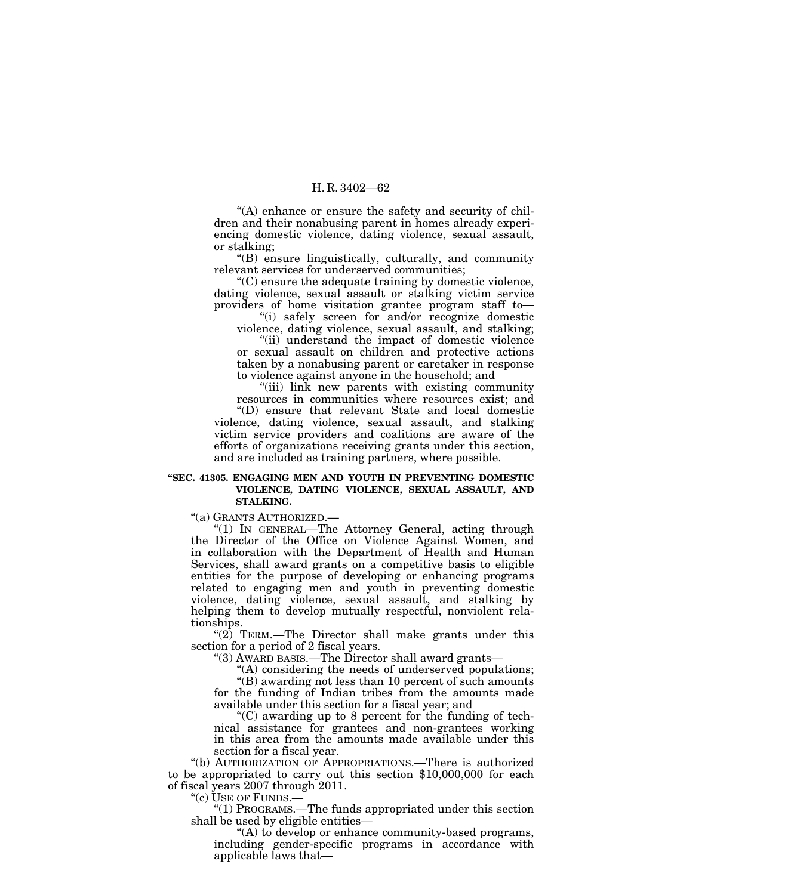''(A) enhance or ensure the safety and security of children and their nonabusing parent in homes already experiencing domestic violence, dating violence, sexual assault, or stalking;

''(B) ensure linguistically, culturally, and community relevant services for underserved communities;

 $C$ ) ensure the adequate training by domestic violence, dating violence, sexual assault or stalking victim service providers of home visitation grantee program staff to—

"(i) safely screen for and/or recognize domestic violence, dating violence, sexual assault, and stalking;

"(ii) understand the impact of domestic violence or sexual assault on children and protective actions taken by a nonabusing parent or caretaker in response to violence against anyone in the household; and

''(iii) link new parents with existing community resources in communities where resources exist; and

''(D) ensure that relevant State and local domestic violence, dating violence, sexual assault, and stalking victim service providers and coalitions are aware of the efforts of organizations receiving grants under this section, and are included as training partners, where possible.

# **''SEC. 41305. ENGAGING MEN AND YOUTH IN PREVENTING DOMESTIC VIOLENCE, DATING VIOLENCE, SEXUAL ASSAULT, AND STALKING.**

''(a) GRANTS AUTHORIZED.—

''(1) IN GENERAL—The Attorney General, acting through the Director of the Office on Violence Against Women, and in collaboration with the Department of Health and Human Services, shall award grants on a competitive basis to eligible entities for the purpose of developing or enhancing programs related to engaging men and youth in preventing domestic violence, dating violence, sexual assault, and stalking by helping them to develop mutually respectful, nonviolent relationships.

" $(2)$  TERM.—The Director shall make grants under this section for a period of 2 fiscal years.

''(3) AWARD BASIS.—The Director shall award grants—

"(A) considering the needs of underserved populations;

''(B) awarding not less than 10 percent of such amounts for the funding of Indian tribes from the amounts made available under this section for a fiscal year; and

 $C$ ) awarding up to 8 percent for the funding of technical assistance for grantees and non-grantees working in this area from the amounts made available under this section for a fiscal year.

''(b) AUTHORIZATION OF APPROPRIATIONS.—There is authorized to be appropriated to carry out this section \$10,000,000 for each of fiscal years 2007 through 2011.

''(c) USE OF FUNDS.—

''(1) PROGRAMS.—The funds appropriated under this section shall be used by eligible entities—

''(A) to develop or enhance community-based programs, including gender-specific programs in accordance with applicable laws that—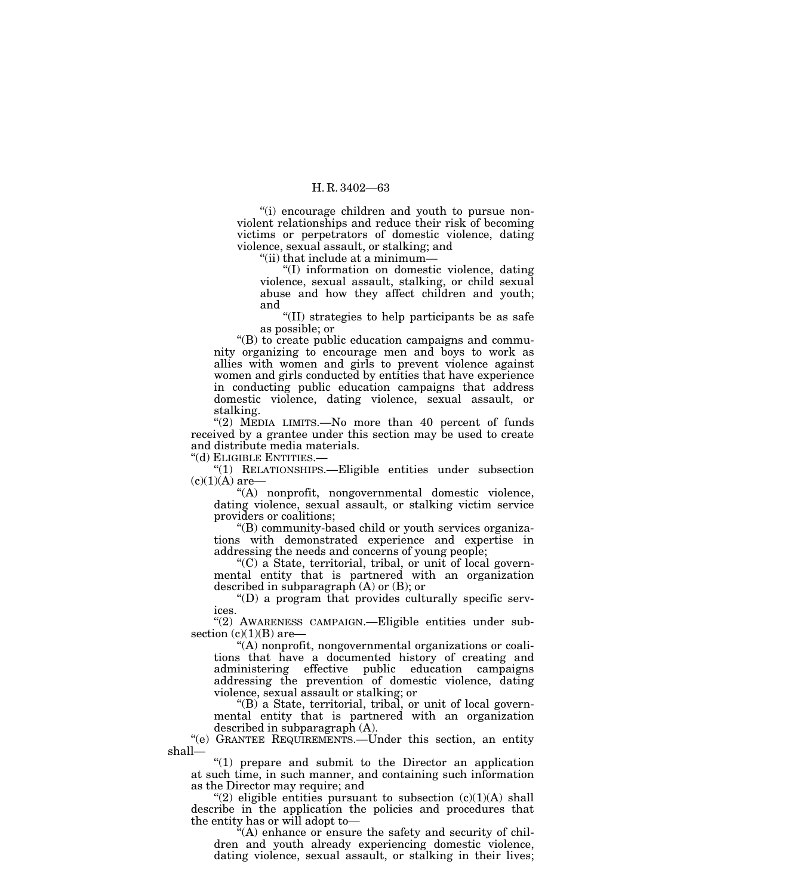''(i) encourage children and youth to pursue nonviolent relationships and reduce their risk of becoming victims or perpetrators of domestic violence, dating violence, sexual assault, or stalking; and

''(ii) that include at a minimum—

''(I) information on domestic violence, dating violence, sexual assault, stalking, or child sexual abuse and how they affect children and youth; and

''(II) strategies to help participants be as safe as possible; or

''(B) to create public education campaigns and community organizing to encourage men and boys to work as allies with women and girls to prevent violence against women and girls conducted by entities that have experience in conducting public education campaigns that address domestic violence, dating violence, sexual assault, or stalking.

"(2) MEDIA LIMITS.—No more than 40 percent of funds received by a grantee under this section may be used to create and distribute media materials.

''(d) ELIGIBLE ENTITIES.—

''(1) RELATIONSHIPS.—Eligible entities under subsection  $(c)(1)(A)$  are-

''(A) nonprofit, nongovernmental domestic violence, dating violence, sexual assault, or stalking victim service providers or coalitions;

''(B) community-based child or youth services organizations with demonstrated experience and expertise in addressing the needs and concerns of young people;

''(C) a State, territorial, tribal, or unit of local governmental entity that is partnered with an organization described in subparagraph (A) or (B); or

 $f(D)$  a program that provides culturally specific services.

''(2) AWARENESS CAMPAIGN.—Eligible entities under subsection  $(c)(1)(B)$  are-

''(A) nonprofit, nongovernmental organizations or coalitions that have a documented history of creating and administering effective public education campaigns addressing the prevention of domestic violence, dating violence, sexual assault or stalking; or

''(B) a State, territorial, tribal, or unit of local governmental entity that is partnered with an organization described in subparagraph (A).

''(e) GRANTEE REQUIREMENTS.—Under this section, an entity shall—

"(1) prepare and submit to the Director an application at such time, in such manner, and containing such information as the Director may require; and

"(2) eligible entities pursuant to subsection  $(c)(1)(A)$  shall describe in the application the policies and procedures that the entity has or will adopt to—

 $\mathcal{L}^*(A)$  enhance or ensure the safety and security of children and youth already experiencing domestic violence, dating violence, sexual assault, or stalking in their lives;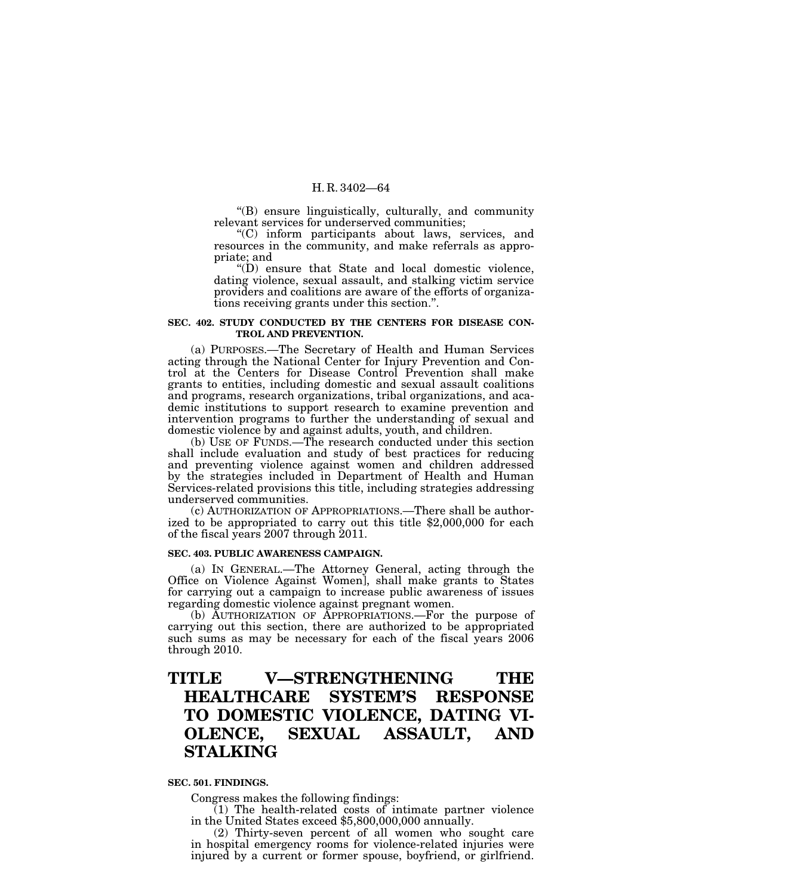''(B) ensure linguistically, culturally, and community relevant services for underserved communities;

''(C) inform participants about laws, services, and resources in the community, and make referrals as appropriate; and

''(D) ensure that State and local domestic violence, dating violence, sexual assault, and stalking victim service providers and coalitions are aware of the efforts of organizations receiving grants under this section.''.

#### **SEC. 402. STUDY CONDUCTED BY THE CENTERS FOR DISEASE CON-TROL AND PREVENTION.**

(a) PURPOSES.—The Secretary of Health and Human Services acting through the National Center for Injury Prevention and Control at the Centers for Disease Control Prevention shall make grants to entities, including domestic and sexual assault coalitions and programs, research organizations, tribal organizations, and academic institutions to support research to examine prevention and intervention programs to further the understanding of sexual and domestic violence by and against adults, youth, and children.

(b) USE OF FUNDS.—The research conducted under this section shall include evaluation and study of best practices for reducing and preventing violence against women and children addressed by the strategies included in Department of Health and Human Services-related provisions this title, including strategies addressing underserved communities.

(c) AUTHORIZATION OF APPROPRIATIONS.—There shall be authorized to be appropriated to carry out this title \$2,000,000 for each of the fiscal years 2007 through 2011.

#### **SEC. 403. PUBLIC AWARENESS CAMPAIGN.**

(a) IN GENERAL.—The Attorney General, acting through the Office on Violence Against Women], shall make grants to States for carrying out a campaign to increase public awareness of issues regarding domestic violence against pregnant women.

(b) AUTHORIZATION OF APPROPRIATIONS.—For the purpose of carrying out this section, there are authorized to be appropriated such sums as may be necessary for each of the fiscal years 2006 through 2010.

# **TITLE V—STRENGTHENING THE HEALTHCARE SYSTEM'S RESPONSE TO DOMESTIC VIOLENCE, DATING VI-OLENCE, SEXUAL ASSAULT, AND STALKING**

# **SEC. 501. FINDINGS.**

Congress makes the following findings:

 $(1)$  The health-related costs of intimate partner violence in the United States exceed \$5,800,000,000 annually.

(2) Thirty-seven percent of all women who sought care in hospital emergency rooms for violence-related injuries were injured by a current or former spouse, boyfriend, or girlfriend.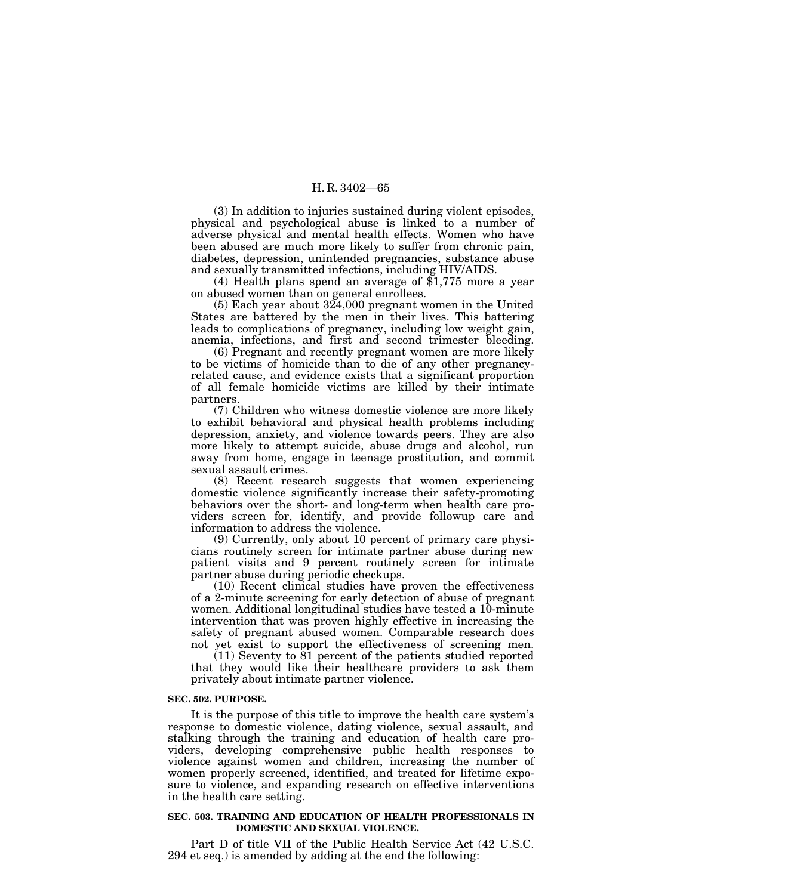(3) In addition to injuries sustained during violent episodes, physical and psychological abuse is linked to a number of adverse physical and mental health effects. Women who have been abused are much more likely to suffer from chronic pain, diabetes, depression, unintended pregnancies, substance abuse and sexually transmitted infections, including HIV/AIDS.

(4) Health plans spend an average of \$1,775 more a year on abused women than on general enrollees.

(5) Each year about 324,000 pregnant women in the United States are battered by the men in their lives. This battering leads to complications of pregnancy, including low weight gain, anemia, infections, and first and second trimester bleeding.

(6) Pregnant and recently pregnant women are more likely to be victims of homicide than to die of any other pregnancyrelated cause, and evidence exists that a significant proportion of all female homicide victims are killed by their intimate partners.

(7) Children who witness domestic violence are more likely to exhibit behavioral and physical health problems including depression, anxiety, and violence towards peers. They are also more likely to attempt suicide, abuse drugs and alcohol, run away from home, engage in teenage prostitution, and commit sexual assault crimes.

(8) Recent research suggests that women experiencing domestic violence significantly increase their safety-promoting behaviors over the short- and long-term when health care providers screen for, identify, and provide followup care and information to address the violence.

(9) Currently, only about 10 percent of primary care physicians routinely screen for intimate partner abuse during new patient visits and 9 percent routinely screen for intimate partner abuse during periodic checkups.

(10) Recent clinical studies have proven the effectiveness of a 2-minute screening for early detection of abuse of pregnant women. Additional longitudinal studies have tested a 10-minute intervention that was proven highly effective in increasing the safety of pregnant abused women. Comparable research does not yet exist to support the effectiveness of screening men.

 $(11)$  Seventy to  $\overline{81}$  percent of the patients studied reported that they would like their healthcare providers to ask them privately about intimate partner violence.

### **SEC. 502. PURPOSE.**

It is the purpose of this title to improve the health care system's response to domestic violence, dating violence, sexual assault, and stalking through the training and education of health care providers, developing comprehensive public health responses to violence against women and children, increasing the number of women properly screened, identified, and treated for lifetime exposure to violence, and expanding research on effective interventions in the health care setting.

## **SEC. 503. TRAINING AND EDUCATION OF HEALTH PROFESSIONALS IN DOMESTIC AND SEXUAL VIOLENCE.**

Part D of title VII of the Public Health Service Act (42 U.S.C. 294 et seq.) is amended by adding at the end the following: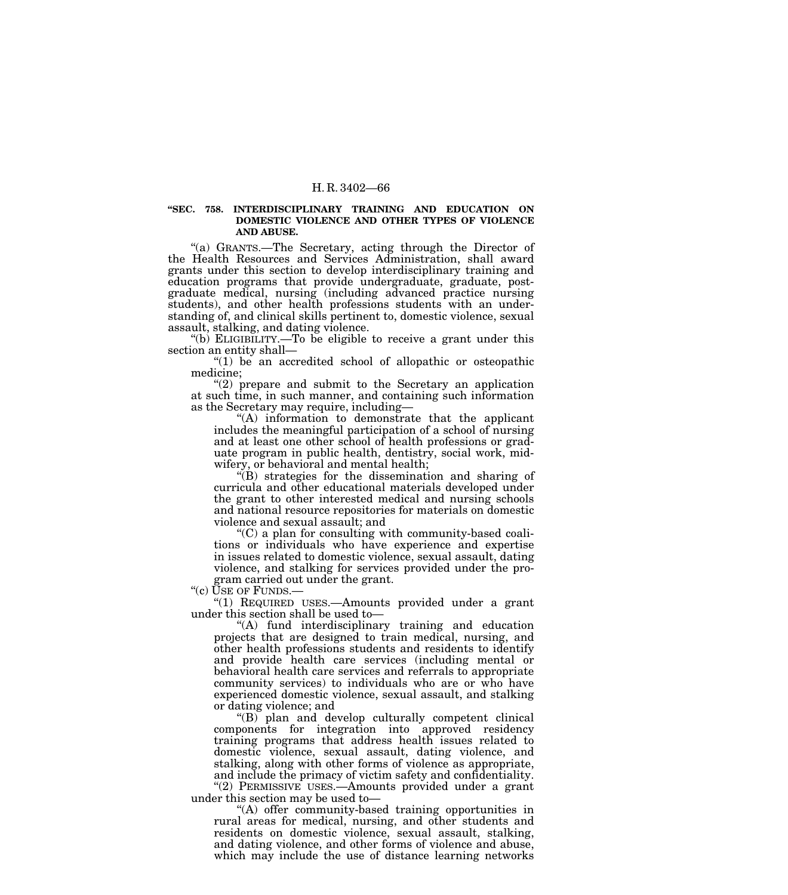## **''SEC. 758. INTERDISCIPLINARY TRAINING AND EDUCATION ON DOMESTIC VIOLENCE AND OTHER TYPES OF VIOLENCE AND ABUSE.**

''(a) GRANTS.—The Secretary, acting through the Director of the Health Resources and Services Administration, shall award grants under this section to develop interdisciplinary training and education programs that provide undergraduate, graduate, postgraduate medical, nursing (including advanced practice nursing students), and other health professions students with an understanding of, and clinical skills pertinent to, domestic violence, sexual assault, stalking, and dating violence.

"(b) ELIGIBILITY.—To be eligible to receive a grant under this section an entity shall—

''(1) be an accredited school of allopathic or osteopathic medicine;

 $(2)$  prepare and submit to the Secretary an application at such time, in such manner, and containing such information as the Secretary may require, including—

''(A) information to demonstrate that the applicant includes the meaningful participation of a school of nursing and at least one other school of health professions or graduate program in public health, dentistry, social work, midwifery, or behavioral and mental health;

''(B) strategies for the dissemination and sharing of curricula and other educational materials developed under the grant to other interested medical and nursing schools and national resource repositories for materials on domestic violence and sexual assault; and

 $C$ ) a plan for consulting with community-based coalitions or individuals who have experience and expertise in issues related to domestic violence, sexual assault, dating violence, and stalking for services provided under the program carried out under the grant.

''(c) USE OF FUNDS.—

''(1) REQUIRED USES.—Amounts provided under a grant under this section shall be used to—

''(A) fund interdisciplinary training and education projects that are designed to train medical, nursing, and other health professions students and residents to identify and provide health care services (including mental or behavioral health care services and referrals to appropriate community services) to individuals who are or who have experienced domestic violence, sexual assault, and stalking or dating violence; and

''(B) plan and develop culturally competent clinical components for integration into approved residency training programs that address health issues related to domestic violence, sexual assault, dating violence, and stalking, along with other forms of violence as appropriate, and include the primacy of victim safety and confidentiality. "(2) PERMISSIVE USES.—Amounts provided under a grant

under this section may be used to—

''(A) offer community-based training opportunities in rural areas for medical, nursing, and other students and residents on domestic violence, sexual assault, stalking, and dating violence, and other forms of violence and abuse, which may include the use of distance learning networks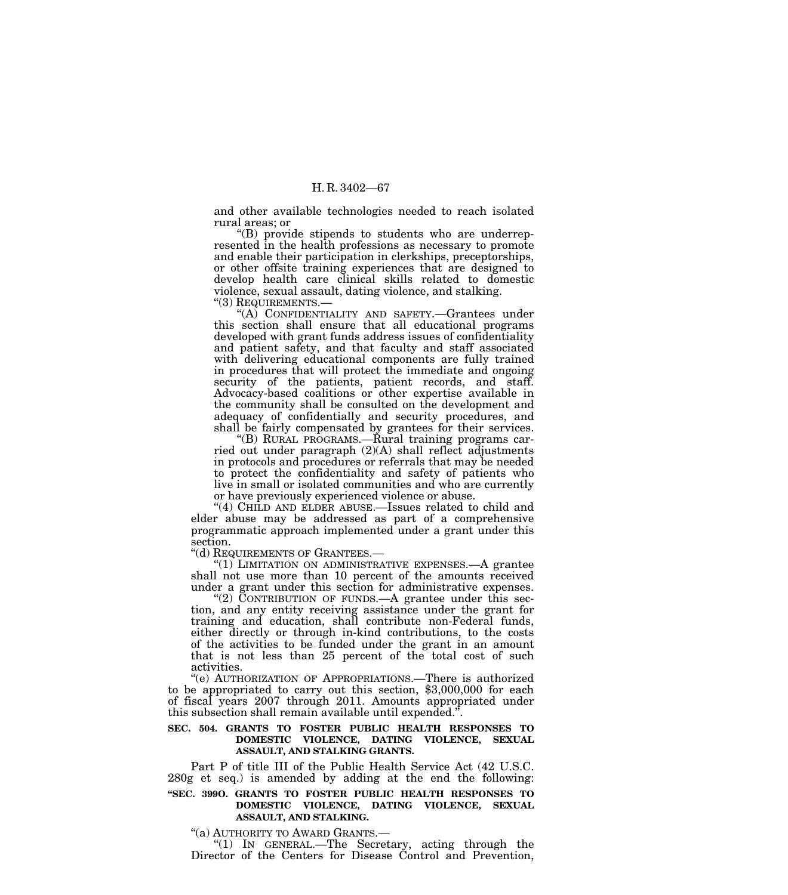and other available technologies needed to reach isolated rural areas; or

''(B) provide stipends to students who are underrepresented in the health professions as necessary to promote and enable their participation in clerkships, preceptorships, or other offsite training experiences that are designed to develop health care clinical skills related to domestic violence, sexual assault, dating violence, and stalking.

"(A) CONFIDENTIALITY AND SAFETY.—Grantees under this section shall ensure that all educational programs developed with grant funds address issues of confidentiality and patient safety, and that faculty and staff associated with delivering educational components are fully trained in procedures that will protect the immediate and ongoing security of the patients, patient records, and staff. Advocacy-based coalitions or other expertise available in the community shall be consulted on the development and adequacy of confidentially and security procedures, and shall be fairly compensated by grantees for their services.

''(B) RURAL PROGRAMS.—Rural training programs carried out under paragraph (2)(A) shall reflect adjustments in protocols and procedures or referrals that may be needed to protect the confidentiality and safety of patients who live in small or isolated communities and who are currently or have previously experienced violence or abuse.

"(4) CHILD AND ELDER ABUSE.—Issues related to child and elder abuse may be addressed as part of a comprehensive programmatic approach implemented under a grant under this section.<br>"(d) Requirements of Grantees.—

" $(1)$  LIMITATION ON ADMINISTRATIVE EXPENSES.—A grantee shall not use more than 10 percent of the amounts received under a grant under this section for administrative expenses.

"(2) CONTRIBUTION OF FUNDS.—A grantee under this section, and any entity receiving assistance under the grant for training and education, shall contribute non-Federal funds, either directly or through in-kind contributions, to the costs of the activities to be funded under the grant in an amount that is not less than 25 percent of the total cost of such activities.

''(e) AUTHORIZATION OF APPROPRIATIONS.—There is authorized to be appropriated to carry out this section, \$3,000,000 for each of fiscal years 2007 through 2011. Amounts appropriated under this subsection shall remain available until expended.''.

## **SEC. 504. GRANTS TO FOSTER PUBLIC HEALTH RESPONSES TO DOMESTIC VIOLENCE, DATING VIOLENCE, SEXUAL ASSAULT, AND STALKING GRANTS.**

Part P of title III of the Public Health Service Act (42 U.S.C. 280g et seq.) is amended by adding at the end the following:

# **''SEC. 399O. GRANTS TO FOSTER PUBLIC HEALTH RESPONSES TO DOMESTIC VIOLENCE, DATING VIOLENCE, SEXUAL ASSAULT, AND STALKING.**

''(a) AUTHORITY TO AWARD GRANTS.—

''(1) IN GENERAL.—The Secretary, acting through the Director of the Centers for Disease Control and Prevention,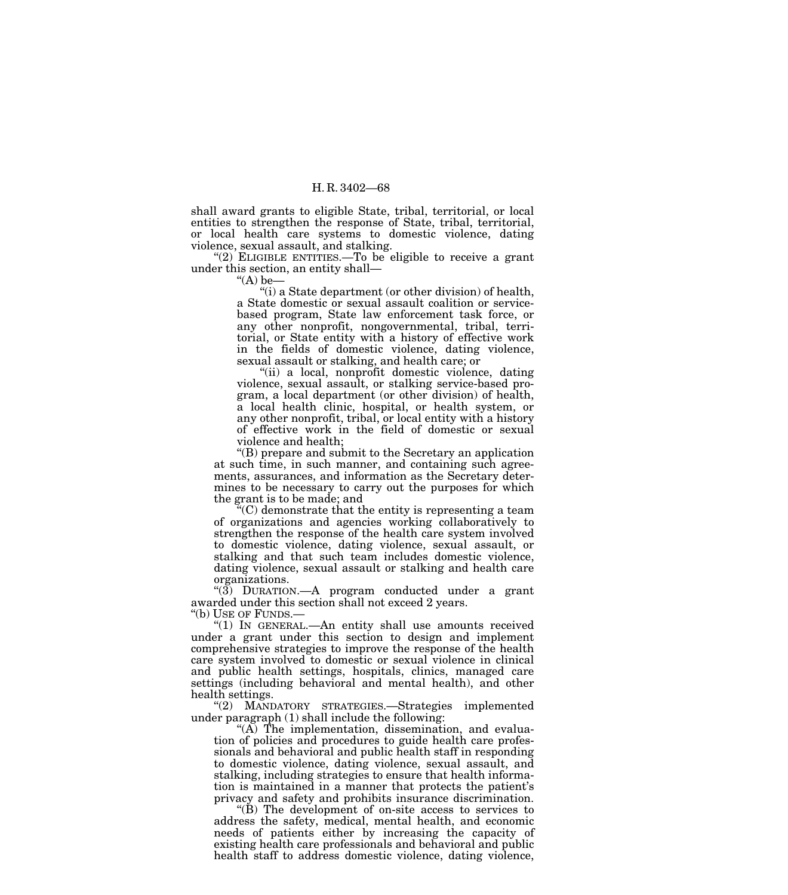shall award grants to eligible State, tribal, territorial, or local entities to strengthen the response of State, tribal, territorial, or local health care systems to domestic violence, dating violence, sexual assault, and stalking.

" $(2)$  ELIGIBLE ENTITIES.—To be eligible to receive a grant under this section, an entity shall—

" $(A)$  be—

 $f(i)$  a State department (or other division) of health, a State domestic or sexual assault coalition or servicebased program, State law enforcement task force, or any other nonprofit, nongovernmental, tribal, territorial, or State entity with a history of effective work in the fields of domestic violence, dating violence, sexual assault or stalking, and health care; or

"(ii) a local, nonprofit domestic violence, dating violence, sexual assault, or stalking service-based program, a local department (or other division) of health, a local health clinic, hospital, or health system, or any other nonprofit, tribal, or local entity with a history of effective work in the field of domestic or sexual violence and health;

''(B) prepare and submit to the Secretary an application at such time, in such manner, and containing such agreements, assurances, and information as the Secretary determines to be necessary to carry out the purposes for which the grant is to be made; and

 $f(C)$  demonstrate that the entity is representing a team of organizations and agencies working collaboratively to strengthen the response of the health care system involved to domestic violence, dating violence, sexual assault, or stalking and that such team includes domestic violence, dating violence, sexual assault or stalking and health care organizations.

" $(3)$  DURATION.—A program conducted under a grant awarded under this section shall not exceed 2 years.<br>"(b) USE OF FUNDS.—

"(1) IN GENERAL.—An entity shall use amounts received under a grant under this section to design and implement comprehensive strategies to improve the response of the health care system involved to domestic or sexual violence in clinical and public health settings, hospitals, clinics, managed care settings (including behavioral and mental health), and other health settings.

''(2) MANDATORY STRATEGIES.—Strategies implemented under paragraph (1) shall include the following:

" $(A)$  The implementation, dissemination, and evaluation of policies and procedures to guide health care professionals and behavioral and public health staff in responding to domestic violence, dating violence, sexual assault, and stalking, including strategies to ensure that health information is maintained in a manner that protects the patient's privacy and safety and prohibits insurance discrimination.

''(B) The development of on-site access to services to address the safety, medical, mental health, and economic needs of patients either by increasing the capacity of existing health care professionals and behavioral and public health staff to address domestic violence, dating violence,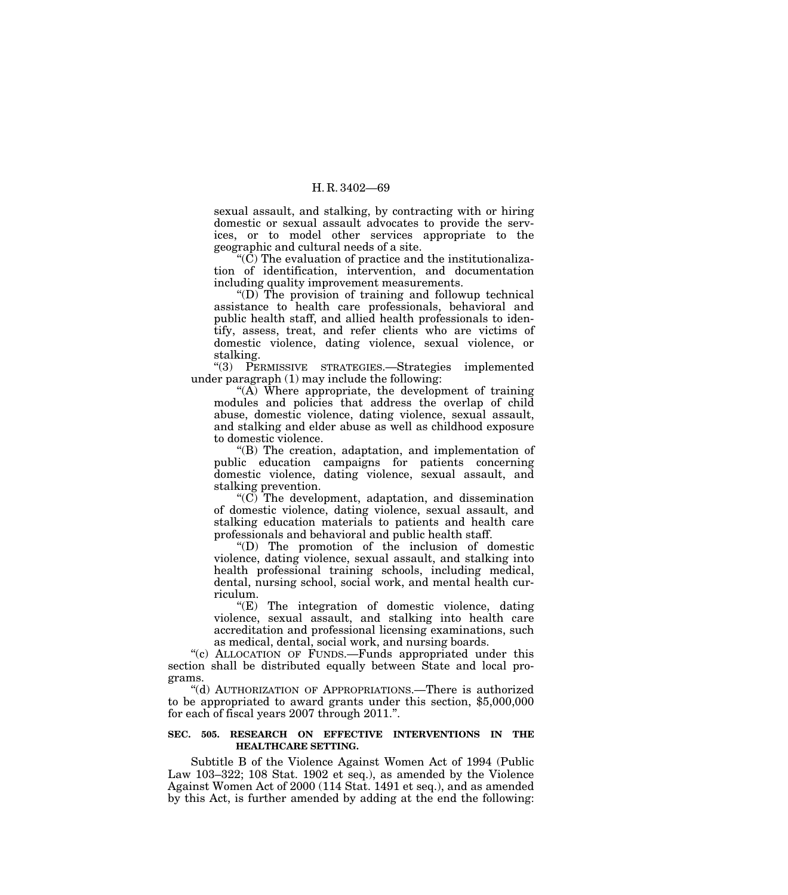sexual assault, and stalking, by contracting with or hiring domestic or sexual assault advocates to provide the services, or to model other services appropriate to the geographic and cultural needs of a site.

" $(\overline{C})$  The evaluation of practice and the institutionalization of identification, intervention, and documentation including quality improvement measurements.

''(D) The provision of training and followup technical assistance to health care professionals, behavioral and public health staff, and allied health professionals to identify, assess, treat, and refer clients who are victims of domestic violence, dating violence, sexual violence, or stalking.

''(3) PERMISSIVE STRATEGIES.—Strategies implemented under paragraph (1) may include the following:

" $(A)$  Where appropriate, the development of training modules and policies that address the overlap of child abuse, domestic violence, dating violence, sexual assault, and stalking and elder abuse as well as childhood exposure to domestic violence.

''(B) The creation, adaptation, and implementation of public education campaigns for patients concerning domestic violence, dating violence, sexual assault, and stalking prevention.

''(C) The development, adaptation, and dissemination of domestic violence, dating violence, sexual assault, and stalking education materials to patients and health care professionals and behavioral and public health staff.

''(D) The promotion of the inclusion of domestic violence, dating violence, sexual assault, and stalking into health professional training schools, including medical, dental, nursing school, social work, and mental health curriculum.

"(E) The integration of domestic violence, dating violence, sexual assault, and stalking into health care accreditation and professional licensing examinations, such as medical, dental, social work, and nursing boards.

"(c) ALLOCATION OF FUNDS.—Funds appropriated under this section shall be distributed equally between State and local programs.

''(d) AUTHORIZATION OF APPROPRIATIONS.—There is authorized to be appropriated to award grants under this section, \$5,000,000 for each of fiscal years 2007 through 2011.''.

# **SEC. 505. RESEARCH ON EFFECTIVE INTERVENTIONS IN THE HEALTHCARE SETTING.**

Subtitle B of the Violence Against Women Act of 1994 (Public Law 103–322; 108 Stat. 1902 et seq.), as amended by the Violence Against Women Act of 2000 (114 Stat. 1491 et seq.), and as amended by this Act, is further amended by adding at the end the following: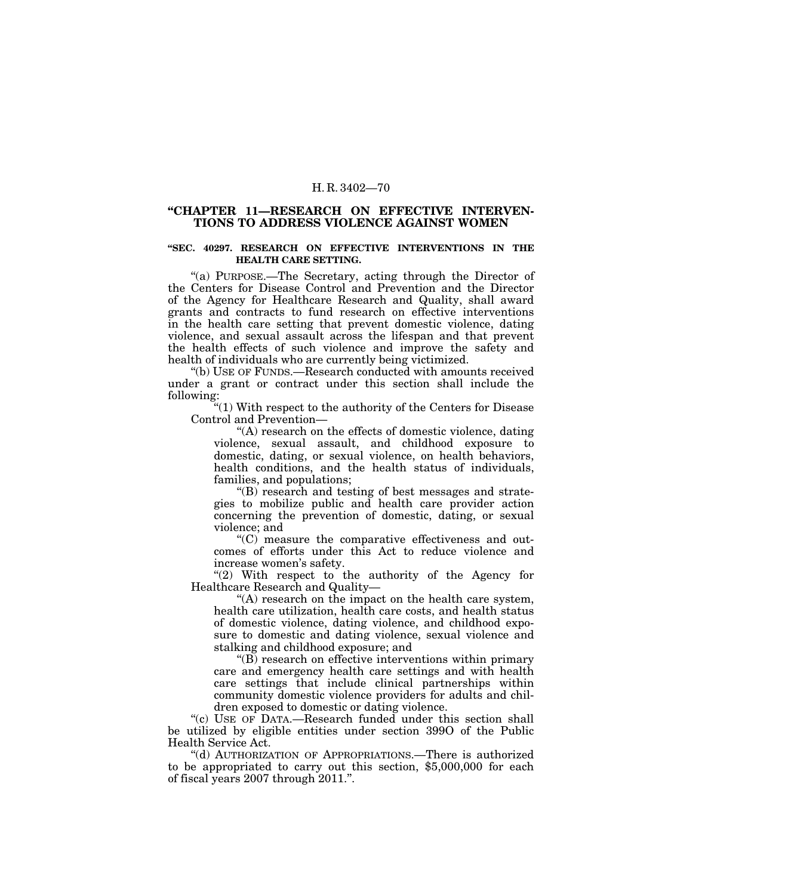# **''CHAPTER 11—RESEARCH ON EFFECTIVE INTERVEN-TIONS TO ADDRESS VIOLENCE AGAINST WOMEN**

## **''SEC. 40297. RESEARCH ON EFFECTIVE INTERVENTIONS IN THE HEALTH CARE SETTING.**

''(a) PURPOSE.—The Secretary, acting through the Director of the Centers for Disease Control and Prevention and the Director of the Agency for Healthcare Research and Quality, shall award grants and contracts to fund research on effective interventions in the health care setting that prevent domestic violence, dating violence, and sexual assault across the lifespan and that prevent the health effects of such violence and improve the safety and health of individuals who are currently being victimized.

''(b) USE OF FUNDS.—Research conducted with amounts received under a grant or contract under this section shall include the following:

" $(1)$  With respect to the authority of the Centers for Disease" Control and Prevention—

''(A) research on the effects of domestic violence, dating violence, sexual assault, and childhood exposure to domestic, dating, or sexual violence, on health behaviors, health conditions, and the health status of individuals, families, and populations;

''(B) research and testing of best messages and strategies to mobilize public and health care provider action concerning the prevention of domestic, dating, or sexual violence; and

 $(C)$  measure the comparative effectiveness and outcomes of efforts under this Act to reduce violence and increase women's safety.

" $(2)$  With respect to the authority of the Agency for Healthcare Research and Quality—

''(A) research on the impact on the health care system, health care utilization, health care costs, and health status of domestic violence, dating violence, and childhood exposure to domestic and dating violence, sexual violence and stalking and childhood exposure; and

 $\mathcal{F}(B)$  research on effective interventions within primary care and emergency health care settings and with health care settings that include clinical partnerships within community domestic violence providers for adults and children exposed to domestic or dating violence.

''(c) USE OF DATA.—Research funded under this section shall be utilized by eligible entities under section 399O of the Public Health Service Act.

''(d) AUTHORIZATION OF APPROPRIATIONS.—There is authorized to be appropriated to carry out this section, \$5,000,000 for each of fiscal years 2007 through 2011.''.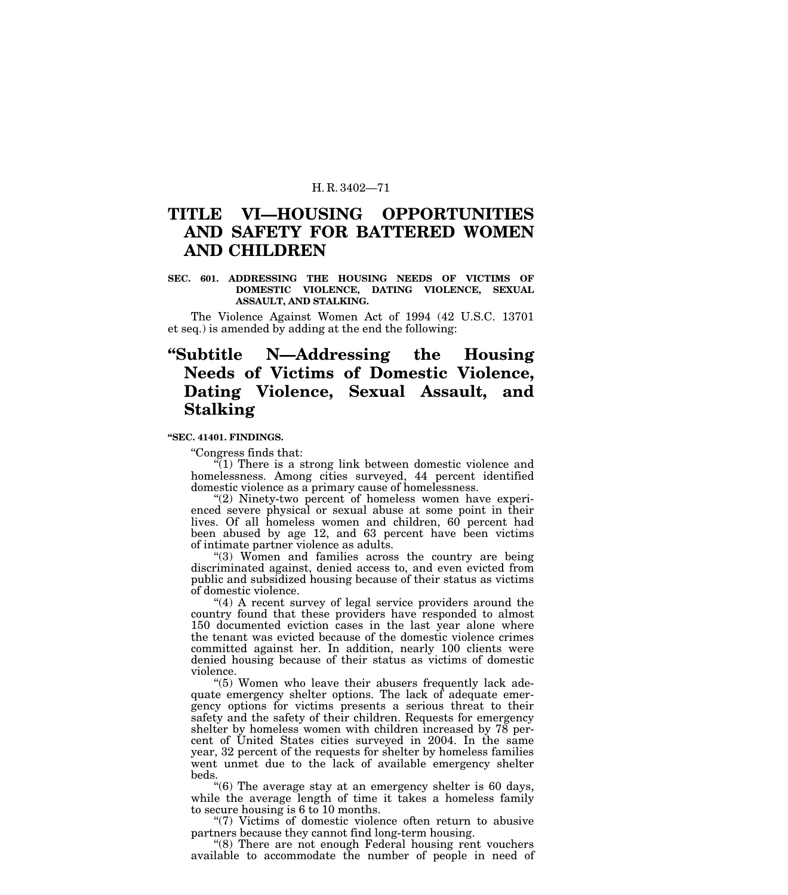# **TITLE VI—HOUSING OPPORTUNITIES AND SAFETY FOR BATTERED WOMEN AND CHILDREN**

# **SEC. 601. ADDRESSING THE HOUSING NEEDS OF VICTIMS OF DOMESTIC VIOLENCE, DATING VIOLENCE, SEXUAL ASSAULT, AND STALKING.**

The Violence Against Women Act of 1994 (42 U.S.C. 13701 et seq.) is amended by adding at the end the following:

# **''Subtitle N—Addressing the Housing Needs of Victims of Domestic Violence, Dating Violence, Sexual Assault, and Stalking**

# **''SEC. 41401. FINDINGS.**

''Congress finds that:

" $(1)$  There is a strong link between domestic violence and homelessness. Among cities surveyed, 44 percent identified domestic violence as a primary cause of homelessness.

"(2) Ninety-two percent of homeless women have experienced severe physical or sexual abuse at some point in their lives. Of all homeless women and children, 60 percent had been abused by age 12, and 63 percent have been victims of intimate partner violence as adults.

"(3) Women and families across the country are being discriminated against, denied access to, and even evicted from public and subsidized housing because of their status as victims of domestic violence.

"(4) A recent survey of legal service providers around the country found that these providers have responded to almost 150 documented eviction cases in the last year alone where the tenant was evicted because of the domestic violence crimes committed against her. In addition, nearly 100 clients were denied housing because of their status as victims of domestic violence.

"(5) Women who leave their abusers frequently lack adequate emergency shelter options. The lack of adequate emergency options for victims presents a serious threat to their safety and the safety of their children. Requests for emergency shelter by homeless women with children increased by 78 percent of United States cities surveyed in 2004. In the same year, 32 percent of the requests for shelter by homeless families went unmet due to the lack of available emergency shelter beds.

''(6) The average stay at an emergency shelter is 60 days, while the average length of time it takes a homeless family to secure housing is 6 to 10 months.

"(7) Victims of domestic violence often return to abusive partners because they cannot find long-term housing.

"(8) There are not enough Federal housing rent vouchers available to accommodate the number of people in need of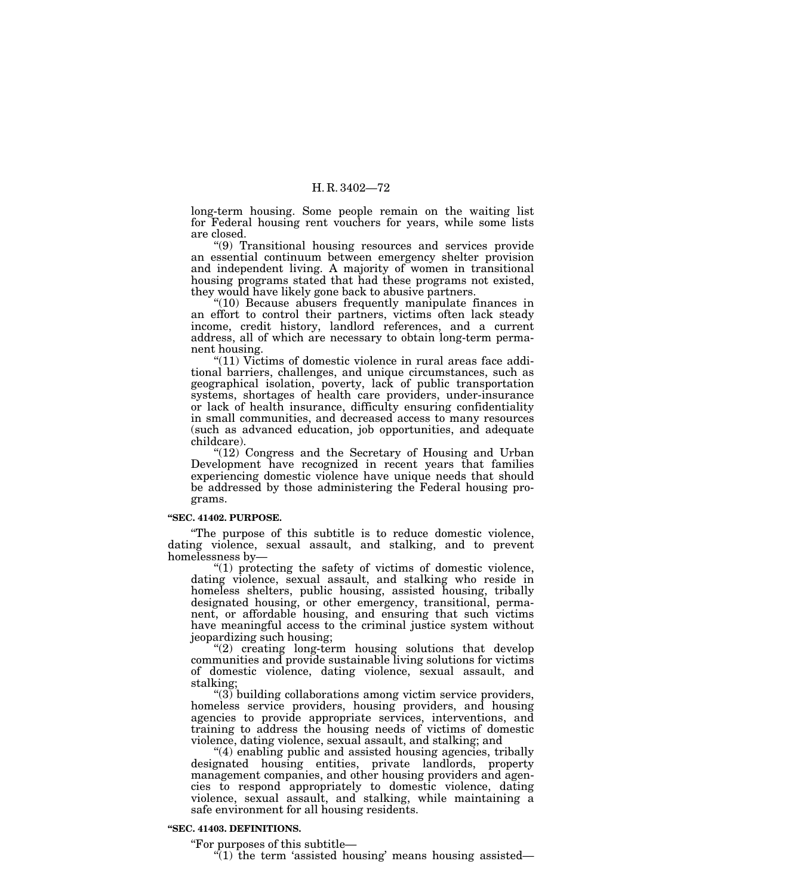long-term housing. Some people remain on the waiting list for Federal housing rent vouchers for years, while some lists are closed.

''(9) Transitional housing resources and services provide an essential continuum between emergency shelter provision and independent living. A majority of women in transitional housing programs stated that had these programs not existed, they would have likely gone back to abusive partners.

''(10) Because abusers frequently manipulate finances in an effort to control their partners, victims often lack steady income, credit history, landlord references, and a current address, all of which are necessary to obtain long-term permanent housing.

"(11) Victims of domestic violence in rural areas face additional barriers, challenges, and unique circumstances, such as geographical isolation, poverty, lack of public transportation systems, shortages of health care providers, under-insurance or lack of health insurance, difficulty ensuring confidentiality in small communities, and decreased access to many resources (such as advanced education, job opportunities, and adequate childcare).

"(12) Congress and the Secretary of Housing and Urban" Development have recognized in recent years that families experiencing domestic violence have unique needs that should be addressed by those administering the Federal housing programs.

# **''SEC. 41402. PURPOSE.**

''The purpose of this subtitle is to reduce domestic violence, dating violence, sexual assault, and stalking, and to prevent homelessness by—

" $(1)$  protecting the safety of victims of domestic violence, dating violence, sexual assault, and stalking who reside in homeless shelters, public housing, assisted housing, tribally designated housing, or other emergency, transitional, permanent, or affordable housing, and ensuring that such victims have meaningful access to the criminal justice system without jeopardizing such housing;

 $(2)$  creating long-term housing solutions that develop communities and provide sustainable living solutions for victims of domestic violence, dating violence, sexual assault, and stalking;

 $\degree$ (3) building collaborations among victim service providers, homeless service providers, housing providers, and housing agencies to provide appropriate services, interventions, and training to address the housing needs of victims of domestic violence, dating violence, sexual assault, and stalking; and

"(4) enabling public and assisted housing agencies, tribally designated housing entities, private landlords, property management companies, and other housing providers and agencies to respond appropriately to domestic violence, dating violence, sexual assault, and stalking, while maintaining a safe environment for all housing residents.

# **''SEC. 41403. DEFINITIONS.**

''For purposes of this subtitle—

 $\sqrt{\ }$ (1) the term 'assisted housing' means housing assisted—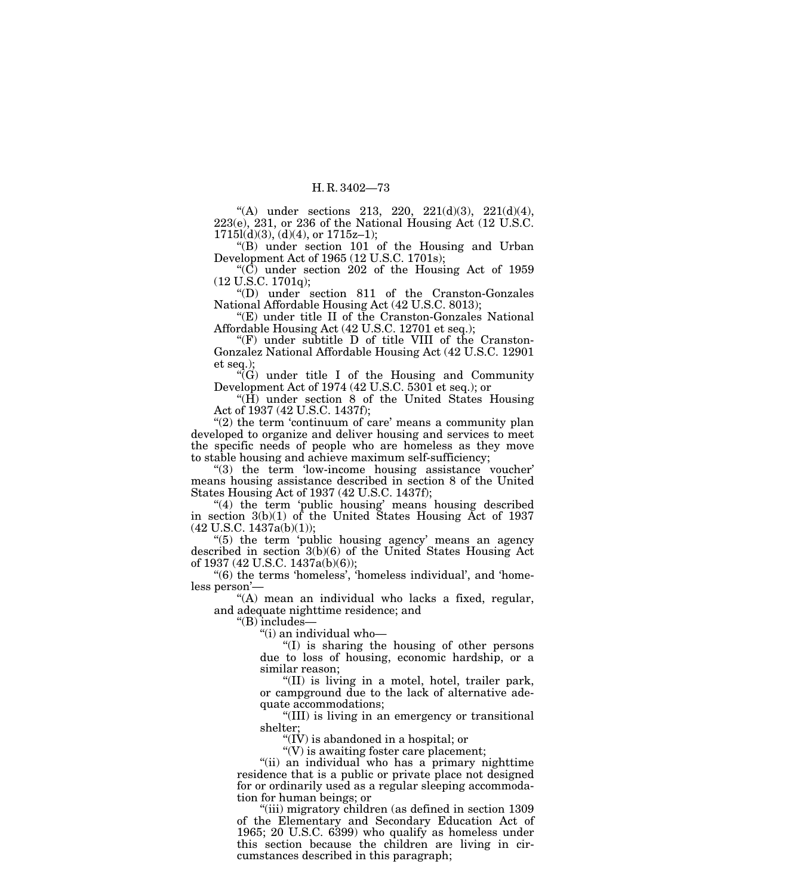"(A) under sections 213, 220, 221(d)(3), 221(d)(4), 223(e), 231, or 236 of the National Housing Act (12 U.S.C.  $1715l(d)(3)$ , (d)(4), or  $1715z-1$ );

''(B) under section 101 of the Housing and Urban Development Act of 1965 (12 U.S.C. 1701s);

" $(\dot{C})$  under section 202 of the Housing Act of 1959" (12 U.S.C. 1701q);

''(D) under section 811 of the Cranston-Gonzales National Affordable Housing Act (42 U.S.C. 8013);

''(E) under title II of the Cranston-Gonzales National Affordable Housing Act (42 U.S.C. 12701 et seq.);

" $(F)$  under subtitle D of title VIII of the Cranston-Gonzalez National Affordable Housing Act (42 U.S.C. 12901 et seq.);

''(G) under title I of the Housing and Community Development Act of 1974 (42 U.S.C. 5301 et seq.); or

''(H) under section 8 of the United States Housing Act of 1937 (42 U.S.C. 1437f);

"(2) the term 'continuum of care' means a community plan developed to organize and deliver housing and services to meet the specific needs of people who are homeless as they move to stable housing and achieve maximum self-sufficiency;

"(3) the term 'low-income housing assistance voucher' means housing assistance described in section 8 of the United States Housing Act of 1937 (42 U.S.C. 1437f);

"(4) the term 'public housing' means housing described in section  $3(b)(1)$  of the United States Housing Act of 1937 (42 U.S.C. 1437a(b)(1));

" $(5)$  the term 'public housing agency' means an agency described in section 3(b)(6) of the United States Housing Act of 1937 (42 U.S.C. 1437a(b)(6));

"(6) the terms 'homeless', 'homeless individual', and 'homeless person'—

''(A) mean an individual who lacks a fixed, regular, and adequate nighttime residence; and

''(B) includes—

''(i) an individual who—

''(I) is sharing the housing of other persons due to loss of housing, economic hardship, or a similar reason;

''(II) is living in a motel, hotel, trailer park, or campground due to the lack of alternative adequate accommodations;

''(III) is living in an emergency or transitional shelter;

" $(IV)$  is abandoned in a hospital; or

''(V) is awaiting foster care placement;

"(ii) an individual who has a primary nighttime residence that is a public or private place not designed for or ordinarily used as a regular sleeping accommodation for human beings; or

''(iii) migratory children (as defined in section 1309 of the Elementary and Secondary Education Act of 1965; 20 U.S.C. 6399) who qualify as homeless under this section because the children are living in circumstances described in this paragraph;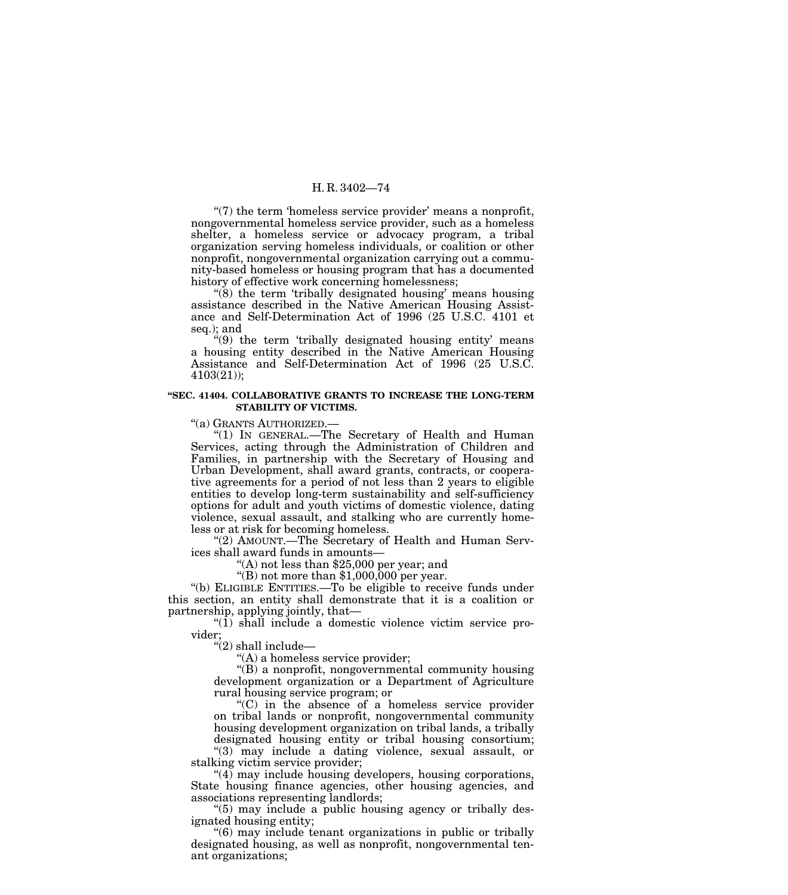$\degree$ (7) the term 'homeless service provider' means a nonprofit, nongovernmental homeless service provider, such as a homeless shelter, a homeless service or advocacy program, a tribal organization serving homeless individuals, or coalition or other nonprofit, nongovernmental organization carrying out a community-based homeless or housing program that has a documented history of effective work concerning homelessness;

" $(8)$  the term 'tribally designated housing' means housing assistance described in the Native American Housing Assistance and Self-Determination Act of 1996 (25 U.S.C. 4101 et seq.); and

"(9) the term 'tribally designated housing entity' means a housing entity described in the Native American Housing Assistance and Self-Determination Act of 1996 (25 U.S.C. 4103(21));

#### **''SEC. 41404. COLLABORATIVE GRANTS TO INCREASE THE LONG-TERM STABILITY OF VICTIMS.**

''(a) GRANTS AUTHORIZED.—

''(1) IN GENERAL.—The Secretary of Health and Human Services, acting through the Administration of Children and Families, in partnership with the Secretary of Housing and Urban Development, shall award grants, contracts, or cooperative agreements for a period of not less than 2 years to eligible entities to develop long-term sustainability and self-sufficiency options for adult and youth victims of domestic violence, dating violence, sexual assault, and stalking who are currently homeless or at risk for becoming homeless.

"(2) AMOUNT.—The Secretary of Health and Human Services shall award funds in amounts—

"(A) not less than  $$25,000$  per year; and

"(B) not more than  $$1,000,000$  per year.

''(b) ELIGIBLE ENTITIES.—To be eligible to receive funds under this section, an entity shall demonstrate that it is a coalition or partnership, applying jointly, that—

 $\sqrt[4]{(1)}$  shall include a domestic violence victim service provider;

 $\degree$ (2) shall include—

''(A) a homeless service provider;

 $\mathcal{L}(B)$  a nonprofit, nongovernmental community housing development organization or a Department of Agriculture rural housing service program; or

''(C) in the absence of a homeless service provider on tribal lands or nonprofit, nongovernmental community housing development organization on tribal lands, a tribally designated housing entity or tribal housing consortium;

"(3) may include a dating violence, sexual assault, or stalking victim service provider;

''(4) may include housing developers, housing corporations, State housing finance agencies, other housing agencies, and associations representing landlords;

 $\degree$ (5) may include a public housing agency or tribally designated housing entity;

''(6) may include tenant organizations in public or tribally designated housing, as well as nonprofit, nongovernmental tenant organizations;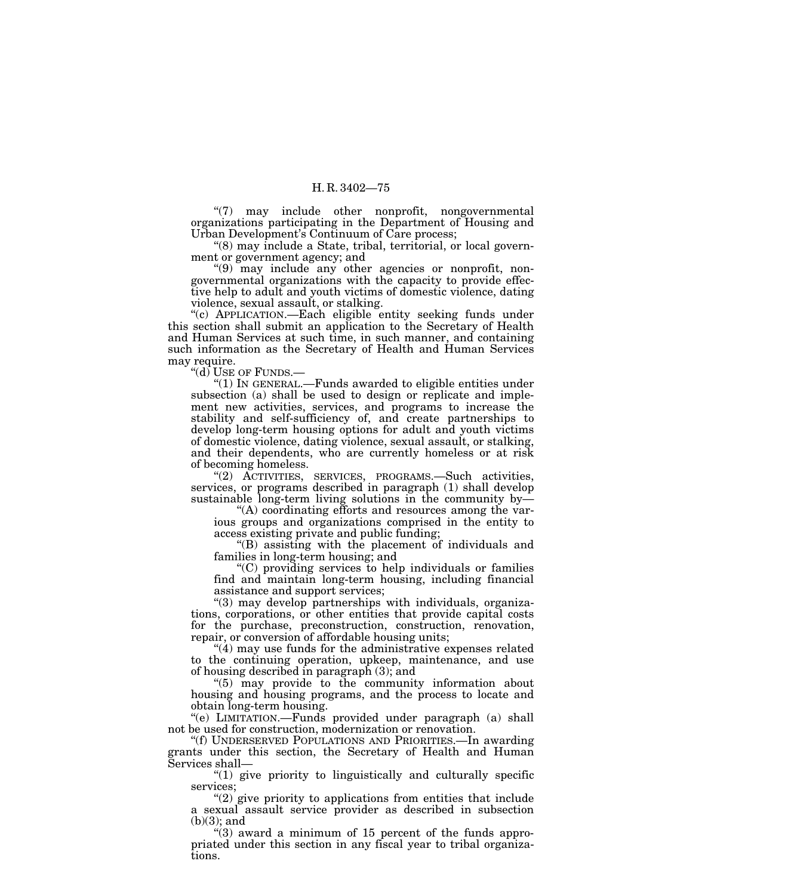''(7) may include other nonprofit, nongovernmental organizations participating in the Department of Housing and Urban Development's Continuum of Care process;

''(8) may include a State, tribal, territorial, or local government or government agency; and

"(9) may include any other agencies or nonprofit, nongovernmental organizations with the capacity to provide effective help to adult and youth victims of domestic violence, dating violence, sexual assault, or stalking.

''(c) APPLICATION.—Each eligible entity seeking funds under this section shall submit an application to the Secretary of Health and Human Services at such time, in such manner, and containing such information as the Secretary of Health and Human Services may require.

"(d) USE OF FUNDS.—

''(1) IN GENERAL.—Funds awarded to eligible entities under subsection (a) shall be used to design or replicate and implement new activities, services, and programs to increase the stability and self-sufficiency of, and create partnerships to develop long-term housing options for adult and youth victims of domestic violence, dating violence, sexual assault, or stalking, and their dependents, who are currently homeless or at risk of becoming homeless.

''(2) ACTIVITIES, SERVICES, PROGRAMS.—Such activities, services, or programs described in paragraph (1) shall develop sustainable long-term living solutions in the community by—

"(A) coordinating efforts and resources among the various groups and organizations comprised in the entity to access existing private and public funding;

''(B) assisting with the placement of individuals and families in long-term housing; and

''(C) providing services to help individuals or families find and maintain long-term housing, including financial assistance and support services;

''(3) may develop partnerships with individuals, organizations, corporations, or other entities that provide capital costs for the purchase, preconstruction, construction, renovation, repair, or conversion of affordable housing units;

"(4) may use funds for the administrative expenses related to the continuing operation, upkeep, maintenance, and use of housing described in paragraph (3); and

''(5) may provide to the community information about housing and housing programs, and the process to locate and obtain long-term housing.

''(e) LIMITATION.—Funds provided under paragraph (a) shall not be used for construction, modernization or renovation.

''(f) UNDERSERVED POPULATIONS AND PRIORITIES.—In awarding grants under this section, the Secretary of Health and Human Services shall—

" $(1)$  give priority to linguistically and culturally specific services;

" $(2)$  give priority to applications from entities that include a sexual assault service provider as described in subsection (b)(3); and

 $\degree$ (3) award a minimum of 15 percent of the funds appropriated under this section in any fiscal year to tribal organizations.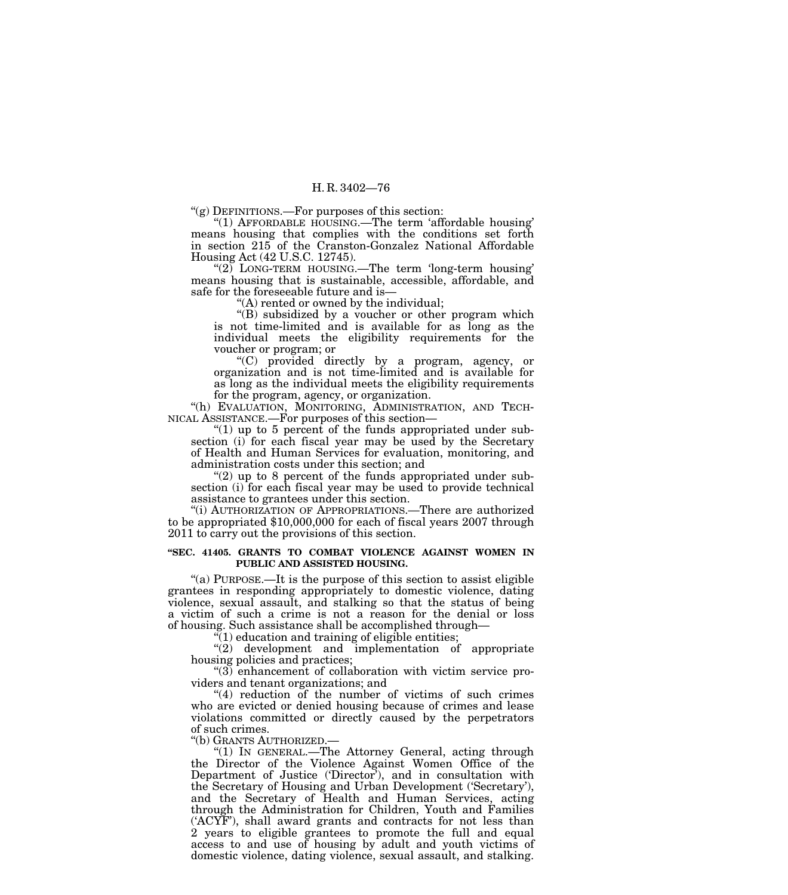" $(g)$  DEFINITIONS.—For purposes of this section:

"(1) AFFORDABLE HOUSING.—The term 'affordable housing' means housing that complies with the conditions set forth in section 215 of the Cranston-Gonzalez National Affordable Housing Act (42 U.S.C. 12745).

" $(2)$  LONG-TERM HOUSING.—The term 'long-term housing' means housing that is sustainable, accessible, affordable, and safe for the foreseeable future and is—

 $(A)$  rented or owned by the individual;

 $f(B)$  subsidized by a voucher or other program which is not time-limited and is available for as long as the individual meets the eligibility requirements for the voucher or program; or

''(C) provided directly by a program, agency, or organization and is not time-limited and is available for as long as the individual meets the eligibility requirements for the program, agency, or organization.

''(h) EVALUATION, MONITORING, ADMINISTRATION, AND TECH-NICAL ASSISTANCE.—For purposes of this section—

" $(1)$  up to 5 percent of the funds appropriated under subsection (i) for each fiscal year may be used by the Secretary of Health and Human Services for evaluation, monitoring, and administration costs under this section; and

" $(2)$  up to 8 percent of the funds appropriated under subsection (i) for each fiscal year may be used to provide technical assistance to grantees under this section.

''(i) AUTHORIZATION OF APPROPRIATIONS.—There are authorized to be appropriated \$10,000,000 for each of fiscal years 2007 through 2011 to carry out the provisions of this section.

#### **''SEC. 41405. GRANTS TO COMBAT VIOLENCE AGAINST WOMEN IN PUBLIC AND ASSISTED HOUSING.**

''(a) PURPOSE.—It is the purpose of this section to assist eligible grantees in responding appropriately to domestic violence, dating violence, sexual assault, and stalking so that the status of being a victim of such a crime is not a reason for the denial or loss of housing. Such assistance shall be accomplished through—

''(1) education and training of eligible entities;

"(2) development and implementation of appropriate housing policies and practices;

''(3) enhancement of collaboration with victim service providers and tenant organizations; and

"(4) reduction of the number of victims of such crimes" who are evicted or denied housing because of crimes and lease violations committed or directly caused by the perpetrators of such crimes.

''(b) GRANTS AUTHORIZED.—

"(1) In GENERAL.—The Attorney General, acting through the Director of the Violence Against Women Office of the Department of Justice ('Director'), and in consultation with the Secretary of Housing and Urban Development ('Secretary'), and the Secretary of Health and Human Services, acting through the Administration for Children, Youth and Families ('ACYF'), shall award grants and contracts for not less than 2 years to eligible grantees to promote the full and equal access to and use of housing by adult and youth victims of domestic violence, dating violence, sexual assault, and stalking.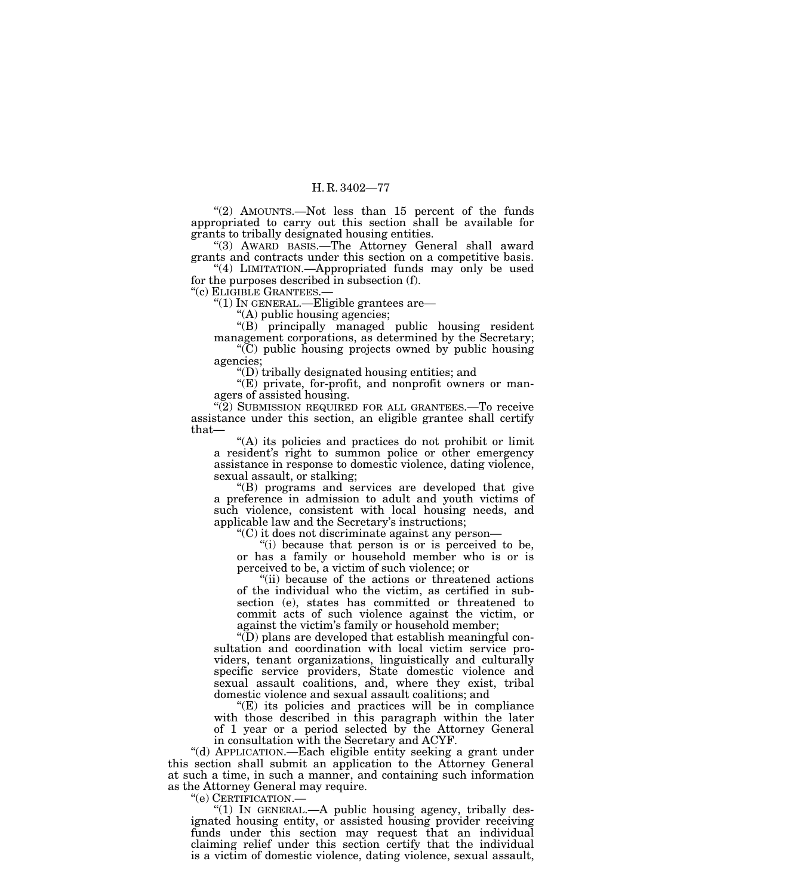"(2) AMOUNTS.—Not less than 15 percent of the funds appropriated to carry out this section shall be available for grants to tribally designated housing entities.

''(3) AWARD BASIS.—The Attorney General shall award grants and contracts under this section on a competitive basis.

"(4) LIMITATION.—Appropriated funds may only be used for the purposes described in subsection (f).

''(c) ELIGIBLE GRANTEES.—

''(1) IN GENERAL.—Eligible grantees are—

 $(A)$  public housing agencies;

"(B) principally managed public housing resident management corporations, as determined by the Secretary;

 $\rm ^{\prime\prime}(C)$  public housing projects owned by public housing agencies;

''(D) tribally designated housing entities; and

''(E) private, for-profit, and nonprofit owners or managers of assisted housing.

''(2) SUBMISSION REQUIRED FOR ALL GRANTEES.—To receive assistance under this section, an eligible grantee shall certify that—

''(A) its policies and practices do not prohibit or limit a resident's right to summon police or other emergency assistance in response to domestic violence, dating violence, sexual assault, or stalking;

''(B) programs and services are developed that give a preference in admission to adult and youth victims of such violence, consistent with local housing needs, and applicable law and the Secretary's instructions;

''(C) it does not discriminate against any person—

"(i) because that person is or is perceived to be, or has a family or household member who is or is perceived to be, a victim of such violence; or

"(ii) because of the actions or threatened actions of the individual who the victim, as certified in subsection (e), states has committed or threatened to commit acts of such violence against the victim, or against the victim's family or household member;

 $\widetilde{P}(D)$  plans are developed that establish meaningful consultation and coordination with local victim service providers, tenant organizations, linguistically and culturally specific service providers, State domestic violence and sexual assault coalitions, and, where they exist, tribal domestic violence and sexual assault coalitions; and

''(E) its policies and practices will be in compliance with those described in this paragraph within the later of 1 year or a period selected by the Attorney General in consultation with the Secretary and ACYF.

''(d) APPLICATION.—Each eligible entity seeking a grant under this section shall submit an application to the Attorney General at such a time, in such a manner, and containing such information as the Attorney General may require.

''(e) CERTIFICATION.—

"(1) IN GENERAL.—A public housing agency, tribally designated housing entity, or assisted housing provider receiving funds under this section may request that an individual claiming relief under this section certify that the individual is a victim of domestic violence, dating violence, sexual assault,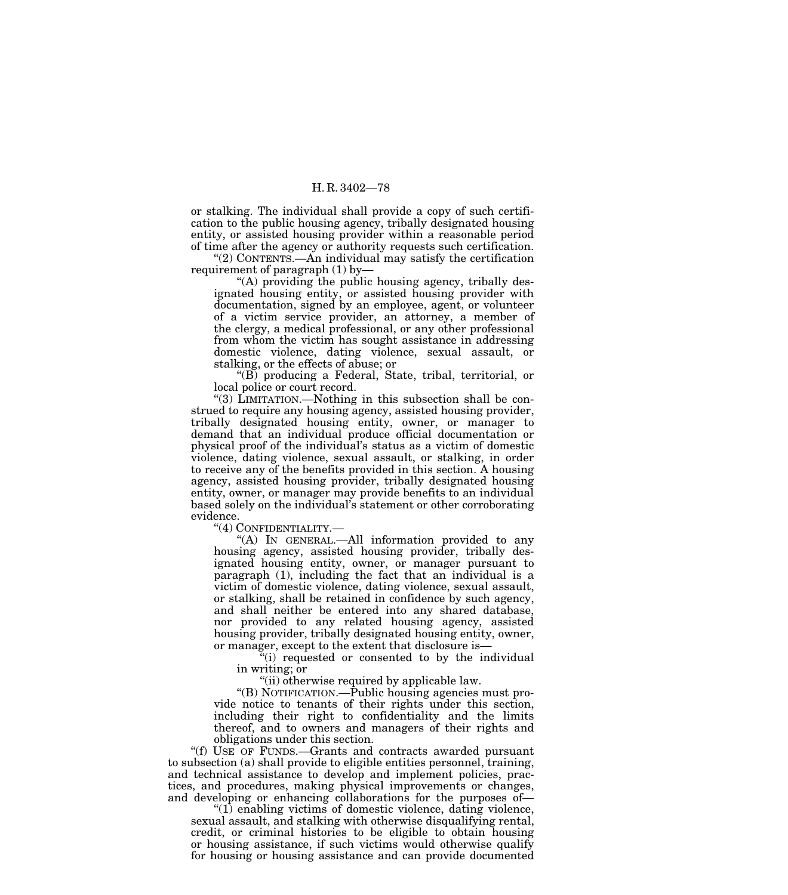or stalking. The individual shall provide a copy of such certification to the public housing agency, tribally designated housing entity, or assisted housing provider within a reasonable period of time after the agency or authority requests such certification.

''(2) CONTENTS.—An individual may satisfy the certification requirement of paragraph (1) by—

"(A) providing the public housing agency, tribally designated housing entity, or assisted housing provider with documentation, signed by an employee, agent, or volunteer of a victim service provider, an attorney, a member of the clergy, a medical professional, or any other professional from whom the victim has sought assistance in addressing domestic violence, dating violence, sexual assault, or stalking, or the effects of abuse; or

''(B) producing a Federal, State, tribal, territorial, or local police or court record.

''(3) LIMITATION.—Nothing in this subsection shall be construed to require any housing agency, assisted housing provider, tribally designated housing entity, owner, or manager to demand that an individual produce official documentation or physical proof of the individual's status as a victim of domestic violence, dating violence, sexual assault, or stalking, in order to receive any of the benefits provided in this section. A housing agency, assisted housing provider, tribally designated housing entity, owner, or manager may provide benefits to an individual based solely on the individual's statement or other corroborating evidence.

''(4) CONFIDENTIALITY.—

''(A) IN GENERAL.—All information provided to any housing agency, assisted housing provider, tribally designated housing entity, owner, or manager pursuant to paragraph (1), including the fact that an individual is a victim of domestic violence, dating violence, sexual assault, or stalking, shall be retained in confidence by such agency, and shall neither be entered into any shared database, nor provided to any related housing agency, assisted housing provider, tribally designated housing entity, owner, or manager, except to the extent that disclosure is—

''(i) requested or consented to by the individual in writing; or

''(ii) otherwise required by applicable law.

''(B) NOTIFICATION.—Public housing agencies must provide notice to tenants of their rights under this section, including their right to confidentiality and the limits thereof, and to owners and managers of their rights and obligations under this section.

''(f) USE OF FUNDS.—Grants and contracts awarded pursuant to subsection (a) shall provide to eligible entities personnel, training, and technical assistance to develop and implement policies, practices, and procedures, making physical improvements or changes, and developing or enhancing collaborations for the purposes of—

 $\degree$ (1) enabling victims of domestic violence, dating violence, sexual assault, and stalking with otherwise disqualifying rental, credit, or criminal histories to be eligible to obtain housing or housing assistance, if such victims would otherwise qualify for housing or housing assistance and can provide documented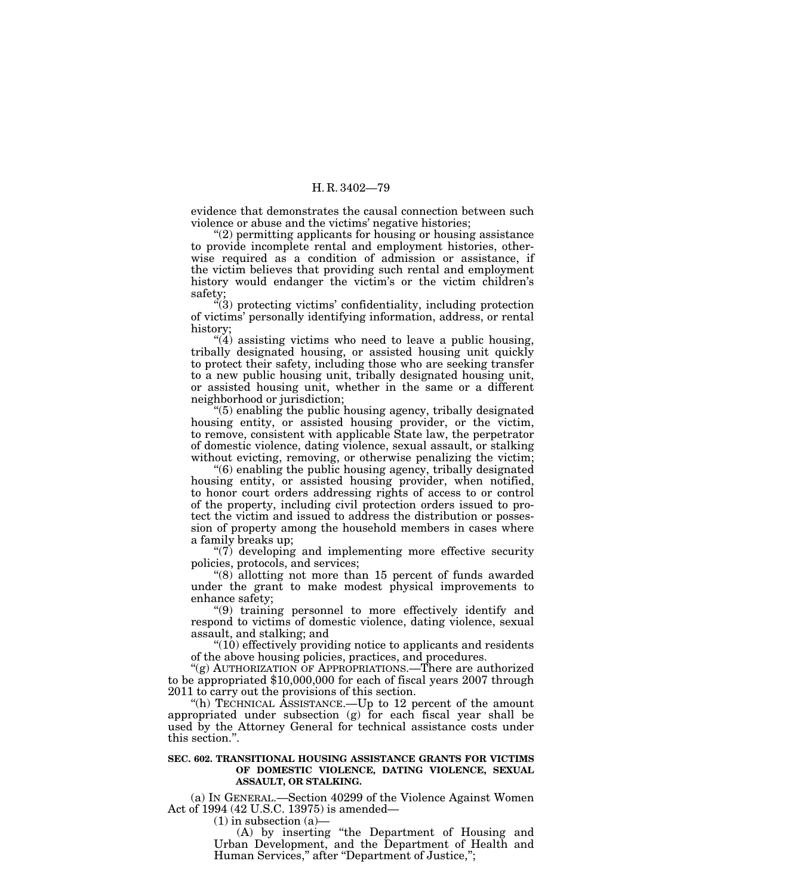evidence that demonstrates the causal connection between such violence or abuse and the victims' negative histories;

''(2) permitting applicants for housing or housing assistance to provide incomplete rental and employment histories, otherwise required as a condition of admission or assistance, if the victim believes that providing such rental and employment history would endanger the victim's or the victim children's safety;

 $\cdot$ <sup>"(3)</sup> protecting victims' confidentiality, including protection of victims' personally identifying information, address, or rental history;

 $\mathcal{L}(4)$  assisting victims who need to leave a public housing, tribally designated housing, or assisted housing unit quickly to protect their safety, including those who are seeking transfer to a new public housing unit, tribally designated housing unit, or assisted housing unit, whether in the same or a different neighborhood or jurisdiction;

''(5) enabling the public housing agency, tribally designated housing entity, or assisted housing provider, or the victim, to remove, consistent with applicable State law, the perpetrator of domestic violence, dating violence, sexual assault, or stalking without evicting, removing, or otherwise penalizing the victim;

 $(6)$  enabling the public housing agency, tribally designated housing entity, or assisted housing provider, when notified, to honor court orders addressing rights of access to or control of the property, including civil protection orders issued to protect the victim and issued to address the distribution or possession of property among the household members in cases where a family breaks up;

"(7) developing and implementing more effective security policies, protocols, and services;

''(8) allotting not more than 15 percent of funds awarded under the grant to make modest physical improvements to enhance safety;

''(9) training personnel to more effectively identify and respond to victims of domestic violence, dating violence, sexual assault, and stalking; and

''(10) effectively providing notice to applicants and residents of the above housing policies, practices, and procedures.

''(g) AUTHORIZATION OF APPROPRIATIONS.—There are authorized to be appropriated \$10,000,000 for each of fiscal years 2007 through 2011 to carry out the provisions of this section.

''(h) TECHNICAL ASSISTANCE.—Up to 12 percent of the amount appropriated under subsection (g) for each fiscal year shall be used by the Attorney General for technical assistance costs under this section.''.

#### **SEC. 602. TRANSITIONAL HOUSING ASSISTANCE GRANTS FOR VICTIMS OF DOMESTIC VIOLENCE, DATING VIOLENCE, SEXUAL ASSAULT, OR STALKING.**

(a) IN GENERAL.—Section 40299 of the Violence Against Women Act of 1994 (42 U.S.C. 13975) is amended—

 $(1)$  in subsection  $(a)$ 

(A) by inserting ''the Department of Housing and Urban Development, and the Department of Health and Human Services," after "Department of Justice,";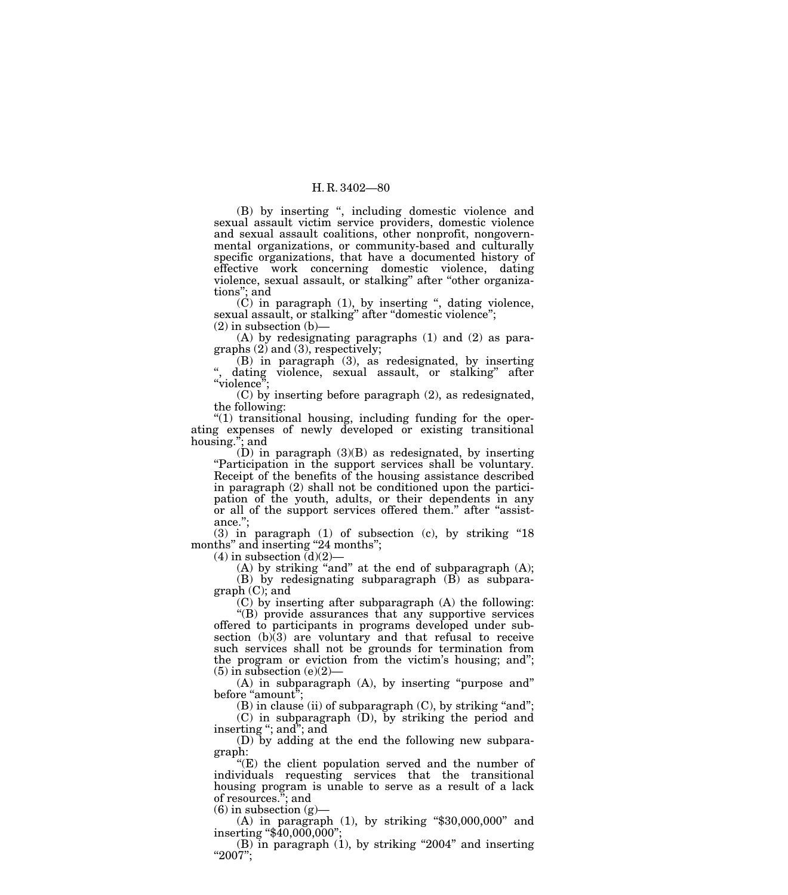(B) by inserting '', including domestic violence and sexual assault victim service providers, domestic violence and sexual assault coalitions, other nonprofit, nongovernmental organizations, or community-based and culturally specific organizations, that have a documented history of effective work concerning domestic violence, dating violence, sexual assault, or stalking" after "other organizations''; and

(C) in paragraph (1), by inserting '', dating violence, sexual assault, or stalking'' after ''domestic violence''; (2) in subsection (b)—

(A) by redesignating paragraphs (1) and (2) as paragraphs  $(2)$  and  $(3)$ , respectively;

(B) in paragraph (3), as redesignated, by inserting dating violence, sexual assault, or stalking" after ''violence'';

(C) by inserting before paragraph (2), as redesignated, the following:

 $''(1)$  transitional housing, including funding for the operating expenses of newly developed or existing transitional housing.''; and

(D) in paragraph (3)(B) as redesignated, by inserting ''Participation in the support services shall be voluntary. Receipt of the benefits of the housing assistance described in paragraph (2) shall not be conditioned upon the participation of the youth, adults, or their dependents in any or all of the support services offered them." after "assistance.'';

 $(3)$  in paragraph  $(1)$  of subsection  $(c)$ , by striking "18 months" and inserting "24 months";

 $(4)$  in subsection  $(d)(2)$ —

(A) by striking "and" at the end of subparagraph  $(A)$ ; (B) by redesignating subparagraph (B) as subparagraph (C); and

(C) by inserting after subparagraph (A) the following: ''(B) provide assurances that any supportive services

offered to participants in programs developed under subsection (b)(3) are voluntary and that refusal to receive such services shall not be grounds for termination from the program or eviction from the victim's housing; and'';  $(5)$  in subsection  $(e)(2)$ —

(A) in subparagraph (A), by inserting ''purpose and'' before "amount";

 $(B)$  in clause (ii) of subparagraph  $(C)$ , by striking "and"; (C) in subparagraph (D), by striking the period and

inserting "; and"; and (D) by adding at the end the following new subpara-

graph:  $E(E)$  the client population served and the number of individuals requesting services that the transitional housing program is unable to serve as a result of a lack of resources.''; and

 $(6)$  in subsection  $(g)$ 

(A) in paragraph  $(1)$ , by striking "\$30,000,000" and inserting "\$40,000,000";

(B) in paragraph (1), by striking "2004" and inserting ''2007'';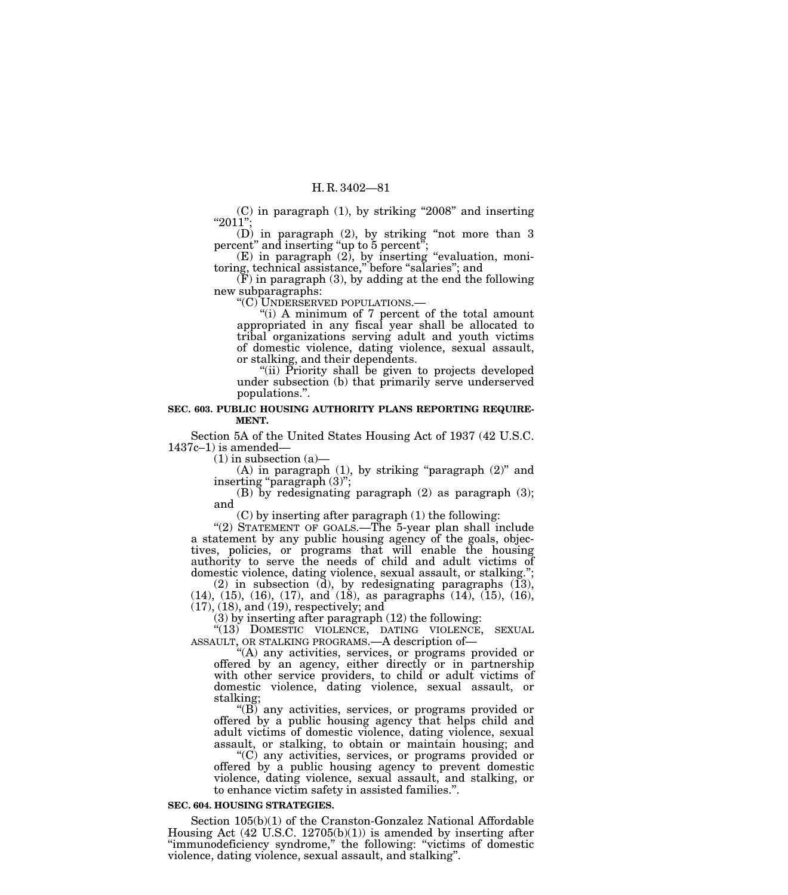(C) in paragraph (1), by striking ''2008'' and inserting ''2011'';

(D) in paragraph (2), by striking ''not more than 3 percent'' and inserting ''up to 5 percent'';

(E) in paragraph (2), by inserting ''evaluation, monitoring, technical assistance,'' before ''salaries''; and

 $(F)$  in paragraph (3), by adding at the end the following new subparagraphs:<br>"(C) UNDERSERVED POPULATIONS.—

"(i) A minimum of 7 percent of the total amount appropriated in any fiscal year shall be allocated to tribal organizations serving adult and youth victims of domestic violence, dating violence, sexual assault, or stalking, and their dependents.

"(ii) Priority shall be given to projects developed under subsection (b) that primarily serve underserved populations.''.

#### **SEC. 603. PUBLIC HOUSING AUTHORITY PLANS REPORTING REQUIRE-MENT.**

Section 5A of the United States Housing Act of 1937 (42 U.S.C. 1437c–1) is amended—

 $(1)$  in subsection  $(a)$ —

(A) in paragraph  $(1)$ , by striking "paragraph  $(2)$ " and inserting "paragraph (3)";

(B) by redesignating paragraph (2) as paragraph (3); and

(C) by inserting after paragraph (1) the following:

"(2) STATEMENT OF GOALS.—The  $5$ -year plan shall include a statement by any public housing agency of the goals, objectives, policies, or programs that will enable the housing authority to serve the needs of child and adult victims of domestic violence, dating violence, sexual assault, or stalking.'';

(2) in subsection  $(d)$ , by redesignating paragraphs  $(13)$ , (14), (15), (16), (17), and (18), as paragraphs (14), (15), (16), (17), (18), and (19), respectively; and

(3) by inserting after paragraph (12) the following:

"(13) DOMESTIC VIOLENCE, DATING VIOLENCE, SEXUAL ASSAULT, OR STALKING PROGRAMS.—A description of—

''(A) any activities, services, or programs provided or offered by an agency, either directly or in partnership with other service providers, to child or adult victims of domestic violence, dating violence, sexual assault, or stalking;

''(B) any activities, services, or programs provided or offered by a public housing agency that helps child and adult victims of domestic violence, dating violence, sexual assault, or stalking, to obtain or maintain housing; and

''(C) any activities, services, or programs provided or offered by a public housing agency to prevent domestic violence, dating violence, sexual assault, and stalking, or to enhance victim safety in assisted families.''.

#### **SEC. 604. HOUSING STRATEGIES.**

Section 105(b)(1) of the Cranston-Gonzalez National Affordable Housing Act (42 U.S.C. 12705(b)(1)) is amended by inserting after ''immunodeficiency syndrome,'' the following: ''victims of domestic violence, dating violence, sexual assault, and stalking''.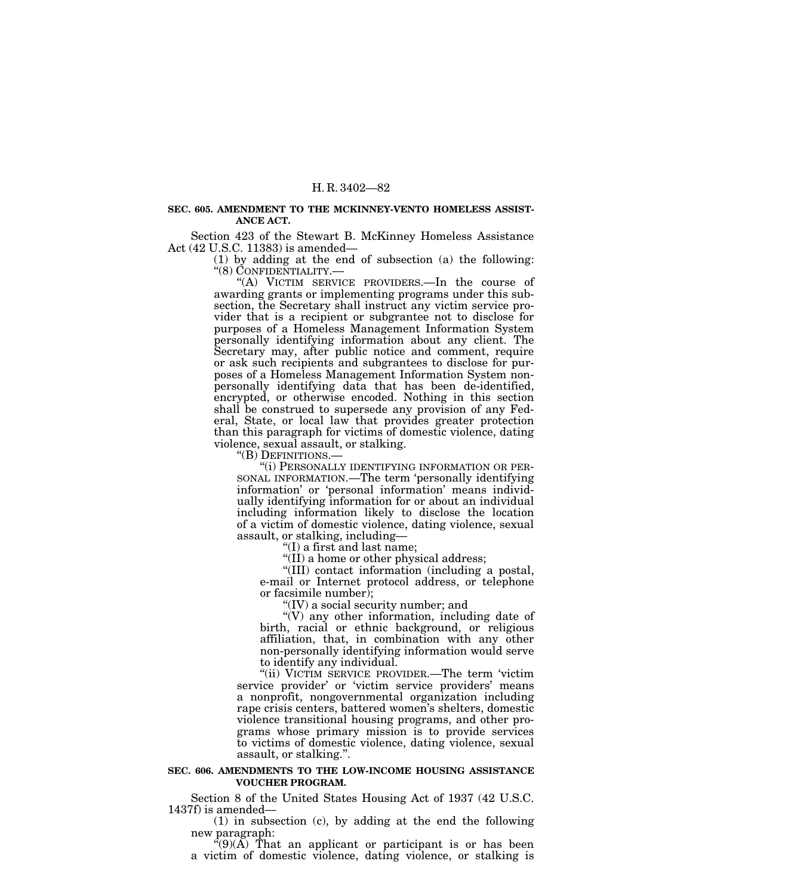#### **SEC. 605. AMENDMENT TO THE MCKINNEY-VENTO HOMELESS ASSIST-ANCE ACT.**

Section 423 of the Stewart B. McKinney Homeless Assistance Act (42 U.S.C. 11383) is amended—

> (1) by adding at the end of subsection (a) the following: ''(8) CONFIDENTIALITY.—

> ''(A) VICTIM SERVICE PROVIDERS.—In the course of awarding grants or implementing programs under this subsection, the Secretary shall instruct any victim service provider that is a recipient or subgrantee not to disclose for purposes of a Homeless Management Information System personally identifying information about any client. The Secretary may, after public notice and comment, require or ask such recipients and subgrantees to disclose for purposes of a Homeless Management Information System nonpersonally identifying data that has been de-identified, encrypted, or otherwise encoded. Nothing in this section shall be construed to supersede any provision of any Federal, State, or local law that provides greater protection than this paragraph for victims of domestic violence, dating violence, sexual assault, or stalking.

''(B) DEFINITIONS.—

"(i) PERSONALLY IDENTIFYING INFORMATION OR PER-SONAL INFORMATION.—The term 'personally identifying information' or 'personal information' means individually identifying information for or about an individual including information likely to disclose the location of a victim of domestic violence, dating violence, sexual assault, or stalking, including—

''(I) a first and last name;

''(II) a home or other physical address;

''(III) contact information (including a postal, e-mail or Internet protocol address, or telephone or facsimile number);

''(IV) a social security number; and

''(V) any other information, including date of birth, racial or ethnic background, or religious affiliation, that, in combination with any other non-personally identifying information would serve to identify any individual.

''(ii) VICTIM SERVICE PROVIDER.—The term 'victim service provider' or 'victim service providers' means a nonprofit, nongovernmental organization including rape crisis centers, battered women's shelters, domestic violence transitional housing programs, and other programs whose primary mission is to provide services to victims of domestic violence, dating violence, sexual assault, or stalking.''.

#### **SEC. 606. AMENDMENTS TO THE LOW-INCOME HOUSING ASSISTANCE VOUCHER PROGRAM.**

Section 8 of the United States Housing Act of 1937 (42 U.S.C. 1437f) is amended—

(1) in subsection (c), by adding at the end the following new paragraph:

 $C(9)(\overline{A})$  That an applicant or participant is or has been a victim of domestic violence, dating violence, or stalking is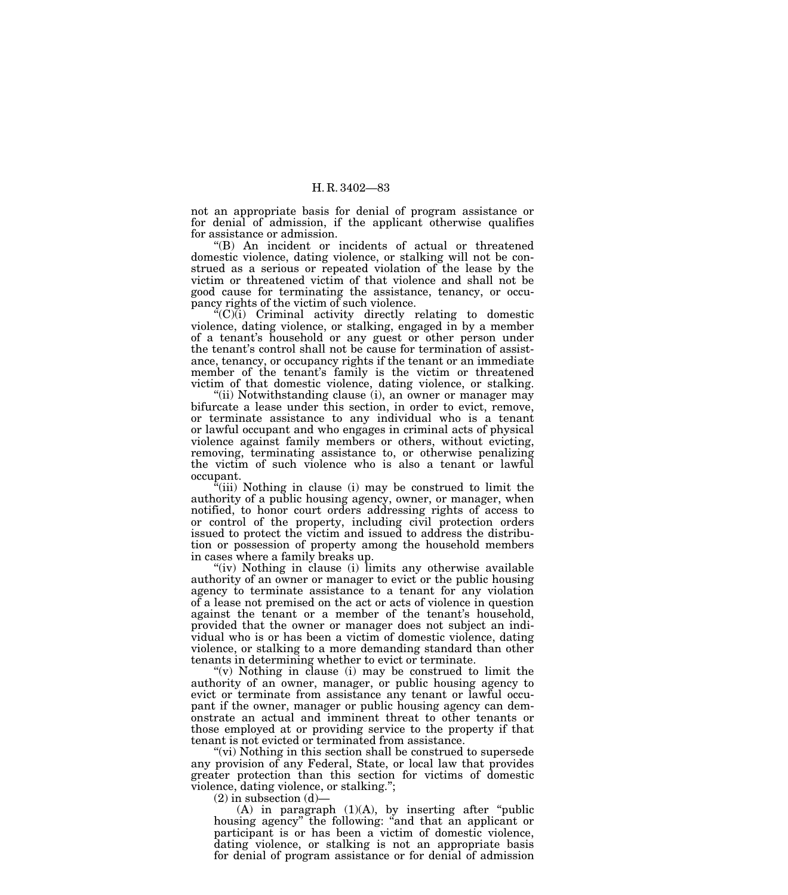not an appropriate basis for denial of program assistance or for denial of admission, if the applicant otherwise qualifies for assistance or admission.

''(B) An incident or incidents of actual or threatened domestic violence, dating violence, or stalking will not be construed as a serious or repeated violation of the lease by the victim or threatened victim of that violence and shall not be good cause for terminating the assistance, tenancy, or occupancy rights of the victim of such violence.

 ${}^{\alpha}$ (C)(I) Criminal activity directly relating to domestic violence, dating violence, or stalking, engaged in by a member of a tenant's household or any guest or other person under the tenant's control shall not be cause for termination of assistance, tenancy, or occupancy rights if the tenant or an immediate member of the tenant's family is the victim or threatened victim of that domestic violence, dating violence, or stalking.

''(ii) Notwithstanding clause (i), an owner or manager may bifurcate a lease under this section, in order to evict, remove, or terminate assistance to any individual who is a tenant or lawful occupant and who engages in criminal acts of physical violence against family members or others, without evicting, removing, terminating assistance to, or otherwise penalizing the victim of such violence who is also a tenant or lawful occupant.

"(iii) Nothing in clause (i) may be construed to limit the authority of a public housing agency, owner, or manager, when notified, to honor court orders addressing rights of access to or control of the property, including civil protection orders issued to protect the victim and issued to address the distribution or possession of property among the household members in cases where a family breaks up.

"(iv) Nothing in clause (i) limits any otherwise available authority of an owner or manager to evict or the public housing agency to terminate assistance to a tenant for any violation of a lease not premised on the act or acts of violence in question against the tenant or a member of the tenant's household, provided that the owner or manager does not subject an individual who is or has been a victim of domestic violence, dating violence, or stalking to a more demanding standard than other tenants in determining whether to evict or terminate.

"(v) Nothing in clause (i) may be construed to limit the authority of an owner, manager, or public housing agency to evict or terminate from assistance any tenant or lawful occupant if the owner, manager or public housing agency can demonstrate an actual and imminent threat to other tenants or those employed at or providing service to the property if that tenant is not evicted or terminated from assistance.

"(vi) Nothing in this section shall be construed to supersede" any provision of any Federal, State, or local law that provides greater protection than this section for victims of domestic violence, dating violence, or stalking.'';

 $(2)$  in subsection  $(d)$ –

 $(A)$  in paragraph  $(1)(A)$ , by inserting after "public housing agency" the following: "and that an applicant or participant is or has been a victim of domestic violence, dating violence, or stalking is not an appropriate basis for denial of program assistance or for denial of admission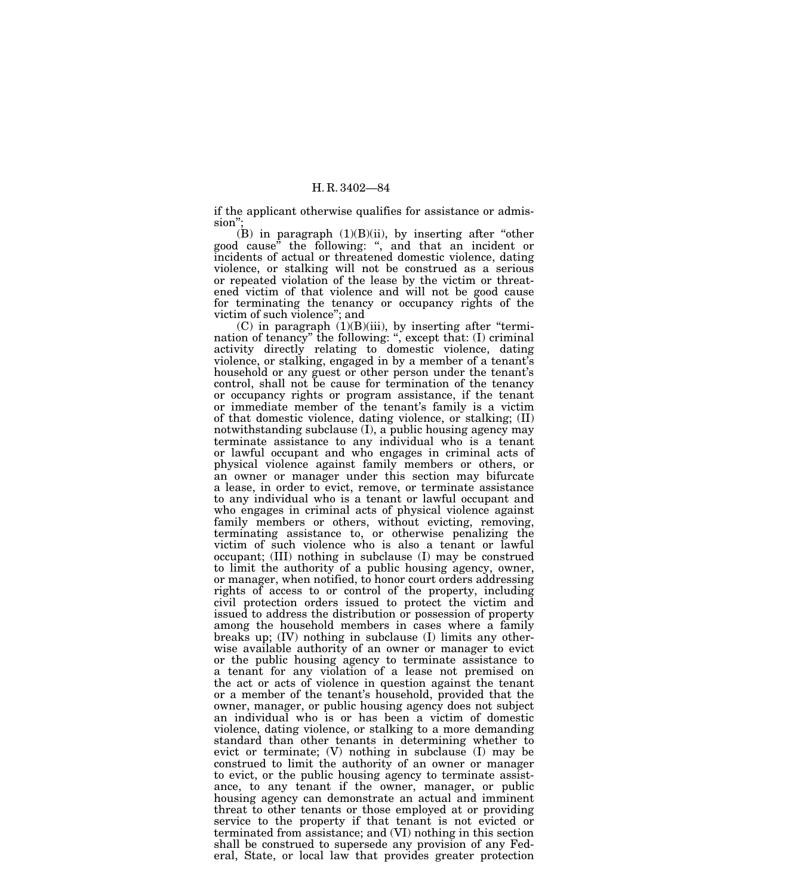if the applicant otherwise qualifies for assistance or admission'';

(B) in paragraph  $(1)(B)(ii)$ , by inserting after "other good cause'' the following: '', and that an incident or incidents of actual or threatened domestic violence, dating violence, or stalking will not be construed as a serious or repeated violation of the lease by the victim or threatened victim of that violence and will not be good cause for terminating the tenancy or occupancy rights of the victim of such violence''; and

(C) in paragraph  $(1)(B)(iii)$ , by inserting after "termination of tenancy" the following: ", except that: (I) criminal activity directly relating to domestic violence, dating violence, or stalking, engaged in by a member of a tenant's household or any guest or other person under the tenant's control, shall not be cause for termination of the tenancy or occupancy rights or program assistance, if the tenant or immediate member of the tenant's family is a victim of that domestic violence, dating violence, or stalking; (II) notwithstanding subclause (I), a public housing agency may terminate assistance to any individual who is a tenant or lawful occupant and who engages in criminal acts of physical violence against family members or others, or an owner or manager under this section may bifurcate a lease, in order to evict, remove, or terminate assistance to any individual who is a tenant or lawful occupant and who engages in criminal acts of physical violence against family members or others, without evicting, removing, terminating assistance to, or otherwise penalizing the victim of such violence who is also a tenant or lawful occupant; (III) nothing in subclause (I) may be construed to limit the authority of a public housing agency, owner, or manager, when notified, to honor court orders addressing rights of access to or control of the property, including civil protection orders issued to protect the victim and issued to address the distribution or possession of property among the household members in cases where a family breaks up; (IV) nothing in subclause (I) limits any otherwise available authority of an owner or manager to evict or the public housing agency to terminate assistance to a tenant for any violation of a lease not premised on the act or acts of violence in question against the tenant or a member of the tenant's household, provided that the owner, manager, or public housing agency does not subject an individual who is or has been a victim of domestic violence, dating violence, or stalking to a more demanding standard than other tenants in determining whether to evict or terminate; (V) nothing in subclause (I) may be construed to limit the authority of an owner or manager to evict, or the public housing agency to terminate assistance, to any tenant if the owner, manager, or public housing agency can demonstrate an actual and imminent threat to other tenants or those employed at or providing service to the property if that tenant is not evicted or terminated from assistance; and (VI) nothing in this section shall be construed to supersede any provision of any Federal, State, or local law that provides greater protection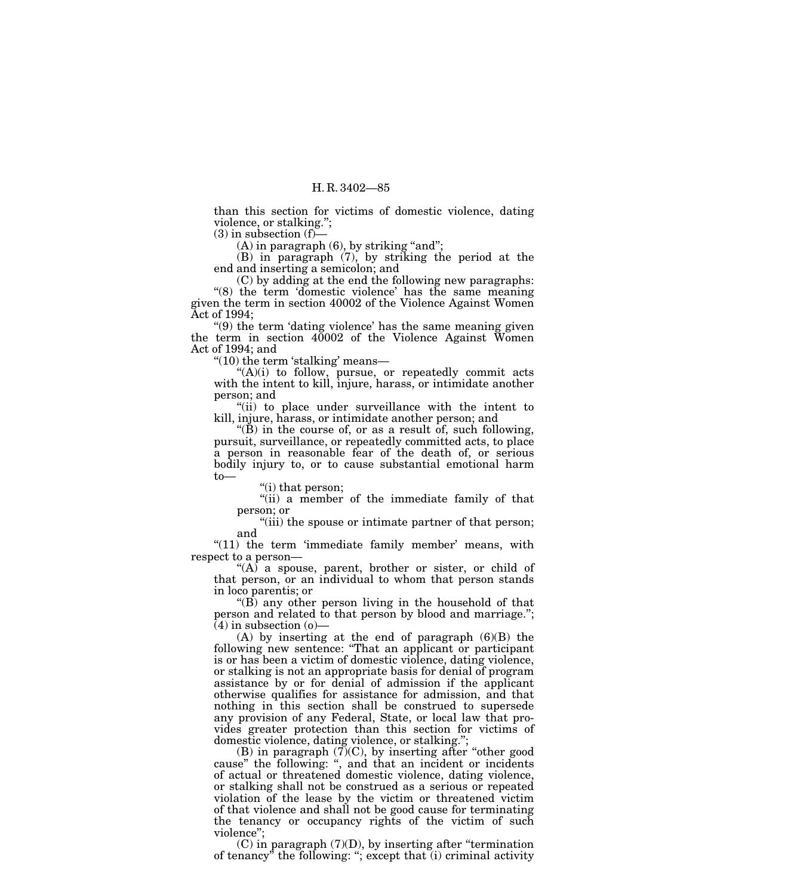than this section for victims of domestic violence, dating violence, or stalking.'';

 $(3)$  in subsection  $(f)$ —

 $(A)$  in paragraph  $(6)$ , by striking "and";

(B) in paragraph (7), by striking the period at the end and inserting a semicolon; and

 $(C)$  by adding at the end the following new paragraphs: ''(8) the term 'domestic violence' has the same meaning given the term in section 40002 of the Violence Against Women Act of 1994;

''(9) the term 'dating violence' has the same meaning given the term in section  $40002$  of the Violence Against Women Act of 1994; and

 $''(10)$  the term 'stalking' means—

 $(A)(i)$  to follow, pursue, or repeatedly commit acts with the intent to kill, injure, harass, or intimidate another person; and

''(ii) to place under surveillance with the intent to kill, injure, harass, or intimidate another person; and

"(B) in the course of, or as a result of, such following, pursuit, surveillance, or repeatedly committed acts, to place a person in reasonable fear of the death of, or serious bodily injury to, or to cause substantial emotional harm to—

"(i) that person;

"(ii) a member of the immediate family of that person; or

''(iii) the spouse or intimate partner of that person; and

" $(11)$  the term 'immediate family member' means, with respect to a person—

''(A) a spouse, parent, brother or sister, or child of that person, or an individual to whom that person stands in loco parentis; or

''(B) any other person living in the household of that person and related to that person by blood and marriage.'';  $(4)$  in subsection  $(0)$ —

(A) by inserting at the end of paragraph (6)(B) the following new sentence: "That an applicant or participant is or has been a victim of domestic violence, dating violence, or stalking is not an appropriate basis for denial of program assistance by or for denial of admission if the applicant otherwise qualifies for assistance for admission, and that nothing in this section shall be construed to supersede any provision of any Federal, State, or local law that provides greater protection than this section for victims of domestic violence, dating violence, or stalking.'';

 $(B)$  in paragraph  $(7)(C)$ , by inserting after "other good" cause'' the following: '', and that an incident or incidents of actual or threatened domestic violence, dating violence, or stalking shall not be construed as a serious or repeated violation of the lease by the victim or threatened victim of that violence and shall not be good cause for terminating the tenancy or occupancy rights of the victim of such violence'';

 $(C)$  in paragraph  $(7)(D)$ , by inserting after "termination" of tenancy<sup> $\bar{y}$ </sup> the following: "; except that (i) criminal activity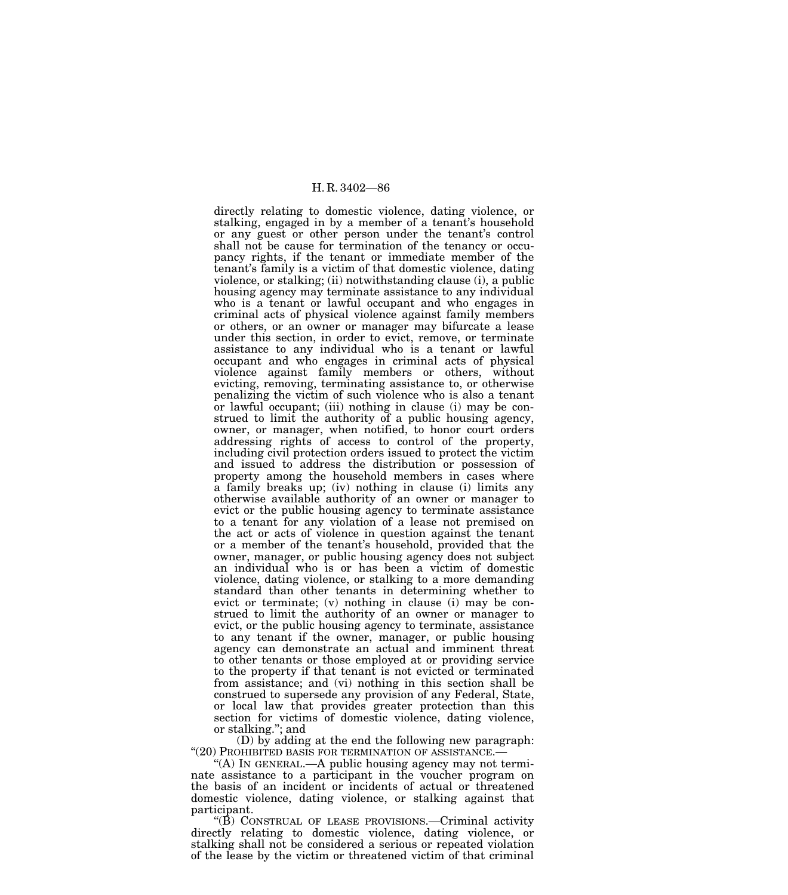directly relating to domestic violence, dating violence, or stalking, engaged in by a member of a tenant's household or any guest or other person under the tenant's control shall not be cause for termination of the tenancy or occupancy rights, if the tenant or immediate member of the tenant's family is a victim of that domestic violence, dating violence, or stalking; (ii) notwithstanding clause (i), a public housing agency may terminate assistance to any individual who is a tenant or lawful occupant and who engages in criminal acts of physical violence against family members or others, or an owner or manager may bifurcate a lease under this section, in order to evict, remove, or terminate assistance to any individual who is a tenant or lawful occupant and who engages in criminal acts of physical violence against family members or others, without evicting, removing, terminating assistance to, or otherwise penalizing the victim of such violence who is also a tenant or lawful occupant; (iii) nothing in clause (i) may be construed to limit the authority of a public housing agency, owner, or manager, when notified, to honor court orders addressing rights of access to control of the property, including civil protection orders issued to protect the victim and issued to address the distribution or possession of property among the household members in cases where a family breaks up; (iv) nothing in clause (i) limits any otherwise available authority of an owner or manager to evict or the public housing agency to terminate assistance to a tenant for any violation of a lease not premised on the act or acts of violence in question against the tenant or a member of the tenant's household, provided that the owner, manager, or public housing agency does not subject an individual who is or has been a victim of domestic violence, dating violence, or stalking to a more demanding standard than other tenants in determining whether to evict or terminate; (v) nothing in clause (i) may be construed to limit the authority of an owner or manager to evict, or the public housing agency to terminate, assistance to any tenant if the owner, manager, or public housing agency can demonstrate an actual and imminent threat to other tenants or those employed at or providing service to the property if that tenant is not evicted or terminated from assistance; and (vi) nothing in this section shall be construed to supersede any provision of any Federal, State, or local law that provides greater protection than this section for victims of domestic violence, dating violence, or stalking.''; and

(D) by adding at the end the following new paragraph:<br>"(20) PROHIBITED BASIS FOR TERMINATION OF ASSISTANCE.—

"(A) IN GENERAL.—A public housing agency may not terminate assistance to a participant in the voucher program on the basis of an incident or incidents of actual or threatened domestic violence, dating violence, or stalking against that participant.

" $(B)$  CONSTRUAL OF LEASE PROVISIONS.—Criminal activity directly relating to domestic violence, dating violence, or stalking shall not be considered a serious or repeated violation of the lease by the victim or threatened victim of that criminal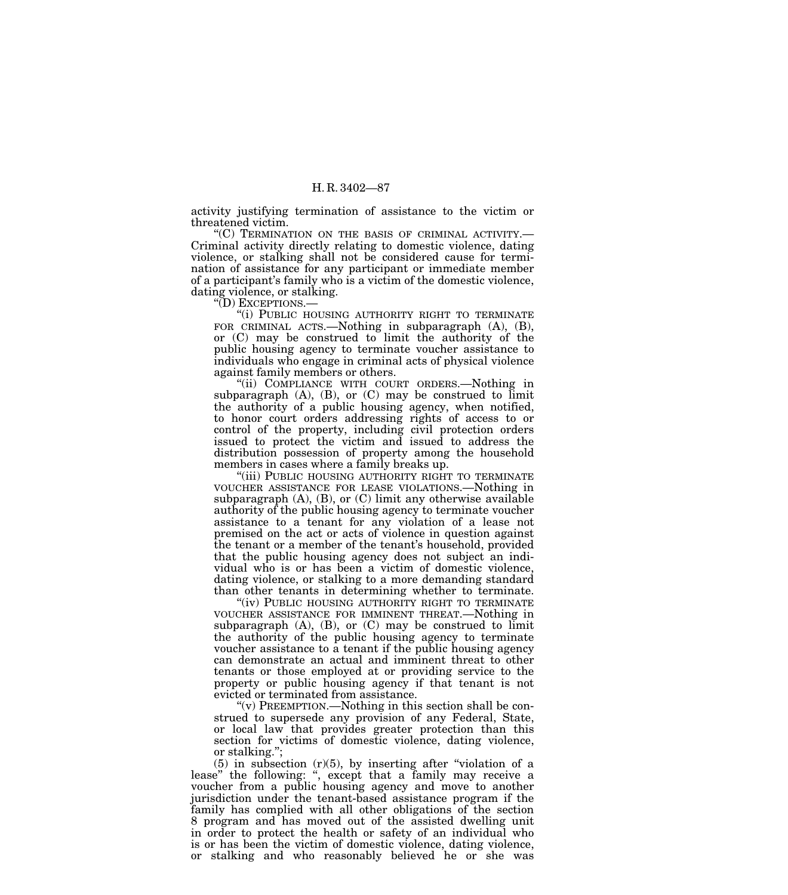activity justifying termination of assistance to the victim or threatened victim.

''(C) TERMINATION ON THE BASIS OF CRIMINAL ACTIVITY.— Criminal activity directly relating to domestic violence, dating violence, or stalking shall not be considered cause for termination of assistance for any participant or immediate member of a participant's family who is a victim of the domestic violence, dating violence, or stalking.

''(D) EXCEPTIONS.—

"(i) PUBLIC HOUSING AUTHORITY RIGHT TO TERMINATE FOR CRIMINAL ACTS.—Nothing in subparagraph (A), (B), or (C) may be construed to limit the authority of the public housing agency to terminate voucher assistance to individuals who engage in criminal acts of physical violence against family members or others.

''(ii) COMPLIANCE WITH COURT ORDERS.—Nothing in subparagraph  $(A)$ ,  $(B)$ , or  $(C)$  may be construed to limit the authority of a public housing agency, when notified, to honor court orders addressing rights of access to or control of the property, including civil protection orders issued to protect the victim and issued to address the distribution possession of property among the household members in cases where a family breaks up.

"(iii) PUBLIC HOUSING AUTHORITY RIGHT TO TERMINATE VOUCHER ASSISTANCE FOR LEASE VIOLATIONS.—Nothing in subparagraph (A), (B), or (C) limit any otherwise available authority of the public housing agency to terminate voucher assistance to a tenant for any violation of a lease not premised on the act or acts of violence in question against the tenant or a member of the tenant's household, provided that the public housing agency does not subject an individual who is or has been a victim of domestic violence, dating violence, or stalking to a more demanding standard than other tenants in determining whether to terminate.

"(iv) PUBLIC HOUSING AUTHORITY RIGHT TO TERMINATE VOUCHER ASSISTANCE FOR IMMINENT THREAT.—Nothing in subparagraph  $(A)$ ,  $(B)$ , or  $(C)$  may be construed to limit the authority of the public housing agency to terminate voucher assistance to a tenant if the public housing agency can demonstrate an actual and imminent threat to other tenants or those employed at or providing service to the property or public housing agency if that tenant is not evicted or terminated from assistance.

" $(v)$  PREEMPTION.—Nothing in this section shall be construed to supersede any provision of any Federal, State, or local law that provides greater protection than this section for victims of domestic violence, dating violence, or stalking.'';

 $(5)$  in subsection  $(r)(5)$ , by inserting after "violation of a lease" the following: ", except that a family may receive a voucher from a public housing agency and move to another jurisdiction under the tenant-based assistance program if the family has complied with all other obligations of the section 8 program and has moved out of the assisted dwelling unit in order to protect the health or safety of an individual who is or has been the victim of domestic violence, dating violence, or stalking and who reasonably believed he or she was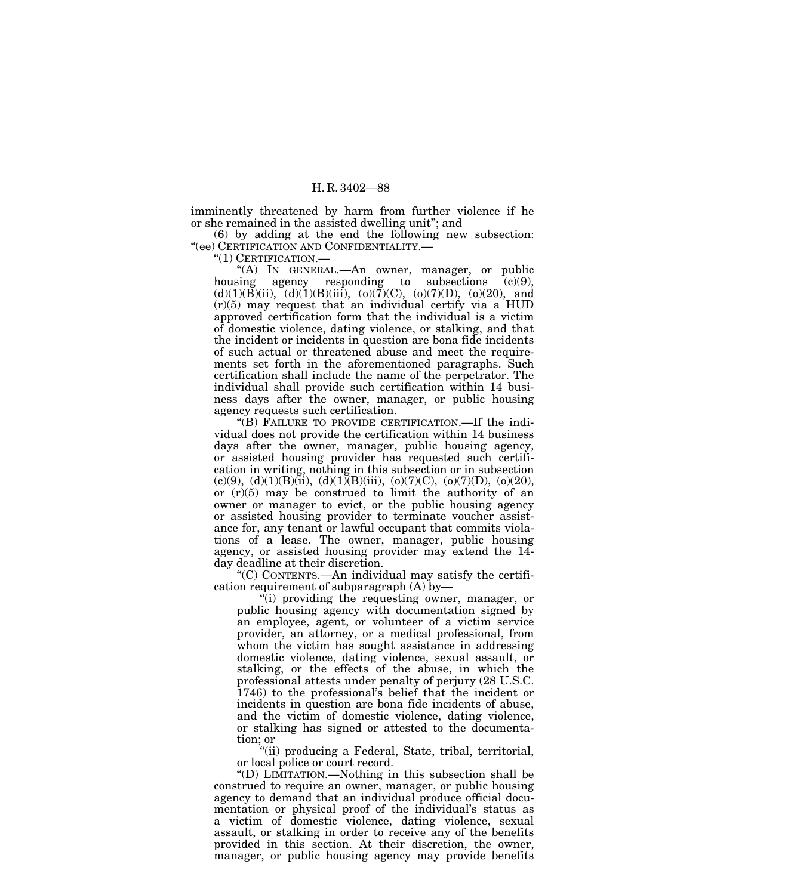imminently threatened by harm from further violence if he or she remained in the assisted dwelling unit''; and

(6) by adding at the end the following new subsection: ''(ee) CERTIFICATION AND CONFIDENTIALITY.—

''(1) CERTIFICATION.—

''(A) IN GENERAL.—An owner, manager, or public housing agency responding to subsections (c)(9),  $(d)(1)(\overrightarrow{B})(ii), (d)(1)(B)(iii), (o)(7)(C), (o)(7)(D), (o)(20), and$ (r)(5) may request that an individual certify via a HUD approved certification form that the individual is a victim of domestic violence, dating violence, or stalking, and that the incident or incidents in question are bona fide incidents of such actual or threatened abuse and meet the requirements set forth in the aforementioned paragraphs. Such certification shall include the name of the perpetrator. The individual shall provide such certification within 14 business days after the owner, manager, or public housing agency requests such certification.

''(B) FAILURE TO PROVIDE CERTIFICATION.—If the individual does not provide the certification within 14 business days after the owner, manager, public housing agency, or assisted housing provider has requested such certification in writing, nothing in this subsection or in subsection (c)(9), (d)(1)(B)(ii), (d)(1)(B)(iii), (o)(7)(C), (o)(7)(D), (o)(20), or  $(r)(5)$  may be construed to limit the authority of an owner or manager to evict, or the public housing agency or assisted housing provider to terminate voucher assistance for, any tenant or lawful occupant that commits violations of a lease. The owner, manager, public housing agency, or assisted housing provider may extend the 14 day deadline at their discretion.

''(C) CONTENTS.—An individual may satisfy the certification requirement of subparagraph  $(A)$  by

''(i) providing the requesting owner, manager, or public housing agency with documentation signed by an employee, agent, or volunteer of a victim service provider, an attorney, or a medical professional, from whom the victim has sought assistance in addressing domestic violence, dating violence, sexual assault, or stalking, or the effects of the abuse, in which the professional attests under penalty of perjury (28 U.S.C. 1746) to the professional's belief that the incident or incidents in question are bona fide incidents of abuse, and the victim of domestic violence, dating violence, or stalking has signed or attested to the documentation; or

''(ii) producing a Federal, State, tribal, territorial, or local police or court record.

''(D) LIMITATION.—Nothing in this subsection shall be construed to require an owner, manager, or public housing agency to demand that an individual produce official documentation or physical proof of the individual's status as a victim of domestic violence, dating violence, sexual assault, or stalking in order to receive any of the benefits provided in this section. At their discretion, the owner, manager, or public housing agency may provide benefits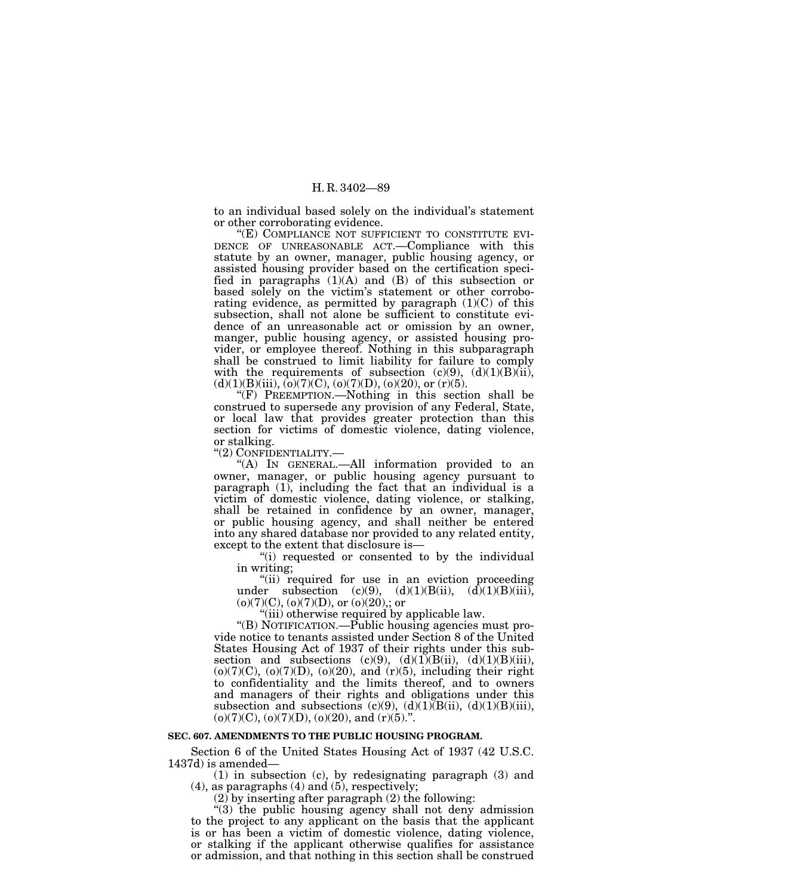to an individual based solely on the individual's statement or other corroborating evidence.

"(E) COMPLIANCE NOT SUFFICIENT TO CONSTITUTE EVI-DENCE OF UNREASONABLE ACT.—Compliance with this statute by an owner, manager, public housing agency, or assisted housing provider based on the certification specified in paragraphs  $(1)(A)$  and  $(B)$  of this subsection or based solely on the victim's statement or other corroborating evidence, as permitted by paragraph  $(1)(C)$  of this subsection, shall not alone be sufficient to constitute evidence of an unreasonable act or omission by an owner, manger, public housing agency, or assisted housing provider, or employee thereof. Nothing in this subparagraph shall be construed to limit liability for failure to comply with the requirements of subsection  $(c)(9)$ ,  $(d)(1)(B)(ii)$ ,  $(d)(1)(B)(iii), (o)(7)(C), (o)(7)(D), (o)(20), or (r)(5).$ 

"(F) PREEMPTION.—Nothing in this section shall be construed to supersede any provision of any Federal, State, or local law that provides greater protection than this section for victims of domestic violence, dating violence, or stalking.<br>"(2) CONFIDENTIALITY.—

"(A) In GENERAL.—All information provided to an owner, manager, or public housing agency pursuant to paragraph (1), including the fact that an individual is a victim of domestic violence, dating violence, or stalking, shall be retained in confidence by an owner, manager, or public housing agency, and shall neither be entered into any shared database nor provided to any related entity, except to the extent that disclosure is—

''(i) requested or consented to by the individual in writing;

"(ii) required for use in an eviction proceeding under subsection  $(c)(9)$ ,  $(d)(1)(B(ii)$ ,  $(d)(1)(B(iii)$ ,  $(o)(7)(C), (o)(7)(D), or (o)(20);$  or

''(iii) otherwise required by applicable law.

''(B) NOTIFICATION.—Public housing agencies must provide notice to tenants assisted under Section 8 of the United States Housing Act of 1937 of their rights under this subsection and subsections  $(c)(9)$ ,  $(d)(1)(B(ii), (d)(1)(B(iii))$ ,  $(o)(7)(C)$ ,  $(o)(7)(D)$ ,  $(o)(20)$ , and  $(r)(5)$ , including their right to confidentiality and the limits thereof, and to owners and managers of their rights and obligations under this subsection and subsections  $(c)(9)$ ,  $(d)(1)(B(ii), (d)(1)(B(iii))$ ,  $(0)(7)(C)$ ,  $(0)(7)(D)$ ,  $(0)(20)$ , and  $(r)(5)$ .".

## **SEC. 607. AMENDMENTS TO THE PUBLIC HOUSING PROGRAM.**

Section 6 of the United States Housing Act of 1937 (42 U.S.C. 1437d) is amended—

(1) in subsection (c), by redesignating paragraph (3) and  $(4)$ , as paragraphs  $(4)$  and  $(5)$ , respectively;

 $(2)$  by inserting after paragraph  $(2)$  the following:

"(3) the public housing agency shall not deny admission to the project to any applicant on the basis that the applicant is or has been a victim of domestic violence, dating violence, or stalking if the applicant otherwise qualifies for assistance or admission, and that nothing in this section shall be construed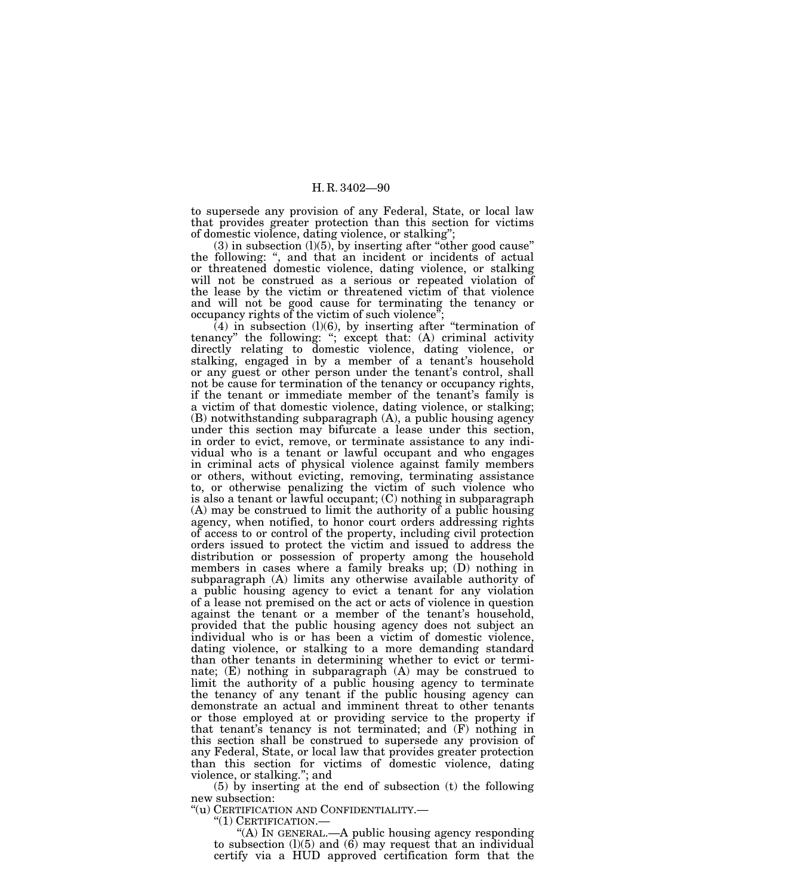to supersede any provision of any Federal, State, or local law that provides greater protection than this section for victims of domestic violence, dating violence, or stalking'';

 $(3)$  in subsection  $(l)(5)$ , by inserting after "other good cause" the following: ", and that an incident or incidents of actual or threatened domestic violence, dating violence, or stalking will not be construed as a serious or repeated violation of the lease by the victim or threatened victim of that violence and will not be good cause for terminating the tenancy or occupancy rights of the victim of such violence'

 $(4)$  in subsection  $(1)(6)$ , by inserting after "termination of tenancy'' the following: ''; except that: (A) criminal activity directly relating to domestic violence, dating violence, or stalking, engaged in by a member of a tenant's household or any guest or other person under the tenant's control, shall not be cause for termination of the tenancy or occupancy rights, if the tenant or immediate member of the tenant's family is a victim of that domestic violence, dating violence, or stalking; (B) notwithstanding subparagraph (A), a public housing agency under this section may bifurcate a lease under this section, in order to evict, remove, or terminate assistance to any individual who is a tenant or lawful occupant and who engages in criminal acts of physical violence against family members or others, without evicting, removing, terminating assistance to, or otherwise penalizing the victim of such violence who is also a tenant or lawful occupant; (C) nothing in subparagraph (A) may be construed to limit the authority of a public housing agency, when notified, to honor court orders addressing rights of access to or control of the property, including civil protection orders issued to protect the victim and issued to address the distribution or possession of property among the household members in cases where a family breaks up; (D) nothing in subparagraph (A) limits any otherwise available authority of a public housing agency to evict a tenant for any violation of a lease not premised on the act or acts of violence in question against the tenant or a member of the tenant's household, provided that the public housing agency does not subject an individual who is or has been a victim of domestic violence, dating violence, or stalking to a more demanding standard than other tenants in determining whether to evict or terminate; (E) nothing in subparagraph (A) may be construed to limit the authority of a public housing agency to terminate the tenancy of any tenant if the public housing agency can demonstrate an actual and imminent threat to other tenants or those employed at or providing service to the property if that tenant's tenancy is not terminated; and (F) nothing in this section shall be construed to supersede any provision of any Federal, State, or local law that provides greater protection than this section for victims of domestic violence, dating violence, or stalking.''; and

(5) by inserting at the end of subsection (t) the following new subsection:

''(u) CERTIFICATION AND CONFIDENTIALITY.—

''(1) CERTIFICATION.—

''(A) IN GENERAL.—A public housing agency responding to subsection  $(l)(5)$  and  $(6)$  may request that an individual certify via a HUD approved certification form that the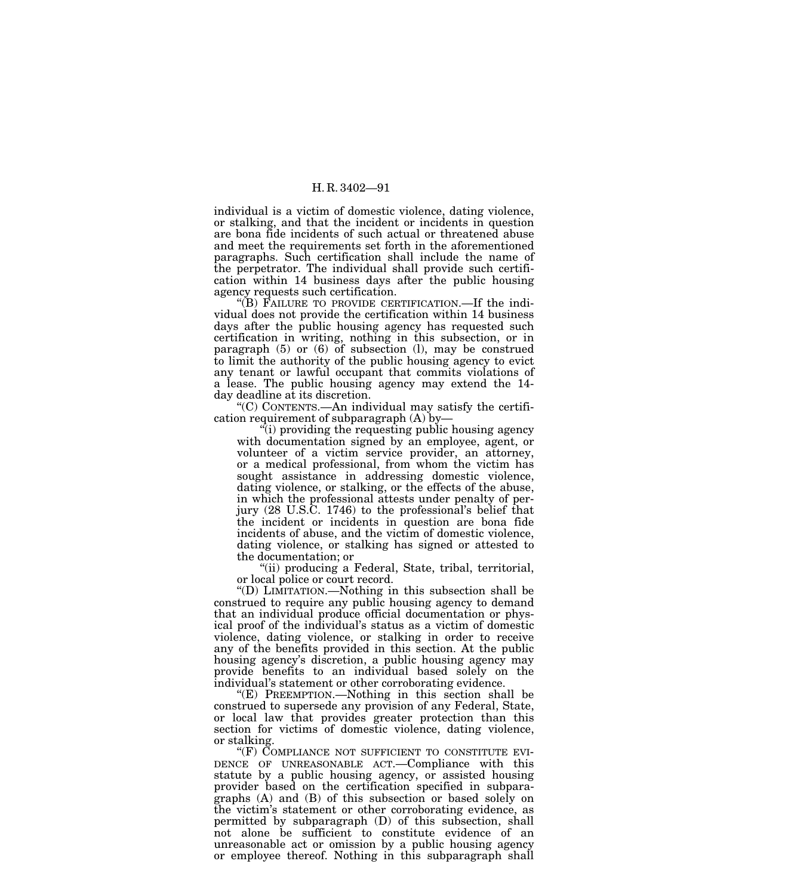individual is a victim of domestic violence, dating violence, or stalking, and that the incident or incidents in question are bona fide incidents of such actual or threatened abuse and meet the requirements set forth in the aforementioned paragraphs. Such certification shall include the name of the perpetrator. The individual shall provide such certification within 14 business days after the public housing agency requests such certification.

''(B) FAILURE TO PROVIDE CERTIFICATION.—If the individual does not provide the certification within 14 business days after the public housing agency has requested such certification in writing, nothing in this subsection, or in paragraph (5) or (6) of subsection (l), may be construed to limit the authority of the public housing agency to evict any tenant or lawful occupant that commits violations of a lease. The public housing agency may extend the 14 day deadline at its discretion.

 $C$ <sup>''</sup>(C) CONTENTS.—An individual may satisfy the certification requirement of subparagraph (A) by—

''(i) providing the requesting public housing agency with documentation signed by an employee, agent, or volunteer of a victim service provider, an attorney, or a medical professional, from whom the victim has sought assistance in addressing domestic violence, dating violence, or stalking, or the effects of the abuse, in which the professional attests under penalty of perjury (28 U.S.C. 1746) to the professional's belief that the incident or incidents in question are bona fide incidents of abuse, and the victim of domestic violence, dating violence, or stalking has signed or attested to the documentation; or

''(ii) producing a Federal, State, tribal, territorial, or local police or court record.

''(D) LIMITATION.—Nothing in this subsection shall be construed to require any public housing agency to demand that an individual produce official documentation or physical proof of the individual's status as a victim of domestic violence, dating violence, or stalking in order to receive any of the benefits provided in this section. At the public housing agency's discretion, a public housing agency may provide benefits to an individual based solely on the individual's statement or other corroborating evidence.

''(E) PREEMPTION.—Nothing in this section shall be construed to supersede any provision of any Federal, State, or local law that provides greater protection than this section for victims of domestic violence, dating violence, or stalking.<br>
"(F) COMPLIANCE NOT SUFFICIENT TO CONSTITUTE EVI-

DENCE OF UNREASONABLE ACT.—Compliance with this statute by a public housing agency, or assisted housing provider based on the certification specified in subparagraphs (A) and (B) of this subsection or based solely on the victim's statement or other corroborating evidence, as permitted by subparagraph (D) of this subsection, shall not alone be sufficient to constitute evidence of an unreasonable act or omission by a public housing agency or employee thereof. Nothing in this subparagraph shall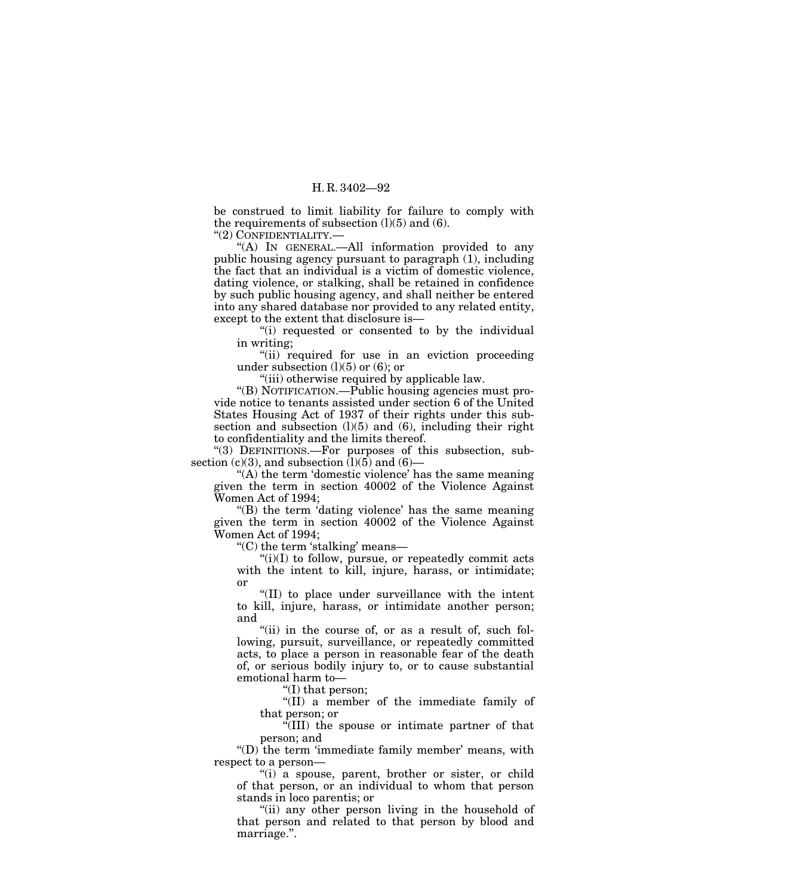be construed to limit liability for failure to comply with the requirements of subsection  $(l)(5)$  and  $(6)$ .

''(2) CONFIDENTIALITY.—

''(A) IN GENERAL.—All information provided to any public housing agency pursuant to paragraph (1), including the fact that an individual is a victim of domestic violence, dating violence, or stalking, shall be retained in confidence by such public housing agency, and shall neither be entered into any shared database nor provided to any related entity, except to the extent that disclosure is—

''(i) requested or consented to by the individual in writing;

"(ii) required for use in an eviction proceeding under subsection  $(l)(5)$  or  $(6)$ ; or

''(iii) otherwise required by applicable law.

''(B) NOTIFICATION.—Public housing agencies must provide notice to tenants assisted under section 6 of the United States Housing Act of 1937 of their rights under this subsection and subsection  $(l)(5)$  and  $(6)$ , including their right to confidentiality and the limits thereof.

''(3) DEFINITIONS.—For purposes of this subsection, subsection (c)(3), and subsection  $(1)(5)$  and  $(6)$ —

''(A) the term 'domestic violence' has the same meaning given the term in section 40002 of the Violence Against Women Act of 1994;

''(B) the term 'dating violence' has the same meaning given the term in section 40002 of the Violence Against Women Act of 1994;

''(C) the term 'stalking' means—

 $(ii)(I)$  to follow, pursue, or repeatedly commit acts with the intent to kill, injure, harass, or intimidate; or

''(II) to place under surveillance with the intent to kill, injure, harass, or intimidate another person; and

"(ii) in the course of, or as a result of, such following, pursuit, surveillance, or repeatedly committed acts, to place a person in reasonable fear of the death of, or serious bodily injury to, or to cause substantial emotional harm to—

''(I) that person;

''(II) a member of the immediate family of that person; or

''(III) the spouse or intimate partner of that person; and

''(D) the term 'immediate family member' means, with respect to a person—

"(i) a spouse, parent, brother or sister, or child of that person, or an individual to whom that person stands in loco parentis; or

"(ii) any other person living in the household of that person and related to that person by blood and marriage.''.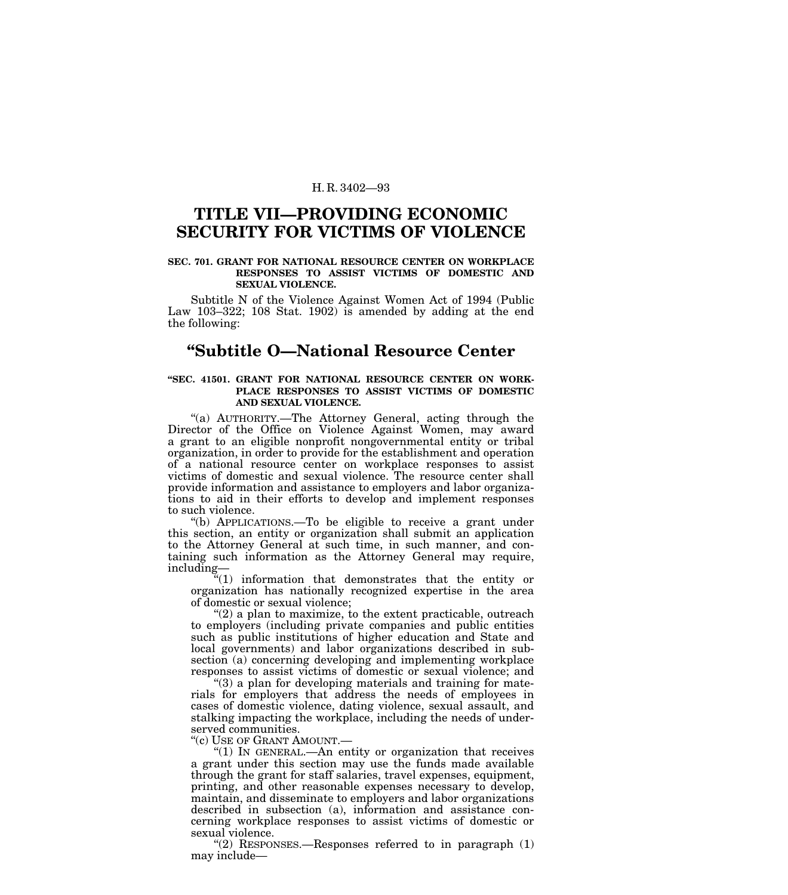# **TITLE VII—PROVIDING ECONOMIC SECURITY FOR VICTIMS OF VIOLENCE**

#### **SEC. 701. GRANT FOR NATIONAL RESOURCE CENTER ON WORKPLACE RESPONSES TO ASSIST VICTIMS OF DOMESTIC AND SEXUAL VIOLENCE.**

Subtitle N of the Violence Against Women Act of 1994 (Public Law 103–322; 108 Stat. 1902) is amended by adding at the end the following:

## **''Subtitle O—National Resource Center**

#### **''SEC. 41501. GRANT FOR NATIONAL RESOURCE CENTER ON WORK-PLACE RESPONSES TO ASSIST VICTIMS OF DOMESTIC AND SEXUAL VIOLENCE.**

"(a) AUTHORITY.—The Attorney General, acting through the Director of the Office on Violence Against Women, may award a grant to an eligible nonprofit nongovernmental entity or tribal organization, in order to provide for the establishment and operation of a national resource center on workplace responses to assist victims of domestic and sexual violence. The resource center shall provide information and assistance to employers and labor organizations to aid in their efforts to develop and implement responses to such violence.

''(b) APPLICATIONS.—To be eligible to receive a grant under this section, an entity or organization shall submit an application to the Attorney General at such time, in such manner, and containing such information as the Attorney General may require, including—

''(1) information that demonstrates that the entity or organization has nationally recognized expertise in the area of domestic or sexual violence;

 $(2)$  a plan to maximize, to the extent practicable, outreach to employers (including private companies and public entities such as public institutions of higher education and State and local governments) and labor organizations described in subsection (a) concerning developing and implementing workplace responses to assist victims of domestic or sexual violence; and

 $(3)$  a plan for developing materials and training for materials for employers that address the needs of employees in cases of domestic violence, dating violence, sexual assault, and stalking impacting the workplace, including the needs of underserved communities.

"(c) USE OF GRANT AMOUNT.—

" $(1)$  In GENERAL.—An entity or organization that receives a grant under this section may use the funds made available through the grant for staff salaries, travel expenses, equipment, printing, and other reasonable expenses necessary to develop, maintain, and disseminate to employers and labor organizations described in subsection (a), information and assistance concerning workplace responses to assist victims of domestic or sexual violence.

" $(2)$  RESPONSES.—Responses referred to in paragraph  $(1)$ may include—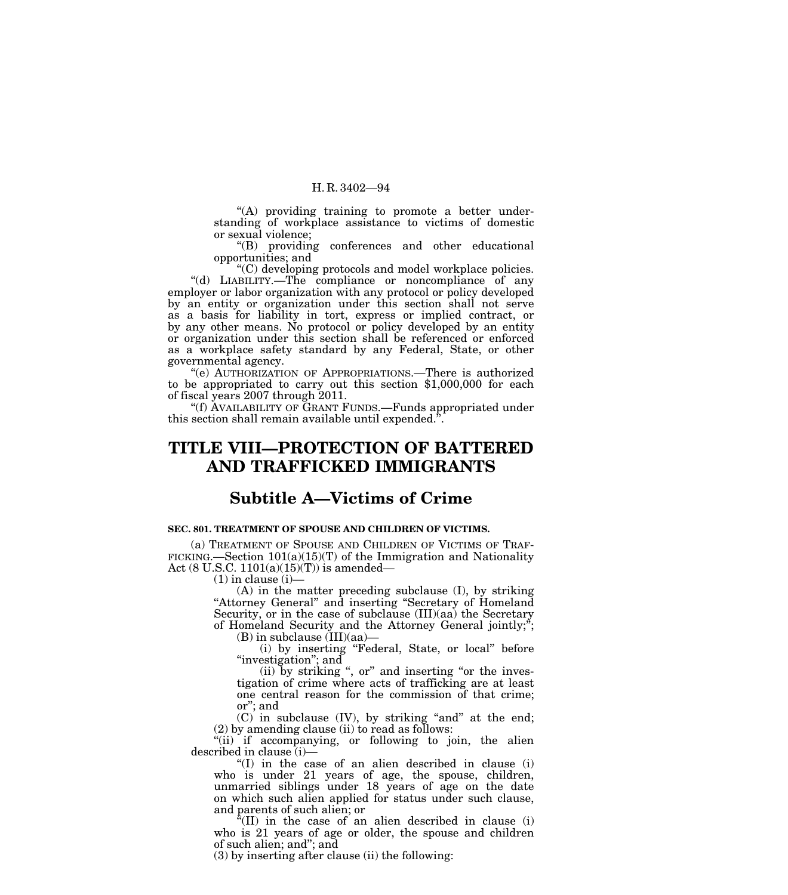"(A) providing training to promote a better understanding of workplace assistance to victims of domestic or sexual violence;

''(B) providing conferences and other educational opportunities; and

''(C) developing protocols and model workplace policies. "(d) LIABILITY.—The compliance or noncompliance of any employer or labor organization with any protocol or policy developed by an entity or organization under this section shall not serve as a basis for liability in tort, express or implied contract, or by any other means. No protocol or policy developed by an entity or organization under this section shall be referenced or enforced as a workplace safety standard by any Federal, State, or other governmental agency.

''(e) AUTHORIZATION OF APPROPRIATIONS.—There is authorized to be appropriated to carry out this section \$1,000,000 for each of fiscal years 2007 through 2011.

''(f) AVAILABILITY OF GRANT FUNDS.—Funds appropriated under this section shall remain available until expended.''.

# **TITLE VIII—PROTECTION OF BATTERED AND TRAFFICKED IMMIGRANTS**

## **Subtitle A—Victims of Crime**

#### **SEC. 801. TREATMENT OF SPOUSE AND CHILDREN OF VICTIMS.**

(a) TREATMENT OF SPOUSE AND CHILDREN OF VICTIMS OF TRAF-FICKING.—Section  $101(a)(15)(T)$  of the Immigration and Nationality Act (8 U.S.C. 1101(a)(15)(T)) is amended—

 $(1)$  in clause  $(i)$ —

(A) in the matter preceding subclause (I), by striking "Attorney General" and inserting "Secretary of Homeland Security, or in the case of subclause (III)(aa) the Secretary of Homeland Security and the Attorney General jointly;''; (B) in subclause (III)(aa)—

(i) by inserting ''Federal, State, or local'' before "investigation"; and

(ii) by striking ", or" and inserting "or the investigation of crime where acts of trafficking are at least one central reason for the commission of that crime; or''; and

 $(C)$  in subclause  $(IV)$ , by striking "and" at the end; (2) by amending clause (ii) to read as follows:

"(ii) if accompanying, or following to join, the alien described in clause (i)—

''(I) in the case of an alien described in clause (i) who is under 21 years of age, the spouse, children, unmarried siblings under 18 years of age on the date on which such alien applied for status under such clause, and parents of such alien; or

 $\mathcal{H}(II)$  in the case of an alien described in clause (i) who is 21 years of age or older, the spouse and children of such alien; and''; and

(3) by inserting after clause (ii) the following: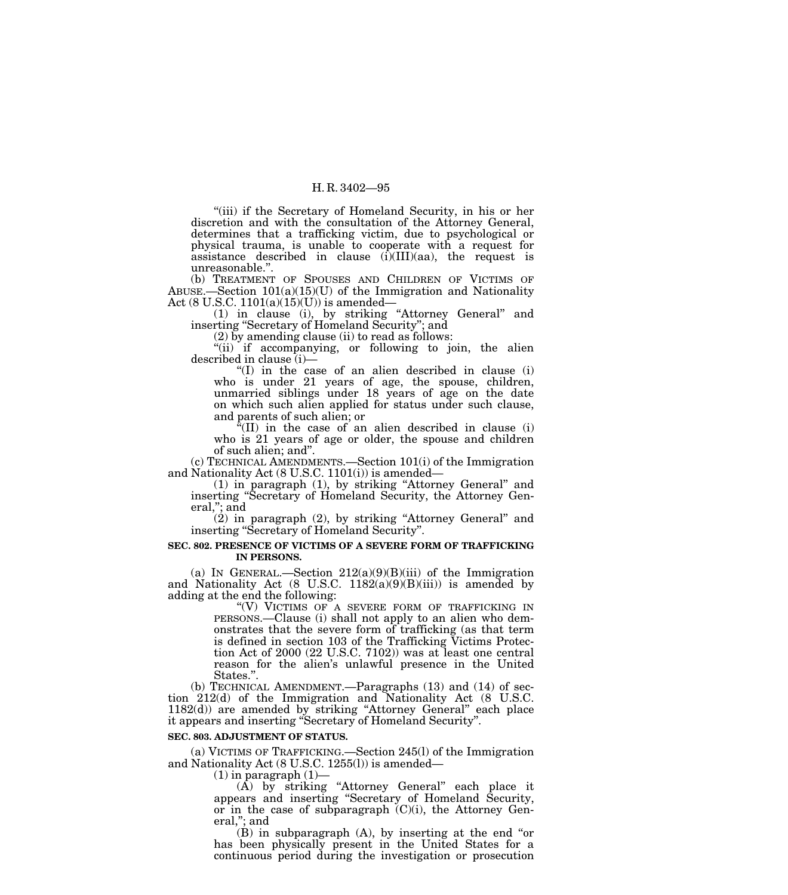"(iii) if the Secretary of Homeland Security, in his or her discretion and with the consultation of the Attorney General, determines that a trafficking victim, due to psychological or physical trauma, is unable to cooperate with a request for assistance described in clause  $(i)(III)(aa)$ , the request is unreasonable.''.

(b) TREATMENT OF SPOUSES AND CHILDREN OF VICTIMS OF ABUSE.—Section  $101(a)(15)(U)$  of the Immigration and Nationality Act (8 U.S.C. 1101(a)(15)(U)) is amended—

(1) in clause (i), by striking ''Attorney General'' and inserting ''Secretary of Homeland Security''; and

 $(2)$  by amending clause (ii) to read as follows:

"(ii) if accompanying, or following to join, the alien described in clause (i)—

''(I) in the case of an alien described in clause (i) who is under 21 years of age, the spouse, children, unmarried siblings under 18 years of age on the date on which such alien applied for status under such clause, and parents of such alien; or

 $^*(II)$  in the case of an alien described in clause (i) who is 21 years of age or older, the spouse and children of such alien; and''.

(c) TECHNICAL AMENDMENTS.—Section 101(i) of the Immigration and Nationality Act (8 U.S.C. 1101(i)) is amended—

(1) in paragraph (1), by striking ''Attorney General'' and inserting ''Secretary of Homeland Security, the Attorney General,''; and

(2) in paragraph (2), by striking ''Attorney General'' and inserting ''Secretary of Homeland Security''.

#### **SEC. 802. PRESENCE OF VICTIMS OF A SEVERE FORM OF TRAFFICKING IN PERSONS.**

(a) IN GENERAL.—Section  $212(a)(9)(B)(iii)$  of the Immigration and Nationality Act  $(8 \text{ U.S.C. } 1182(a)(9)(B)(iii))$  is amended by adding at the end the following:

"(V) VICTIMS OF A SEVERE FORM OF TRAFFICKING IN PERSONS.—Clause (i) shall not apply to an alien who demonstrates that the severe form of trafficking (as that term is defined in section 103 of the Trafficking Victims Protection Act of 2000 (22 U.S.C. 7102)) was at least one central reason for the alien's unlawful presence in the United States.''.

(b) TECHNICAL AMENDMENT.—Paragraphs (13) and (14) of section 212(d) of the Immigration and Nationality Act (8 U.S.C. 1182(d)) are amended by striking ''Attorney General'' each place it appears and inserting ''Secretary of Homeland Security''.

#### **SEC. 803. ADJUSTMENT OF STATUS.**

(a) VICTIMS OF TRAFFICKING.—Section 245(l) of the Immigration and Nationality Act (8 U.S.C. 1255(l)) is amended—

 $(1)$  in paragraph  $(1)$ —

(A) by striking ''Attorney General'' each place it appears and inserting ''Secretary of Homeland Security, or in the case of subparagraph (C)(i), the Attorney General,''; and

 $(B)$  in subparagraph (A), by inserting at the end "or has been physically present in the United States for a continuous period during the investigation or prosecution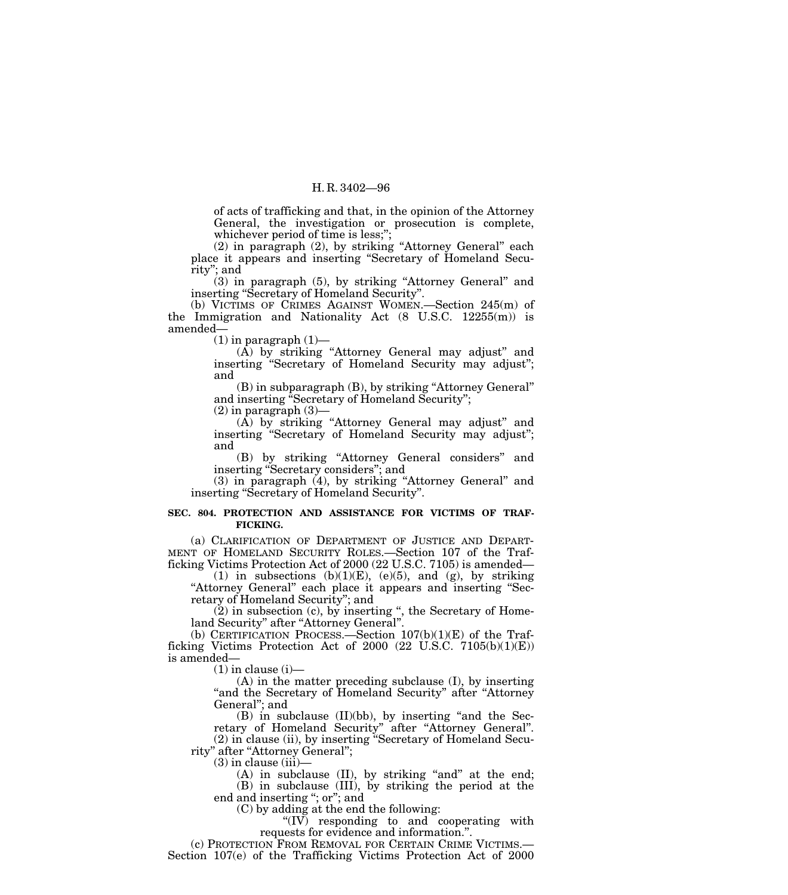of acts of trafficking and that, in the opinion of the Attorney General, the investigation or prosecution is complete, whichever period of time is less;";

(2) in paragraph (2), by striking ''Attorney General'' each place it appears and inserting ''Secretary of Homeland Security''; and

(3) in paragraph (5), by striking ''Attorney General'' and inserting ''Secretary of Homeland Security''.

(b) VICTIMS OF CRIMES AGAINST WOMEN.—Section 245(m) of the Immigration and Nationality Act (8 U.S.C. 12255(m)) is amended—

 $(1)$  in paragraph  $(1)$ —

(A) by striking ''Attorney General may adjust'' and inserting ''Secretary of Homeland Security may adjust''; and

(B) in subparagraph (B), by striking ''Attorney General'' and inserting ''Secretary of Homeland Security'';

 $(2)$  in paragraph  $(3)$ —

(A) by striking ''Attorney General may adjust'' and inserting "Secretary of Homeland Security may adjust"; and

(B) by striking ''Attorney General considers'' and inserting "Secretary considers"; and

(3) in paragraph (4), by striking ''Attorney General'' and inserting ''Secretary of Homeland Security''.

#### **SEC. 804. PROTECTION AND ASSISTANCE FOR VICTIMS OF TRAF-FICKING.**

(a) CLARIFICATION OF DEPARTMENT OF JUSTICE AND DEPART-MENT OF HOMELAND SECURITY ROLES.—Section 107 of the Trafficking Victims Protection Act of 2000 (22 U.S.C. 7105) is amended—

(1) in subsections  $(b)(1)(E)$ ,  $(e)(5)$ , and  $(g)$ , by striking "Attorney General" each place it appears and inserting "Secretary of Homeland Security''; and

(2) in subsection (c), by inserting '', the Secretary of Homeland Security'' after ''Attorney General''.

(b) CERTIFICATION PROCESS.—Section  $107(b)(1)(E)$  of the Trafficking Victims Protection Act of  $2000$  (22 U.S.C.  $7105(b)(1)(E)$ ) is amended—

 $(1)$  in clause  $(i)$ —

(A) in the matter preceding subclause (I), by inserting "and the Secretary of Homeland Security" after "Attorney" General''; and

(B) in subclause (II)(bb), by inserting ''and the Secretary of Homeland Security'' after ''Attorney General''. (2) in clause (ii), by inserting ''Secretary of Homeland Security" after "Attorney General";

 $(3)$  in clause  $(iii)$ 

 $(A)$  in subclause  $(II)$ , by striking "and" at the end; (B) in subclause (III), by striking the period at the end and inserting ''; or''; and

(C) by adding at the end the following:

" $(IV)$  responding to and cooperating with requests for evidence and information.''.

(c) PROTECTION FROM REMOVAL FOR CERTAIN CRIME VICTIMS.— Section 107(e) of the Trafficking Victims Protection Act of 2000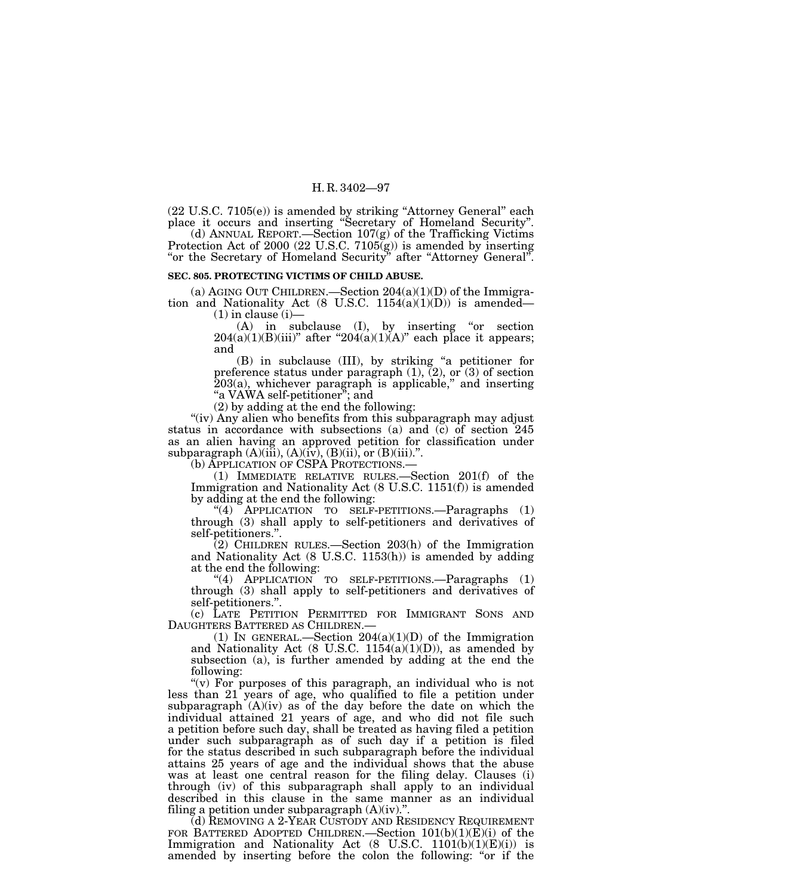(22 U.S.C. 7105(e)) is amended by striking ''Attorney General'' each place it occurs and inserting ''Secretary of Homeland Security''.

(d) ANNUAL REPORT.—Section  $107(g)$  of the Trafficking Victims Protection Act of 2000 (22 U.S.C. 7105(g)) is amended by inserting "or the Secretary of Homeland Security" after "Attorney General".

#### **SEC. 805. PROTECTING VICTIMS OF CHILD ABUSE.**

(a) AGING OUT CHILDREN.—Section  $204(a)(1)(D)$  of the Immigration and Nationality Act  $(8 \text{ U.S.C. } 1154(a)(1)(D))$  is amended—

 $(1)$  in clause  $(i)$ —

(A) in subclause (I), by inserting ''or section  $204(a)(1)(B)(iii)$ " after " $204(a)(1)(A)$ " each place it appears; and

(B) in subclause (III), by striking ''a petitioner for preference status under paragraph  $(1)$ ,  $(2)$ , or  $(3)$  of section  $203(a)$ , whichever paragraph is applicable," and inserting "a VAWA self-petitioner"; and

(2) by adding at the end the following:

"(iv) Any alien who benefits from this subparagraph may adjust status in accordance with subsections (a) and  $(c)$  of section 245 as an alien having an approved petition for classification under subparagraph  $(A)(iii)$ ,  $(A)(iv)$ ,  $(B)(ii)$ , or  $(B)(iii)$ .".

(b) APPLICATION OF CSPA PROTECTIONS.— (1) IMMEDIATE RELATIVE RULES.—Section 201(f) of the Immigration and Nationality Act (8 U.S.C. 1151(f)) is amended by adding at the end the following:

"(4) APPLICATION TO SELF-PETITIONS.—Paragraphs (1) through (3) shall apply to self-petitioners and derivatives of self-petitioners.''.

 $(2)$  CHILDREN RULES.—Section 203(h) of the Immigration and Nationality Act (8 U.S.C. 1153(h)) is amended by adding at the end the following:

"(4) APPLICATION TO SELF-PETITIONS.—Paragraphs (1) through (3) shall apply to self-petitioners and derivatives of self-petitioners.''.

(c) LATE PETITION PERMITTED FOR IMMIGRANT SONS AND DAUGHTERS BATTERED AS CHILDREN.— DAUGHTERS BATTERED AS CHILDREN.—<br>(1) IN GENERAL.—Section 204(a)(1)(D) of the Immigration

and Nationality Act  $(8 \text{ U.S.C. } 1154(a)(1)(D))$ , as amended by subsection (a), is further amended by adding at the end the following:

"(v) For purposes of this paragraph, an individual who is not less than 21 years of age, who qualified to file a petition under subparagraph  $(A)(iv)$  as of the day before the date on which the individual attained 21 years of age, and who did not file such a petition before such day, shall be treated as having filed a petition under such subparagraph as of such day if a petition is filed for the status described in such subparagraph before the individual attains 25 years of age and the individual shows that the abuse was at least one central reason for the filing delay. Clauses (i) through (iv) of this subparagraph shall apply to an individual described in this clause in the same manner as an individual filing a petition under subparagraph  $(A)(iv)$ .".

(d) REMOVING A 2-YEAR CUSTODY AND RESIDENCY REQUIREMENT FOR BATTERED ADOPTED CHILDREN.—Section  $101(b)(1)(E)(i)$  of the Immigration and Nationality Act  $(8 \text{ U.S.C. } 1101(b)(1)(E)(i))$  is amended by inserting before the colon the following: "or if the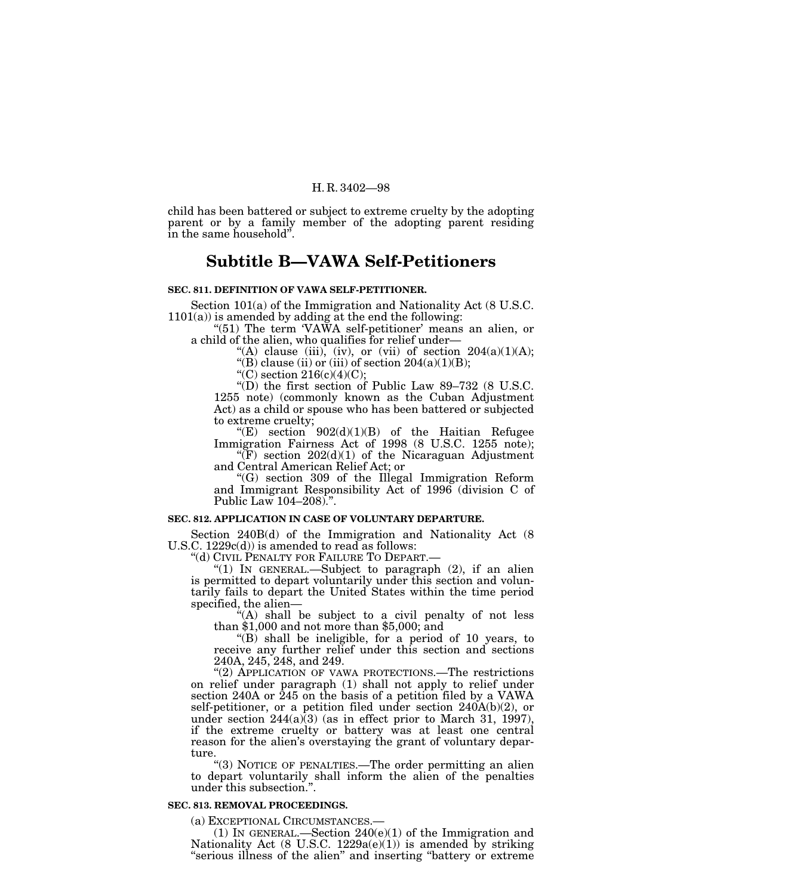child has been battered or subject to extreme cruelty by the adopting parent or by a family member of the adopting parent residing in the same household''.

## **Subtitle B—VAWA Self-Petitioners**

#### **SEC. 811. DEFINITION OF VAWA SELF-PETITIONER.**

Section 101(a) of the Immigration and Nationality Act (8 U.S.C.  $1101(a)$  is amended by adding at the end the following:

"(51) The term 'VAWA self-petitioner' means an alien, or a child of the alien, who qualifies for relief under—

"(A) clause (iii), (iv), or (vii) of section  $204(a)(1)(A);$ 

"(B) clause (ii) or (iii) of section  $204(a)(1)(B)$ ;

 $C'$ ) section 216(c)(4)(C);

''(D) the first section of Public Law 89–732 (8 U.S.C. 1255 note) (commonly known as the Cuban Adjustment Act) as a child or spouse who has been battered or subjected to extreme cruelty;

"(E) section  $902(d)(1)(B)$  of the Haitian Refugee Immigration Fairness Act of 1998 (8 U.S.C. 1255 note);  $\sqrt{\text{F}}$ ) section 202(d)(1) of the Nicaraguan Adjustment

and Central American Relief Act; or

''(G) section 309 of the Illegal Immigration Reform and Immigrant Responsibility Act of 1996 (division C of Public Law 104–208).''.

#### **SEC. 812. APPLICATION IN CASE OF VOLUNTARY DEPARTURE.**

Section 240B(d) of the Immigration and Nationality Act (8 U.S.C. 1229c(d)) is amended to read as follows:<br>"(d) CIVIL PENALTY FOR FAILURE TO DEPART.—

"(1) IN GENERAL.—Subject to paragraph  $(2)$ , if an alien is permitted to depart voluntarily under this section and voluntarily fails to depart the United States within the time period specified, the alien—

 $*(A)$  shall be subject to a civil penalty of not less than \$1,000 and not more than \$5,000; and

''(B) shall be ineligible, for a period of 10 years, to receive any further relief under this section and sections 240A, 245, 248, and 249.

"(2) APPLICATION OF VAWA PROTECTIONS.—The restrictions on relief under paragraph (1) shall not apply to relief under section 240A or 245 on the basis of a petition filed by a VAWA self-petitioner, or a petition filed under section 240A(b)(2), or under section  $244(a)\overline{3}$  (as in effect prior to March 31, 1997), if the extreme cruelty or battery was at least one central reason for the alien's overstaying the grant of voluntary departure.

''(3) NOTICE OF PENALTIES.—The order permitting an alien to depart voluntarily shall inform the alien of the penalties under this subsection.''.

#### **SEC. 813. REMOVAL PROCEEDINGS.**

(a) EXCEPTIONAL CIRCUMSTANCES.—

(1) IN GENERAL.—Section 240(e)(1) of the Immigration and Nationality Act  $(8 \text{ U.S.C. } 1229a(e)(1))$  is amended by striking ''serious illness of the alien'' and inserting ''battery or extreme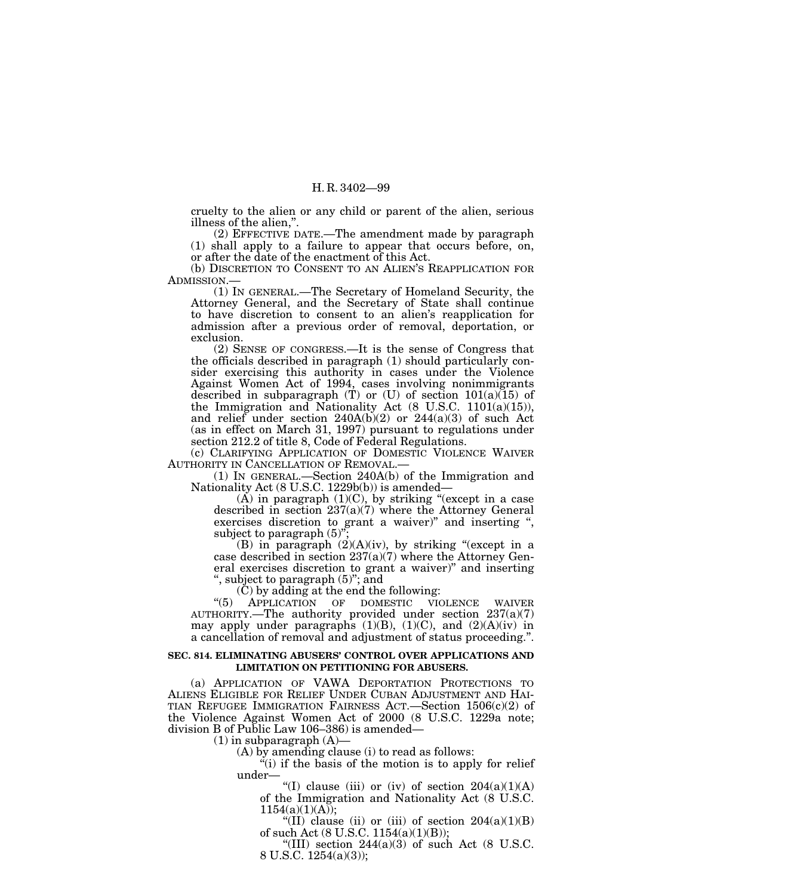cruelty to the alien or any child or parent of the alien, serious illness of the alien,''.

(2) EFFECTIVE DATE.—The amendment made by paragraph (1) shall apply to a failure to appear that occurs before, on, or after the date of the enactment of this Act.

(b) DISCRETION TO CONSENT TO AN ALIEN'S REAPPLICATION FOR ADMISSION.—

(1) IN GENERAL.—The Secretary of Homeland Security, the Attorney General, and the Secretary of State shall continue to have discretion to consent to an alien's reapplication for admission after a previous order of removal, deportation, or exclusion.

(2) SENSE OF CONGRESS.—It is the sense of Congress that the officials described in paragraph (1) should particularly consider exercising this authority in cases under the Violence Against Women Act of 1994, cases involving nonimmigrants described in subparagraph  $(T)$  or  $(U)$  of section 101(a)(15) of the Immigration and Nationality Act (8 U.S.C. 1101(a)(15)), and relief under section 240A(b)(2) or 244(a)(3) of such Act (as in effect on March 31, 1997) pursuant to regulations under section 212.2 of title 8, Code of Federal Regulations.

(c) CLARIFYING APPLICATION OF DOMESTIC VIOLENCE WAIVER AUTHORITY IN CANCELLATION OF REMOVAL.—<br>(1) IN GENERAL.—Section 240A(b) of the Immigration and

Nationality Act (8 U.S.C. 1229b(b)) is amended—

 $(A)$  in paragraph  $(1)(C)$ , by striking "(except in a case described in section 237(a)(7) where the Attorney General exercises discretion to grant a waiver)" and inserting ", subject to paragraph (5)'';

(B) in paragraph  $(2)(A)(iv)$ , by striking "(except in a case described in section 237(a)(7) where the Attorney General exercises discretion to grant a waiver)'' and inserting '', subject to paragraph (5)''; and

 $(C)$  by adding at the end the following:<br>"(5) APPLICATION OF DOMESTIC VIO

APPLICATION OF DOMESTIC VIOLENCE WAIVER AUTHORITY.—The authority provided under section 237(a)(7) may apply under paragraphs  $(1)(B)$ ,  $(1)(C)$ , and  $(2)(A)(iv)$  in a cancellation of removal and adjustment of status proceeding.''.

#### **SEC. 814. ELIMINATING ABUSERS' CONTROL OVER APPLICATIONS AND LIMITATION ON PETITIONING FOR ABUSERS.**

(a) APPLICATION OF VAWA DEPORTATION PROTECTIONS TO ALIENS ELIGIBLE FOR RELIEF UNDER CUBAN ADJUSTMENT AND HAI-TIAN REFUGEE IMMIGRATION FAIRNESS ACT.—Section 1506(c)(2) of the Violence Against Women Act of 2000 (8 U.S.C. 1229a note; division B of Public Law 106–386) is amended—

(1) in subparagraph (A)—

(A) by amending clause (i) to read as follows:

"(i) if the basis of the motion is to apply for relief under—

"(I) clause (iii) or (iv) of section  $204(a)(1)(A)$ of the Immigration and Nationality Act (8 U.S.C.  $1154(a)(1)(A);$ 

"(II) clause (ii) or (iii) of section  $204(a)(1)(B)$ of such Act (8 U.S.C. 1154(a)(1)(B));

"(III) section  $244(a)(3)$  of such Act (8 U.S.C.) 8 U.S.C. 1254(a)(3));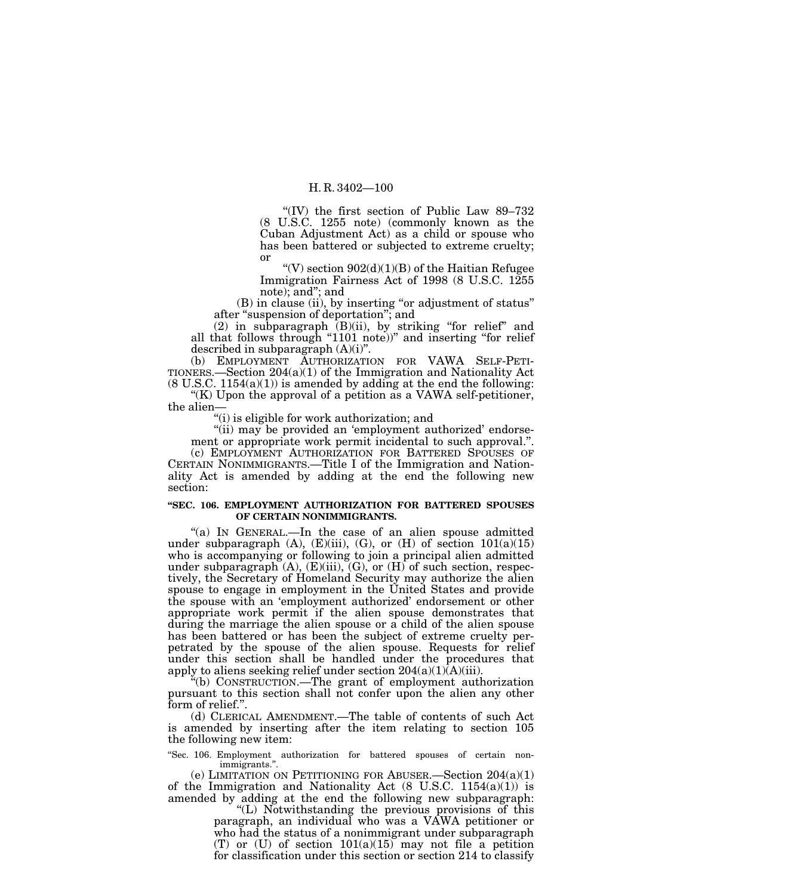''(IV) the first section of Public Law 89–732 (8 U.S.C. 1255 note) (commonly known as the Cuban Adjustment Act) as a child or spouse who has been battered or subjected to extreme cruelty; or

"(V) section  $902(d)(1)(B)$  of the Haitian Refugee Immigration Fairness Act of 1998 (8 U.S.C. 1255 note); and''; and

(B) in clause (ii), by inserting ''or adjustment of status'' after ''suspension of deportation''; and

(2) in subparagraph  $(B)(ii)$ , by striking "for relief" and all that follows through "1101 note))" and inserting "for relief described in subparagraph  $(A)(i)$ ".<br>
(b) EMPLOYMENT AUTHORIZATION FOR VAWA SELF-PETI-

TIONERS.—Section  $204(a)(1)$  of the Immigration and Nationality Act  $(8 \text{ U.S.C. } 1154(a)(1))$  is amended by adding at the end the following:

" $(K)$  Upon the approval of a petition as a VAWA self-petitioner, the alien—

''(i) is eligible for work authorization; and

"(ii) may be provided an 'employment authorized' endorsement or appropriate work permit incidental to such approval.''.

(c) EMPLOYMENT AUTHORIZATION FOR BATTERED SPOUSES OF CERTAIN NONIMMIGRANTS.—Title I of the Immigration and Nationality Act is amended by adding at the end the following new section:

#### **''SEC. 106. EMPLOYMENT AUTHORIZATION FOR BATTERED SPOUSES OF CERTAIN NONIMMIGRANTS.**

''(a) IN GENERAL.—In the case of an alien spouse admitted under subparagraph  $(A)$ ,  $(E)(iii)$ ,  $(G)$ , or  $(H)$  of section  $101(a)(15)$ who is accompanying or following to join a principal alien admitted under subparagraph  $(A)$ ,  $(E)(iii)$ ,  $(G)$ , or  $(H)$  of such section, respectively, the Secretary of Homeland Security may authorize the alien spouse to engage in employment in the United States and provide the spouse with an 'employment authorized' endorsement or other appropriate work permit if the alien spouse demonstrates that during the marriage the alien spouse or a child of the alien spouse has been battered or has been the subject of extreme cruelty perpetrated by the spouse of the alien spouse. Requests for relief under this section shall be handled under the procedures that apply to aliens seeking relief under section  $204(a)(1)(A)(iii)$ .

''(b) CONSTRUCTION.—The grant of employment authorization pursuant to this section shall not confer upon the alien any other form of relief.''.

(d) CLERICAL AMENDMENT.—The table of contents of such Act is amended by inserting after the item relating to section 105 the following new item:

''Sec. 106. Employment authorization for battered spouses of certain nonimmigrants.''.

(e) LIMITATION ON PETITIONING FOR ABUSER.—Section 204(a)(1) of the Immigration and Nationality Act  $(8 \text{ U.S.C. } 1154(a)(1))$  is amended by adding at the end the following new subparagraph:

''(L) Notwithstanding the previous provisions of this paragraph, an individual who was a VAWA petitioner or who had the status of a nonimmigrant under subparagraph (T) or (U) of section  $101(a)(15)$  may not file a petition for classification under this section or section 214 to classify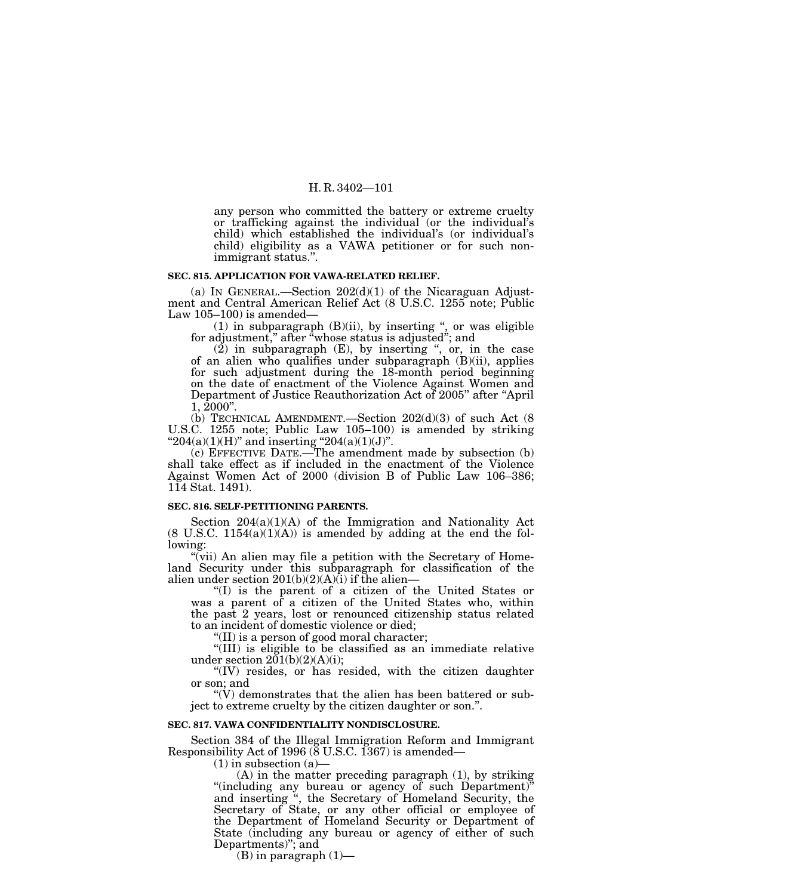any person who committed the battery or extreme cruelty or trafficking against the individual (or the individual's child) which established the individual's (or individual's child) eligibility as a VAWA petitioner or for such nonimmigrant status.''.

#### **SEC. 815. APPLICATION FOR VAWA-RELATED RELIEF.**

(a) IN GENERAL.—Section  $202(d)(1)$  of the Nicaraguan Adjustment and Central American Relief Act (8 U.S.C. 1255 note; Public Law 105–100) is amended—

 $(1)$  in subparagraph  $(B)(ii)$ , by inserting ", or was eligible for adjustment,'' after ''whose status is adjusted''; and

 $(2)$  in subparagraph  $(E)$ , by inserting ", or, in the case of an alien who qualifies under subparagraph (B)(ii), applies for such adjustment during the 18-month period beginning on the date of enactment of the Violence Against Women and Department of Justice Reauthorization Act of 2005'' after ''April  $1, \overline{2}000$ ".

(b) TECHNICAL AMENDMENT.—Section 202(d)(3) of such Act (8 U.S.C. 1255 note; Public Law 105–100) is amended by striking " $204(a)(1)(H)$ " and inserting " $204(a)(1)(J)$ ".

(c) EFFECTIVE DATE.—The amendment made by subsection (b) shall take effect as if included in the enactment of the Violence Against Women Act of 2000 (division B of Public Law 106–386; 114 Stat. 1491).

#### **SEC. 816. SELF-PETITIONING PARENTS.**

Section  $204(a)(1)(A)$  of the Immigration and Nationality Act  $(8 \text{ U.S.C. } 1154(a)(1)(A))$  is amended by adding at the end the following:

"(vii) An alien may file a petition with the Secretary of Homeland Security under this subparagraph for classification of the alien under section  $201(b)(2)(A)(i)$  if the alien—

''(I) is the parent of a citizen of the United States or was a parent of a citizen of the United States who, within the past 2 years, lost or renounced citizenship status related to an incident of domestic violence or died;

''(II) is a person of good moral character;

''(III) is eligible to be classified as an immediate relative under section  $20I(b)(2)(A)(i);$ 

"(IV) resides, or has resided, with the citizen daughter or son; and

 $\mathcal{H}(V)$  demonstrates that the alien has been battered or subject to extreme cruelty by the citizen daughter or son.''.

#### **SEC. 817. VAWA CONFIDENTIALITY NONDISCLOSURE.**

Section 384 of the Illegal Immigration Reform and Immigrant Responsibility Act of 1996 (8 U.S.C. 1367) is amended—

 $(1)$  in subsection  $(a)$ —

(A) in the matter preceding paragraph (1), by striking ''(including any bureau or agency of such Department)'' and inserting '', the Secretary of Homeland Security, the Secretary of State, or any other official or employee of the Department of Homeland Security or Department of State (including any bureau or agency of either of such Departments)''; and

 $(B)$  in paragraph  $(1)$ —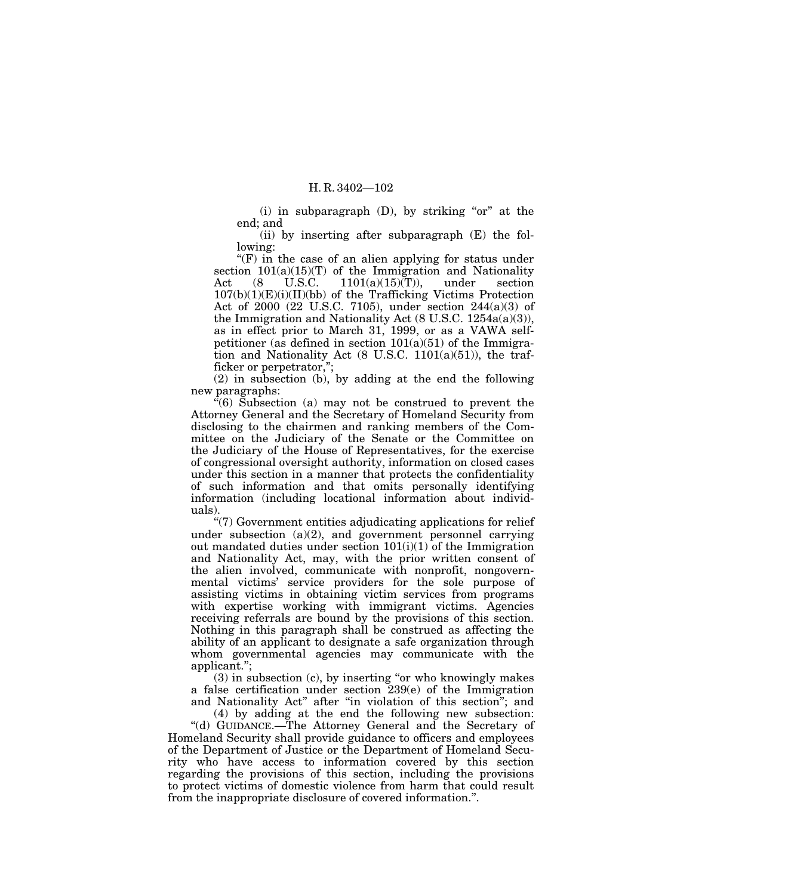$(i)$  in subparagraph  $(D)$ , by striking "or" at the end; and

(ii) by inserting after subparagraph (E) the following:

 $f(F)$  in the case of an alien applying for status under section  $101(a)(15)(T)$  of the Immigration and Nationality Act (8 U.S.C. 1101(a)(15)(T)), under section  $107(b)(1)(E)(i)(II)(bb)$  of the Trafficking Victims Protection Act of 2000 (22 U.S.C. 7105), under section 244(a)(3) of the Immigration and Nationality Act (8 U.S.C. 1254a(a)(3)), as in effect prior to March 31, 1999, or as a VAWA selfpetitioner (as defined in section  $101(a)(51)$  of the Immigration and Nationality Act (8 U.S.C. 1101(a)(51)), the trafficker or perpetrator,'';

(2) in subsection (b), by adding at the end the following new paragraphs:

''(6) Subsection (a) may not be construed to prevent the Attorney General and the Secretary of Homeland Security from disclosing to the chairmen and ranking members of the Committee on the Judiciary of the Senate or the Committee on the Judiciary of the House of Representatives, for the exercise of congressional oversight authority, information on closed cases under this section in a manner that protects the confidentiality of such information and that omits personally identifying information (including locational information about individuals).

''(7) Government entities adjudicating applications for relief under subsection (a)(2), and government personnel carrying out mandated duties under section 101(i)(1) of the Immigration and Nationality Act, may, with the prior written consent of the alien involved, communicate with nonprofit, nongovernmental victims' service providers for the sole purpose of assisting victims in obtaining victim services from programs with expertise working with immigrant victims. Agencies receiving referrals are bound by the provisions of this section. Nothing in this paragraph shall be construed as affecting the ability of an applicant to designate a safe organization through whom governmental agencies may communicate with the applicant.'';

 $(3)$  in subsection  $(c)$ , by inserting "or who knowingly makes a false certification under section 239(e) of the Immigration and Nationality Act'' after ''in violation of this section''; and

(4) by adding at the end the following new subsection:

''(d) GUIDANCE.—The Attorney General and the Secretary of Homeland Security shall provide guidance to officers and employees of the Department of Justice or the Department of Homeland Security who have access to information covered by this section regarding the provisions of this section, including the provisions to protect victims of domestic violence from harm that could result from the inappropriate disclosure of covered information.''.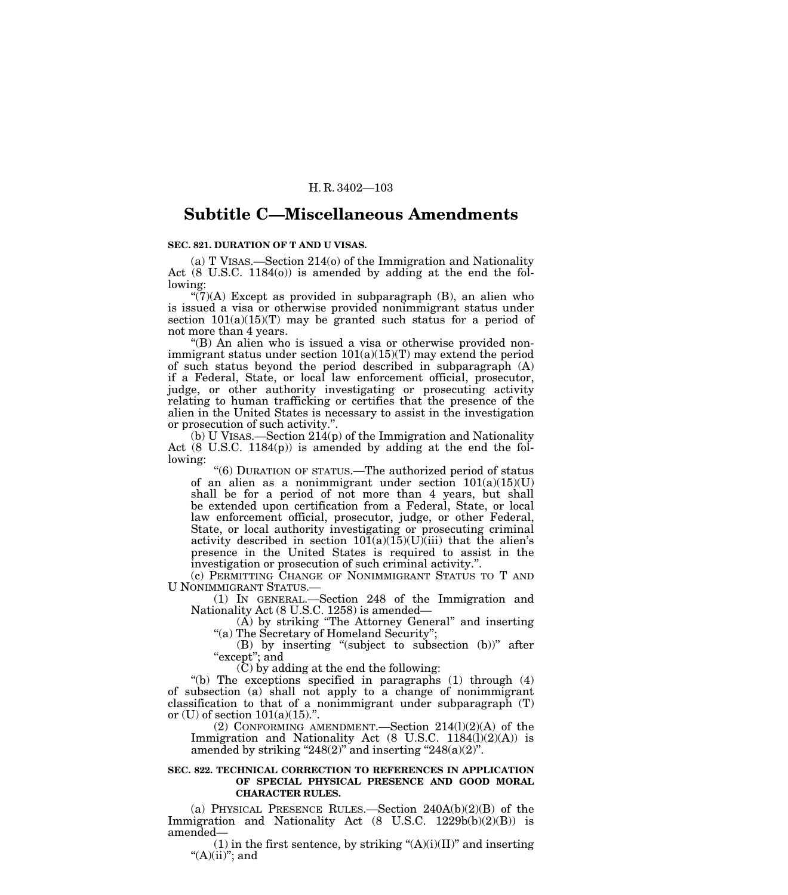## **Subtitle C—Miscellaneous Amendments**

#### **SEC. 821. DURATION OF T AND U VISAS.**

(a) T VISAS.—Section 214(o) of the Immigration and Nationality Act (8 U.S.C. 1184(o)) is amended by adding at the end the following:

 $\sqrt{\gamma}$ (A) Except as provided in subparagraph (B), an alien who is issued a visa or otherwise provided nonimmigrant status under section  $101(a)(15)(T)$  may be granted such status for a period of not more than 4 years.

''(B) An alien who is issued a visa or otherwise provided nonimmigrant status under section  $101(a)(15)(T)$  may extend the period of such status beyond the period described in subparagraph (A) if a Federal, State, or local law enforcement official, prosecutor, judge, or other authority investigating or prosecuting activity relating to human trafficking or certifies that the presence of the alien in the United States is necessary to assist in the investigation or prosecution of such activity.''.

(b) U VISAS.—Section 214(p) of the Immigration and Nationality Act (8 U.S.C. 1184(p)) is amended by adding at the end the following:

''(6) DURATION OF STATUS.—The authorized period of status of an alien as a nonimmigrant under section  $101(a)(15)(U)$ shall be for a period of not more than 4 years, but shall be extended upon certification from a Federal, State, or local law enforcement official, prosecutor, judge, or other Federal, State, or local authority investigating or prosecuting criminal activity described in section  $10\bar{1}(a)(15)(U)(iii)$  that the alien's presence in the United States is required to assist in the investigation or prosecution of such criminal activity.''.

(c) PERMITTING CHANGE OF NONIMMIGRANT STATUS TO T AND U NONIMMIGRANT STATUS.—

(1) IN GENERAL.—Section 248 of the Immigration and Nationality Act (8 U.S.C. 1258) is amended—

(A) by striking ''The Attorney General'' and inserting ''(a) The Secretary of Homeland Security'';

(B) by inserting "(subject to subsection (b))" after ''except''; and

(C) by adding at the end the following:

"(b) The exceptions specified in paragraphs  $(1)$  through  $(4)$ of subsection (a) shall not apply to a change of nonimmigrant classification to that of a nonimmigrant under subparagraph (T) or (U) of section  $101(a)(15)$ ."

(2) CONFORMING AMENDMENT.—Section  $214(1)(2)(A)$  of the Immigration and Nationality Act  $(8 \text{ U.S.C. } 1184(l)(2)(\text{A}))$  is amended by striking "248 $(2)$ " and inserting "248 $(a)(2)$ ".

## **SEC. 822. TECHNICAL CORRECTION TO REFERENCES IN APPLICATION OF SPECIAL PHYSICAL PRESENCE AND GOOD MORAL CHARACTER RULES.**

(a) PHYSICAL PRESENCE RULES.—Section 240A(b)(2)(B) of the Immigration and Nationality Act (8 U.S.C. 1229b(b)(2)(B)) is amended—

(1) in the first sentence, by striking " $(A)(i)(II)$ " and inserting " $(A)(ii)$ "; and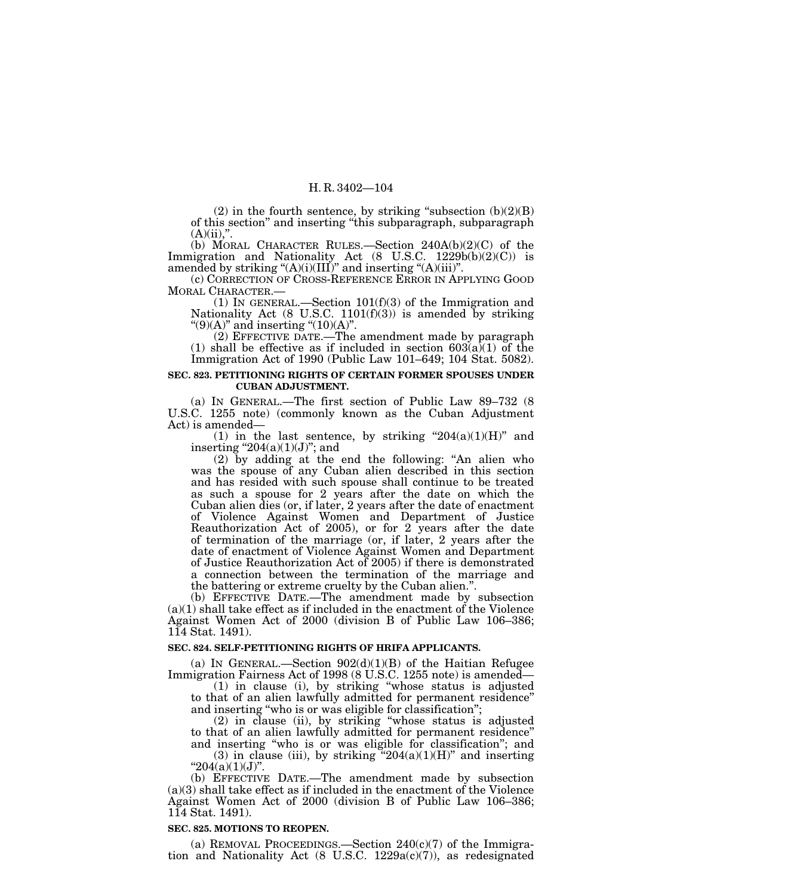(2) in the fourth sentence, by striking "subsection  $(b)(2)(B)$ of this section'' and inserting ''this subparagraph, subparagraph  $(A)(ii)$ ,".

(b) MORAL CHARACTER RULES.—Section 240A(b)(2)(C) of the Immigration and Nationality Act  $(8 \text{ U.S.C. } 1229b(b)(2)(C))$  is amended by striking " $(A)(i)(III)$ " and inserting " $(A)(iii)$ ".

(c) CORRECTION OF CROSS-REFERENCE ERROR IN APPLYING GOOD

MORAL CHARACTER.— (1) IN GENERAL.—Section 101(f)(3) of the Immigration and Nationality Act  $(8 \text{ U.S.C. } 1101 \text{ (f)} \text{)}$  is amended by striking " $(9)(A)$ " and inserting " $(10)(A)$ ".

(2) EFFECTIVE DATE.—The amendment made by paragraph (1) shall be effective as if included in section  $603(a)(1)$  of the Immigration Act of 1990 (Public Law 101–649; 104 Stat. 5082).

#### **SEC. 823. PETITIONING RIGHTS OF CERTAIN FORMER SPOUSES UNDER CUBAN ADJUSTMENT.**

(a) IN GENERAL.—The first section of Public Law 89–732 (8 U.S.C. 1255 note) (commonly known as the Cuban Adjustment Act) is amended—

(1) in the last sentence, by striking " $204(a)(1)(H)$ " and inserting " $204(a)(1)(J)$ "; and

(2) by adding at the end the following: ''An alien who was the spouse of any Cuban alien described in this section and has resided with such spouse shall continue to be treated as such a spouse for 2 years after the date on which the Cuban alien dies (or, if later, 2 years after the date of enactment of Violence Against Women and Department of Justice Reauthorization Act of 2005), or for 2 years after the date of termination of the marriage (or, if later, 2 years after the date of enactment of Violence Against Women and Department of Justice Reauthorization Act of 2005) if there is demonstrated a connection between the termination of the marriage and the battering or extreme cruelty by the Cuban alien.''.

(b) EFFECTIVE DATE.—The amendment made by subsection  $(a)(1)$  shall take effect as if included in the enactment of the Violence Against Women Act of 2000 (division B of Public Law 106–386; 114 Stat. 1491).

#### **SEC. 824. SELF-PETITIONING RIGHTS OF HRIFA APPLICANTS.**

(a) IN GENERAL.—Section  $902(d)(1)(B)$  of the Haitian Refugee Immigration Fairness Act of 1998 (8 U.S.C. 1255 note) is amended—

(1) in clause (i), by striking ''whose status is adjusted to that of an alien lawfully admitted for permanent residence'' and inserting "who is or was eligible for classification";

(2) in clause (ii), by striking ''whose status is adjusted to that of an alien lawfully admitted for permanent residence'' and inserting ''who is or was eligible for classification''; and

(3) in clause (iii), by striking " $204(a)(1)(H)$ " and inserting " $204(a)(1)(J)$ ".

(b) EFFECTIVE DATE.—The amendment made by subsection  $(a)(3)$  shall take effect as if included in the enactment of the Violence Against Women Act of 2000 (division B of Public Law 106–386; 114 Stat. 1491).

#### **SEC. 825. MOTIONS TO REOPEN.**

(a) REMOVAL PROCEEDINGS.—Section  $240(c)(7)$  of the Immigration and Nationality Act (8 U.S.C. 1229a(c)(7)), as redesignated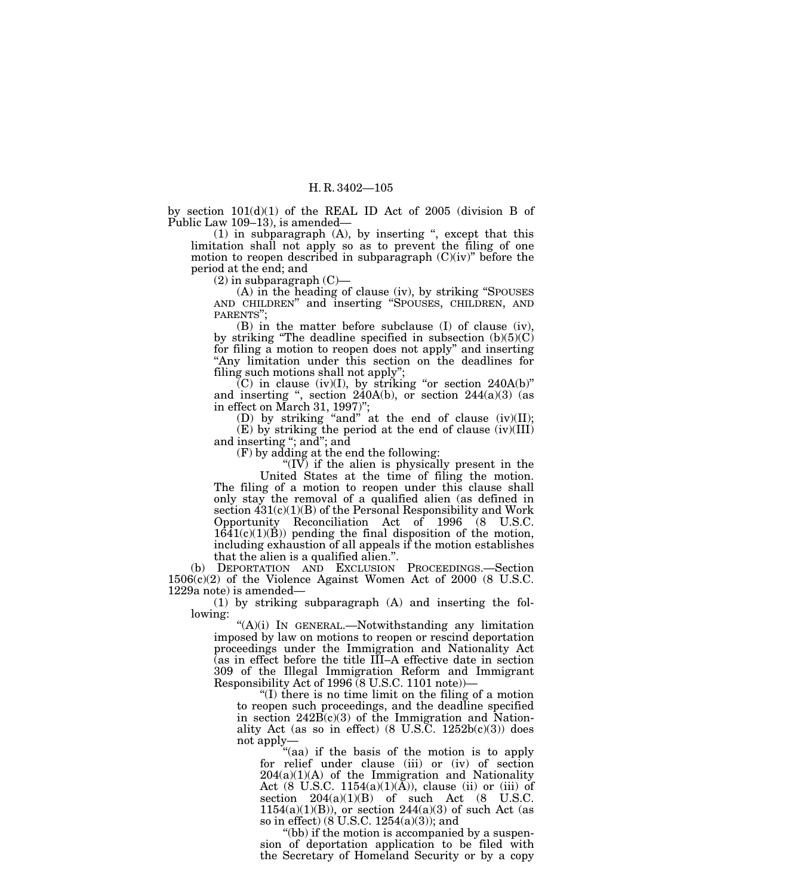by section  $101(d)(1)$  of the REAL ID Act of 2005 (division B of Public Law 109–13), is amended—

(1) in subparagraph (A), by inserting '', except that this limitation shall not apply so as to prevent the filing of one motion to reopen described in subparagraph  $(C)(iv)$  before the period at the end; and

 $(2)$  in subparagraph  $(C)$ —

(A) in the heading of clause (iv), by striking ''SPOUSES AND CHILDREN'' and inserting ''SPOUSES, CHILDREN, AND PARENTS'';

(B) in the matter before subclause (I) of clause (iv), by striking "The deadline specified in subsection  $(b)(5)(C)$ for filing a motion to reopen does not apply'' and inserting "Any limitation under this section on the deadlines for filing such motions shall not apply'';

(C) in clause (iv)(I), by striking "or section  $240A(b)$ " and inserting ", section  $240A(b)$ , or section  $244(a)(3)$  (as in effect on March 31, 1997)'';

(D) by striking "and" at the end of clause  $(iv)(II);$ (E) by striking the period at the end of clause (iv)(III)

and inserting ''; and''; and (F) by adding at the end the following:

" $(IV)$  if the alien is physically present in the United States at the time of filing the motion. The filing of a motion to reopen under this clause shall only stay the removal of a qualified alien (as defined in section  $\overline{431(c)(1)(B)}$  of the Personal Responsibility and Work Opportunity Reconciliation Act of 1996 (8 U.S.C.  $1641(c)(1)(B)$  pending the final disposition of the motion, including exhaustion of all appeals if the motion establishes that the alien is a qualified alien.''.

(b) DEPORTATION AND EXCLUSION PROCEEDINGS.—Section 1506(c)(2) of the Violence Against Women Act of 2000 (8 U.S.C. 1229a note) is amended—

(1) by striking subparagraph (A) and inserting the following:

 $(A)(i)$  In GENERAL.—Notwithstanding any limitation imposed by law on motions to reopen or rescind deportation proceedings under the Immigration and Nationality Act (as in effect before the title III–A effective date in section 309 of the Illegal Immigration Reform and Immigrant Responsibility Act of 1996 (8 U.S.C. 1101 note))—

''(I) there is no time limit on the filing of a motion to reopen such proceedings, and the deadline specified in section  $242B(c)(3)$  of the Immigration and Nationality Act (as so in effect)  $(8 \text{ U.S. C. } 1252b(c)(3))$  does not apply—

"(aa) if the basis of the motion is to apply for relief under clause (iii) or (iv) of section  $204(a)(1)(A)$  of the Immigration and Nationality Act  $(8 \text{ U.S.C. } 1154(a)(1)(\text{A}))$ , clause  $(ii)$  or  $(iii)$  of section  $204(a)(1)(B)$  of such Act  $(8$  U.S.C.  $1154(a)(1)(B)$ ), or section  $244(a)(3)$  of such Act (as so in effect) (8 U.S.C. 1254(a)(3)); and

''(bb) if the motion is accompanied by a suspension of deportation application to be filed with the Secretary of Homeland Security or by a copy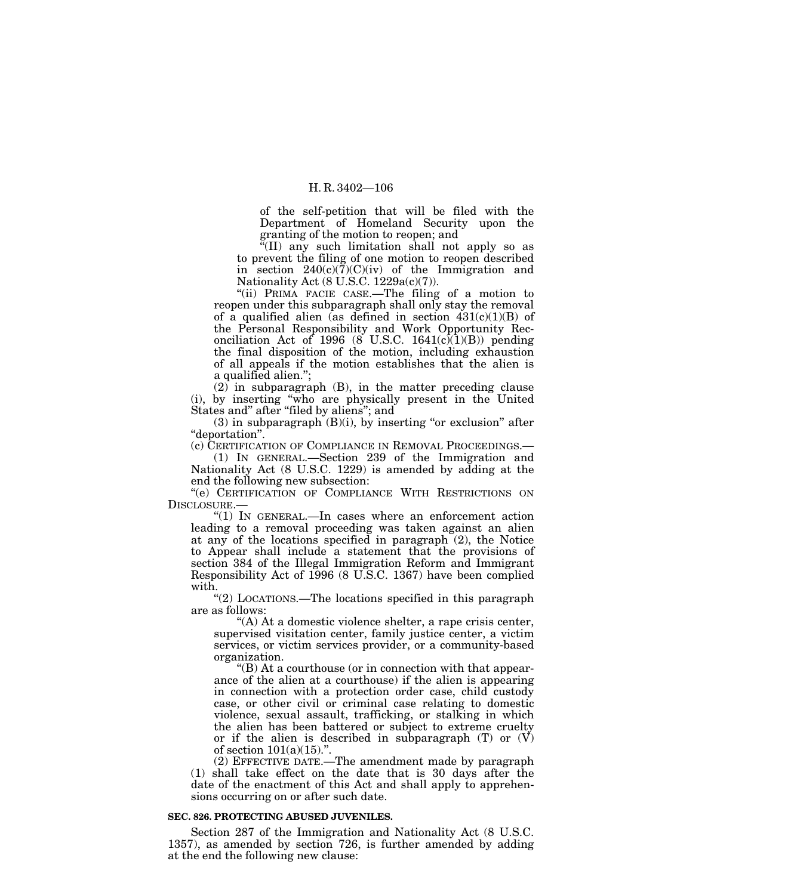of the self-petition that will be filed with the Department of Homeland Security upon the granting of the motion to reopen; and

''(II) any such limitation shall not apply so as to prevent the filing of one motion to reopen described in section  $240(c)(7)(C)(iv)$  of the Immigration and Nationality Act (8 U.S.C. 1229a(c)(7)).

''(ii) PRIMA FACIE CASE.—The filing of a motion to reopen under this subparagraph shall only stay the removal of a qualified alien (as defined in section  $431(c)(1)(B)$  of the Personal Responsibility and Work Opportunity Reconciliation Act of 1996 (8 U.S.C. 1641 $(c)(1)(B)$ ) pending the final disposition of the motion, including exhaustion of all appeals if the motion establishes that the alien is a qualified alien.'';

(2) in subparagraph (B), in the matter preceding clause (i), by inserting ''who are physically present in the United States and'' after ''filed by aliens''; and

 $(3)$  in subparagraph  $(B)(i)$ , by inserting "or exclusion" after "deportation".

(c) CERTIFICATION OF COMPLIANCE IN REMOVAL PROCEEDINGS.—

(1) IN GENERAL.—Section 239 of the Immigration and Nationality Act (8 U.S.C. 1229) is amended by adding at the end the following new subsection:

''(e) CERTIFICATION OF COMPLIANCE WITH RESTRICTIONS ON DISCLOSURE.—

" $(1)$  In GENERAL.—In cases where an enforcement action leading to a removal proceeding was taken against an alien at any of the locations specified in paragraph (2), the Notice to Appear shall include a statement that the provisions of section 384 of the Illegal Immigration Reform and Immigrant Responsibility Act of 1996 (8 U.S.C. 1367) have been complied with.

''(2) LOCATIONS.—The locations specified in this paragraph are as follows:

''(A) At a domestic violence shelter, a rape crisis center, supervised visitation center, family justice center, a victim services, or victim services provider, or a community-based organization.

 $\mathrm{``(B)}$  At a courthouse (or in connection with that appearance of the alien at a courthouse) if the alien is appearing in connection with a protection order case, child custody case, or other civil or criminal case relating to domestic violence, sexual assault, trafficking, or stalking in which the alien has been battered or subject to extreme cruelty or if the alien is described in subparagraph  $(T)$  or  $(\check{V})$ of section  $101(a)(15)$ .".

(2) EFFECTIVE DATE.—The amendment made by paragraph (1) shall take effect on the date that is 30 days after the date of the enactment of this Act and shall apply to apprehensions occurring on or after such date.

#### **SEC. 826. PROTECTING ABUSED JUVENILES.**

Section 287 of the Immigration and Nationality Act (8 U.S.C. 1357), as amended by section 726, is further amended by adding at the end the following new clause: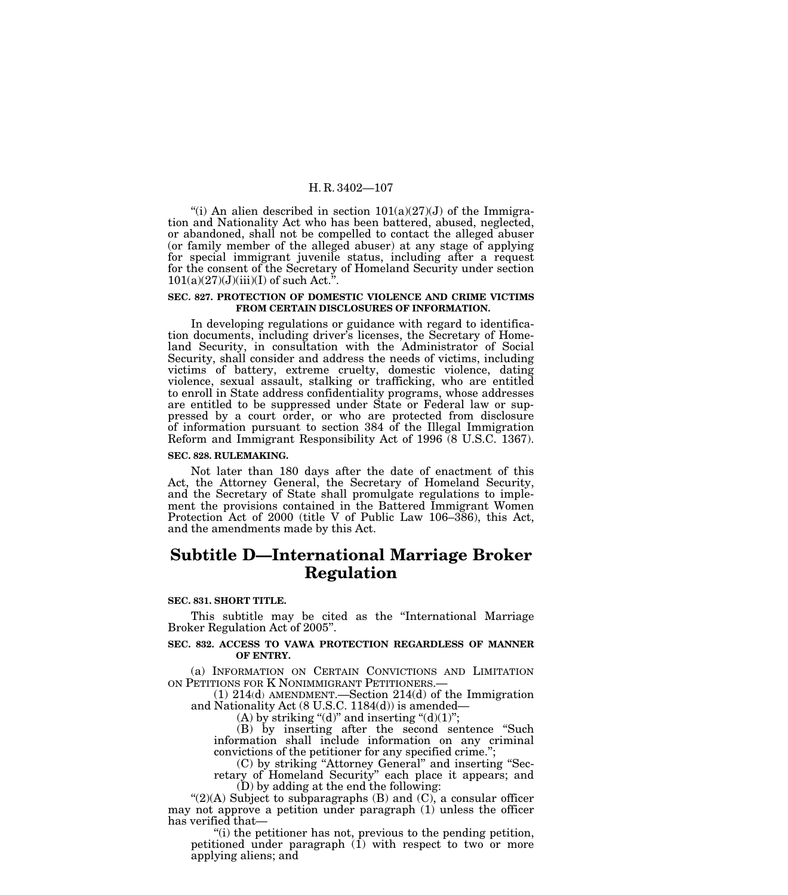"(i) An alien described in section  $101(a)(27)(J)$  of the Immigration and Nationality Act who has been battered, abused, neglected, or abandoned, shall not be compelled to contact the alleged abuser (or family member of the alleged abuser) at any stage of applying for special immigrant juvenile status, including after a request for the consent of the Secretary of Homeland Security under section  $101(a)(27)(J)(iii)(I)$  of such Act.".

#### **SEC. 827. PROTECTION OF DOMESTIC VIOLENCE AND CRIME VICTIMS FROM CERTAIN DISCLOSURES OF INFORMATION.**

In developing regulations or guidance with regard to identification documents, including driver's licenses, the Secretary of Homeland Security, in consultation with the Administrator of Social Security, shall consider and address the needs of victims, including victims of battery, extreme cruelty, domestic violence, dating violence, sexual assault, stalking or trafficking, who are entitled to enroll in State address confidentiality programs, whose addresses are entitled to be suppressed under State or Federal law or suppressed by a court order, or who are protected from disclosure of information pursuant to section 384 of the Illegal Immigration Reform and Immigrant Responsibility Act of 1996 (8 U.S.C. 1367).

#### **SEC. 828. RULEMAKING.**

Not later than 180 days after the date of enactment of this Act, the Attorney General, the Secretary of Homeland Security, and the Secretary of State shall promulgate regulations to implement the provisions contained in the Battered Immigrant Women Protection Act of 2000 (title V of Public Law 106–386), this Act, and the amendments made by this Act.

# **Subtitle D—International Marriage Broker Regulation**

#### **SEC. 831. SHORT TITLE.**

This subtitle may be cited as the ''International Marriage Broker Regulation Act of 2005''.

#### **SEC. 832. ACCESS TO VAWA PROTECTION REGARDLESS OF MANNER OF ENTRY.**

(a) INFORMATION ON CERTAIN CONVICTIONS AND LIMITATION ON PETITIONS FOR K NONIMMIGRANT PETITIONERS.—

(1) 214(d) AMENDMENT.—Section 214(d) of the Immigration and Nationality Act (8 U.S.C. 1184(d)) is amended—

(A) by striking "(d)" and inserting " $(d)(1)$ ";

(B) by inserting after the second sentence ''Such information shall include information on any criminal convictions of the petitioner for any specified crime.'';

(C) by striking ''Attorney General'' and inserting ''Secretary of Homeland Security'' each place it appears; and (D) by adding at the end the following:

" $(2)(A)$  Subject to subparagraphs  $(B)$  and  $(C)$ , a consular officer may not approve a petition under paragraph (1) unless the officer has verified that—

''(i) the petitioner has not, previous to the pending petition, petitioned under paragraph  $(I)$  with respect to two or more applying aliens; and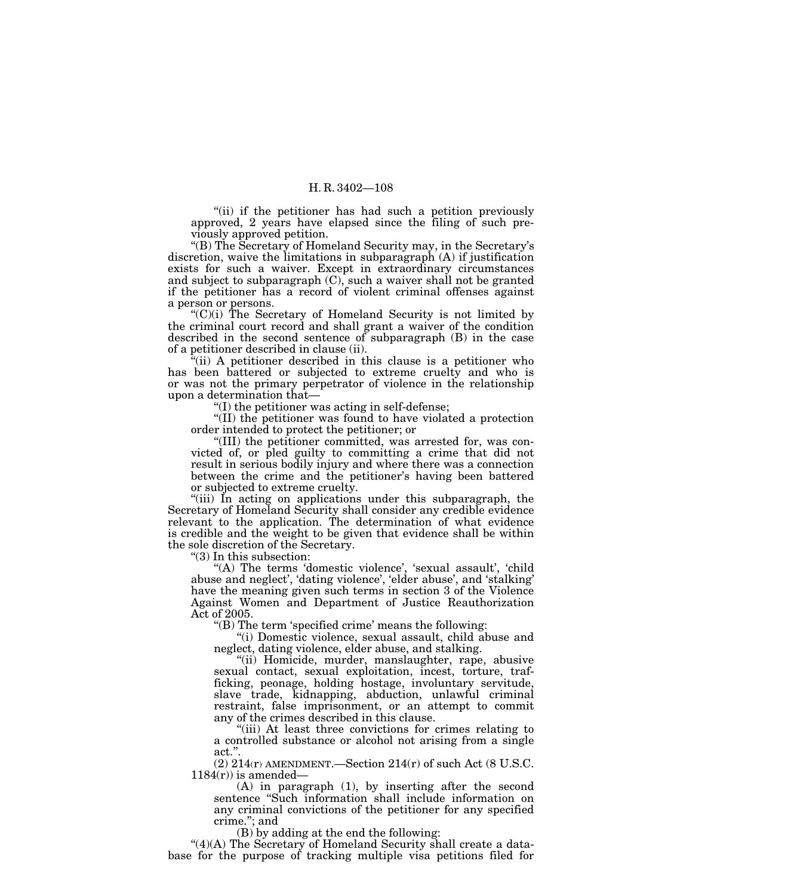"(ii) if the petitioner has had such a petition previously approved, 2 years have elapsed since the filing of such previously approved petition.

''(B) The Secretary of Homeland Security may, in the Secretary's discretion, waive the limitations in subparagraph (A) if justification exists for such a waiver. Except in extraordinary circumstances and subject to subparagraph (C), such a waiver shall not be granted if the petitioner has a record of violent criminal offenses against a person or persons.

 $C'(C)(i)$  The Secretary of Homeland Security is not limited by the criminal court record and shall grant a waiver of the condition described in the second sentence of subparagraph (B) in the case of a petitioner described in clause (ii).

 $\alpha$ <sup>"(ii)</sup> A petitioner described in this clause is a petitioner who has been battered or subjected to extreme cruelty and who is or was not the primary perpetrator of violence in the relationship upon a determination that—

''(I) the petitioner was acting in self-defense;

''(II) the petitioner was found to have violated a protection order intended to protect the petitioner; or

''(III) the petitioner committed, was arrested for, was convicted of, or pled guilty to committing a crime that did not result in serious bodily injury and where there was a connection between the crime and the petitioner's having been battered or subjected to extreme cruelty.

"(iii) In acting on applications under this subparagraph, the Secretary of Homeland Security shall consider any credible evidence relevant to the application. The determination of what evidence is credible and the weight to be given that evidence shall be within the sole discretion of the Secretary.

''(3) In this subsection:

"(A) The terms 'domestic violence', 'sexual assault', 'child abuse and neglect', 'dating violence', 'elder abuse', and 'stalking' have the meaning given such terms in section 3 of the Violence Against Women and Department of Justice Reauthorization Act of 2005.

''(B) The term 'specified crime' means the following:

''(i) Domestic violence, sexual assault, child abuse and neglect, dating violence, elder abuse, and stalking.

"(ii) Homicide, murder, manslaughter, rape, abusive sexual contact, sexual exploitation, incest, torture, trafficking, peonage, holding hostage, involuntary servitude, slave trade, kidnapping, abduction, unlawful criminal restraint, false imprisonment, or an attempt to commit any of the crimes described in this clause.

"(iii) At least three convictions for crimes relating to a controlled substance or alcohol not arising from a single act.''.

 $(2)$  214 $(r)$  AMENDMENT.—Section 214 $(r)$  of such Act (8 U.S.C.  $1184(r)$ ) is amended—

(A) in paragraph (1), by inserting after the second sentence "Such information shall include information on any criminal convictions of the petitioner for any specified crime.''; and

(B) by adding at the end the following:

" $(4)(A)$  The Secretary of Homeland Security shall create a database for the purpose of tracking multiple visa petitions filed for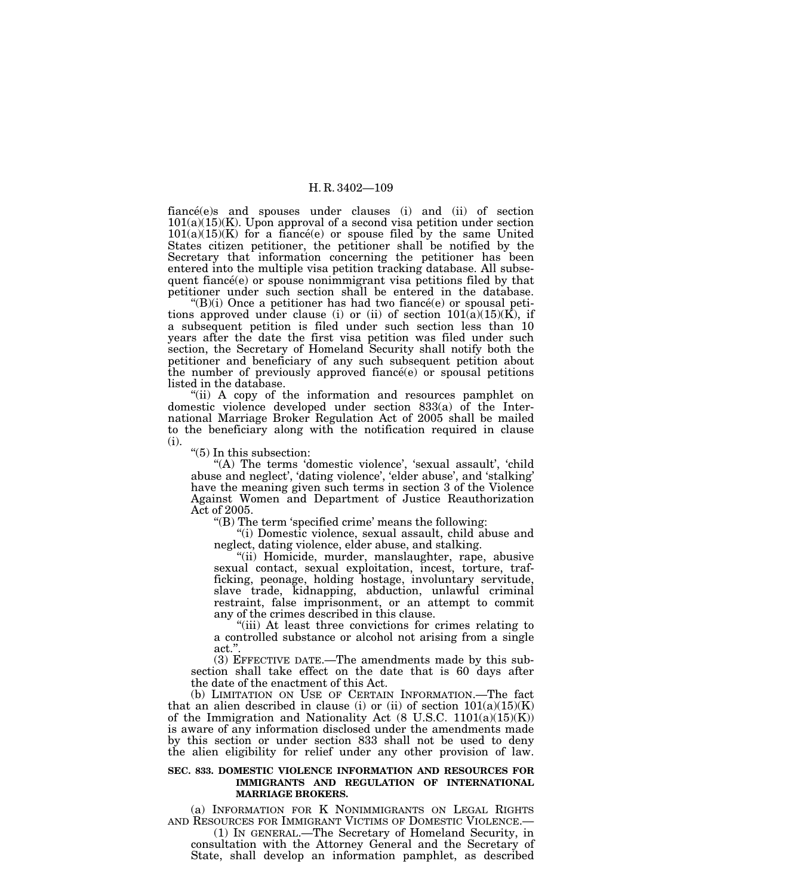$fiance(e)$  and spouses under clauses (i) and (ii) of section  $101(a)(15)(K)$ . Upon approval of a second visa petition under section  $101(a)(15)(K)$  for a fiance (e) or spouse filed by the same United States citizen petitioner, the petitioner shall be notified by the Secretary that information concerning the petitioner has been entered into the multiple visa petition tracking database. All subsequent fiance (e) or spouse nonimmigrant visa petitions filed by that petitioner under such section shall be entered in the database.

"(B)(i) Once a petitioner has had two fiance  $(e)$  or spousal petitions approved under clause (i) or (ii) of section  $101(a)(15)(K)$ , if a subsequent petition is filed under such section less than 10 years after the date the first visa petition was filed under such section, the Secretary of Homeland Security shall notify both the petitioner and beneficiary of any such subsequent petition about the number of previously approved fiance $(e)$  or spousal petitions listed in the database.

"(ii) A copy of the information and resources pamphlet on domestic violence developed under section 833(a) of the International Marriage Broker Regulation Act of 2005 shall be mailed to the beneficiary along with the notification required in clause (i).

''(5) In this subsection:

"(A) The terms 'domestic violence', 'sexual assault', 'child abuse and neglect', 'dating violence', 'elder abuse', and 'stalking' have the meaning given such terms in section 3 of the Violence Against Women and Department of Justice Reauthorization Act of 2005.

''(B) The term 'specified crime' means the following:

''(i) Domestic violence, sexual assault, child abuse and neglect, dating violence, elder abuse, and stalking.

''(ii) Homicide, murder, manslaughter, rape, abusive sexual contact, sexual exploitation, incest, torture, trafficking, peonage, holding hostage, involuntary servitude, slave trade, kidnapping, abduction, unlawful criminal restraint, false imprisonment, or an attempt to commit any of the crimes described in this clause.

"(iii) At least three convictions for crimes relating to a controlled substance or alcohol not arising from a single act.''.

(3) EFFECTIVE DATE.—The amendments made by this subsection shall take effect on the date that is 60 days after the date of the enactment of this Act.

(b) LIMITATION ON USE OF CERTAIN INFORMATION.—The fact that an alien described in clause (i) or (ii) of section  $101(a)(15)(K)$ of the Immigration and Nationality Act  $(8 \text{ U.S.C. } 1101(a)(15)(K))$ is aware of any information disclosed under the amendments made by this section or under section 833 shall not be used to deny the alien eligibility for relief under any other provision of law.

### **SEC. 833. DOMESTIC VIOLENCE INFORMATION AND RESOURCES FOR IMMIGRANTS AND REGULATION OF INTERNATIONAL MARRIAGE BROKERS.**

(a) INFORMATION FOR K NONIMMIGRANTS ON LEGAL RIGHTS AND RESOURCES FOR IMMIGRANT VICTIMS OF DOMESTIC VIOLENCE.—

(1) IN GENERAL.—The Secretary of Homeland Security, in consultation with the Attorney General and the Secretary of State, shall develop an information pamphlet, as described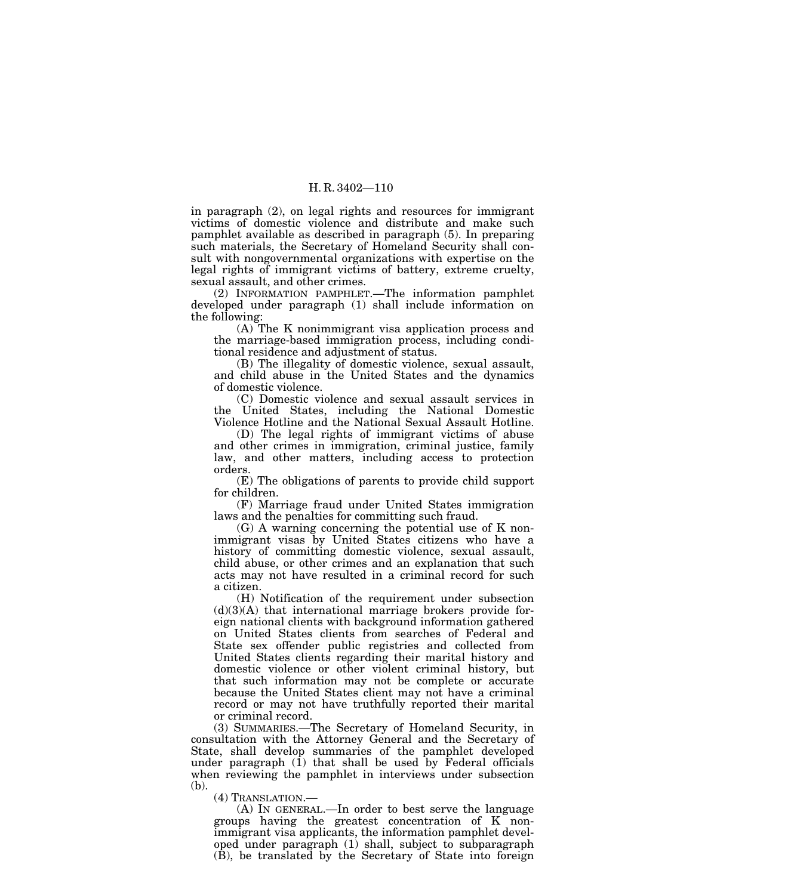in paragraph (2), on legal rights and resources for immigrant victims of domestic violence and distribute and make such pamphlet available as described in paragraph (5). In preparing such materials, the Secretary of Homeland Security shall consult with nongovernmental organizations with expertise on the legal rights of immigrant victims of battery, extreme cruelty, sexual assault, and other crimes.

(2) INFORMATION PAMPHLET.—The information pamphlet developed under paragraph (1) shall include information on the following:

(A) The K nonimmigrant visa application process and the marriage-based immigration process, including conditional residence and adjustment of status.

(B) The illegality of domestic violence, sexual assault, and child abuse in the United States and the dynamics of domestic violence.

(C) Domestic violence and sexual assault services in the United States, including the National Domestic Violence Hotline and the National Sexual Assault Hotline.

(D) The legal rights of immigrant victims of abuse and other crimes in immigration, criminal justice, family law, and other matters, including access to protection orders.

(E) The obligations of parents to provide child support for children.

(F) Marriage fraud under United States immigration laws and the penalties for committing such fraud.

(G) A warning concerning the potential use of K nonimmigrant visas by United States citizens who have a history of committing domestic violence, sexual assault, child abuse, or other crimes and an explanation that such acts may not have resulted in a criminal record for such a citizen.

(H) Notification of the requirement under subsection  $(d)(3)(A)$  that international marriage brokers provide foreign national clients with background information gathered on United States clients from searches of Federal and State sex offender public registries and collected from United States clients regarding their marital history and domestic violence or other violent criminal history, but that such information may not be complete or accurate because the United States client may not have a criminal record or may not have truthfully reported their marital or criminal record.

(3) SUMMARIES.—The Secretary of Homeland Security, in consultation with the Attorney General and the Secretary of State, shall develop summaries of the pamphlet developed under paragraph (1) that shall be used by Federal officials when reviewing the pamphlet in interviews under subsection (b).

(4) TRANSLATION.—

(A) IN GENERAL.—In order to best serve the language groups having the greatest concentration of K nonimmigrant visa applicants, the information pamphlet developed under paragraph (1) shall, subject to subparagraph (B), be translated by the Secretary of State into foreign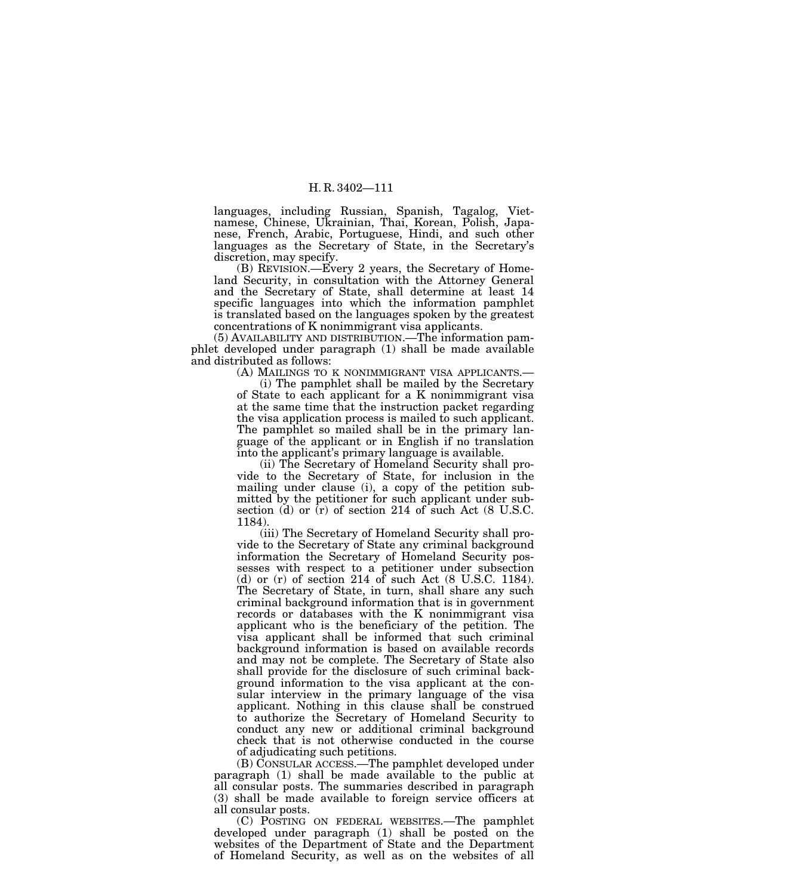languages, including Russian, Spanish, Tagalog, Vietnamese, Chinese, Ukrainian, Thai, Korean, Polish, Japanese, French, Arabic, Portuguese, Hindi, and such other languages as the Secretary of State, in the Secretary's discretion, may specify.

(B) REVISION.—Every 2 years, the Secretary of Homeland Security, in consultation with the Attorney General and the Secretary of State, shall determine at least 14 specific languages into which the information pamphlet is translated based on the languages spoken by the greatest concentrations of K nonimmigrant visa applicants.

(5) AVAILABILITY AND DISTRIBUTION.—The information pamphlet developed under paragraph (1) shall be made available and distributed as follows:

(A) MAILINGS TO K NONIMMIGRANT VISA APPLICANTS.—

(i) The pamphlet shall be mailed by the Secretary of State to each applicant for a K nonimmigrant visa at the same time that the instruction packet regarding the visa application process is mailed to such applicant. The pamphlet so mailed shall be in the primary language of the applicant or in English if no translation into the applicant's primary language is available.

(ii) The Secretary of Homeland Security shall provide to the Secretary of State, for inclusion in the mailing under clause (i), a copy of the petition submitted by the petitioner for such applicant under subsection  $(d)$  or  $(r)$  of section 214 of such Act (8 U.S.C. 1184).

(iii) The Secretary of Homeland Security shall provide to the Secretary of State any criminal background information the Secretary of Homeland Security possesses with respect to a petitioner under subsection (d) or (r) of section 214 of such Act (8 U.S.C. 1184). The Secretary of State, in turn, shall share any such criminal background information that is in government records or databases with the K nonimmigrant visa applicant who is the beneficiary of the petition. The visa applicant shall be informed that such criminal background information is based on available records and may not be complete. The Secretary of State also shall provide for the disclosure of such criminal background information to the visa applicant at the consular interview in the primary language of the visa applicant. Nothing in this clause shall be construed to authorize the Secretary of Homeland Security to conduct any new or additional criminal background check that is not otherwise conducted in the course of adjudicating such petitions.

(B) CONSULAR ACCESS.—The pamphlet developed under paragraph (1) shall be made available to the public at all consular posts. The summaries described in paragraph (3) shall be made available to foreign service officers at all consular posts.

(C) POSTING ON FEDERAL WEBSITES.—The pamphlet developed under paragraph (1) shall be posted on the websites of the Department of State and the Department of Homeland Security, as well as on the websites of all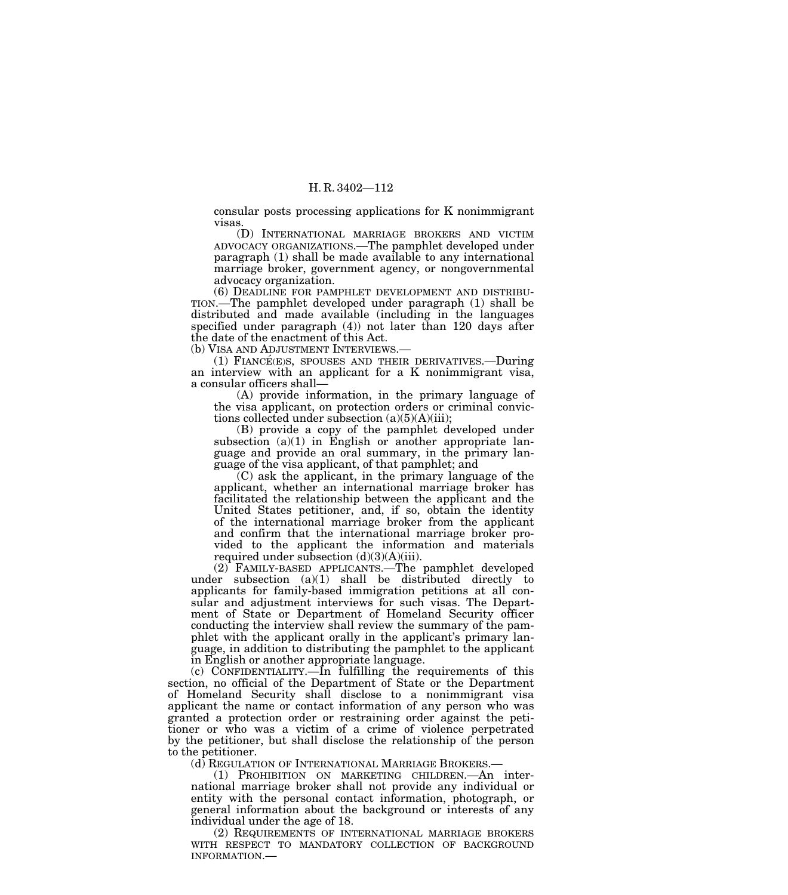consular posts processing applications for K nonimmigrant visas.

(D) INTERNATIONAL MARRIAGE BROKERS AND VICTIM ADVOCACY ORGANIZATIONS.—The pamphlet developed under paragraph (1) shall be made available to any international marriage broker, government agency, or nongovernmental advocacy organization.

(6) DEADLINE FOR PAMPHLET DEVELOPMENT AND DISTRIBU-TION.—The pamphlet developed under paragraph (1) shall be distributed and made available (including in the languages specified under paragraph (4)) not later than 120 days after the date of the enactment of this Act.

(b) VISA AND ADJUSTMENT INTERVIEWS.—

(1) FIANCE´(E)S, SPOUSES AND THEIR DERIVATIVES.—During an interview with an applicant for a K nonimmigrant visa, a consular officers shall—

(A) provide information, in the primary language of the visa applicant, on protection orders or criminal convictions collected under subsection (a)(5)(A)(iii);

(B) provide a copy of the pamphlet developed under subsection  $(a)(1)$  in English or another appropriate language and provide an oral summary, in the primary language of the visa applicant, of that pamphlet; and

(C) ask the applicant, in the primary language of the applicant, whether an international marriage broker has facilitated the relationship between the applicant and the United States petitioner, and, if so, obtain the identity of the international marriage broker from the applicant and confirm that the international marriage broker provided to the applicant the information and materials required under subsection  $(d)(3)(A)(iii)$ .

(2) FAMILY-BASED APPLICANTS.—The pamphlet developed under subsection (a)(1) shall be distributed directly to applicants for family-based immigration petitions at all consular and adjustment interviews for such visas. The Department of State or Department of Homeland Security officer conducting the interview shall review the summary of the pamphlet with the applicant orally in the applicant's primary language, in addition to distributing the pamphlet to the applicant in English or another appropriate language.

(c) CONFIDENTIALITY.—In fulfilling the requirements of this section, no official of the Department of State or the Department of Homeland Security shall disclose to a nonimmigrant visa applicant the name or contact information of any person who was granted a protection order or restraining order against the petitioner or who was a victim of a crime of violence perpetrated by the petitioner, but shall disclose the relationship of the person to the petitioner.<br>(d) REGULATION OF INTERNATIONAL MARRIAGE BROKERS.

(1) PROHIBITION ON MARKETING CHILDREN.—An international marriage broker shall not provide any individual or entity with the personal contact information, photograph, or general information about the background or interests of any individual under the age of 18.

(2) REQUIREMENTS OF INTERNATIONAL MARRIAGE BROKERS WITH RESPECT TO MANDATORY COLLECTION OF BACKGROUND INFORMATION.—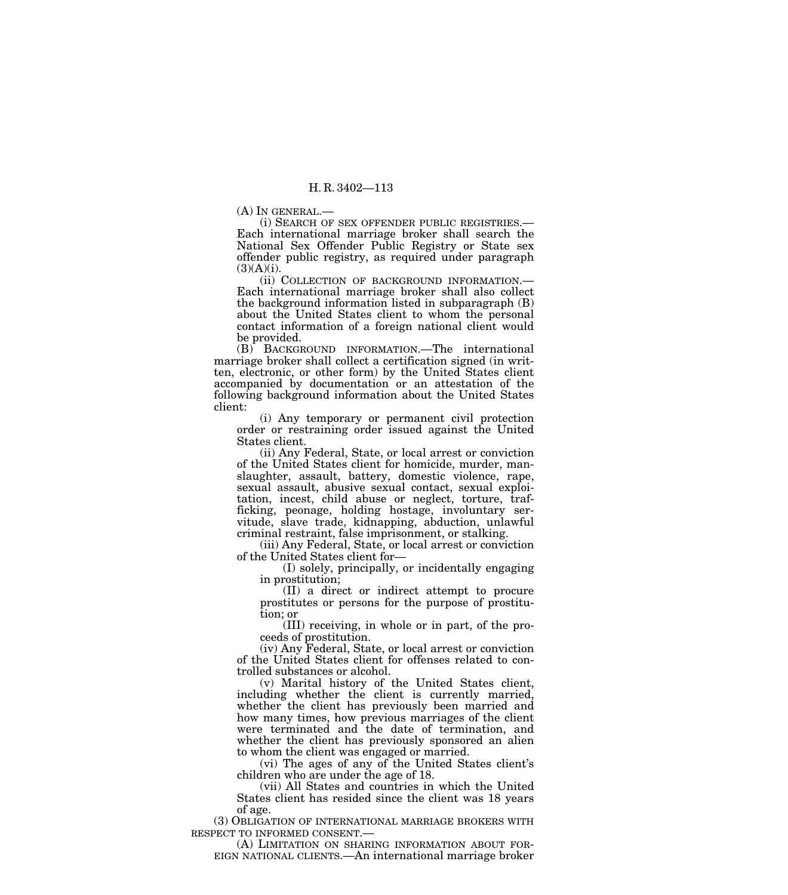(A) IN GENERAL.—

(i) SEARCH OF SEX OFFENDER PUBLIC REGISTRIES.— Each international marriage broker shall search the National Sex Offender Public Registry or State sex offender public registry, as required under paragraph  $(3)(A)(i)$ .

(ii) COLLECTION OF BACKGROUND INFORMATION.— Each international marriage broker shall also collect the background information listed in subparagraph (B) about the United States client to whom the personal contact information of a foreign national client would be provided.

(B) BACKGROUND INFORMATION.—The international marriage broker shall collect a certification signed (in written, electronic, or other form) by the United States client accompanied by documentation or an attestation of the following background information about the United States client:

(i) Any temporary or permanent civil protection order or restraining order issued against the United States client.

(ii) Any Federal, State, or local arrest or conviction of the United States client for homicide, murder, manslaughter, assault, battery, domestic violence, rape, sexual assault, abusive sexual contact, sexual exploitation, incest, child abuse or neglect, torture, trafficking, peonage, holding hostage, involuntary servitude, slave trade, kidnapping, abduction, unlawful criminal restraint, false imprisonment, or stalking.

(iii) Any Federal, State, or local arrest or conviction of the United States client for—

(I) solely, principally, or incidentally engaging in prostitution;

(II) a direct or indirect attempt to procure prostitutes or persons for the purpose of prostitution; or

(III) receiving, in whole or in part, of the proceeds of prostitution.

(iv) Any Federal, State, or local arrest or conviction of the United States client for offenses related to controlled substances or alcohol.

(v) Marital history of the United States client, including whether the client is currently married, whether the client has previously been married and how many times, how previous marriages of the client were terminated and the date of termination, and whether the client has previously sponsored an alien to whom the client was engaged or married.

(vi) The ages of any of the United States client's children who are under the age of 18.

(vii) All States and countries in which the United States client has resided since the client was 18 years of age.

(3) OBLIGATION OF INTERNATIONAL MARRIAGE BROKERS WITH RESPECT TO INFORMED CONSENT.—

(A) LIMITATION ON SHARING INFORMATION ABOUT FOR-EIGN NATIONAL CLIENTS.—An international marriage broker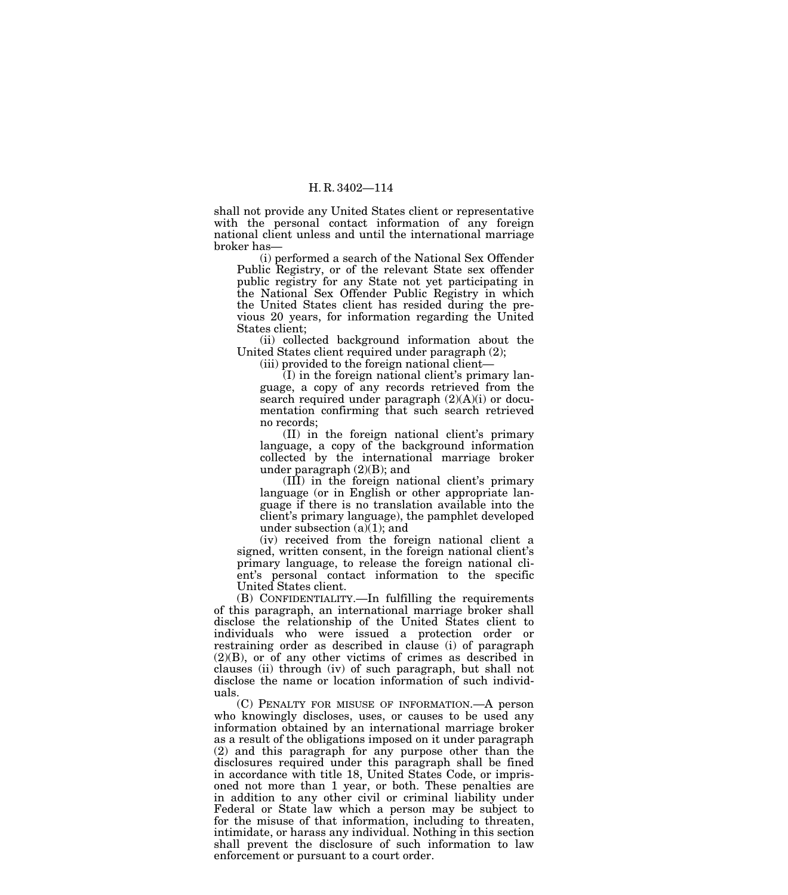shall not provide any United States client or representative with the personal contact information of any foreign national client unless and until the international marriage broker has—

(i) performed a search of the National Sex Offender Public Registry, or of the relevant State sex offender public registry for any State not yet participating in the National Sex Offender Public Registry in which the United States client has resided during the previous 20 years, for information regarding the United States client;

(ii) collected background information about the United States client required under paragraph (2);

(iii) provided to the foreign national client—

(I) in the foreign national client's primary language, a copy of any records retrieved from the search required under paragraph  $(2)(A)(i)$  or documentation confirming that such search retrieved no records;

(II) in the foreign national client's primary language, a copy of the background information collected by the international marriage broker under paragraph  $(2)(B)$ ; and

(III) in the foreign national client's primary language (or in English or other appropriate language if there is no translation available into the client's primary language), the pamphlet developed under subsection  $(a)(1)$ ; and

(iv) received from the foreign national client a signed, written consent, in the foreign national client's primary language, to release the foreign national client's personal contact information to the specific United States client.

(B) CONFIDENTIALITY.—In fulfilling the requirements of this paragraph, an international marriage broker shall disclose the relationship of the United States client to individuals who were issued a protection order or restraining order as described in clause (i) of paragraph (2)(B), or of any other victims of crimes as described in clauses (ii) through (iv) of such paragraph, but shall not disclose the name or location information of such individuals.

(C) PENALTY FOR MISUSE OF INFORMATION.—A person who knowingly discloses, uses, or causes to be used any information obtained by an international marriage broker as a result of the obligations imposed on it under paragraph (2) and this paragraph for any purpose other than the disclosures required under this paragraph shall be fined in accordance with title 18, United States Code, or imprisoned not more than 1 year, or both. These penalties are in addition to any other civil or criminal liability under Federal or State law which a person may be subject to for the misuse of that information, including to threaten, intimidate, or harass any individual. Nothing in this section shall prevent the disclosure of such information to law enforcement or pursuant to a court order.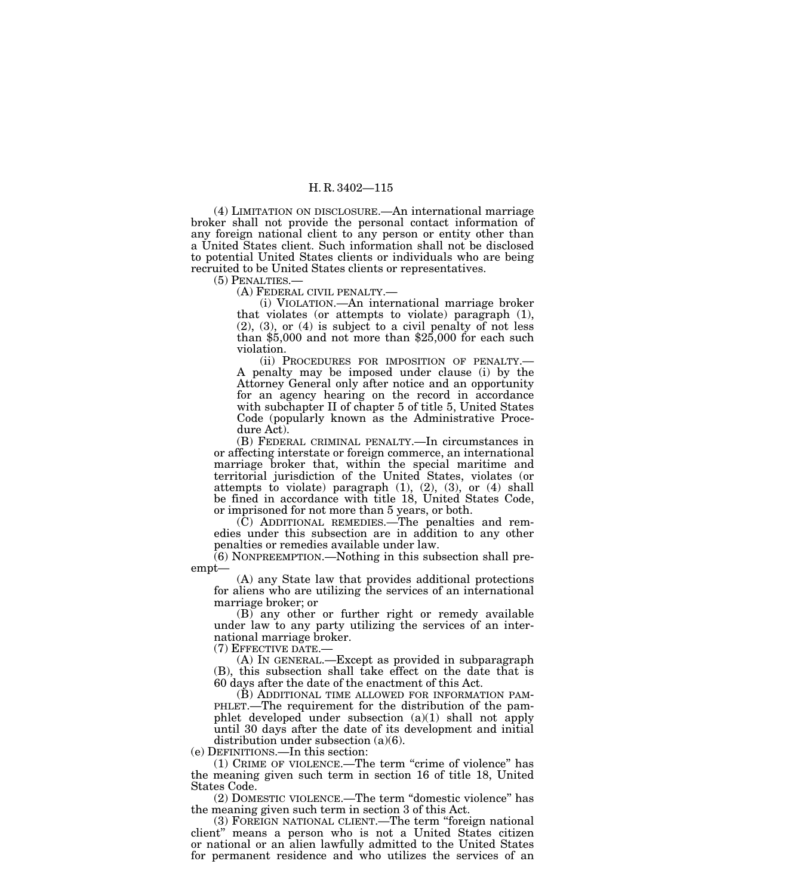(4) LIMITATION ON DISCLOSURE.—An international marriage broker shall not provide the personal contact information of any foreign national client to any person or entity other than a United States client. Such information shall not be disclosed to potential United States clients or individuals who are being recruited to be United States clients or representatives.

(5) PENALTIES.—

(A) FEDERAL CIVIL PENALTY.—

(i) VIOLATION.—An international marriage broker that violates (or attempts to violate) paragraph (1),  $(2)$ ,  $(3)$ , or  $(4)$  is subject to a civil penalty of not less than \$5,000 and not more than \$25,000 for each such violation.

(ii) PROCEDURES FOR IMPOSITION OF PENALTY.— A penalty may be imposed under clause (i) by the Attorney General only after notice and an opportunity for an agency hearing on the record in accordance with subchapter II of chapter 5 of title 5, United States Code (popularly known as the Administrative Procedure Act).

(B) FEDERAL CRIMINAL PENALTY.—In circumstances in or affecting interstate or foreign commerce, an international marriage broker that, within the special maritime and territorial jurisdiction of the United States, violates (or attempts to violate) paragraph  $(1)$ ,  $(2)$ ,  $(3)$ , or  $(4)$  shall be fined in accordance with title 18, United States Code, or imprisoned for not more than 5 years, or both.

(C) ADDITIONAL REMEDIES.—The penalties and remedies under this subsection are in addition to any other penalties or remedies available under law.

(6) NONPREEMPTION.—Nothing in this subsection shall preempt—

(A) any State law that provides additional protections for aliens who are utilizing the services of an international marriage broker; or

(B) any other or further right or remedy available under law to any party utilizing the services of an international marriage broker.

(7) EFFECTIVE DATE.— (A) IN GENERAL.—Except as provided in subparagraph (B), this subsection shall take effect on the date that is 60 days after the date of the enactment of this Act.

(B) ADDITIONAL TIME ALLOWED FOR INFORMATION PAM-PHLET.—The requirement for the distribution of the pamphlet developed under subsection (a)(1) shall not apply until 30 days after the date of its development and initial distribution under subsection (a)(6).

(e) DEFINITIONS.—In this section:

(1) CRIME OF VIOLENCE.—The term ''crime of violence'' has the meaning given such term in section 16 of title 18, United States Code.

(2) DOMESTIC VIOLENCE.—The term ''domestic violence'' has the meaning given such term in section 3 of this Act.

(3) FOREIGN NATIONAL CLIENT.—The term ''foreign national client'' means a person who is not a United States citizen or national or an alien lawfully admitted to the United States for permanent residence and who utilizes the services of an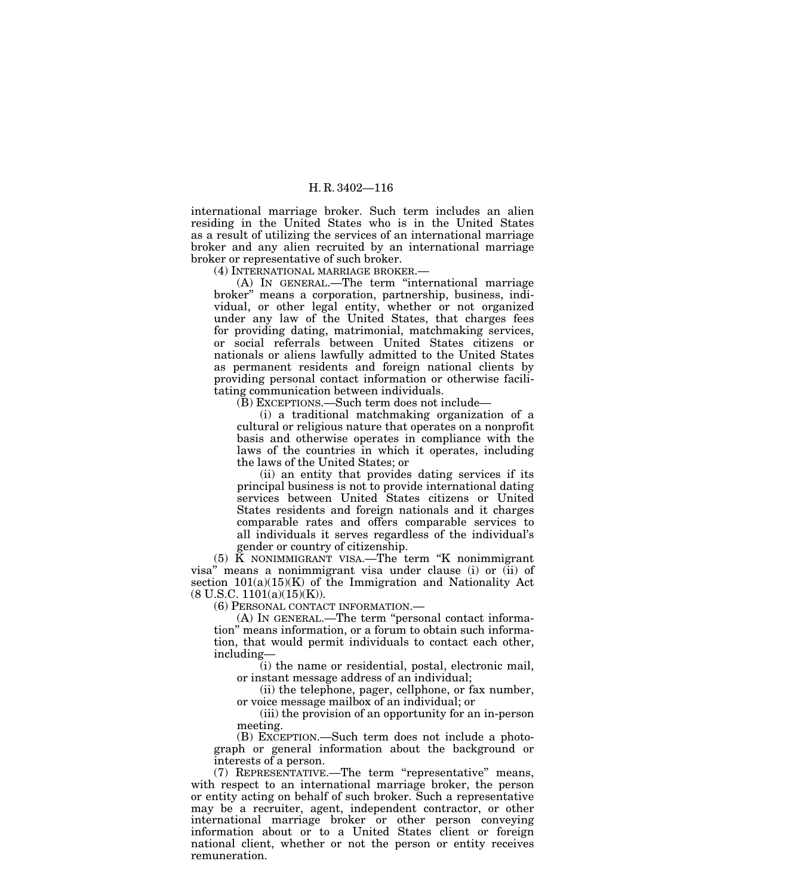international marriage broker. Such term includes an alien residing in the United States who is in the United States as a result of utilizing the services of an international marriage broker and any alien recruited by an international marriage broker or representative of such broker.

(4) INTERNATIONAL MARRIAGE BROKER.—

(A) IN GENERAL.—The term ''international marriage broker'' means a corporation, partnership, business, individual, or other legal entity, whether or not organized under any law of the United States, that charges fees for providing dating, matrimonial, matchmaking services, or social referrals between United States citizens or nationals or aliens lawfully admitted to the United States as permanent residents and foreign national clients by providing personal contact information or otherwise facilitating communication between individuals.

(B) EXCEPTIONS.—Such term does not include—

(i) a traditional matchmaking organization of a cultural or religious nature that operates on a nonprofit basis and otherwise operates in compliance with the laws of the countries in which it operates, including the laws of the United States; or

(ii) an entity that provides dating services if its principal business is not to provide international dating services between United States citizens or United States residents and foreign nationals and it charges comparable rates and offers comparable services to all individuals it serves regardless of the individual's gender or country of citizenship.

(5) K NONIMMIGRANT VISA.—The term ''K nonimmigrant visa'' means a nonimmigrant visa under clause (i) or (ii) of section 101(a)(15)(K) of the Immigration and Nationality Act  $(8 \text{ U.S.C. } 1101(a)(15)(K)).$ 

(6) PERSONAL CONTACT INFORMATION.—

(A) IN GENERAL.—The term ''personal contact information'' means information, or a forum to obtain such information, that would permit individuals to contact each other, including—

(i) the name or residential, postal, electronic mail, or instant message address of an individual;

(ii) the telephone, pager, cellphone, or fax number, or voice message mailbox of an individual; or

(iii) the provision of an opportunity for an in-person meeting.

(B) EXCEPTION.—Such term does not include a photograph or general information about the background or interests of a person.

(7) REPRESENTATIVE.—The term ''representative'' means, with respect to an international marriage broker, the person or entity acting on behalf of such broker. Such a representative may be a recruiter, agent, independent contractor, or other international marriage broker or other person conveying information about or to a United States client or foreign national client, whether or not the person or entity receives remuneration.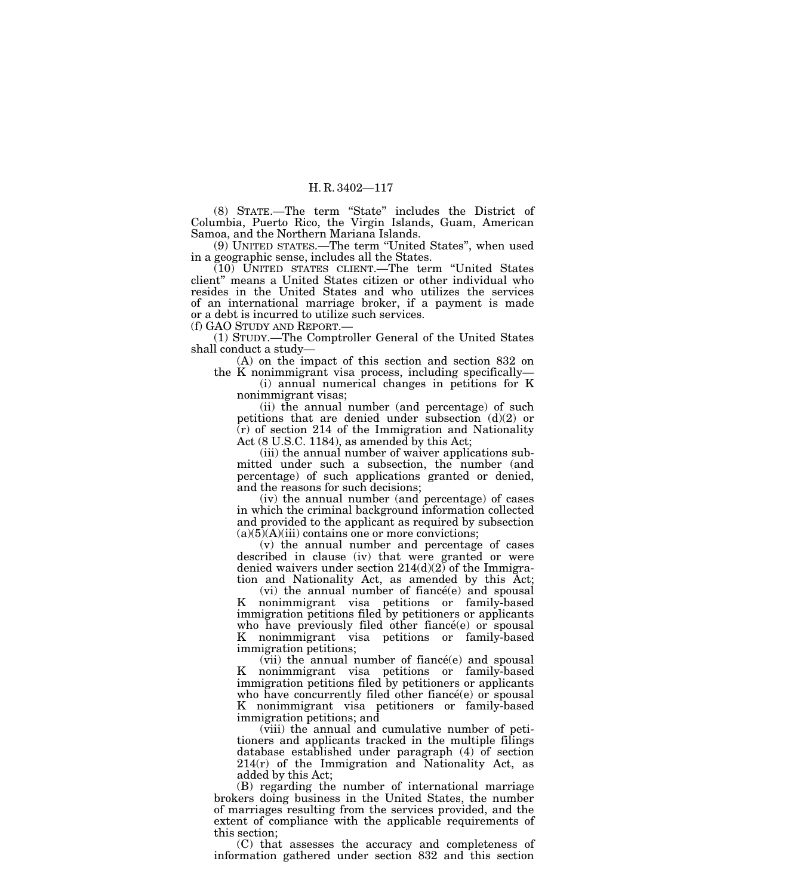(8) STATE.—The term ''State'' includes the District of Columbia, Puerto Rico, the Virgin Islands, Guam, American Samoa, and the Northern Mariana Islands.

(9) UNITED STATES.—The term ''United States'', when used in a geographic sense, includes all the States.

(10) UNITED STATES CLIENT.—The term ''United States client'' means a United States citizen or other individual who resides in the United States and who utilizes the services of an international marriage broker, if a payment is made or a debt is incurred to utilize such services.

(f) GAO STUDY AND REPORT.—

(1) STUDY.—The Comptroller General of the United States shall conduct a study—

(A) on the impact of this section and section 832 on the K nonimmigrant visa process, including specifically—

(i) annual numerical changes in petitions for K nonimmigrant visas;

(ii) the annual number (and percentage) of such petitions that are denied under subsection (d)(2) or  $\bar{r}(r)$  of section 214 of the Immigration and Nationality Act (8 U.S.C. 1184), as amended by this Act;

(iii) the annual number of waiver applications submitted under such a subsection, the number (and percentage) of such applications granted or denied, and the reasons for such decisions;

(iv) the annual number (and percentage) of cases in which the criminal background information collected and provided to the applicant as required by subsection  $(a)(5)(A)(iii)$  contains one or more convictions;

(v) the annual number and percentage of cases described in clause (iv) that were granted or were denied waivers under section  $214(d)(2)$  of the Immigration and Nationality Act, as amended by this Act;

 $(vi)$  the annual number of fiance $(e)$  and spousal K nonimmigrant visa petitions or family-based immigration petitions filed by petitioners or applicants who have previously filed other fiance $(e)$  or spousal K nonimmigrant visa petitions or family-based immigration petitions;

 $(vii)$  the annual number of fiance $(e)$  and spousal K nonimmigrant visa petitions or family-based immigration petitions filed by petitioners or applicants who have concurrently filed other fiance $(e)$  or spousal K nonimmigrant visa petitioners or family-based immigration petitions; and

(viii) the annual and cumulative number of petitioners and applicants tracked in the multiple filings database established under paragraph (4) of section 214(r) of the Immigration and Nationality Act, as added by this Act;

(B) regarding the number of international marriage brokers doing business in the United States, the number of marriages resulting from the services provided, and the extent of compliance with the applicable requirements of this section;

(C) that assesses the accuracy and completeness of information gathered under section 832 and this section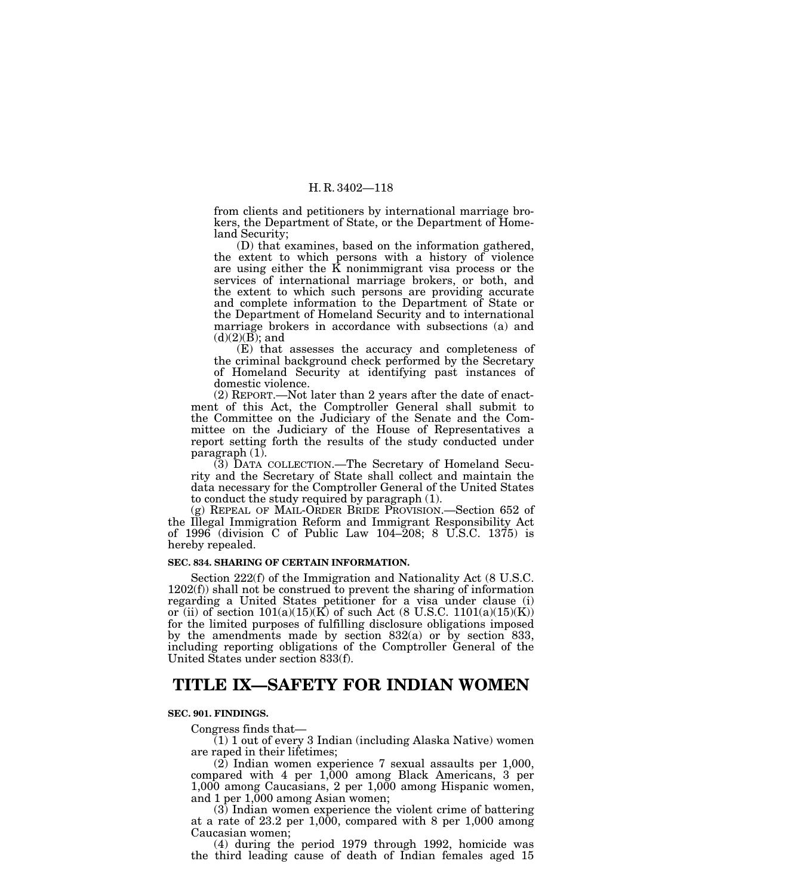from clients and petitioners by international marriage brokers, the Department of State, or the Department of Homeland Security;

(D) that examines, based on the information gathered, the extent to which persons with a history of violence are using either the K nonimmigrant visa process or the services of international marriage brokers, or both, and the extent to which such persons are providing accurate and complete information to the Department of State or the Department of Homeland Security and to international marriage brokers in accordance with subsections (a) and  $(d)(2)(\overline{B})$ ; and

(E) that assesses the accuracy and completeness of the criminal background check performed by the Secretary of Homeland Security at identifying past instances of domestic violence.

(2) REPORT.—Not later than 2 years after the date of enactment of this Act, the Comptroller General shall submit to the Committee on the Judiciary of the Senate and the Committee on the Judiciary of the House of Representatives a report setting forth the results of the study conducted under paragraph (1).

(3) DATA COLLECTION.—The Secretary of Homeland Security and the Secretary of State shall collect and maintain the data necessary for the Comptroller General of the United States to conduct the study required by paragraph (1).

(g) REPEAL OF MAIL-ORDER BRIDE PROVISION.—Section 652 of the Illegal Immigration Reform and Immigrant Responsibility Act of 1996 (division C of Public Law 104–208; 8 U.S.C. 1375) is hereby repealed.

# **SEC. 834. SHARING OF CERTAIN INFORMATION.**

Section 222(f) of the Immigration and Nationality Act (8 U.S.C. 1202(f)) shall not be construed to prevent the sharing of information regarding a United States petitioner for a visa under clause (i) or (ii) of section  $101(a)(15)(K)$  of such Act (8 U.S.C.  $1101(a)(15)(K)$ ) for the limited purposes of fulfilling disclosure obligations imposed by the amendments made by section 832(a) or by section 833, including reporting obligations of the Comptroller General of the United States under section 833(f).

# **TITLE IX—SAFETY FOR INDIAN WOMEN**

#### **SEC. 901. FINDINGS.**

Congress finds that—

(1) 1 out of every 3 Indian (including Alaska Native) women are raped in their lifetimes;

(2) Indian women experience 7 sexual assaults per 1,000, compared with 4 per 1,000 among Black Americans, 3 per 1,000 among Caucasians, 2 per 1,000 among Hispanic women, and 1 per 1,000 among Asian women;

(3) Indian women experience the violent crime of battering at a rate of 23.2 per 1,000, compared with 8 per 1,000 among Caucasian women;

(4) during the period 1979 through 1992, homicide was the third leading cause of death of Indian females aged 15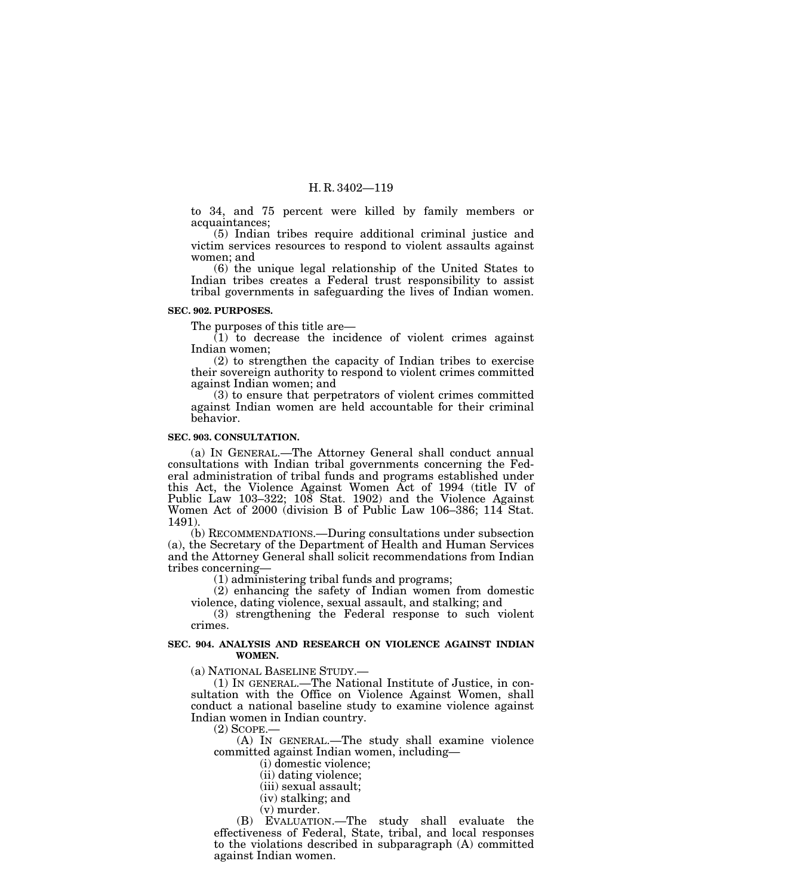to 34, and 75 percent were killed by family members or acquaintances;

(5) Indian tribes require additional criminal justice and victim services resources to respond to violent assaults against women; and

(6) the unique legal relationship of the United States to Indian tribes creates a Federal trust responsibility to assist tribal governments in safeguarding the lives of Indian women.

#### **SEC. 902. PURPOSES.**

The purposes of this title are—

 $(1)$  to decrease the incidence of violent crimes against Indian women;

(2) to strengthen the capacity of Indian tribes to exercise their sovereign authority to respond to violent crimes committed against Indian women; and

(3) to ensure that perpetrators of violent crimes committed against Indian women are held accountable for their criminal behavior.

## **SEC. 903. CONSULTATION.**

(a) IN GENERAL.—The Attorney General shall conduct annual consultations with Indian tribal governments concerning the Federal administration of tribal funds and programs established under this Act, the Violence Against Women Act of 1994 (title IV of Public Law 103–322; 108 Stat. 1902) and the Violence Against Women Act of 2000 (division B of Public Law 106–386; 114 Stat. 1491).

(b) RECOMMENDATIONS.—During consultations under subsection (a), the Secretary of the Department of Health and Human Services and the Attorney General shall solicit recommendations from Indian tribes concerning—

(1) administering tribal funds and programs;

(2) enhancing the safety of Indian women from domestic violence, dating violence, sexual assault, and stalking; and

(3) strengthening the Federal response to such violent crimes.

#### **SEC. 904. ANALYSIS AND RESEARCH ON VIOLENCE AGAINST INDIAN WOMEN.**

(a) NATIONAL BASELINE STUDY.—

(1) IN GENERAL.—The National Institute of Justice, in consultation with the Office on Violence Against Women, shall conduct a national baseline study to examine violence against Indian women in Indian country.

(2) SCOPE.—

(A) IN GENERAL.—The study shall examine violence committed against Indian women, including—

(i) domestic violence;

(ii) dating violence;

(iii) sexual assault;

(iv) stalking; and

(v) murder.

(B) EVALUATION.—The study shall evaluate the effectiveness of Federal, State, tribal, and local responses to the violations described in subparagraph (A) committed against Indian women.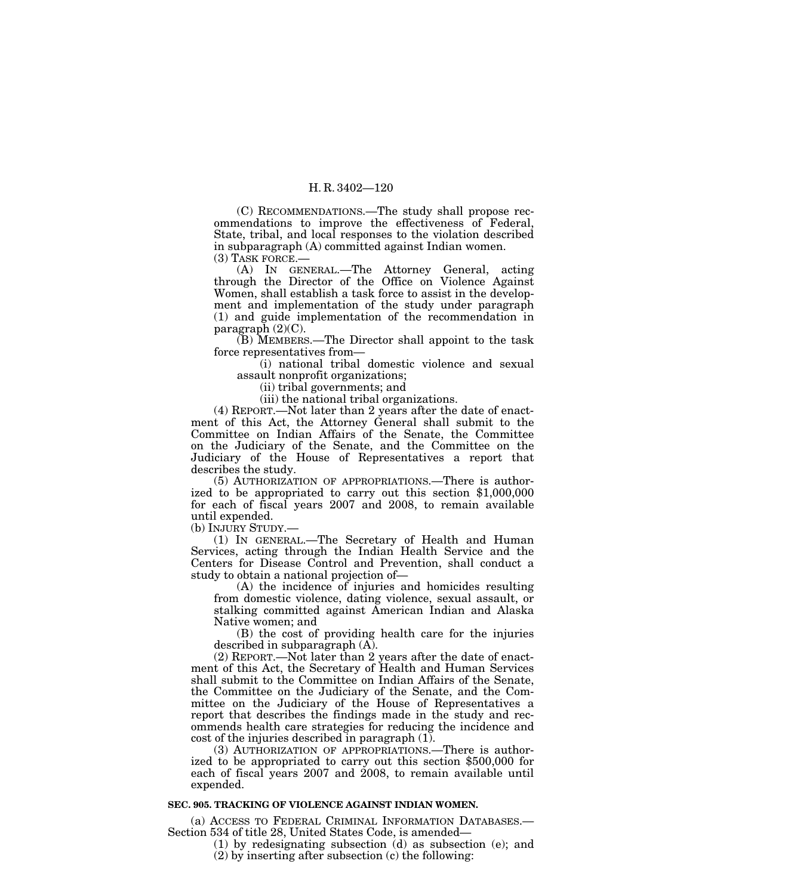(C) RECOMMENDATIONS.—The study shall propose recommendations to improve the effectiveness of Federal, State, tribal, and local responses to the violation described in subparagraph (A) committed against Indian women.

(3) TASK FORCE.—

(A) IN GENERAL.—The Attorney General, acting through the Director of the Office on Violence Against Women, shall establish a task force to assist in the development and implementation of the study under paragraph (1) and guide implementation of the recommendation in paragraph  $(2)(C)$ .

(B) MEMBERS.—The Director shall appoint to the task force representatives from—

(i) national tribal domestic violence and sexual assault nonprofit organizations;

(ii) tribal governments; and

(iii) the national tribal organizations.

(4) REPORT.—Not later than 2 years after the date of enactment of this Act, the Attorney General shall submit to the Committee on Indian Affairs of the Senate, the Committee on the Judiciary of the Senate, and the Committee on the Judiciary of the House of Representatives a report that describes the study.

(5) AUTHORIZATION OF APPROPRIATIONS.—There is authorized to be appropriated to carry out this section \$1,000,000 for each of fiscal years 2007 and 2008, to remain available until expended.

(b) INJURY STUDY.—

(1) IN GENERAL.—The Secretary of Health and Human Services, acting through the Indian Health Service and the Centers for Disease Control and Prevention, shall conduct a study to obtain a national projection of—

(A) the incidence of injuries and homicides resulting from domestic violence, dating violence, sexual assault, or stalking committed against American Indian and Alaska Native women; and

(B) the cost of providing health care for the injuries described in subparagraph (A).

(2) REPORT.—Not later than 2 years after the date of enactment of this Act, the Secretary of Health and Human Services shall submit to the Committee on Indian Affairs of the Senate, the Committee on the Judiciary of the Senate, and the Committee on the Judiciary of the House of Representatives a report that describes the findings made in the study and recommends health care strategies for reducing the incidence and cost of the injuries described in paragraph (1).

(3) AUTHORIZATION OF APPROPRIATIONS.—There is authorized to be appropriated to carry out this section \$500,000 for each of fiscal years 2007 and 2008, to remain available until expended.

#### **SEC. 905. TRACKING OF VIOLENCE AGAINST INDIAN WOMEN.**

(a) ACCESS TO FEDERAL CRIMINAL INFORMATION DATABASES.— Section 534 of title 28, United States Code, is amended—

> (1) by redesignating subsection (d) as subsection (e); and (2) by inserting after subsection (c) the following: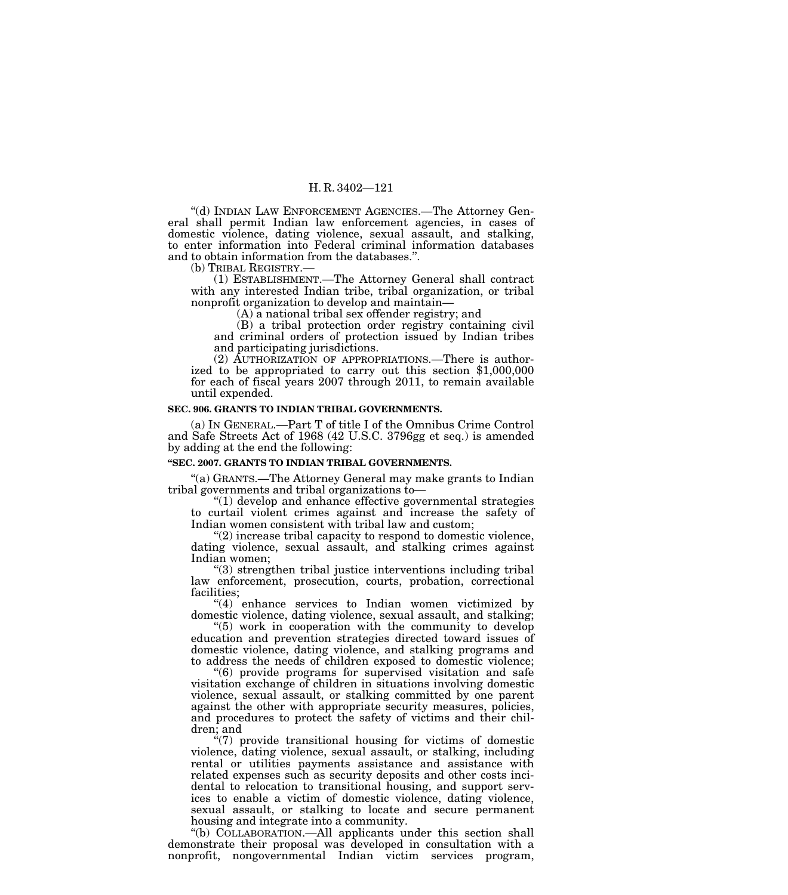''(d) INDIAN LAW ENFORCEMENT AGENCIES.—The Attorney General shall permit Indian law enforcement agencies, in cases of domestic violence, dating violence, sexual assault, and stalking, to enter information into Federal criminal information databases and to obtain information from the databases.''.

(1) ESTABLISHMENT.—The Attorney General shall contract with any interested Indian tribe, tribal organization, or tribal nonprofit organization to develop and maintain—

(A) a national tribal sex offender registry; and

(B) a tribal protection order registry containing civil and criminal orders of protection issued by Indian tribes and participating jurisdictions.

(2) AUTHORIZATION OF APPROPRIATIONS.—There is authorized to be appropriated to carry out this section \$1,000,000 for each of fiscal years 2007 through 2011, to remain available until expended.

#### **SEC. 906. GRANTS TO INDIAN TRIBAL GOVERNMENTS.**

(a) IN GENERAL.—Part T of title I of the Omnibus Crime Control and Safe Streets Act of 1968 (42 U.S.C. 3796gg et seq.) is amended by adding at the end the following:

#### **''SEC. 2007. GRANTS TO INDIAN TRIBAL GOVERNMENTS.**

''(a) GRANTS.—The Attorney General may make grants to Indian tribal governments and tribal organizations to—

''(1) develop and enhance effective governmental strategies to curtail violent crimes against and increase the safety of Indian women consistent with tribal law and custom;

"(2) increase tribal capacity to respond to domestic violence, dating violence, sexual assault, and stalking crimes against Indian women;

''(3) strengthen tribal justice interventions including tribal law enforcement, prosecution, courts, probation, correctional facilities;

 $''(4)$  enhance services to Indian women victimized by domestic violence, dating violence, sexual assault, and stalking;

"(5) work in cooperation with the community to develop education and prevention strategies directed toward issues of domestic violence, dating violence, and stalking programs and to address the needs of children exposed to domestic violence;

''(6) provide programs for supervised visitation and safe visitation exchange of children in situations involving domestic violence, sexual assault, or stalking committed by one parent against the other with appropriate security measures, policies, and procedures to protect the safety of victims and their children; and

 $*(7)$  provide transitional housing for victims of domestic violence, dating violence, sexual assault, or stalking, including rental or utilities payments assistance and assistance with related expenses such as security deposits and other costs incidental to relocation to transitional housing, and support services to enable a victim of domestic violence, dating violence, sexual assault, or stalking to locate and secure permanent housing and integrate into a community.

''(b) COLLABORATION.—All applicants under this section shall demonstrate their proposal was developed in consultation with a nonprofit, nongovernmental Indian victim services program,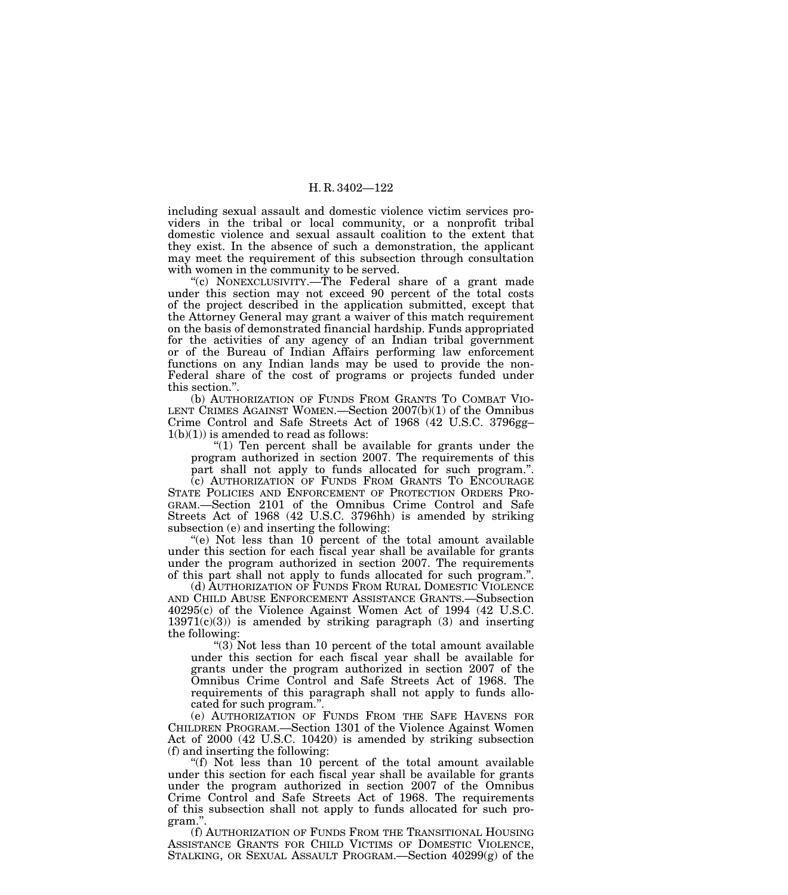including sexual assault and domestic violence victim services providers in the tribal or local community, or a nonprofit tribal domestic violence and sexual assault coalition to the extent that they exist. In the absence of such a demonstration, the applicant may meet the requirement of this subsection through consultation with women in the community to be served.

"(c) NONEXCLUSIVITY.—The Federal share of a grant made under this section may not exceed 90 percent of the total costs of the project described in the application submitted, except that the Attorney General may grant a waiver of this match requirement on the basis of demonstrated financial hardship. Funds appropriated for the activities of any agency of an Indian tribal government or of the Bureau of Indian Affairs performing law enforcement functions on any Indian lands may be used to provide the non-Federal share of the cost of programs or projects funded under this section.''.

(b) AUTHORIZATION OF FUNDS FROM GRANTS TO COMBAT VIO-LENT CRIMES AGAINST WOMEN.—Section 2007(b)(1) of the Omnibus Crime Control and Safe Streets Act of 1968 (42 U.S.C. 3796gg–  $1(b)(1)$  is amended to read as follows:

" $(1)$  Ten percent shall be available for grants under the program authorized in section 2007. The requirements of this part shall not apply to funds allocated for such program.''.

(c) AUTHORIZATION OF FUNDS FROM GRANTS TO ENCOURAGE STATE POLICIES AND ENFORCEMENT OF PROTECTION ORDERS PRO-GRAM.—Section 2101 of the Omnibus Crime Control and Safe Streets Act of 1968 (42 U.S.C. 3796hh) is amended by striking subsection (e) and inserting the following:

''(e) Not less than 10 percent of the total amount available under this section for each fiscal year shall be available for grants under the program authorized in section 2007. The requirements of this part shall not apply to funds allocated for such program.''.

(d) AUTHORIZATION OF FUNDS FROM RURAL DOMESTIC VIOLENCE AND CHILD ABUSE ENFORCEMENT ASSISTANCE GRANTS.—Subsection 40295(c) of the Violence Against Women Act of 1994 (42 U.S.C.  $13971(c)(3)$  is amended by striking paragraph (3) and inserting the following:

" $(3)$  Not less than 10 percent of the total amount available under this section for each fiscal year shall be available for grants under the program authorized in section 2007 of the Omnibus Crime Control and Safe Streets Act of 1968. The requirements of this paragraph shall not apply to funds allocated for such program.''.

(e) AUTHORIZATION OF FUNDS FROM THE SAFE HAVENS FOR CHILDREN PROGRAM.—Section 1301 of the Violence Against Women Act of 2000 (42 U.S.C. 10420) is amended by striking subsection (f) and inserting the following:

''(f) Not less than 10 percent of the total amount available under this section for each fiscal year shall be available for grants under the program authorized in section 2007 of the Omnibus Crime Control and Safe Streets Act of 1968. The requirements of this subsection shall not apply to funds allocated for such program.''.

(f) AUTHORIZATION OF FUNDS FROM THE TRANSITIONAL HOUSING ASSISTANCE GRANTS FOR CHILD VICTIMS OF DOMESTIC VIOLENCE, STALKING, OR SEXUAL ASSAULT PROGRAM.—Section 40299(g) of the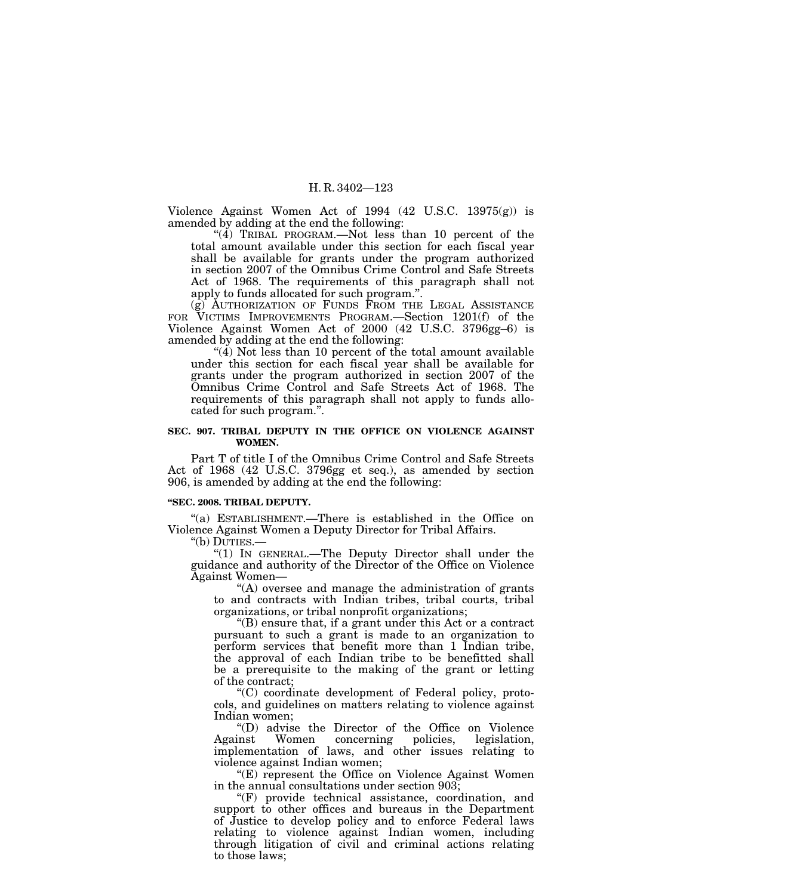Violence Against Women Act of 1994  $(42 \text{ U.S.C. } 13975(g))$  is amended by adding at the end the following:

"(4) TRIBAL PROGRAM.—Not less than 10 percent of the total amount available under this section for each fiscal year shall be available for grants under the program authorized in section 2007 of the Omnibus Crime Control and Safe Streets Act of 1968. The requirements of this paragraph shall not apply to funds allocated for such program.''.

(g) AUTHORIZATION OF FUNDS FROM THE LEGAL ASSISTANCE FOR VICTIMS IMPROVEMENTS PROGRAM.—Section 1201(f) of the Violence Against Women Act of 2000 (42 U.S.C. 3796gg–6) is amended by adding at the end the following:

 $\mathcal{H}(4)$  Not less than 10 percent of the total amount available under this section for each fiscal year shall be available for grants under the program authorized in section 2007 of the Omnibus Crime Control and Safe Streets Act of 1968. The requirements of this paragraph shall not apply to funds allocated for such program.''.

### **SEC. 907. TRIBAL DEPUTY IN THE OFFICE ON VIOLENCE AGAINST WOMEN.**

Part T of title I of the Omnibus Crime Control and Safe Streets Act of 1968 (42 U.S.C. 3796gg et seq.), as amended by section 906, is amended by adding at the end the following:

#### **''SEC. 2008. TRIBAL DEPUTY.**

''(a) ESTABLISHMENT.—There is established in the Office on Violence Against Women a Deputy Director for Tribal Affairs.

''(b) DUTIES.—

"(1) In GENERAL.—The Deputy Director shall under the guidance and authority of the Director of the Office on Violence Against Women—

''(A) oversee and manage the administration of grants to and contracts with Indian tribes, tribal courts, tribal organizations, or tribal nonprofit organizations;

''(B) ensure that, if a grant under this Act or a contract pursuant to such a grant is made to an organization to perform services that benefit more than 1 Indian tribe, the approval of each Indian tribe to be benefitted shall be a prerequisite to the making of the grant or letting of the contract;

''(C) coordinate development of Federal policy, protocols, and guidelines on matters relating to violence against Indian women;

''(D) advise the Director of the Office on Violence Against Women concerning policies, legislation, implementation of laws, and other issues relating to violence against Indian women;

''(E) represent the Office on Violence Against Women in the annual consultations under section 903;

''(F) provide technical assistance, coordination, and support to other offices and bureaus in the Department of Justice to develop policy and to enforce Federal laws relating to violence against Indian women, including through litigation of civil and criminal actions relating to those laws;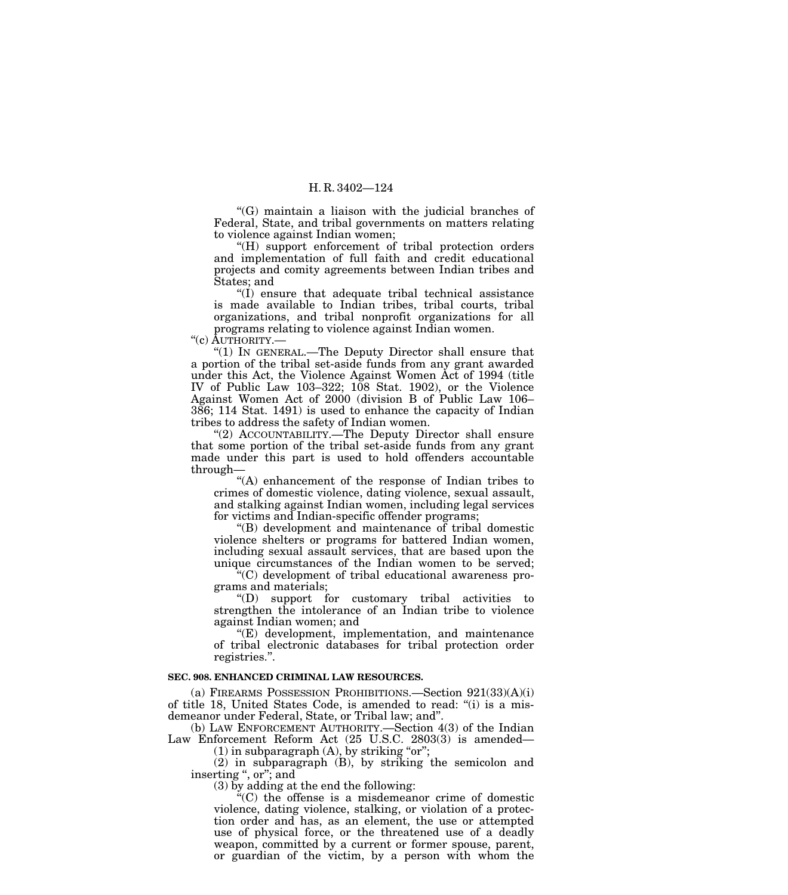''(G) maintain a liaison with the judicial branches of Federal, State, and tribal governments on matters relating to violence against Indian women;

"(H) support enforcement of tribal protection orders and implementation of full faith and credit educational projects and comity agreements between Indian tribes and States; and

''(I) ensure that adequate tribal technical assistance is made available to Indian tribes, tribal courts, tribal organizations, and tribal nonprofit organizations for all programs relating to violence against Indian women.

''(c) AUTHORITY.—

" $(1)$  In GENERAL.—The Deputy Director shall ensure that a portion of the tribal set-aside funds from any grant awarded under this Act, the Violence Against Women Act of 1994 (title IV of Public Law 103–322; 108 Stat. 1902), or the Violence Against Women Act of 2000 (division B of Public Law 106– 386; 114 Stat. 1491) is used to enhance the capacity of Indian tribes to address the safety of Indian women.

"(2) ACCOUNTABILITY.—The Deputy Director shall ensure that some portion of the tribal set-aside funds from any grant made under this part is used to hold offenders accountable through—

''(A) enhancement of the response of Indian tribes to crimes of domestic violence, dating violence, sexual assault, and stalking against Indian women, including legal services for victims and Indian-specific offender programs;

''(B) development and maintenance of tribal domestic violence shelters or programs for battered Indian women, including sexual assault services, that are based upon the unique circumstances of the Indian women to be served;

''(C) development of tribal educational awareness programs and materials;

''(D) support for customary tribal activities to strengthen the intolerance of an Indian tribe to violence against Indian women; and

''(E) development, implementation, and maintenance of tribal electronic databases for tribal protection order registries.''.

#### **SEC. 908. ENHANCED CRIMINAL LAW RESOURCES.**

(a) FIREARMS POSSESSION PROHIBITIONS.—Section 921(33)(A)(i) of title 18, United States Code, is amended to read: ''(i) is a misdemeanor under Federal, State, or Tribal law; and''.

(b) LAW ENFORCEMENT AUTHORITY.—Section 4(3) of the Indian Law Enforcement Reform Act (25 U.S.C. 2803(3) is amended—

 $(1)$  in subparagraph  $(A)$ , by striking "or";

(2) in subparagraph (B), by striking the semicolon and inserting '', or''; and

(3) by adding at the end the following:

 $E^{\text{c}}(C)$  the offense is a misdemeanor crime of domestic violence, dating violence, stalking, or violation of a protection order and has, as an element, the use or attempted use of physical force, or the threatened use of a deadly weapon, committed by a current or former spouse, parent, or guardian of the victim, by a person with whom the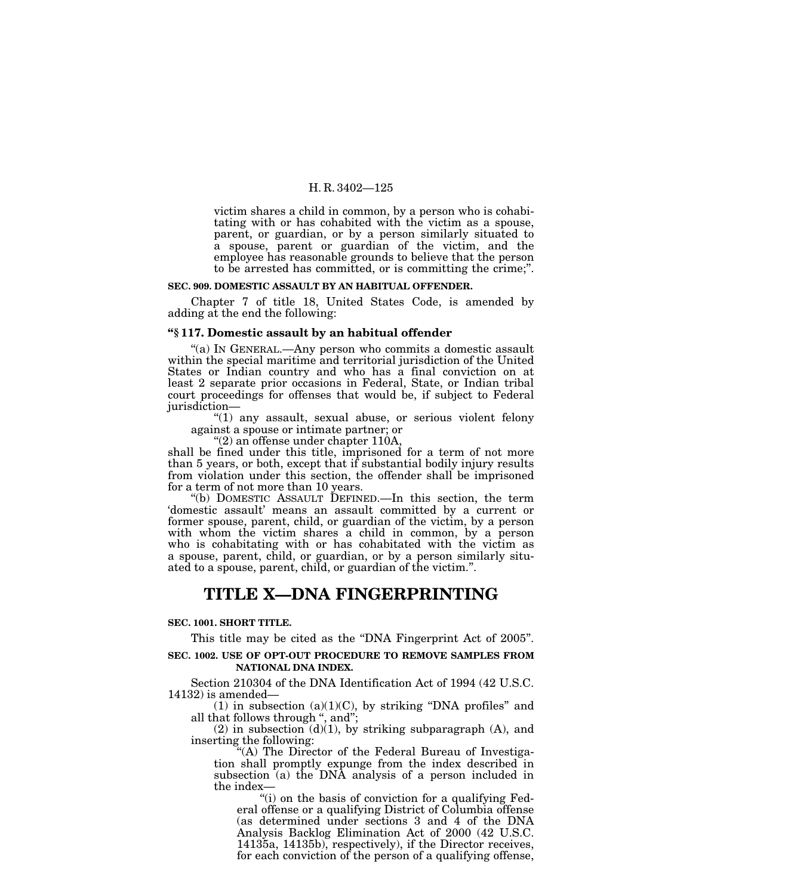victim shares a child in common, by a person who is cohabitating with or has cohabited with the victim as a spouse, parent, or guardian, or by a person similarly situated to a spouse, parent or guardian of the victim, and the employee has reasonable grounds to believe that the person to be arrested has committed, or is committing the crime;''.

#### **SEC. 909. DOMESTIC ASSAULT BY AN HABITUAL OFFENDER.**

Chapter 7 of title 18, United States Code, is amended by adding at the end the following:

# **''§ 117. Domestic assault by an habitual offender**

''(a) IN GENERAL.—Any person who commits a domestic assault within the special maritime and territorial jurisdiction of the United States or Indian country and who has a final conviction on at least 2 separate prior occasions in Federal, State, or Indian tribal court proceedings for offenses that would be, if subject to Federal jurisdiction—

"(1) any assault, sexual abuse, or serious violent felony against a spouse or intimate partner; or

''(2) an offense under chapter 110A,

shall be fined under this title, imprisoned for a term of not more than 5 years, or both, except that if substantial bodily injury results from violation under this section, the offender shall be imprisoned for a term of not more than 10 years.

''(b) DOMESTIC ASSAULT DEFINED.—In this section, the term 'domestic assault' means an assault committed by a current or former spouse, parent, child, or guardian of the victim, by a person with whom the victim shares a child in common, by a person who is cohabitating with or has cohabitated with the victim as a spouse, parent, child, or guardian, or by a person similarly situated to a spouse, parent, child, or guardian of the victim.''.

# **TITLE X—DNA FINGERPRINTING**

## **SEC. 1001. SHORT TITLE.**

This title may be cited as the ''DNA Fingerprint Act of 2005''.

#### **SEC. 1002. USE OF OPT-OUT PROCEDURE TO REMOVE SAMPLES FROM NATIONAL DNA INDEX.**

Section 210304 of the DNA Identification Act of 1994 (42 U.S.C. 14132) is amended—

(1) in subsection  $(a)(1)(C)$ , by striking "DNA profiles" and all that follows through ", and";

(2) in subsection  $(d)(1)$ , by striking subparagraph (A), and inserting the following:

'(A) The Director of the Federal Bureau of Investigation shall promptly expunge from the index described in subsection (a) the DNA analysis of a person included in the index—

"(i) on the basis of conviction for a qualifying Federal offense or a qualifying District of Columbia offense (as determined under sections 3 and 4 of the DNA Analysis Backlog Elimination Act of 2000 (42 U.S.C. 14135a, 14135b), respectively), if the Director receives, for each conviction of the person of a qualifying offense,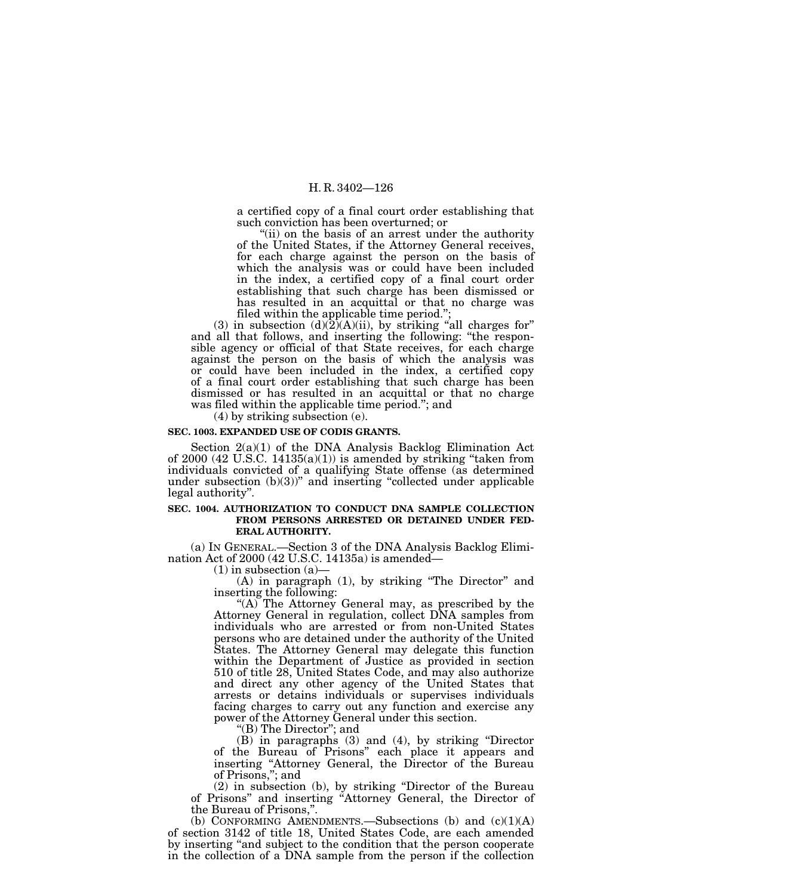a certified copy of a final court order establishing that such conviction has been overturned; or

"(ii) on the basis of an arrest under the authority of the United States, if the Attorney General receives, for each charge against the person on the basis of which the analysis was or could have been included in the index, a certified copy of a final court order establishing that such charge has been dismissed or has resulted in an acquittal or that no charge was filed within the applicable time period.'';

(3) in subsection  $(d)(2)(A)(ii)$ , by striking "all charges for" and all that follows, and inserting the following: ''the responsible agency or official of that State receives, for each charge against the person on the basis of which the analysis was or could have been included in the index, a certified copy of a final court order establishing that such charge has been dismissed or has resulted in an acquittal or that no charge was filed within the applicable time period.''; and

(4) by striking subsection (e).

#### **SEC. 1003. EXPANDED USE OF CODIS GRANTS.**

Section 2(a)(1) of the DNA Analysis Backlog Elimination Act of 2000 (42 U.S.C. 14135(a)(1)) is amended by striking ''taken from individuals convicted of a qualifying State offense (as determined under subsection (b)(3))" and inserting "collected under applicable legal authority''.

#### **SEC. 1004. AUTHORIZATION TO CONDUCT DNA SAMPLE COLLECTION FROM PERSONS ARRESTED OR DETAINED UNDER FED-ERAL AUTHORITY.**

(a) IN GENERAL.—Section 3 of the DNA Analysis Backlog Elimination Act of 2000 (42 U.S.C. 14135a) is amended—

 $(1)$  in subsection  $(a)$ —

(A) in paragraph (1), by striking ''The Director'' and inserting the following:

"(A) The Attorney General may, as prescribed by the Attorney General in regulation, collect DNA samples from individuals who are arrested or from non-United States persons who are detained under the authority of the United States. The Attorney General may delegate this function within the Department of Justice as provided in section 510 of title 28, United States Code, and may also authorize and direct any other agency of the United States that arrests or detains individuals or supervises individuals facing charges to carry out any function and exercise any power of the Attorney General under this section.

"(B) The Director"; and

(B) in paragraphs (3) and (4), by striking ''Director of the Bureau of Prisons'' each place it appears and inserting ''Attorney General, the Director of the Bureau of Prisons,''; and

(2) in subsection (b), by striking ''Director of the Bureau of Prisons'' and inserting ''Attorney General, the Director of the Bureau of Prisons,''.

(b) CONFORMING AMENDMENTS.—Subsections (b) and  $(c)(1)(A)$ of section 3142 of title 18, United States Code, are each amended by inserting ''and subject to the condition that the person cooperate in the collection of a DNA sample from the person if the collection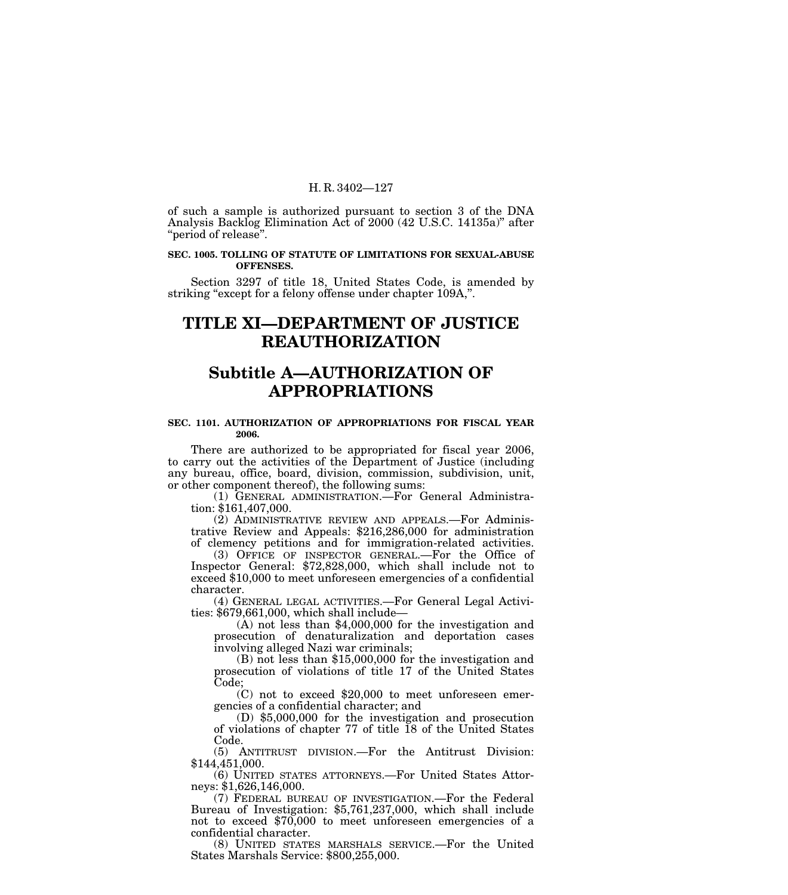of such a sample is authorized pursuant to section 3 of the DNA Analysis Backlog Elimination Act of 2000 (42 U.S.C. 14135a)'' after ''period of release''.

#### **SEC. 1005. TOLLING OF STATUTE OF LIMITATIONS FOR SEXUAL-ABUSE OFFENSES.**

Section 3297 of title 18, United States Code, is amended by striking "except for a felony offense under chapter 109A,".

# **TITLE XI—DEPARTMENT OF JUSTICE REAUTHORIZATION**

# **Subtitle A—AUTHORIZATION OF APPROPRIATIONS**

#### **SEC. 1101. AUTHORIZATION OF APPROPRIATIONS FOR FISCAL YEAR 2006.**

There are authorized to be appropriated for fiscal year 2006, to carry out the activities of the Department of Justice (including any bureau, office, board, division, commission, subdivision, unit, or other component thereof), the following sums:

(1) GENERAL ADMINISTRATION.—For General Administration: \$161,407,000.

(2) ADMINISTRATIVE REVIEW AND APPEALS.—For Administrative Review and Appeals: \$216,286,000 for administration of clemency petitions and for immigration-related activities.

(3) OFFICE OF INSPECTOR GENERAL.—For the Office of Inspector General: \$72,828,000, which shall include not to exceed \$10,000 to meet unforeseen emergencies of a confidential character.

(4) GENERAL LEGAL ACTIVITIES.—For General Legal Activities: \$679,661,000, which shall include—

(A) not less than \$4,000,000 for the investigation and prosecution of denaturalization and deportation cases involving alleged Nazi war criminals;

(B) not less than \$15,000,000 for the investigation and prosecution of violations of title 17 of the United States Code;

(C) not to exceed \$20,000 to meet unforeseen emergencies of a confidential character; and

(D) \$5,000,000 for the investigation and prosecution of violations of chapter 77 of title 18 of the United States Code.

(5) ANTITRUST DIVISION.—For the Antitrust Division: \$144,451,000.

(6) UNITED STATES ATTORNEYS.—For United States Attorneys: \$1,626,146,000.

(7) FEDERAL BUREAU OF INVESTIGATION.—For the Federal Bureau of Investigation: \$5,761,237,000, which shall include not to exceed \$70,000 to meet unforeseen emergencies of a confidential character.

(8) UNITED STATES MARSHALS SERVICE.—For the United States Marshals Service: \$800,255,000.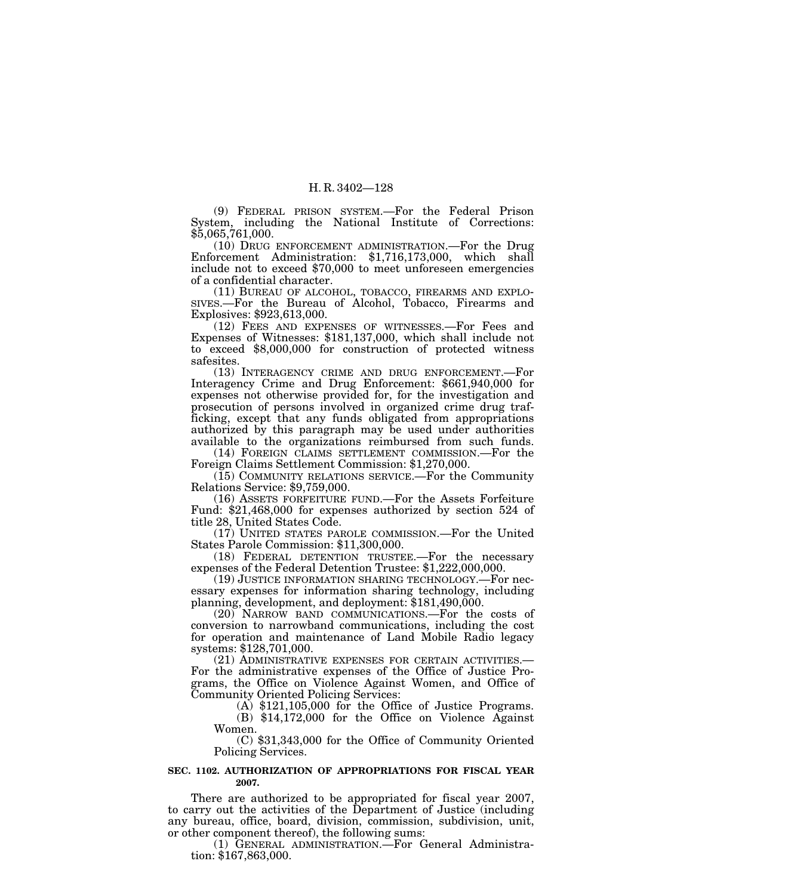(9) FEDERAL PRISON SYSTEM.—For the Federal Prison System, including the National Institute of Corrections: \$5,065,761,000.

(10) DRUG ENFORCEMENT ADMINISTRATION.—For the Drug Enforcement Administration: \$1,716,173,000, which shall include not to exceed \$70,000 to meet unforeseen emergencies of a confidential character.

(11) BUREAU OF ALCOHOL, TOBACCO, FIREARMS AND EXPLO-SIVES.—For the Bureau of Alcohol, Tobacco, Firearms and Explosives: \$923,613,000.

(12) FEES AND EXPENSES OF WITNESSES.—For Fees and Expenses of Witnesses: \$181,137,000, which shall include not to exceed \$8,000,000 for construction of protected witness safesites.

(13) INTERAGENCY CRIME AND DRUG ENFORCEMENT.—For Interagency Crime and Drug Enforcement: \$661,940,000 for expenses not otherwise provided for, for the investigation and prosecution of persons involved in organized crime drug trafficking, except that any funds obligated from appropriations authorized by this paragraph may be used under authorities available to the organizations reimbursed from such funds.

(14) FOREIGN CLAIMS SETTLEMENT COMMISSION.—For the Foreign Claims Settlement Commission: \$1,270,000.

(15) COMMUNITY RELATIONS SERVICE.—For the Community Relations Service: \$9,759,000.

(16) ASSETS FORFEITURE FUND.—For the Assets Forfeiture Fund: \$21,468,000 for expenses authorized by section 524 of title 28, United States Code.

(17) UNITED STATES PAROLE COMMISSION.—For the United States Parole Commission: \$11,300,000.

(18) FEDERAL DETENTION TRUSTEE.—For the necessary expenses of the Federal Detention Trustee: \$1,222,000,000.

(19) JUSTICE INFORMATION SHARING TECHNOLOGY.—For necessary expenses for information sharing technology, including planning, development, and deployment: \$181,490,000.

(20) NARROW BAND COMMUNICATIONS.—For the costs of conversion to narrowband communications, including the cost for operation and maintenance of Land Mobile Radio legacy systems: \$128,701,000.

(21) ADMINISTRATIVE EXPENSES FOR CERTAIN ACTIVITIES.— For the administrative expenses of the Office of Justice Programs, the Office on Violence Against Women, and Office of Community Oriented Policing Services:

(A) \$121,105,000 for the Office of Justice Programs. (B) \$14,172,000 for the Office on Violence Against Women.

(C) \$31,343,000 for the Office of Community Oriented Policing Services.

#### **SEC. 1102. AUTHORIZATION OF APPROPRIATIONS FOR FISCAL YEAR 2007.**

There are authorized to be appropriated for fiscal year 2007, to carry out the activities of the Department of Justice (including any bureau, office, board, division, commission, subdivision, unit, or other component thereof), the following sums:

(1) GENERAL ADMINISTRATION.—For General Administration: \$167,863,000.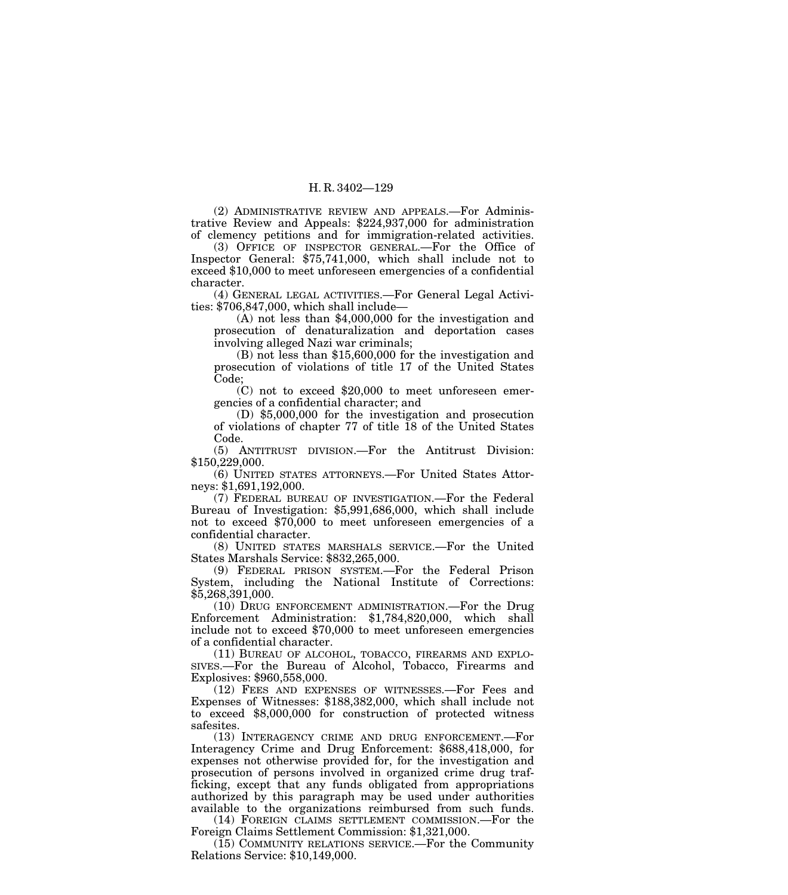(2) ADMINISTRATIVE REVIEW AND APPEALS.—For Administrative Review and Appeals: \$224,937,000 for administration of clemency petitions and for immigration-related activities.

(3) OFFICE OF INSPECTOR GENERAL.—For the Office of Inspector General: \$75,741,000, which shall include not to exceed \$10,000 to meet unforeseen emergencies of a confidential character.

(4) GENERAL LEGAL ACTIVITIES.—For General Legal Activities: \$706,847,000, which shall include—

(A) not less than \$4,000,000 for the investigation and prosecution of denaturalization and deportation cases involving alleged Nazi war criminals;

(B) not less than \$15,600,000 for the investigation and prosecution of violations of title 17 of the United States Code;

(C) not to exceed \$20,000 to meet unforeseen emergencies of a confidential character; and

(D) \$5,000,000 for the investigation and prosecution of violations of chapter 77 of title 18 of the United States Code.

(5) ANTITRUST DIVISION.—For the Antitrust Division: \$150,229,000.

(6) UNITED STATES ATTORNEYS.—For United States Attorneys: \$1,691,192,000.

(7) FEDERAL BUREAU OF INVESTIGATION.—For the Federal Bureau of Investigation: \$5,991,686,000, which shall include not to exceed \$70,000 to meet unforeseen emergencies of a confidential character.

(8) UNITED STATES MARSHALS SERVICE.—For the United States Marshals Service: \$832,265,000.

(9) FEDERAL PRISON SYSTEM.—For the Federal Prison System, including the National Institute of Corrections: \$5,268,391,000.

(10) DRUG ENFORCEMENT ADMINISTRATION.—For the Drug Enforcement Administration: \$1,784,820,000, which shall include not to exceed \$70,000 to meet unforeseen emergencies of a confidential character.

(11) BUREAU OF ALCOHOL, TOBACCO, FIREARMS AND EXPLO-SIVES.—For the Bureau of Alcohol, Tobacco, Firearms and Explosives: \$960,558,000.

(12) FEES AND EXPENSES OF WITNESSES.—For Fees and Expenses of Witnesses: \$188,382,000, which shall include not to exceed \$8,000,000 for construction of protected witness safesites.

(13) INTERAGENCY CRIME AND DRUG ENFORCEMENT.—For Interagency Crime and Drug Enforcement: \$688,418,000, for expenses not otherwise provided for, for the investigation and prosecution of persons involved in organized crime drug trafficking, except that any funds obligated from appropriations authorized by this paragraph may be used under authorities available to the organizations reimbursed from such funds.

(14) FOREIGN CLAIMS SETTLEMENT COMMISSION.—For the Foreign Claims Settlement Commission: \$1,321,000.

(15) COMMUNITY RELATIONS SERVICE.—For the Community Relations Service: \$10,149,000.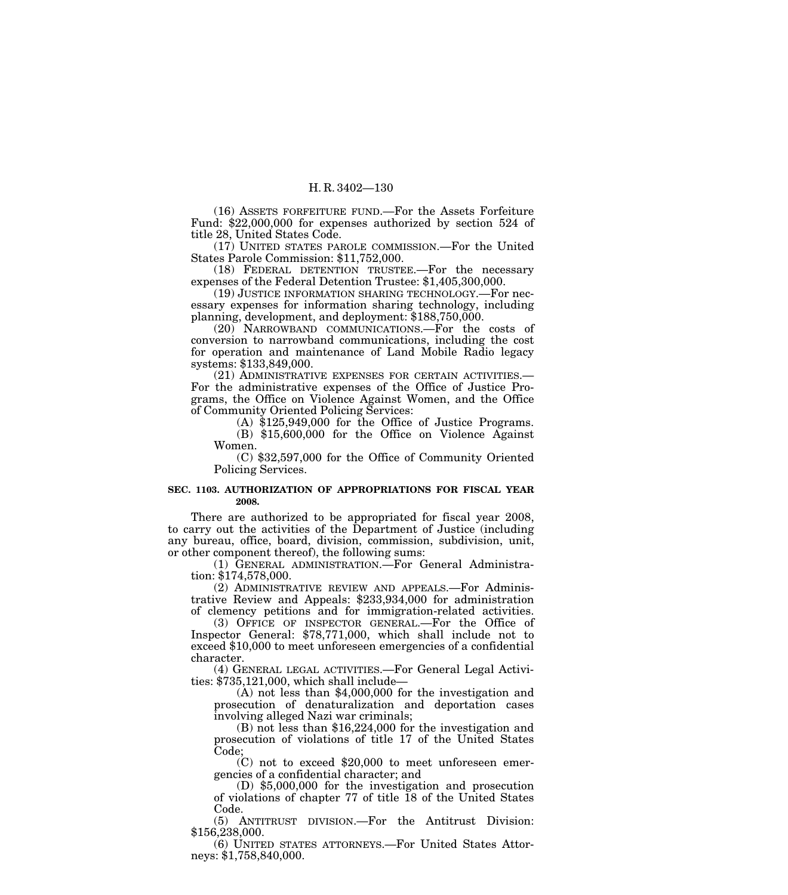(16) ASSETS FORFEITURE FUND.—For the Assets Forfeiture Fund: \$22,000,000 for expenses authorized by section 524 of title 28, United States Code.

(17) UNITED STATES PAROLE COMMISSION.—For the United States Parole Commission: \$11,752,000.

(18) FEDERAL DETENTION TRUSTEE.—For the necessary expenses of the Federal Detention Trustee: \$1,405,300,000.

(19) JUSTICE INFORMATION SHARING TECHNOLOGY.—For necessary expenses for information sharing technology, including planning, development, and deployment: \$188,750,000.

(20) NARROWBAND COMMUNICATIONS.—For the costs of conversion to narrowband communications, including the cost for operation and maintenance of Land Mobile Radio legacy systems: \$133,849,000.

(21) ADMINISTRATIVE EXPENSES FOR CERTAIN ACTIVITIES.— For the administrative expenses of the Office of Justice Programs, the Office on Violence Against Women, and the Office of Community Oriented Policing Services:

(A) \$125,949,000 for the Office of Justice Programs. (B) \$15,600,000 for the Office on Violence Against Women.

(C) \$32,597,000 for the Office of Community Oriented Policing Services.

#### **SEC. 1103. AUTHORIZATION OF APPROPRIATIONS FOR FISCAL YEAR 2008.**

There are authorized to be appropriated for fiscal year 2008, to carry out the activities of the Department of Justice (including any bureau, office, board, division, commission, subdivision, unit, or other component thereof), the following sums:

(1) GENERAL ADMINISTRATION.—For General Administration: \$174,578,000.

(2) ADMINISTRATIVE REVIEW AND APPEALS.—For Administrative Review and Appeals: \$233,934,000 for administration of clemency petitions and for immigration-related activities.

(3) OFFICE OF INSPECTOR GENERAL.—For the Office of Inspector General: \$78,771,000, which shall include not to exceed \$10,000 to meet unforeseen emergencies of a confidential character.

(4) GENERAL LEGAL ACTIVITIES.—For General Legal Activities: \$735,121,000, which shall include—

(A) not less than \$4,000,000 for the investigation and prosecution of denaturalization and deportation cases involving alleged Nazi war criminals;

(B) not less than \$16,224,000 for the investigation and prosecution of violations of title 17 of the United States Code;

(C) not to exceed \$20,000 to meet unforeseen emergencies of a confidential character; and

(D) \$5,000,000 for the investigation and prosecution of violations of chapter 77 of title 18 of the United States Code.

(5) ANTITRUST DIVISION.—For the Antitrust Division: \$156,238,000.

(6) UNITED STATES ATTORNEYS.—For United States Attorneys: \$1,758,840,000.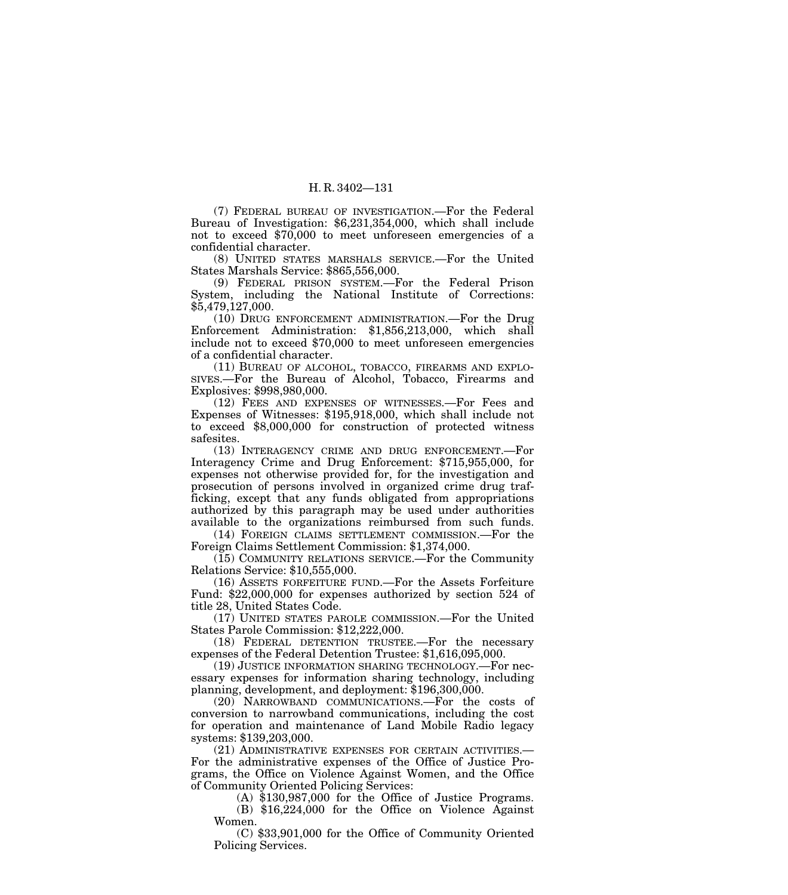(7) FEDERAL BUREAU OF INVESTIGATION.—For the Federal Bureau of Investigation: \$6,231,354,000, which shall include not to exceed \$70,000 to meet unforeseen emergencies of a confidential character.

(8) UNITED STATES MARSHALS SERVICE.—For the United States Marshals Service: \$865,556,000.

(9) FEDERAL PRISON SYSTEM.—For the Federal Prison System, including the National Institute of Corrections: \$5,479,127,000.

(10) DRUG ENFORCEMENT ADMINISTRATION.—For the Drug Enforcement Administration: \$1,856,213,000, which shall include not to exceed \$70,000 to meet unforeseen emergencies of a confidential character.

(11) BUREAU OF ALCOHOL, TOBACCO, FIREARMS AND EXPLO-SIVES.—For the Bureau of Alcohol, Tobacco, Firearms and Explosives: \$998,980,000.

(12) FEES AND EXPENSES OF WITNESSES.—For Fees and Expenses of Witnesses: \$195,918,000, which shall include not to exceed \$8,000,000 for construction of protected witness safesites.

(13) INTERAGENCY CRIME AND DRUG ENFORCEMENT.—For Interagency Crime and Drug Enforcement: \$715,955,000, for expenses not otherwise provided for, for the investigation and prosecution of persons involved in organized crime drug trafficking, except that any funds obligated from appropriations authorized by this paragraph may be used under authorities available to the organizations reimbursed from such funds.

(14) FOREIGN CLAIMS SETTLEMENT COMMISSION.—For the Foreign Claims Settlement Commission: \$1,374,000.

(15) COMMUNITY RELATIONS SERVICE.—For the Community Relations Service: \$10,555,000.

(16) ASSETS FORFEITURE FUND.—For the Assets Forfeiture Fund: \$22,000,000 for expenses authorized by section 524 of title 28, United States Code.

(17) UNITED STATES PAROLE COMMISSION.—For the United States Parole Commission: \$12,222,000.

(18) FEDERAL DETENTION TRUSTEE.—For the necessary expenses of the Federal Detention Trustee: \$1,616,095,000.

(19) JUSTICE INFORMATION SHARING TECHNOLOGY.—For necessary expenses for information sharing technology, including planning, development, and deployment: \$196,300,000.

(20) NARROWBAND COMMUNICATIONS.—For the costs of conversion to narrowband communications, including the cost for operation and maintenance of Land Mobile Radio legacy systems: \$139,203,000.

(21) ADMINISTRATIVE EXPENSES FOR CERTAIN ACTIVITIES.— For the administrative expenses of the Office of Justice Programs, the Office on Violence Against Women, and the Office of Community Oriented Policing Services:

(A) \$130,987,000 for the Office of Justice Programs. (B) \$16,224,000 for the Office on Violence Against Women.

(C) \$33,901,000 for the Office of Community Oriented Policing Services.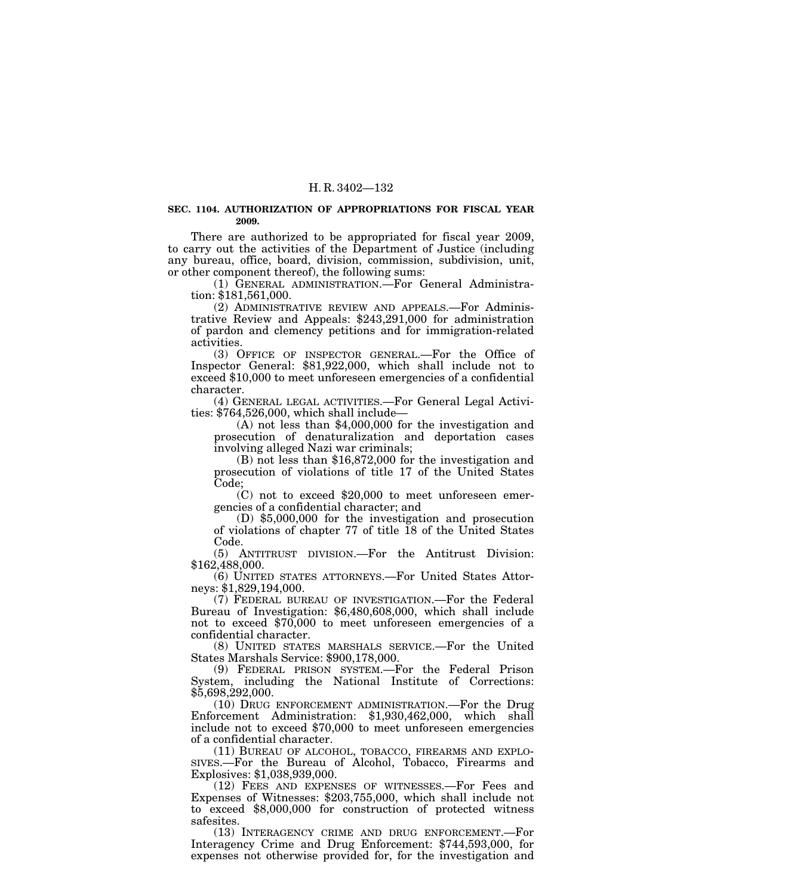#### **SEC. 1104. AUTHORIZATION OF APPROPRIATIONS FOR FISCAL YEAR 2009.**

There are authorized to be appropriated for fiscal year 2009, to carry out the activities of the Department of Justice (including any bureau, office, board, division, commission, subdivision, unit, or other component thereof), the following sums:

(1) GENERAL ADMINISTRATION.—For General Administration: \$181,561,000.

(2) ADMINISTRATIVE REVIEW AND APPEALS.—For Administrative Review and Appeals: \$243,291,000 for administration of pardon and clemency petitions and for immigration-related activities.

(3) OFFICE OF INSPECTOR GENERAL.—For the Office of Inspector General: \$81,922,000, which shall include not to exceed \$10,000 to meet unforeseen emergencies of a confidential character.

(4) GENERAL LEGAL ACTIVITIES.—For General Legal Activities: \$764,526,000, which shall include—

(A) not less than \$4,000,000 for the investigation and prosecution of denaturalization and deportation cases involving alleged Nazi war criminals;

(B) not less than \$16,872,000 for the investigation and prosecution of violations of title 17 of the United States Code;

(C) not to exceed \$20,000 to meet unforeseen emergencies of a confidential character; and

(D) \$5,000,000 for the investigation and prosecution of violations of chapter 77 of title 18 of the United States Code.

(5) ANTITRUST DIVISION.—For the Antitrust Division: \$162,488,000.

(6) UNITED STATES ATTORNEYS.—For United States Attorneys: \$1,829,194,000.

(7) FEDERAL BUREAU OF INVESTIGATION.—For the Federal Bureau of Investigation: \$6,480,608,000, which shall include not to exceed \$70,000 to meet unforeseen emergencies of a confidential character.

(8) UNITED STATES MARSHALS SERVICE.—For the United States Marshals Service: \$900,178,000.

(9) FEDERAL PRISON SYSTEM.—For the Federal Prison System, including the National Institute of Corrections: \$5,698,292,000.

(10) DRUG ENFORCEMENT ADMINISTRATION.—For the Drug Enforcement Administration: \$1,930,462,000, which shall include not to exceed \$70,000 to meet unforeseen emergencies of a confidential character.

(11) BUREAU OF ALCOHOL, TOBACCO, FIREARMS AND EXPLO-SIVES.—For the Bureau of Alcohol, Tobacco, Firearms and Explosives: \$1,038,939,000.

(12) FEES AND EXPENSES OF WITNESSES.—For Fees and Expenses of Witnesses: \$203,755,000, which shall include not to exceed \$8,000,000 for construction of protected witness safesites.

(13) INTERAGENCY CRIME AND DRUG ENFORCEMENT.—For Interagency Crime and Drug Enforcement: \$744,593,000, for expenses not otherwise provided for, for the investigation and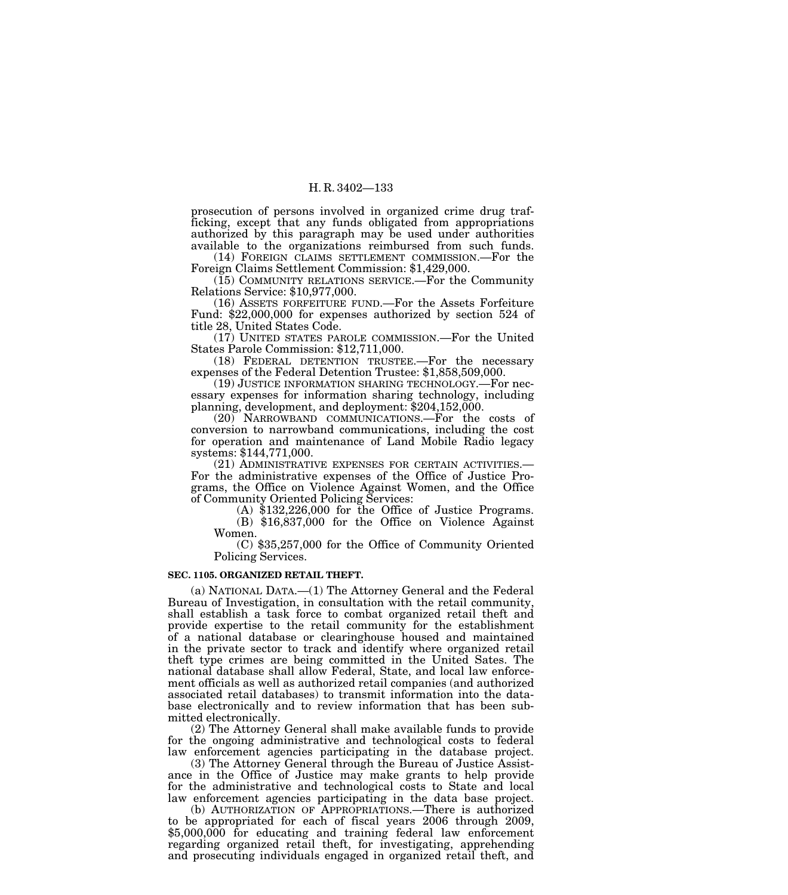prosecution of persons involved in organized crime drug trafficking, except that any funds obligated from appropriations authorized by this paragraph may be used under authorities available to the organizations reimbursed from such funds.

(14) FOREIGN CLAIMS SETTLEMENT COMMISSION.—For the Foreign Claims Settlement Commission: \$1,429,000.

(15) COMMUNITY RELATIONS SERVICE.—For the Community Relations Service: \$10,977,000.

(16) ASSETS FORFEITURE FUND.—For the Assets Forfeiture Fund: \$22,000,000 for expenses authorized by section 524 of title 28, United States Code.

(17) UNITED STATES PAROLE COMMISSION.—For the United States Parole Commission: \$12,711,000.

(18) FEDERAL DETENTION TRUSTEE.—For the necessary expenses of the Federal Detention Trustee: \$1,858,509,000.

(19) JUSTICE INFORMATION SHARING TECHNOLOGY.—For necessary expenses for information sharing technology, including planning, development, and deployment: \$204,152,000.

(20) NARROWBAND COMMUNICATIONS.—For the costs of conversion to narrowband communications, including the cost for operation and maintenance of Land Mobile Radio legacy systems: \$144,771,000.

(21) ADMINISTRATIVE EXPENSES FOR CERTAIN ACTIVITIES.— For the administrative expenses of the Office of Justice Programs, the Office on Violence Against Women, and the Office

 $(A)$  \$132,226,000 for the Office of Justice Programs. (B) \$16,837,000 for the Office on Violence Against

Women.

(C) \$35,257,000 for the Office of Community Oriented Policing Services.

# **SEC. 1105. ORGANIZED RETAIL THEFT.**

(a) NATIONAL DATA.—(1) The Attorney General and the Federal Bureau of Investigation, in consultation with the retail community, shall establish a task force to combat organized retail theft and provide expertise to the retail community for the establishment of a national database or clearinghouse housed and maintained in the private sector to track and identify where organized retail theft type crimes are being committed in the United Sates. The national database shall allow Federal, State, and local law enforcement officials as well as authorized retail companies (and authorized associated retail databases) to transmit information into the database electronically and to review information that has been submitted electronically.

(2) The Attorney General shall make available funds to provide for the ongoing administrative and technological costs to federal law enforcement agencies participating in the database project.

(3) The Attorney General through the Bureau of Justice Assistance in the Office of Justice may make grants to help provide for the administrative and technological costs to State and local law enforcement agencies participating in the data base project.

(b) AUTHORIZATION OF APPROPRIATIONS.—There is authorized to be appropriated for each of fiscal years 2006 through 2009, \$5,000,000 for educating and training federal law enforcement regarding organized retail theft, for investigating, apprehending and prosecuting individuals engaged in organized retail theft, and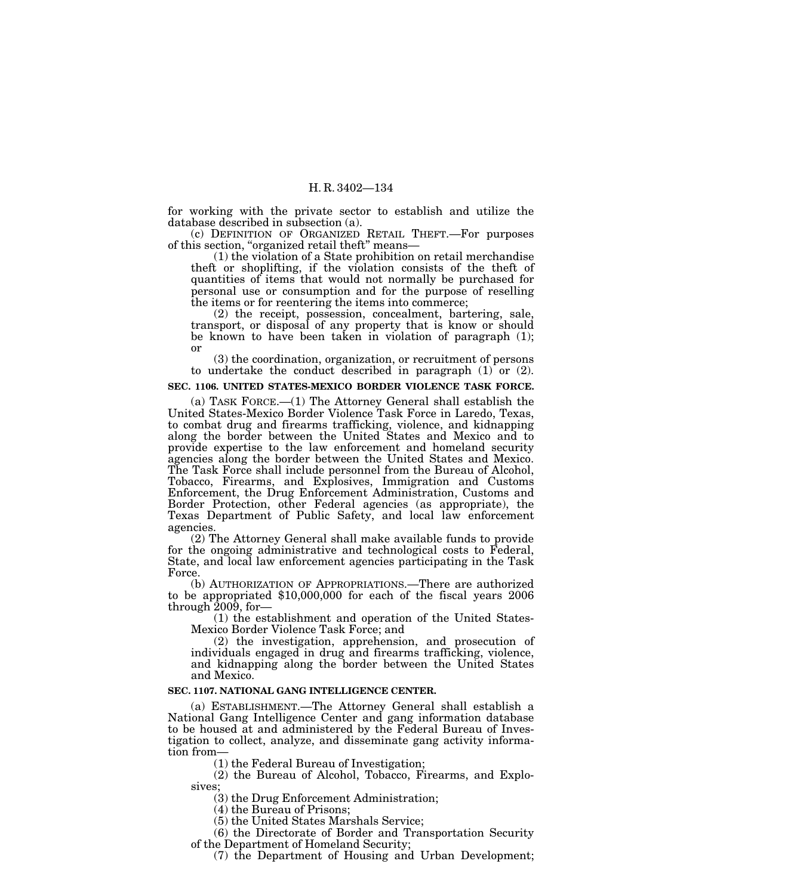for working with the private sector to establish and utilize the database described in subsection (a).

(c) DEFINITION OF ORGANIZED RETAIL THEFT.—For purposes of this section, "organized retail theft" means—

(1) the violation of a State prohibition on retail merchandise theft or shoplifting, if the violation consists of the theft of quantities of items that would not normally be purchased for personal use or consumption and for the purpose of reselling the items or for reentering the items into commerce;

(2) the receipt, possession, concealment, bartering, sale, transport, or disposal of any property that is know or should be known to have been taken in violation of paragraph (1); or

(3) the coordination, organization, or recruitment of persons to undertake the conduct described in paragraph  $(1)$  or  $(2)$ .

#### **SEC. 1106. UNITED STATES-MEXICO BORDER VIOLENCE TASK FORCE.**

(a) TASK FORCE.—(1) The Attorney General shall establish the United States-Mexico Border Violence Task Force in Laredo, Texas, to combat drug and firearms trafficking, violence, and kidnapping along the border between the United States and Mexico and to provide expertise to the law enforcement and homeland security agencies along the border between the United States and Mexico. The Task Force shall include personnel from the Bureau of Alcohol, Tobacco, Firearms, and Explosives, Immigration and Customs Enforcement, the Drug Enforcement Administration, Customs and Border Protection, other Federal agencies (as appropriate), the Texas Department of Public Safety, and local law enforcement agencies.

(2) The Attorney General shall make available funds to provide for the ongoing administrative and technological costs to Federal, State, and local law enforcement agencies participating in the Task Force.

(b) AUTHORIZATION OF APPROPRIATIONS.—There are authorized to be appropriated \$10,000,000 for each of the fiscal years 2006 through 2009, for—

(1) the establishment and operation of the United States-Mexico Border Violence Task Force; and

(2) the investigation, apprehension, and prosecution of individuals engaged in drug and firearms trafficking, violence, and kidnapping along the border between the United States and Mexico.

#### **SEC. 1107. NATIONAL GANG INTELLIGENCE CENTER.**

(a) ESTABLISHMENT.—The Attorney General shall establish a National Gang Intelligence Center and gang information database to be housed at and administered by the Federal Bureau of Investigation to collect, analyze, and disseminate gang activity information from—

(1) the Federal Bureau of Investigation;

(2) the Bureau of Alcohol, Tobacco, Firearms, and Explosives;

(3) the Drug Enforcement Administration;

(4) the Bureau of Prisons;

(5) the United States Marshals Service;

(6) the Directorate of Border and Transportation Security of the Department of Homeland Security;

(7) the Department of Housing and Urban Development;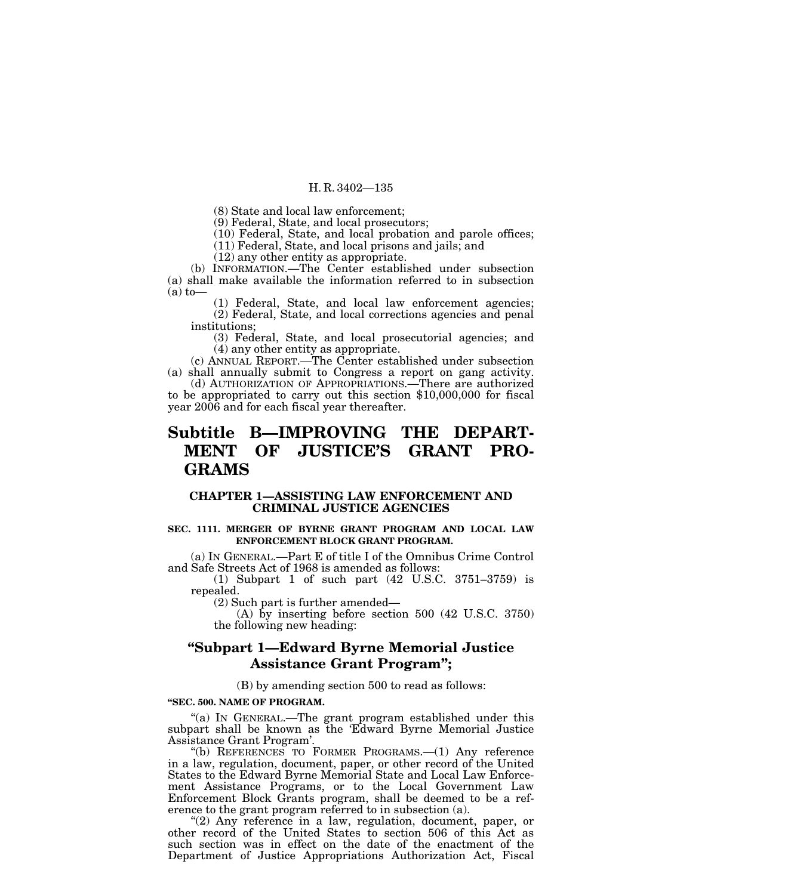(8) State and local law enforcement;

(9) Federal, State, and local prosecutors;

(10) Federal, State, and local probation and parole offices;

(11) Federal, State, and local prisons and jails; and

(12) any other entity as appropriate.

(b) INFORMATION.—The Center established under subsection (a) shall make available the information referred to in subsection  $(a)$  to-

(1) Federal, State, and local law enforcement agencies; (2) Federal, State, and local corrections agencies and penal institutions;

(3) Federal, State, and local prosecutorial agencies; and (4) any other entity as appropriate.

(c) ANNUAL REPORT.—The Center established under subsection shall annually submit to Congress a report on gang activity.

(d) AUTHORIZATION OF APPROPRIATIONS.—There are authorized to be appropriated to carry out this section \$10,000,000 for fiscal year 2006 and for each fiscal year thereafter.

# **Subtitle B—IMPROVING THE DEPART-MENT OF JUSTICE'S GRANT PRO-GRAMS**

# **CHAPTER 1—ASSISTING LAW ENFORCEMENT AND CRIMINAL JUSTICE AGENCIES**

#### **SEC. 1111. MERGER OF BYRNE GRANT PROGRAM AND LOCAL LAW ENFORCEMENT BLOCK GRANT PROGRAM.**

(a) IN GENERAL.—Part E of title I of the Omnibus Crime Control and Safe Streets Act of 1968 is amended as follows:

(1) Subpart 1 of such part (42 U.S.C. 3751–3759) is repealed.

(2) Such part is further amended—

(A) by inserting before section 500 (42 U.S.C. 3750) the following new heading:

# **''Subpart 1—Edward Byrne Memorial Justice Assistance Grant Program'';**

(B) by amending section 500 to read as follows:

# **''SEC. 500. NAME OF PROGRAM.**

"(a) IN GENERAL.—The grant program established under this subpart shall be known as the 'Edward Byrne Memorial Justice Assistance Grant Program'.

''(b) REFERENCES TO FORMER PROGRAMS.—(1) Any reference in a law, regulation, document, paper, or other record of the United States to the Edward Byrne Memorial State and Local Law Enforcement Assistance Programs, or to the Local Government Law Enforcement Block Grants program, shall be deemed to be a reference to the grant program referred to in subsection (a).

"(2) Any reference in a law, regulation, document, paper, or other record of the United States to section 506 of this Act as such section was in effect on the date of the enactment of the Department of Justice Appropriations Authorization Act, Fiscal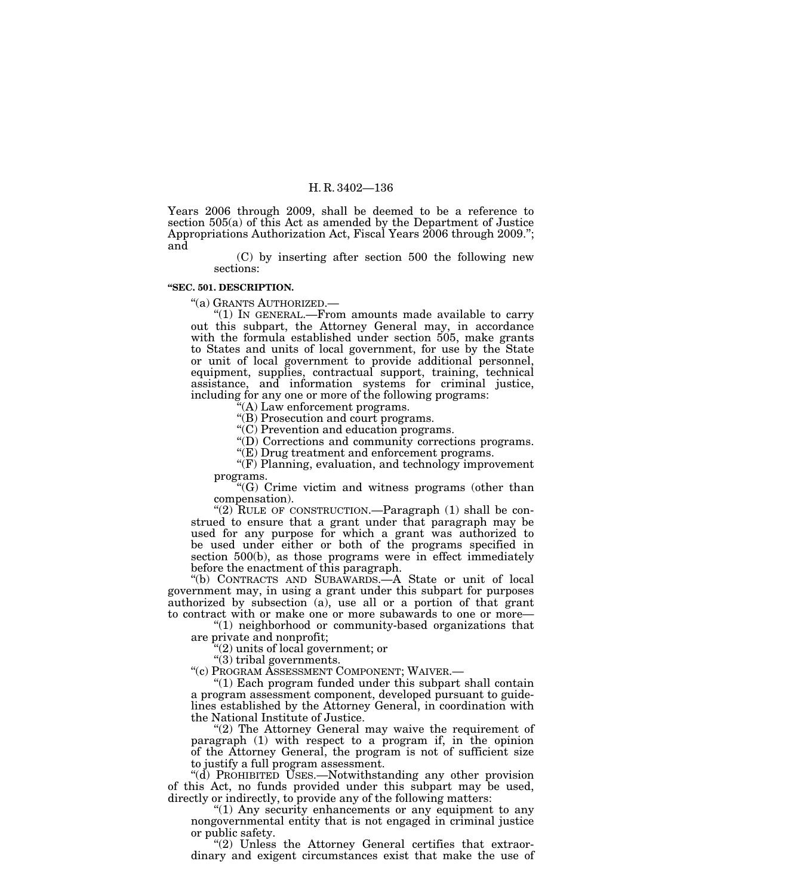Years 2006 through 2009, shall be deemed to be a reference to section 505(a) of this Act as amended by the Department of Justice Appropriations Authorization Act, Fiscal Years 2006 through 2009.''; and

> (C) by inserting after section 500 the following new sections:

#### **''SEC. 501. DESCRIPTION.**

''(a) GRANTS AUTHORIZED.—

''(1) IN GENERAL.—From amounts made available to carry out this subpart, the Attorney General may, in accordance with the formula established under section 505, make grants to States and units of local government, for use by the State or unit of local government to provide additional personnel, equipment, supplies, contractual support, training, technical assistance, and information systems for criminal justice, including for any one or more of the following programs:

''(A) Law enforcement programs.

"(B) Prosecution and court programs.

 $\mathcal{C}(C)$  Prevention and education programs.

"(D) Corrections and community corrections programs.

"(E) Drug treatment and enforcement programs.

"(F) Planning, evaluation, and technology improvement programs.

''(G) Crime victim and witness programs (other than compensation).

" $(2)$  RULE OF CONSTRUCTION.—Paragraph  $(1)$  shall be construed to ensure that a grant under that paragraph may be used for any purpose for which a grant was authorized to be used under either or both of the programs specified in section 500(b), as those programs were in effect immediately before the enactment of this paragraph.

''(b) CONTRACTS AND SUBAWARDS.—A State or unit of local government may, in using a grant under this subpart for purposes authorized by subsection (a), use all or a portion of that grant to contract with or make one or more subawards to one or more—

''(1) neighborhood or community-based organizations that are private and nonprofit;

''(2) units of local government; or

"(3) tribal governments.<br>"(c) PROGRAM ASSESSMENT COMPONENT; WAIVER.—

" $(1)$  Each program funded under this subpart shall contain a program assessment component, developed pursuant to guidelines established by the Attorney General, in coordination with the National Institute of Justice.

"(2) The Attorney General may waive the requirement of paragraph (1) with respect to a program if, in the opinion of the Attorney General, the program is not of sufficient size to justify a full program assessment.

''(d) PROHIBITED USES.—Notwithstanding any other provision of this Act, no funds provided under this subpart may be used, directly or indirectly, to provide any of the following matters:

"(1) Any security enhancements or any equipment to any nongovernmental entity that is not engaged in criminal justice or public safety.

"(2) Unless the Attorney General certifies that extraordinary and exigent circumstances exist that make the use of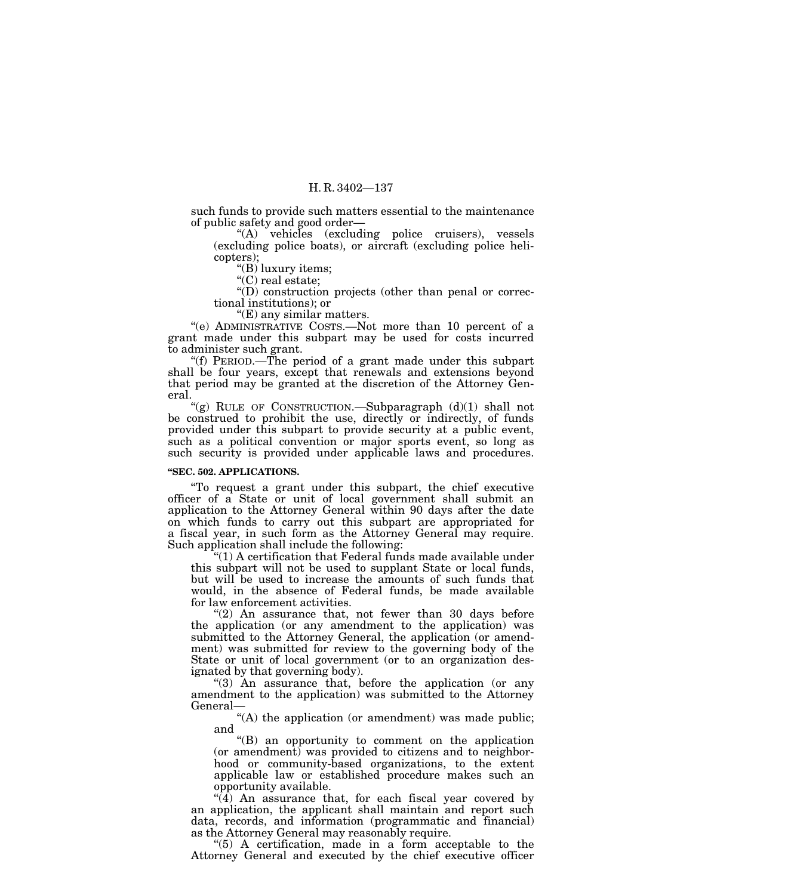such funds to provide such matters essential to the maintenance of public safety and good order—

''(A) vehicles (excluding police cruisers), vessels (excluding police boats), or aircraft (excluding police helicopters);

''(B) luxury items;

"(C) real estate;

''(D) construction projects (other than penal or correctional institutions); or

''(E) any similar matters.

''(e) ADMINISTRATIVE COSTS.—Not more than 10 percent of a grant made under this subpart may be used for costs incurred to administer such grant.

''(f) PERIOD.—The period of a grant made under this subpart shall be four years, except that renewals and extensions beyond that period may be granted at the discretion of the Attorney General.

''(g) RULE OF CONSTRUCTION.—Subparagraph (d)(1) shall not be construed to prohibit the use, directly or indirectly, of funds provided under this subpart to provide security at a public event, such as a political convention or major sports event, so long as such security is provided under applicable laws and procedures.

#### **''SEC. 502. APPLICATIONS.**

''To request a grant under this subpart, the chief executive officer of a State or unit of local government shall submit an application to the Attorney General within 90 days after the date on which funds to carry out this subpart are appropriated for a fiscal year, in such form as the Attorney General may require. Such application shall include the following:

" $(1)$  A certification that Federal funds made available under this subpart will not be used to supplant State or local funds, but will be used to increase the amounts of such funds that would, in the absence of Federal funds, be made available for law enforcement activities.

" $(2)$  An assurance that, not fewer than 30 days before the application (or any amendment to the application) was submitted to the Attorney General, the application (or amendment) was submitted for review to the governing body of the State or unit of local government (or to an organization designated by that governing body).

''(3) An assurance that, before the application (or any amendment to the application) was submitted to the Attorney General—

"(A) the application (or amendment) was made public; and

''(B) an opportunity to comment on the application (or amendment) was provided to citizens and to neighborhood or community-based organizations, to the extent applicable law or established procedure makes such an opportunity available.

 $\sqrt[4]{4}$  An assurance that, for each fiscal year covered by an application, the applicant shall maintain and report such data, records, and information (programmatic and financial) as the Attorney General may reasonably require.

 $(5)$  A certification, made in a form acceptable to the Attorney General and executed by the chief executive officer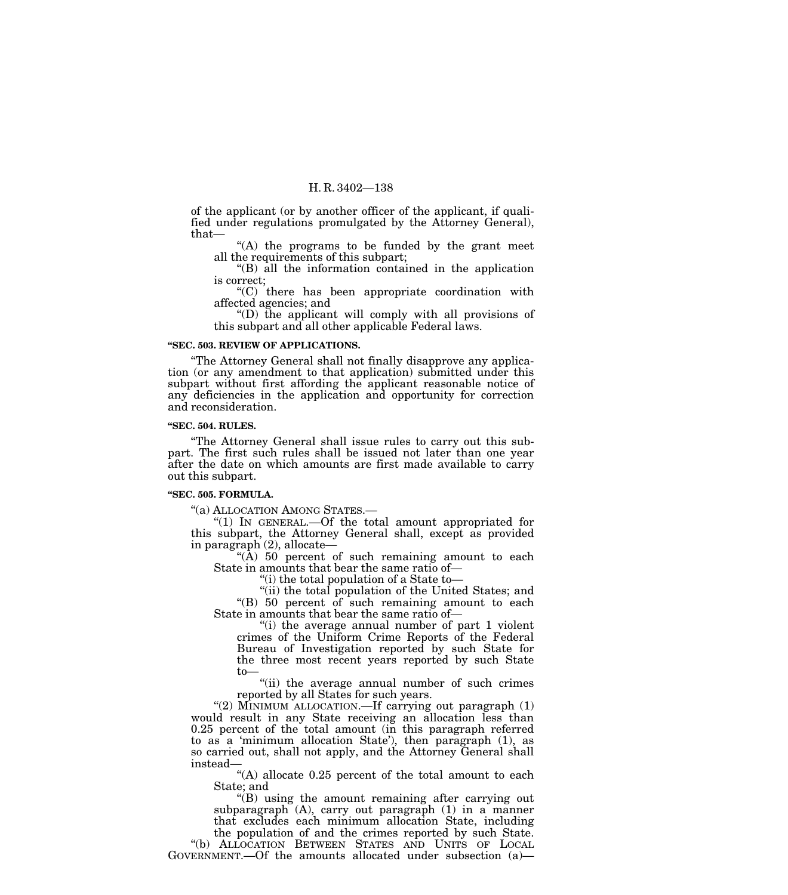of the applicant (or by another officer of the applicant, if qualified under regulations promulgated by the Attorney General), that—

 $f(A)$  the programs to be funded by the grant meet all the requirements of this subpart;

''(B) all the information contained in the application is correct;

 $(C)$  there has been appropriate coordination with affected agencies; and

''(D) the applicant will comply with all provisions of this subpart and all other applicable Federal laws.

#### **''SEC. 503. REVIEW OF APPLICATIONS.**

''The Attorney General shall not finally disapprove any application (or any amendment to that application) submitted under this subpart without first affording the applicant reasonable notice of any deficiencies in the application and opportunity for correction and reconsideration.

#### **''SEC. 504. RULES.**

''The Attorney General shall issue rules to carry out this subpart. The first such rules shall be issued not later than one year after the date on which amounts are first made available to carry out this subpart.

#### **''SEC. 505. FORMULA.**

''(a) ALLOCATION AMONG STATES.—

"(1) IN GENERAL.—Of the total amount appropriated for this subpart, the Attorney General shall, except as provided in paragraph (2), allocate—

"( $\overline{A}$ ) 50 percent of such remaining amount to each State in amounts that bear the same ratio of—

''(i) the total population of a State to—

''(ii) the total population of the United States; and ''(B) 50 percent of such remaining amount to each State in amounts that bear the same ratio of—

"(i) the average annual number of part 1 violent crimes of the Uniform Crime Reports of the Federal Bureau of Investigation reported by such State for the three most recent years reported by such State to—

"(ii) the average annual number of such crimes reported by all States for such years.

"(2) MINIMUM ALLOCATION.—If carrying out paragraph  $(1)$ would result in any State receiving an allocation less than 0.25 percent of the total amount (in this paragraph referred to as a 'minimum allocation State'), then paragraph (1), as so carried out, shall not apply, and the Attorney General shall instead—

"(A) allocate 0.25 percent of the total amount to each State; and

"(B) using the amount remaining after carrying out subparagraph (A), carry out paragraph (1) in a manner that excludes each minimum allocation State, including the population of and the crimes reported by such State. ''(b) ALLOCATION BETWEEN STATES AND UNITS OF LOCAL GOVERNMENT.—Of the amounts allocated under subsection (a)—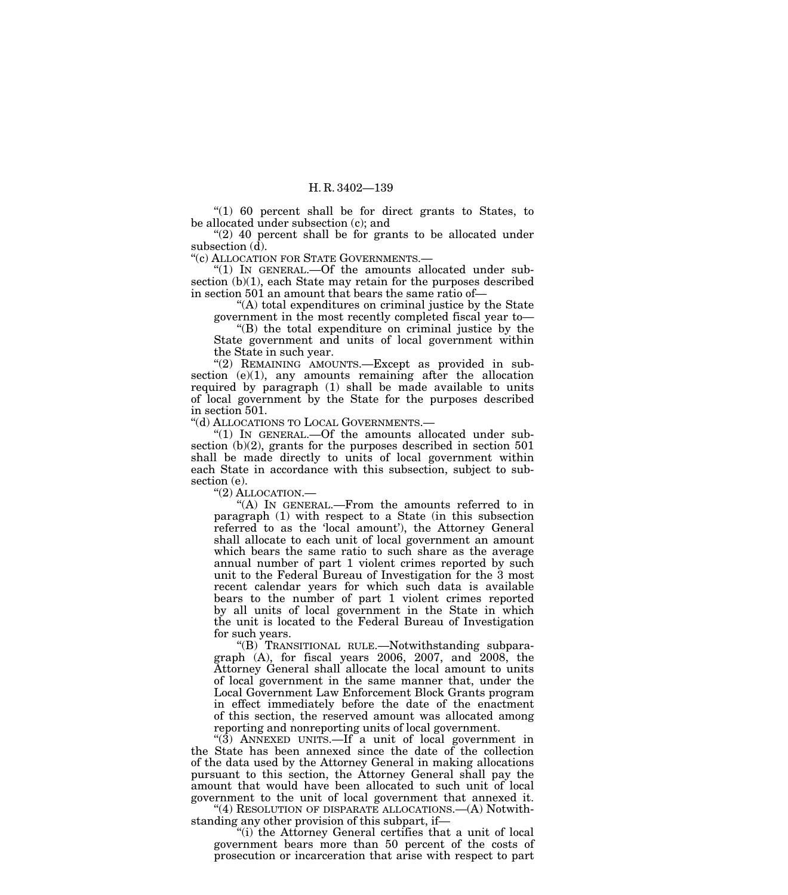"(1) 60 percent shall be for direct grants to States, to be allocated under subsection (c); and

"(2) 40 percent shall be for grants to be allocated under subsection (d).

''(c) ALLOCATION FOR STATE GOVERNMENTS.—

" $(1)$  IN GENERAL.—Of the amounts allocated under subsection (b)(1), each State may retain for the purposes described in section 501 an amount that bears the same ratio of—

''(A) total expenditures on criminal justice by the State government in the most recently completed fiscal year to—

''(B) the total expenditure on criminal justice by the State government and units of local government within the State in such year.

"(2) REMAINING AMOUNTS.—Except as provided in subsection  $(e)(1)$ , any amounts remaining after the allocation required by paragraph (1) shall be made available to units of local government by the State for the purposes described in section 501.

''(d) ALLOCATIONS TO LOCAL GOVERNMENTS.—

" $(1)$  IN GENERAL.—Of the amounts allocated under subsection (b)(2), grants for the purposes described in section 501 shall be made directly to units of local government within each State in accordance with this subsection, subject to subsection (e).

"(2) ALLOCATION.-

''(A) IN GENERAL.—From the amounts referred to in paragraph (1) with respect to a State (in this subsection referred to as the 'local amount'), the Attorney General shall allocate to each unit of local government an amount which bears the same ratio to such share as the average annual number of part 1 violent crimes reported by such unit to the Federal Bureau of Investigation for the 3 most recent calendar years for which such data is available bears to the number of part 1 violent crimes reported by all units of local government in the State in which the unit is located to the Federal Bureau of Investigation for such years.

''(B) TRANSITIONAL RULE.—Notwithstanding subparagraph (A), for fiscal years 2006, 2007, and 2008, the Attorney General shall allocate the local amount to units of local government in the same manner that, under the Local Government Law Enforcement Block Grants program in effect immediately before the date of the enactment of this section, the reserved amount was allocated among reporting and nonreporting units of local government.

" $(3)$  ANNEXED UNITS.—If a unit of local government in the State has been annexed since the date of the collection of the data used by the Attorney General in making allocations pursuant to this section, the Attorney General shall pay the amount that would have been allocated to such unit of local government to the unit of local government that annexed it.

"(4) RESOLUTION OF DISPARATE ALLOCATIONS.—(A) Notwithstanding any other provision of this subpart, if—

"(i) the Attorney General certifies that a unit of local government bears more than 50 percent of the costs of prosecution or incarceration that arise with respect to part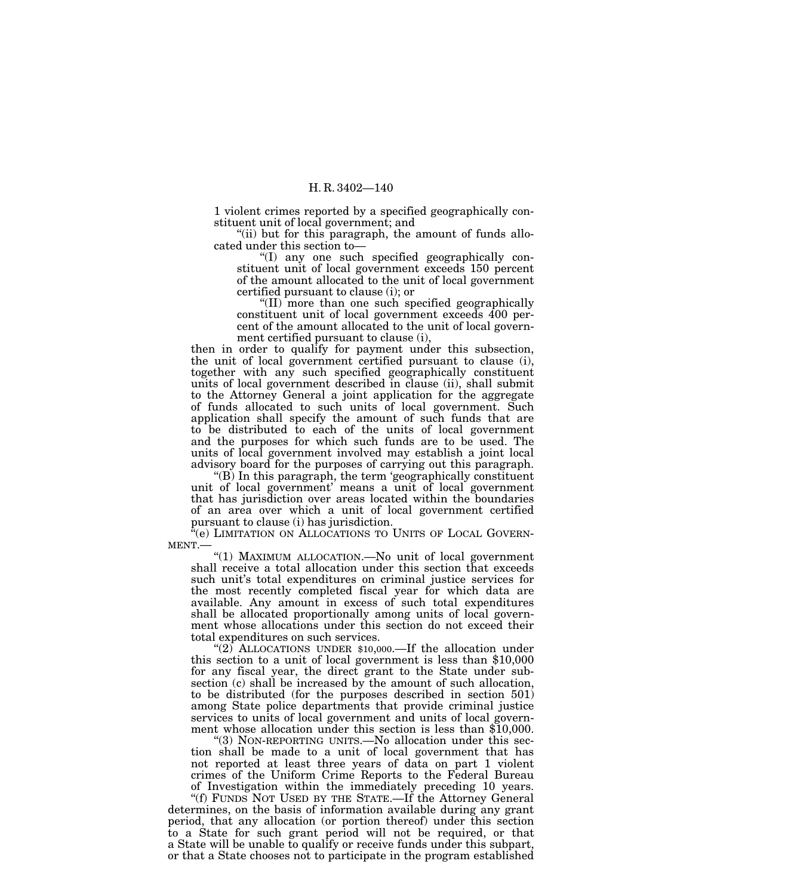1 violent crimes reported by a specified geographically constituent unit of local government; and

"(ii) but for this paragraph, the amount of funds allocated under this section to—

''(I) any one such specified geographically constituent unit of local government exceeds 150 percent of the amount allocated to the unit of local government certified pursuant to clause (i); or

''(II) more than one such specified geographically constituent unit of local government exceeds 400 percent of the amount allocated to the unit of local government certified pursuant to clause (i),

then in order to qualify for payment under this subsection, the unit of local government certified pursuant to clause (i), together with any such specified geographically constituent units of local government described in clause (ii), shall submit to the Attorney General a joint application for the aggregate of funds allocated to such units of local government. Such application shall specify the amount of such funds that are to be distributed to each of the units of local government and the purposes for which such funds are to be used. The units of local government involved may establish a joint local advisory board for the purposes of carrying out this paragraph.

''(B) In this paragraph, the term 'geographically constituent unit of local government' means a unit of local government that has jurisdiction over areas located within the boundaries of an area over which a unit of local government certified pursuant to clause (i) has jurisdiction.

''(e) LIMITATION ON ALLOCATIONS TO UNITS OF LOCAL GOVERN-MENT.—

''(1) MAXIMUM ALLOCATION.—No unit of local government shall receive a total allocation under this section that exceeds such unit's total expenditures on criminal justice services for the most recently completed fiscal year for which data are available. Any amount in excess of such total expenditures shall be allocated proportionally among units of local government whose allocations under this section do not exceed their total expenditures on such services.

" $(2)$  ALLOCATIONS UNDER \$10,000.—If the allocation under this section to a unit of local government is less than \$10,000 for any fiscal year, the direct grant to the State under subsection (c) shall be increased by the amount of such allocation, to be distributed (for the purposes described in section 501) among State police departments that provide criminal justice services to units of local government and units of local government whose allocation under this section is less than \$10,000.

''(3) NON-REPORTING UNITS.—No allocation under this section shall be made to a unit of local government that has not reported at least three years of data on part 1 violent crimes of the Uniform Crime Reports to the Federal Bureau of Investigation within the immediately preceding 10 years.

''(f) FUNDS NOT USED BY THE STATE.—If the Attorney General determines, on the basis of information available during any grant period, that any allocation (or portion thereof) under this section to a State for such grant period will not be required, or that a State will be unable to qualify or receive funds under this subpart, or that a State chooses not to participate in the program established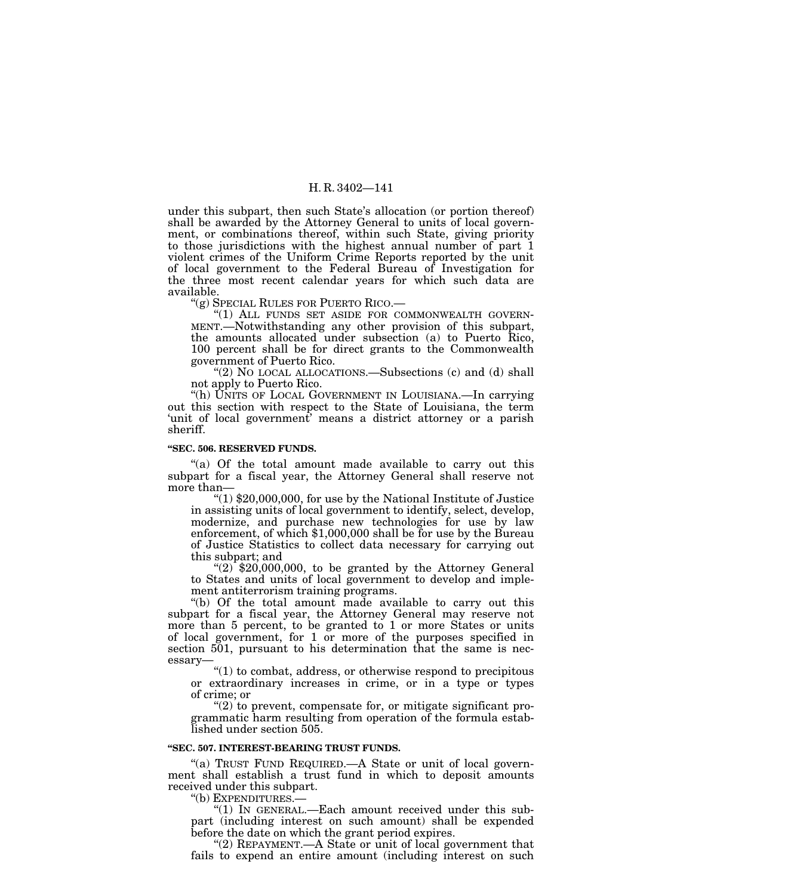under this subpart, then such State's allocation (or portion thereof) shall be awarded by the Attorney General to units of local government, or combinations thereof, within such State, giving priority to those jurisdictions with the highest annual number of part 1 violent crimes of the Uniform Crime Reports reported by the unit of local government to the Federal Bureau of Investigation for the three most recent calendar years for which such data are available.

''(g) SPECIAL RULES FOR PUERTO RICO.—

''(1) ALL FUNDS SET ASIDE FOR COMMONWEALTH GOVERN-MENT.—Notwithstanding any other provision of this subpart, the amounts allocated under subsection (a) to Puerto Rico, 100 percent shall be for direct grants to the Commonwealth government of Puerto Rico.

"(2) NO LOCAL ALLOCATIONS.—Subsections (c) and (d) shall not apply to Puerto Rico.

"(h) UNITS OF LOCAL GOVERNMENT IN LOUISIANA.—In carrying out this section with respect to the State of Louisiana, the term 'unit of local government' means a district attorney or a parish sheriff.

#### **''SEC. 506. RESERVED FUNDS.**

''(a) Of the total amount made available to carry out this subpart for a fiscal year, the Attorney General shall reserve not more than—

" $(1)$  \$20,000,000, for use by the National Institute of Justice in assisting units of local government to identify, select, develop, modernize, and purchase new technologies for use by law enforcement, of which \$1,000,000 shall be for use by the Bureau of Justice Statistics to collect data necessary for carrying out this subpart; and

" $(2)$  \$20,000,000, to be granted by the Attorney General to States and units of local government to develop and implement antiterrorism training programs.

''(b) Of the total amount made available to carry out this subpart for a fiscal year, the Attorney General may reserve not more than 5 percent, to be granted to 1 or more States or units of local government, for 1 or more of the purposes specified in section 501, pursuant to his determination that the same is necessary—

''(1) to combat, address, or otherwise respond to precipitous or extraordinary increases in crime, or in a type or types of crime; or

 $(2)$  to prevent, compensate for, or mitigate significant programmatic harm resulting from operation of the formula established under section 505.

#### **''SEC. 507. INTEREST-BEARING TRUST FUNDS.**

"(a) TRUST FUND REQUIRED.—A State or unit of local government shall establish a trust fund in which to deposit amounts received under this subpart.<br>"(b) EXPENDITURES.—

" $(1)$  In GENERAL.—Each amount received under this subpart (including interest on such amount) shall be expended before the date on which the grant period expires.

"(2) REPAYMENT.—A State or unit of local government that fails to expend an entire amount (including interest on such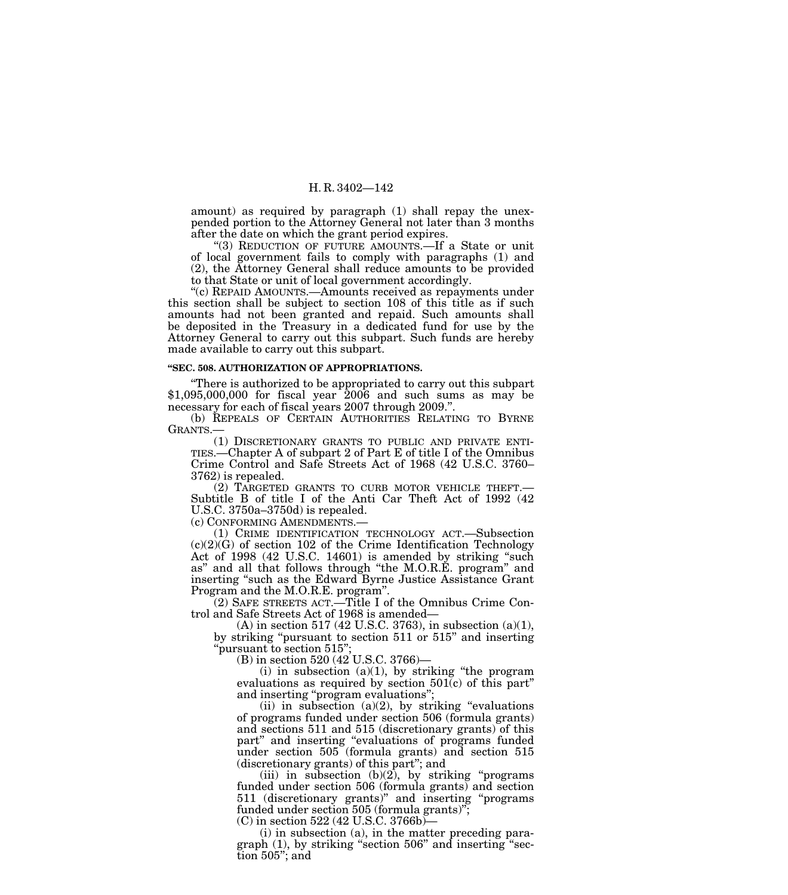amount) as required by paragraph (1) shall repay the unexpended portion to the Attorney General not later than 3 months after the date on which the grant period expires.

''(3) REDUCTION OF FUTURE AMOUNTS.—If a State or unit of local government fails to comply with paragraphs (1) and (2), the Attorney General shall reduce amounts to be provided to that State or unit of local government accordingly.

''(c) REPAID AMOUNTS.—Amounts received as repayments under this section shall be subject to section 108 of this title as if such amounts had not been granted and repaid. Such amounts shall be deposited in the Treasury in a dedicated fund for use by the Attorney General to carry out this subpart. Such funds are hereby made available to carry out this subpart.

#### **''SEC. 508. AUTHORIZATION OF APPROPRIATIONS.**

''There is authorized to be appropriated to carry out this subpart \$1,095,000,000 for fiscal year 2006 and such sums as may be necessary for each of fiscal years 2007 through 2009.''.

(b) REPEALS OF CERTAIN AUTHORITIES RELATING TO BYRNE GRANTS.—<br>
(1) DISCRETIONARY GRANTS TO PUBLIC AND PRIVATE ENTI-

TIES.—Chapter A of subpart 2 of Part E of title I of the Omnibus Crime Control and Safe Streets Act of 1968 (42 U.S.C. 3760–

3762) is repealed.<br>(2) TARGETED GRANTS TO CURB MOTOR VEHICLE THEFT.— Subtitle B of title I of the Anti Car Theft Act of 1992 (42 U.S.C. 3750a-3750d) is repealed.<br>(c) CONFORMING AMENDMENTS.

(1) CRIME IDENTIFICATION TECHNOLOGY ACT.—Subsection  $(c)(2)(G)$  of section 102 of the Crime Identification Technology Act of 1998 (42 U.S.C. 14601) is amended by striking "such as" and all that follows through "the M.O.R.E. program" and inserting ''such as the Edward Byrne Justice Assistance Grant Program and the M.O.R.E. program''.

(2) SAFE STREETS ACT.—Title I of the Omnibus Crime Control and Safe Streets Act of 1968 is amended—

(A) in section 517 (42 U.S.C. 3763), in subsection (a)(1), by striking ''pursuant to section 511 or 515'' and inserting "pursuant to section 515";

(B) in section 520 (42 U.S.C. 3766)—

 $(i)$  in subsection  $(a)(1)$ , by striking "the program evaluations as required by section  $501(c)$  of this part" and inserting "program evaluations";

(ii) in subsection  $(a)(2)$ , by striking "evaluations" of programs funded under section 506 (formula grants) and sections 511 and 515 (discretionary grants) of this part" and inserting "evaluations of programs funded under section 505 (formula grants) and section 515 (discretionary grants) of this part''; and

(iii) in subsection  $(b)(2)$ , by striking "programs" funded under section 506 (formula grants) and section 511 (discretionary grants)'' and inserting ''programs funded under section 505 (formula grants)'';

(C) in section 522 (42 U.S.C. 3766b)—

(i) in subsection (a), in the matter preceding paragraph  $(1)$ , by striking "section 506" and inserting "section 505''; and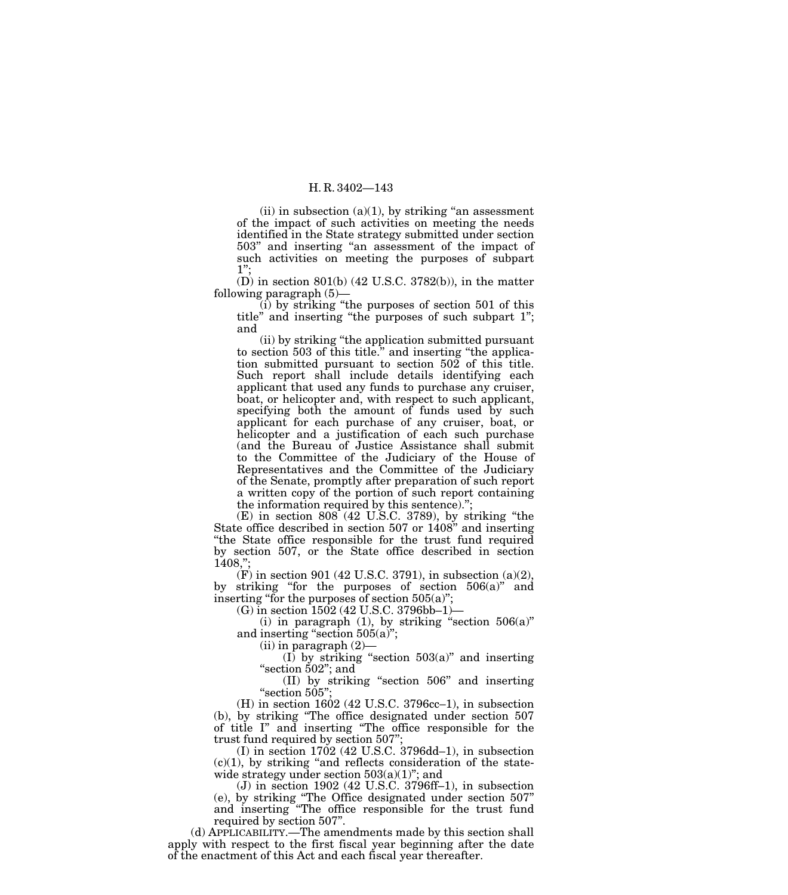(ii) in subsection  $(a)(1)$ , by striking "an assessment" of the impact of such activities on meeting the needs identified in the State strategy submitted under section 503'' and inserting ''an assessment of the impact of such activities on meeting the purposes of subpart  $1$ ";

(D) in section 801(b) (42 U.S.C. 3782(b)), in the matter following paragraph (5)—

(i) by striking ''the purposes of section 501 of this title'' and inserting ''the purposes of such subpart 1''; and

(ii) by striking ''the application submitted pursuant to section 503 of this title.'' and inserting ''the application submitted pursuant to section 502 of this title. Such report shall include details identifying each applicant that used any funds to purchase any cruiser, boat, or helicopter and, with respect to such applicant, specifying both the amount of funds used by such applicant for each purchase of any cruiser, boat, or helicopter and a justification of each such purchase (and the Bureau of Justice Assistance shall submit to the Committee of the Judiciary of the House of Representatives and the Committee of the Judiciary of the Senate, promptly after preparation of such report a written copy of the portion of such report containing the information required by this sentence).'';

 $(E)$  in section 808 (42 U.S.C. 3789), by striking "the State office described in section 507 or 1408'' and inserting ''the State office responsible for the trust fund required by section 507, or the State office described in section 1408,'';

 $(F)$  in section 901 (42 U.S.C. 3791), in subsection (a)(2), by striking "for the purposes of section  $506(a)$ " and inserting "for the purposes of section  $505(a)$ ";

(G) in section 1502 (42 U.S.C. 3796bb–1)—

(i) in paragraph  $(1)$ , by striking "section  $506(a)$ " and inserting "section  $505(a)$ ";

(ii) in paragraph (2)—

 $(I)$  by striking "section 503(a)" and inserting "section  $502$ "; and

(II) by striking ''section 506'' and inserting "section 505'

(H) in section 1602 (42 U.S.C. 3796cc–1), in subsection (b), by striking ''The office designated under section 507 of title I'' and inserting ''The office responsible for the trust fund required by section 507'';

(I) in section 1702 (42 U.S.C. 3796dd–1), in subsection  $(c)(1)$ , by striking "and reflects consideration of the statewide strategy under section  $503(a)(1)$ "; and

(J) in section 1902 (42 U.S.C. 3796ff–1), in subsection (e), by striking ''The Office designated under section 507'' and inserting ''The office responsible for the trust fund required by section 507''.

(d) APPLICABILITY.—The amendments made by this section shall apply with respect to the first fiscal year beginning after the date of the enactment of this Act and each fiscal year thereafter.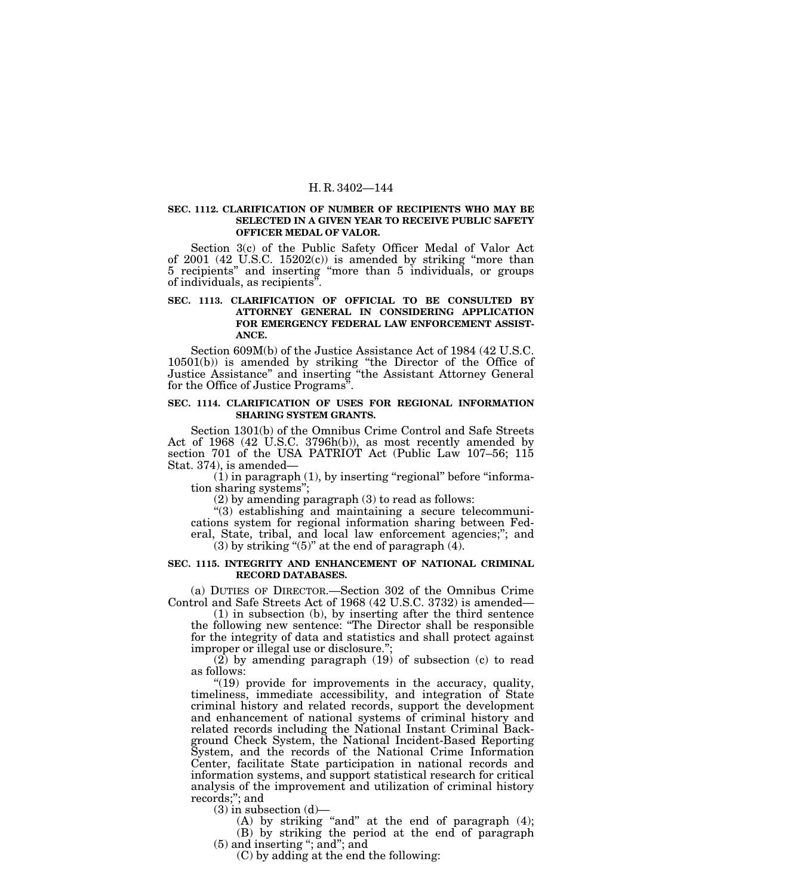#### **SEC. 1112. CLARIFICATION OF NUMBER OF RECIPIENTS WHO MAY BE SELECTED IN A GIVEN YEAR TO RECEIVE PUBLIC SAFETY OFFICER MEDAL OF VALOR.**

Section 3(c) of the Public Safety Officer Medal of Valor Act of  $2001$  (42 U.S.C. 15202(c)) is amended by striking "more than 5 recipients'' and inserting ''more than 5 individuals, or groups of individuals, as recipients''.

#### **SEC. 1113. CLARIFICATION OF OFFICIAL TO BE CONSULTED BY ATTORNEY GENERAL IN CONSIDERING APPLICATION FOR EMERGENCY FEDERAL LAW ENFORCEMENT ASSIST-ANCE.**

Section 609M(b) of the Justice Assistance Act of 1984 (42 U.S.C. 10501(b)) is amended by striking ''the Director of the Office of Justice Assistance'' and inserting ''the Assistant Attorney General for the Office of Justice Programs''.

#### **SEC. 1114. CLARIFICATION OF USES FOR REGIONAL INFORMATION SHARING SYSTEM GRANTS.**

Section 1301(b) of the Omnibus Crime Control and Safe Streets Act of 1968 (42 U.S.C. 3796h(b)), as most recently amended by section 701 of the USA PATRIOT Act (Public Law 107–56; 115 Stat. 374), is amended—

 $(1)$  in paragraph  $(1)$ , by inserting "regional" before "information sharing systems'';

(2) by amending paragraph (3) to read as follows:

''(3) establishing and maintaining a secure telecommunications system for regional information sharing between Federal, State, tribal, and local law enforcement agencies;''; and (3) by striking " $(5)$ " at the end of paragraph  $(4)$ .

#### **SEC. 1115. INTEGRITY AND ENHANCEMENT OF NATIONAL CRIMINAL RECORD DATABASES.**

(a) DUTIES OF DIRECTOR.—Section 302 of the Omnibus Crime Control and Safe Streets Act of 1968 (42 U.S.C. 3732) is amended—

(1) in subsection (b), by inserting after the third sentence the following new sentence: ''The Director shall be responsible for the integrity of data and statistics and shall protect against improper or illegal use or disclosure.'';

(2) by amending paragraph (19) of subsection (c) to read as follows:

 $\degree$ (19) provide for improvements in the accuracy, quality, timeliness, immediate accessibility, and integration of State criminal history and related records, support the development and enhancement of national systems of criminal history and related records including the National Instant Criminal Background Check System, the National Incident-Based Reporting System, and the records of the National Crime Information Center, facilitate State participation in national records and information systems, and support statistical research for critical analysis of the improvement and utilization of criminal history records;''; and

 $(3)$  in subsection  $(d)$ —

(A) by striking "and" at the end of paragraph  $(4)$ ;

(B) by striking the period at the end of paragraph (5) and inserting ''; and''; and

(C) by adding at the end the following: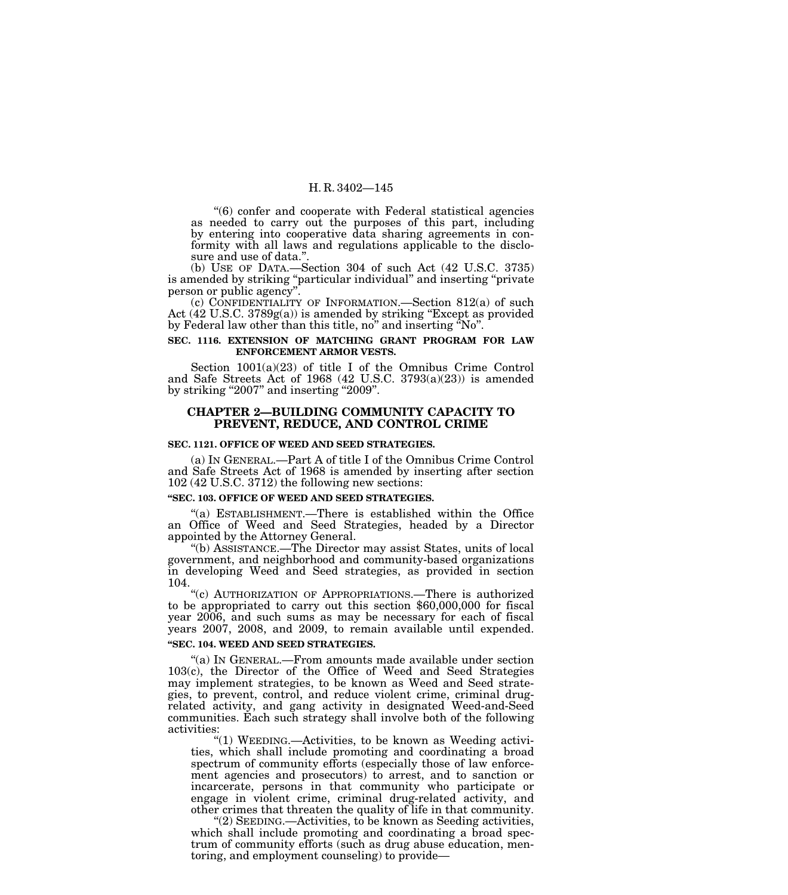''(6) confer and cooperate with Federal statistical agencies as needed to carry out the purposes of this part, including by entering into cooperative data sharing agreements in conformity with all laws and regulations applicable to the disclosure and use of data.''.

(b) USE OF DATA.—Section 304 of such Act (42 U.S.C. 3735) is amended by striking ''particular individual'' and inserting ''private person or public agency''.

(c) CONFIDENTIALITY OF INFORMATION.—Section 812(a) of such Act (42 U.S.C. 3789g(a)) is amended by striking "Except as provided by Federal law other than this title, no" and inserting "No".

## **SEC. 1116. EXTENSION OF MATCHING GRANT PROGRAM FOR LAW ENFORCEMENT ARMOR VESTS.**

Section 1001(a)(23) of title I of the Omnibus Crime Control and Safe Streets Act of 1968 (42 U.S.C. 3793(a)(23)) is amended by striking "2007" and inserting "2009".

## **CHAPTER 2—BUILDING COMMUNITY CAPACITY TO PREVENT, REDUCE, AND CONTROL CRIME**

## **SEC. 1121. OFFICE OF WEED AND SEED STRATEGIES.**

(a) IN GENERAL.—Part A of title I of the Omnibus Crime Control and Safe Streets Act of 1968 is amended by inserting after section 102 (42 U.S.C. 3712) the following new sections:

#### **''SEC. 103. OFFICE OF WEED AND SEED STRATEGIES.**

''(a) ESTABLISHMENT.—There is established within the Office an Office of Weed and Seed Strategies, headed by a Director appointed by the Attorney General.

''(b) ASSISTANCE.—The Director may assist States, units of local government, and neighborhood and community-based organizations in developing Weed and Seed strategies, as provided in section 104.

''(c) AUTHORIZATION OF APPROPRIATIONS.—There is authorized to be appropriated to carry out this section \$60,000,000 for fiscal year 2006, and such sums as may be necessary for each of fiscal years 2007, 2008, and 2009, to remain available until expended.

## **''SEC. 104. WEED AND SEED STRATEGIES.**

''(a) IN GENERAL.—From amounts made available under section 103(c), the Director of the Office of Weed and Seed Strategies may implement strategies, to be known as Weed and Seed strategies, to prevent, control, and reduce violent crime, criminal drugrelated activity, and gang activity in designated Weed-and-Seed communities. Each such strategy shall involve both of the following activities:

"(1) WEEDING.—Activities, to be known as Weeding activities, which shall include promoting and coordinating a broad spectrum of community efforts (especially those of law enforcement agencies and prosecutors) to arrest, and to sanction or incarcerate, persons in that community who participate or engage in violent crime, criminal drug-related activity, and other crimes that threaten the quality of life in that community.

 $"(2)$  SEEDING.—Activities, to be known as Seeding activities, which shall include promoting and coordinating a broad spectrum of community efforts (such as drug abuse education, mentoring, and employment counseling) to provide—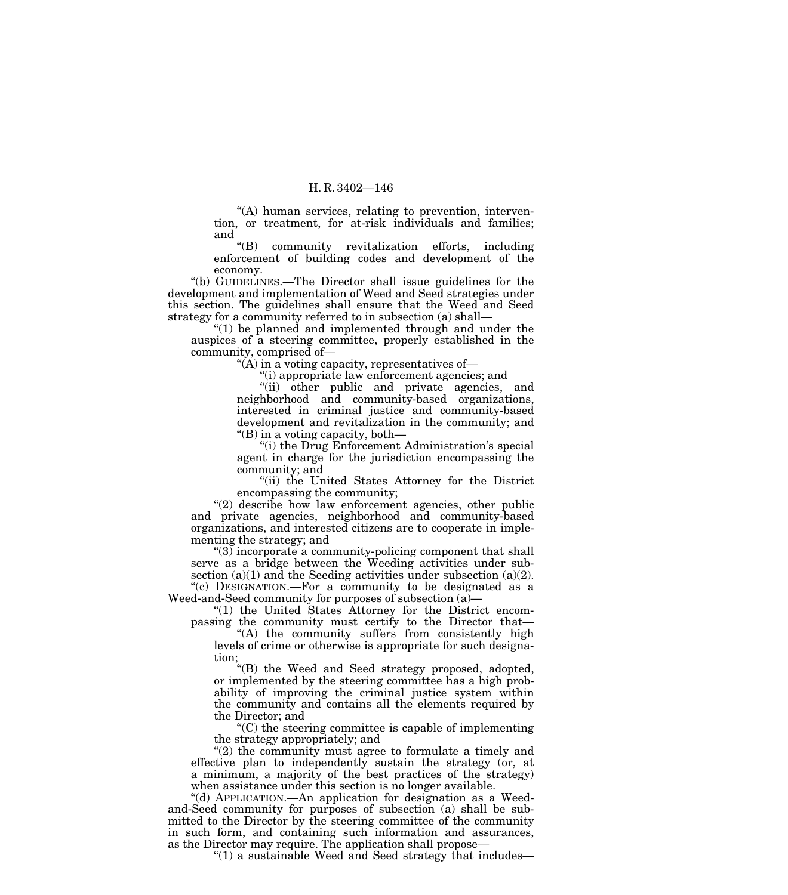''(A) human services, relating to prevention, intervention, or treatment, for at-risk individuals and families; and  $\binom{a}{B}$ 

community revitalization efforts, including enforcement of building codes and development of the economy.

''(b) GUIDELINES.—The Director shall issue guidelines for the development and implementation of Weed and Seed strategies under this section. The guidelines shall ensure that the Weed and Seed strategy for a community referred to in subsection (a) shall—

"(1) be planned and implemented through and under the auspices of a steering committee, properly established in the community, comprised of—

 $(A)$  in a voting capacity, representatives of  $-$ 

 $(i)$  appropriate law enforcement agencies; and

''(ii) other public and private agencies, and neighborhood and community-based organizations, interested in criminal justice and community-based development and revitalization in the community; and ''(B) in a voting capacity, both—

''(i) the Drug Enforcement Administration's special agent in charge for the jurisdiction encompassing the community; and

''(ii) the United States Attorney for the District encompassing the community;

 $''(2)$  describe how law enforcement agencies, other public and private agencies, neighborhood and community-based organizations, and interested citizens are to cooperate in implementing the strategy; and

''(3) incorporate a community-policing component that shall serve as a bridge between the Weeding activities under subsection  $(a)(1)$  and the Seeding activities under subsection  $(a)(2)$ .

" $(c)$  DESIGNATION.—For a community to be designated as a Weed-and-Seed community for purposes of subsection (a)—

''(1) the United States Attorney for the District encompassing the community must certify to the Director that—

"(A) the community suffers from consistently high levels of crime or otherwise is appropriate for such designation;

''(B) the Weed and Seed strategy proposed, adopted, or implemented by the steering committee has a high probability of improving the criminal justice system within the community and contains all the elements required by the Director; and

 $C$ ) the steering committee is capable of implementing the strategy appropriately; and

"(2) the community must agree to formulate a timely and effective plan to independently sustain the strategy (or, at a minimum, a majority of the best practices of the strategy) when assistance under this section is no longer available.

''(d) APPLICATION.—An application for designation as a Weedand-Seed community for purposes of subsection (a) shall be submitted to the Director by the steering committee of the community in such form, and containing such information and assurances, as the Director may require. The application shall propose—

''(1) a sustainable Weed and Seed strategy that includes—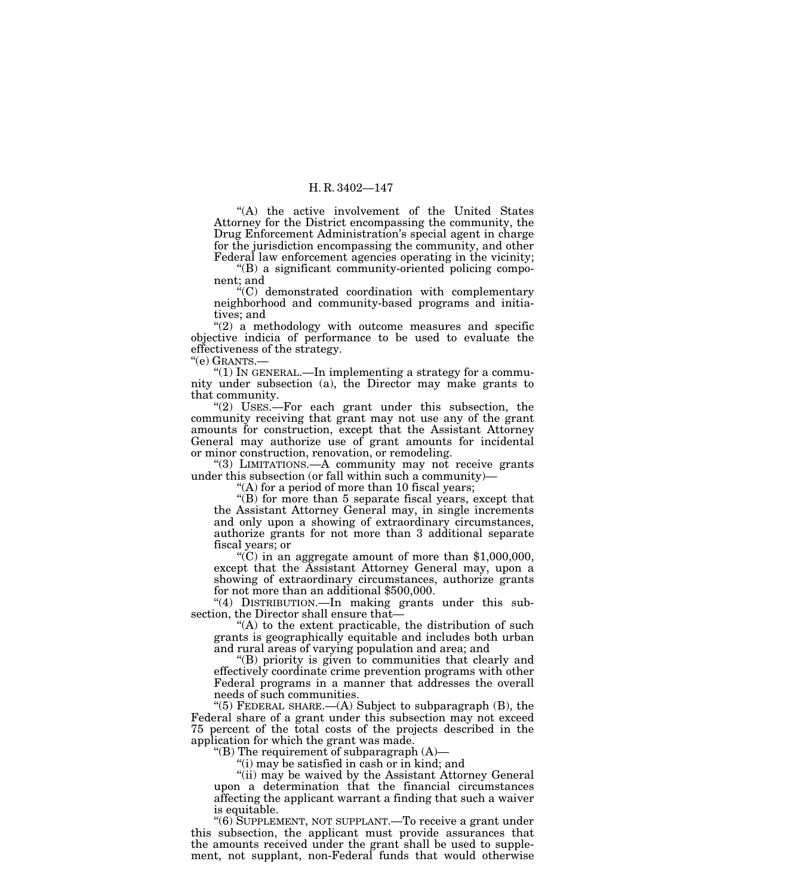"(A) the active involvement of the United States Attorney for the District encompassing the community, the Drug Enforcement Administration's special agent in charge for the jurisdiction encompassing the community, and other Federal law enforcement agencies operating in the vicinity;

''(B) a significant community-oriented policing component; and

''(C) demonstrated coordination with complementary neighborhood and community-based programs and initiatives; and

 $(2)$  a methodology with outcome measures and specific objective indicia of performance to be used to evaluate the effectiveness of the strategy.

''(e) GRANTS.—

" $(1)$  In GENERAL.—In implementing a strategy for a community under subsection (a), the Director may make grants to that community.

"(2) USES.—For each grant under this subsection, the community receiving that grant may not use any of the grant amounts for construction, except that the Assistant Attorney General may authorize use of grant amounts for incidental or minor construction, renovation, or remodeling.

"(3) LIMITATIONS.—A community may not receive grants under this subsection (or fall within such a community)—

"(A) for a period of more than 10 fiscal years;

''(B) for more than 5 separate fiscal years, except that the Assistant Attorney General may, in single increments and only upon a showing of extraordinary circumstances, authorize grants for not more than 3 additional separate fiscal years; or

"( $\ddot{C}$ ) in an aggregate amount of more than \$1,000,000, except that the Assistant Attorney General may, upon a showing of extraordinary circumstances, authorize grants for not more than an additional \$500,000.

"(4) DISTRIBUTION.—In making grants under this subsection, the Director shall ensure that—

"(A) to the extent practicable, the distribution of such grants is geographically equitable and includes both urban and rural areas of varying population and area; and

''(B) priority is given to communities that clearly and effectively coordinate crime prevention programs with other Federal programs in a manner that addresses the overall needs of such communities.

"(5) FEDERAL SHARE.—(A) Subject to subparagraph  $(B)$ , the Federal share of a grant under this subsection may not exceed 75 percent of the total costs of the projects described in the application for which the grant was made.

"(B) The requirement of subparagraph  $(A)$ -

''(i) may be satisfied in cash or in kind; and

"(ii) may be waived by the Assistant Attorney General upon a determination that the financial circumstances affecting the applicant warrant a finding that such a waiver is equitable.

''(6) SUPPLEMENT, NOT SUPPLANT.—To receive a grant under this subsection, the applicant must provide assurances that the amounts received under the grant shall be used to supplement, not supplant, non-Federal funds that would otherwise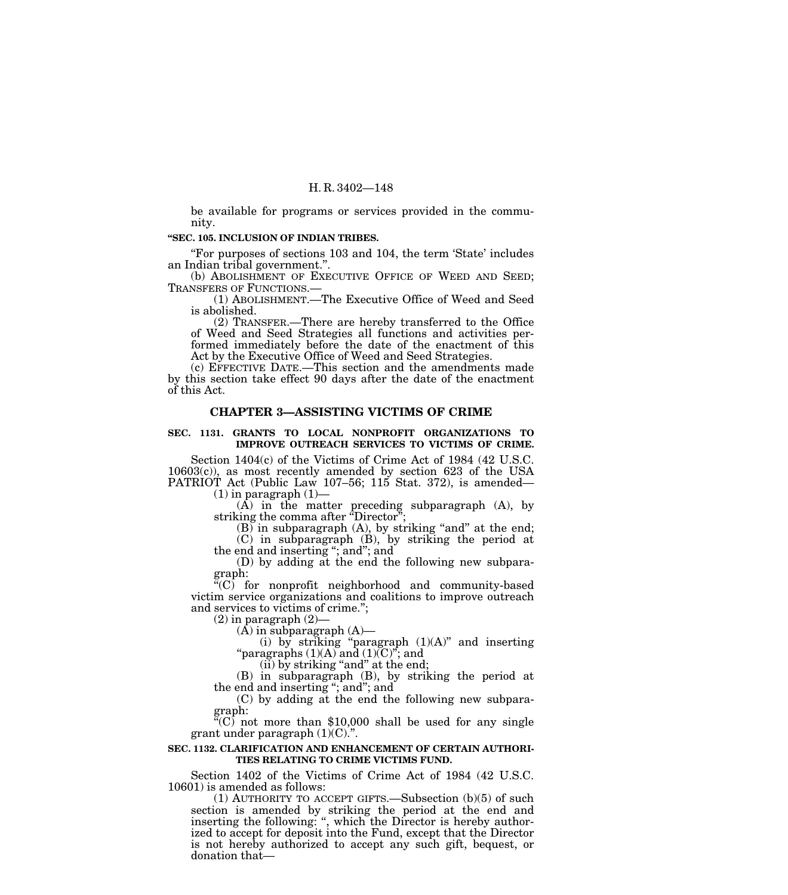be available for programs or services provided in the community.

#### **''SEC. 105. INCLUSION OF INDIAN TRIBES.**

''For purposes of sections 103 and 104, the term 'State' includes an Indian tribal government.''.

(b) ABOLISHMENT OF EXECUTIVE OFFICE OF WEED AND SEED; TRANSFERS OF FUNCTIONS.—

 $(1)$  ABOLISHMENT.—The Executive Office of Weed and Seed is abolished.

(2) TRANSFER.—There are hereby transferred to the Office of Weed and Seed Strategies all functions and activities performed immediately before the date of the enactment of this Act by the Executive Office of Weed and Seed Strategies.

(c) EFFECTIVE DATE.—This section and the amendments made by this section take effect 90 days after the date of the enactment of this Act.

#### **CHAPTER 3—ASSISTING VICTIMS OF CRIME**

#### **SEC. 1131. GRANTS TO LOCAL NONPROFIT ORGANIZATIONS TO IMPROVE OUTREACH SERVICES TO VICTIMS OF CRIME.**

Section 1404(c) of the Victims of Crime Act of 1984 (42 U.S.C. 10603(c)), as most recently amended by section 623 of the USA PATRIOT Act (Public Law 107–56; 115 Stat. 372), is amended—  $(1)$  in paragraph  $(1)$ —

> (A) in the matter preceding subparagraph (A), by striking the comma after "Director";

(B) in subparagraph (A), by striking "and" at the end: (C) in subparagraph (B), by striking the period at

the end and inserting ''; and''; and (D) by adding at the end the following new subpara-

graph: ''(C) for nonprofit neighborhood and community-based victim service organizations and coalitions to improve outreach and services to victims of crime.'';

 $(2)$  in paragraph  $(2)$ -

 $(A)$  in subparagraph  $(A)$ —

(i) by striking "paragraph  $(1)(A)$ " and inserting "paragraphs  $(1)(A)$  and  $(1)(C)$ "; and

 $(ii)$  by striking "and" at the end;

(B) in subparagraph (B), by striking the period at the end and inserting ''; and''; and

(C) by adding at the end the following new subparagraph:

"(C) not more than  $$10,000$  shall be used for any single grant under paragraph  $(1)(C)$ .".

#### **SEC. 1132. CLARIFICATION AND ENHANCEMENT OF CERTAIN AUTHORI-TIES RELATING TO CRIME VICTIMS FUND.**

Section 1402 of the Victims of Crime Act of 1984 (42 U.S.C. 10601) is amended as follows:

(1) AUTHORITY TO ACCEPT GIFTS.—Subsection (b)(5) of such section is amended by striking the period at the end and inserting the following: '', which the Director is hereby authorized to accept for deposit into the Fund, except that the Director is not hereby authorized to accept any such gift, bequest, or donation that—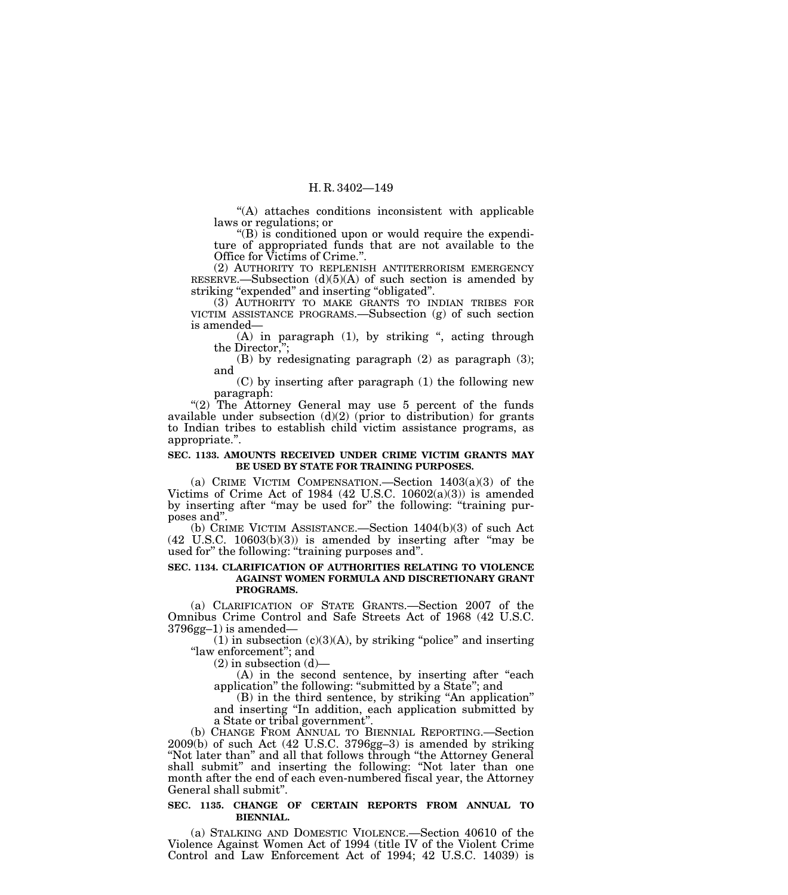''(A) attaches conditions inconsistent with applicable laws or regulations; or

''(B) is conditioned upon or would require the expenditure of appropriated funds that are not available to the Office for Victims of Crime.''.

(2) AUTHORITY TO REPLENISH ANTITERRORISM EMERGENCY RESERVE.—Subsection  $(d)(5)(A)$  of such section is amended by striking "expended" and inserting "obligated".

(3) AUTHORITY TO MAKE GRANTS TO INDIAN TRIBES FOR VICTIM ASSISTANCE PROGRAMS.—Subsection (g) of such section is amended—

 $(A)$  in paragraph  $(1)$ , by striking ", acting through the Director,'';

(B) by redesignating paragraph (2) as paragraph (3); and

(C) by inserting after paragraph (1) the following new paragraph:

"(2) The Attorney General may use  $5$  percent of the funds available under subsection  $(d)(2)$  (prior to distribution) for grants to Indian tribes to establish child victim assistance programs, as appropriate.''.

## **SEC. 1133. AMOUNTS RECEIVED UNDER CRIME VICTIM GRANTS MAY BE USED BY STATE FOR TRAINING PURPOSES.**

(a) CRIME VICTIM COMPENSATION.—Section 1403(a)(3) of the Victims of Crime Act of 1984 (42 U.S.C.  $10602(a)(3)$ ) is amended by inserting after "may be used for" the following: "training purposes and''.

(b) CRIME VICTIM ASSISTANCE.—Section 1404(b)(3) of such Act  $(42 \text{ U.S.C. } 10603(b)(3))$  is amended by inserting after "may be used for'' the following: ''training purposes and''.

## **SEC. 1134. CLARIFICATION OF AUTHORITIES RELATING TO VIOLENCE AGAINST WOMEN FORMULA AND DISCRETIONARY GRANT PROGRAMS.**

(a) CLARIFICATION OF STATE GRANTS.—Section 2007 of the Omnibus Crime Control and Safe Streets Act of 1968 (42 U.S.C. 3796gg–1) is amended—

 $(1)$  in subsection  $(c)(3)(A)$ , by striking "police" and inserting ''law enforcement''; and

 $(2)$  in subsection  $(d)$ -

(A) in the second sentence, by inserting after "each application'' the following: ''submitted by a State''; and

(B) in the third sentence, by striking ''An application'' and inserting ''In addition, each application submitted by a State or tribal government''.

(b) CHANGE FROM ANNUAL TO BIENNIAL REPORTING.—Section 2009(b) of such Act (42 U.S.C. 3796gg–3) is amended by striking "Not later than" and all that follows through "the Attorney General shall submit" and inserting the following: "Not later than one month after the end of each even-numbered fiscal year, the Attorney General shall submit''.

#### **SEC. 1135. CHANGE OF CERTAIN REPORTS FROM ANNUAL TO BIENNIAL.**

(a) STALKING AND DOMESTIC VIOLENCE.—Section 40610 of the Violence Against Women Act of 1994 (title IV of the Violent Crime Control and Law Enforcement Act of 1994; 42 U.S.C. 14039) is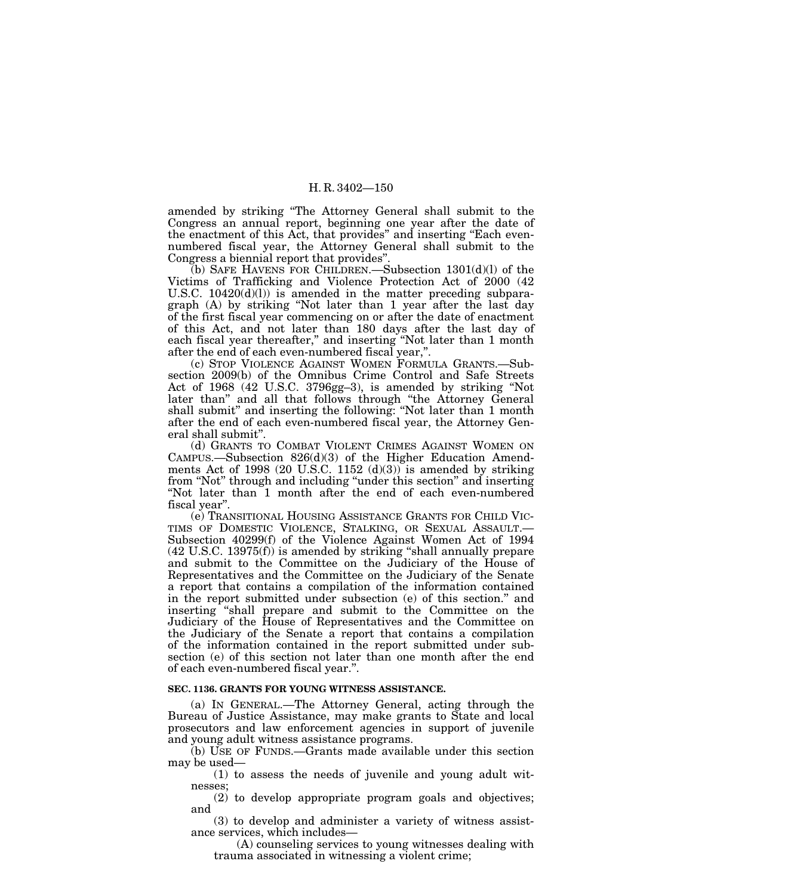amended by striking ''The Attorney General shall submit to the Congress an annual report, beginning one year after the date of the enactment of this Act, that provides'' and inserting ''Each evennumbered fiscal year, the Attorney General shall submit to the Congress a biennial report that provides''.

(b) SAFE HAVENS FOR CHILDREN.—Subsection 1301(d)(l) of the Victims of Trafficking and Violence Protection Act of 2000 (42 U.S.C. 10420(d)(l)) is amended in the matter preceding subparagraph (A) by striking ''Not later than 1 year after the last day of the first fiscal year commencing on or after the date of enactment of this Act, and not later than 180 days after the last day of each fiscal year thereafter,'' and inserting ''Not later than 1 month after the end of each even-numbered fiscal year,''.

(c) STOP VIOLENCE AGAINST WOMEN FORMULA GRANTS.—Subsection 2009(b) of the Omnibus Crime Control and Safe Streets Act of 1968 (42 U.S.C. 3796gg–3), is amended by striking ''Not later than'' and all that follows through ''the Attorney General shall submit'' and inserting the following: ''Not later than 1 month after the end of each even-numbered fiscal year, the Attorney General shall submit''.

(d) GRANTS TO COMBAT VIOLENT CRIMES AGAINST WOMEN ON CAMPUS.—Subsection 826(d)(3) of the Higher Education Amendments Act of 1998 (20 U.S.C. 1152  $(d)(3)$ ) is amended by striking from ''Not'' through and including ''under this section'' and inserting ''Not later than 1 month after the end of each even-numbered fiscal year''.

(e) TRANSITIONAL HOUSING ASSISTANCE GRANTS FOR CHILD VIC-TIMS OF DOMESTIC VIOLENCE, STALKING, OR SEXUAL ASSAULT.— Subsection 40299(f) of the Violence Against Women Act of 1994 (42 U.S.C. 13975(f)) is amended by striking ''shall annually prepare and submit to the Committee on the Judiciary of the House of Representatives and the Committee on the Judiciary of the Senate a report that contains a compilation of the information contained in the report submitted under subsection (e) of this section.'' and inserting ''shall prepare and submit to the Committee on the Judiciary of the House of Representatives and the Committee on the Judiciary of the Senate a report that contains a compilation of the information contained in the report submitted under subsection (e) of this section not later than one month after the end of each even-numbered fiscal year.''.

#### **SEC. 1136. GRANTS FOR YOUNG WITNESS ASSISTANCE.**

(a) IN GENERAL.—The Attorney General, acting through the Bureau of Justice Assistance, may make grants to State and local prosecutors and law enforcement agencies in support of juvenile and young adult witness assistance programs.

(b) USE OF FUNDS.—Grants made available under this section may be used—

(1) to assess the needs of juvenile and young adult witnesses;

(2) to develop appropriate program goals and objectives; and

(3) to develop and administer a variety of witness assistance services, which includes—

(A) counseling services to young witnesses dealing with trauma associated in witnessing a violent crime;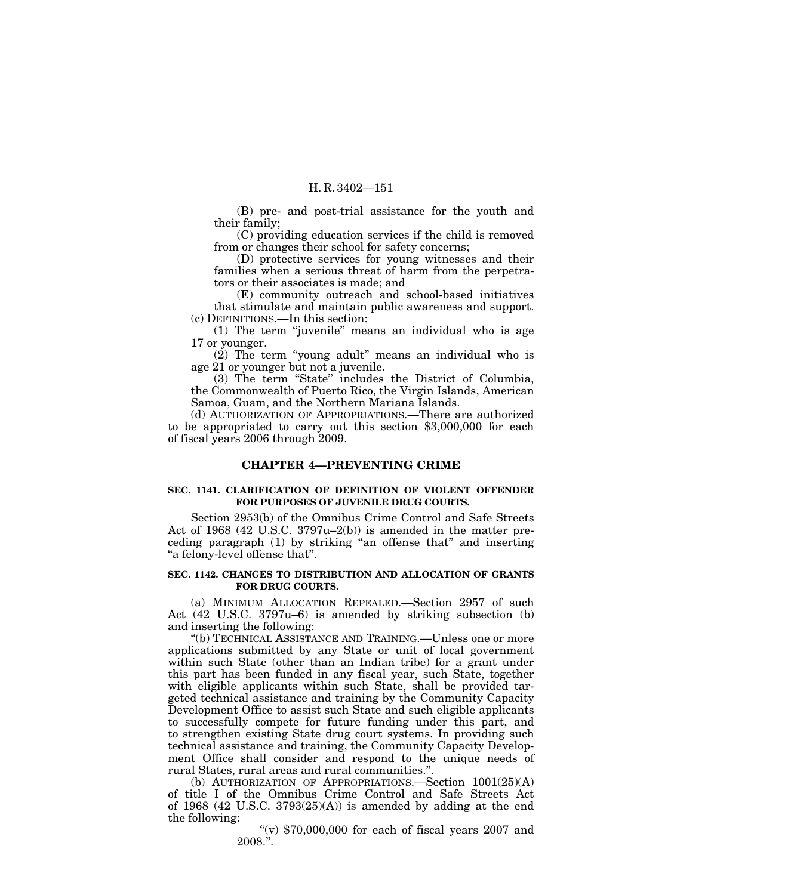(B) pre- and post-trial assistance for the youth and their family;

(C) providing education services if the child is removed from or changes their school for safety concerns;

(D) protective services for young witnesses and their families when a serious threat of harm from the perpetrators or their associates is made; and

(E) community outreach and school-based initiatives that stimulate and maintain public awareness and support. (c) DEFINITIONS.—In this section:

(1) The term ''juvenile'' means an individual who is age 17 or younger.

(2) The term ''young adult'' means an individual who is age 21 or younger but not a juvenile.

(3) The term ''State'' includes the District of Columbia, the Commonwealth of Puerto Rico, the Virgin Islands, American Samoa, Guam, and the Northern Mariana Islands.

(d) AUTHORIZATION OF APPROPRIATIONS.—There are authorized to be appropriated to carry out this section \$3,000,000 for each of fiscal years 2006 through 2009.

## **CHAPTER 4—PREVENTING CRIME**

## **SEC. 1141. CLARIFICATION OF DEFINITION OF VIOLENT OFFENDER FOR PURPOSES OF JUVENILE DRUG COURTS.**

Section 2953(b) of the Omnibus Crime Control and Safe Streets Act of 1968 (42 U.S.C. 3797u–2(b)) is amended in the matter preceding paragraph (1) by striking ''an offense that'' and inserting ''a felony-level offense that''.

## **SEC. 1142. CHANGES TO DISTRIBUTION AND ALLOCATION OF GRANTS FOR DRUG COURTS.**

(a) MINIMUM ALLOCATION REPEALED.—Section 2957 of such Act (42 U.S.C. 3797u–6) is amended by striking subsection (b) and inserting the following:

''(b) TECHNICAL ASSISTANCE AND TRAINING.—Unless one or more applications submitted by any State or unit of local government within such State (other than an Indian tribe) for a grant under this part has been funded in any fiscal year, such State, together with eligible applicants within such State, shall be provided targeted technical assistance and training by the Community Capacity Development Office to assist such State and such eligible applicants to successfully compete for future funding under this part, and to strengthen existing State drug court systems. In providing such technical assistance and training, the Community Capacity Development Office shall consider and respond to the unique needs of rural States, rural areas and rural communities.''.

(b) AUTHORIZATION OF APPROPRIATIONS.—Section 1001(25)(A) of title I of the Omnibus Crime Control and Safe Streets Act of 1968  $(42 \text{ U.S.C. } 3793(25)(\text{A}))$  is amended by adding at the end the following:

> "(v)  $$70,000,000$  for each of fiscal years 2007 and 2008.''.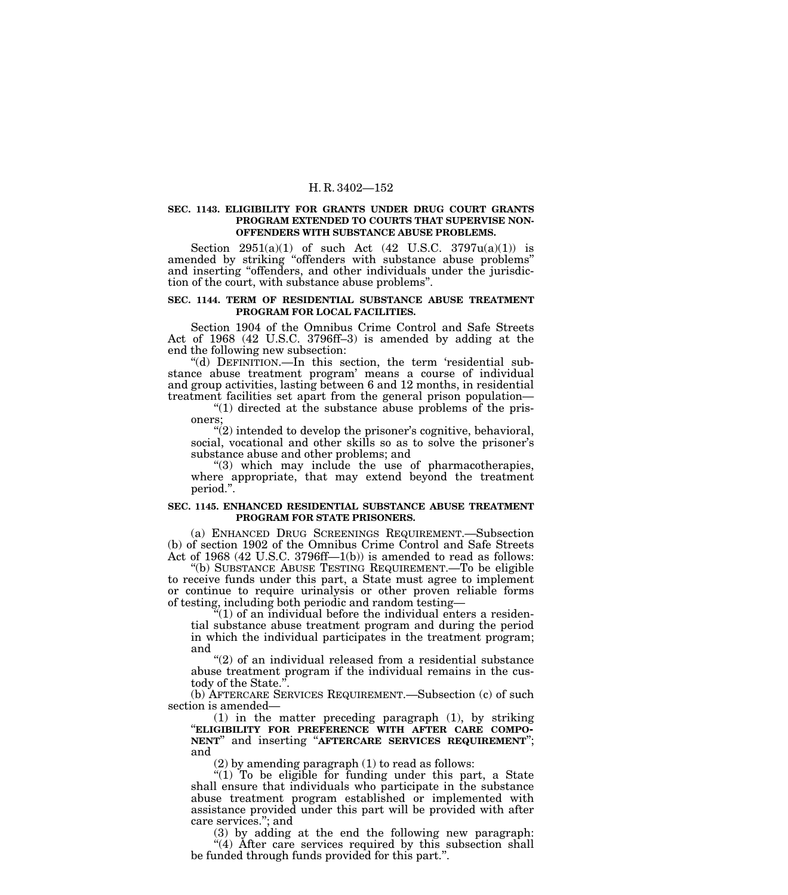## **SEC. 1143. ELIGIBILITY FOR GRANTS UNDER DRUG COURT GRANTS PROGRAM EXTENDED TO COURTS THAT SUPERVISE NON-OFFENDERS WITH SUBSTANCE ABUSE PROBLEMS.**

Section  $2951(a)(1)$  of such Act  $(42 \text{ U.S.C. } 3797u(a)(1))$  is amended by striking ''offenders with substance abuse problems'' and inserting ''offenders, and other individuals under the jurisdiction of the court, with substance abuse problems''.

#### **SEC. 1144. TERM OF RESIDENTIAL SUBSTANCE ABUSE TREATMENT PROGRAM FOR LOCAL FACILITIES.**

Section 1904 of the Omnibus Crime Control and Safe Streets Act of 1968 (42 U.S.C. 3796ff–3) is amended by adding at the end the following new subsection:

"(d) DEFINITION.—In this section, the term 'residential substance abuse treatment program' means a course of individual and group activities, lasting between 6 and 12 months, in residential treatment facilities set apart from the general prison population—

" $(1)$  directed at the substance abuse problems of the prisoners;

"(2) intended to develop the prisoner's cognitive, behavioral, social, vocational and other skills so as to solve the prisoner's substance abuse and other problems; and

"(3) which may include the use of pharmacotherapies, where appropriate, that may extend beyond the treatment period.''.

#### **SEC. 1145. ENHANCED RESIDENTIAL SUBSTANCE ABUSE TREATMENT PROGRAM FOR STATE PRISONERS.**

(a) ENHANCED DRUG SCREENINGS REQUIREMENT.—Subsection (b) of section 1902 of the Omnibus Crime Control and Safe Streets Act of 1968 (42 U.S.C. 3796ff— $1(b)$ ) is amended to read as follows:

''(b) SUBSTANCE ABUSE TESTING REQUIREMENT.—To be eligible to receive funds under this part, a State must agree to implement or continue to require urinalysis or other proven reliable forms of testing, including both periodic and random testing—

 $(1)$  of an individual before the individual enters a residential substance abuse treatment program and during the period in which the individual participates in the treatment program; and

 $(2)$  of an individual released from a residential substance abuse treatment program if the individual remains in the custody of the State.''.

(b) AFTERCARE SERVICES REQUIREMENT.—Subsection (c) of such section is amended—

(1) in the matter preceding paragraph (1), by striking "ELIGIBILITY FOR PREFERENCE WITH AFTER CARE COMPO-**NENT**'' and inserting ''**AFTERCARE SERVICES REQUIREMENT**''; and

(2) by amending paragraph (1) to read as follows:

 $(1)$  To be eligible for funding under this part, a State shall ensure that individuals who participate in the substance abuse treatment program established or implemented with assistance provided under this part will be provided with after care services.''; and

(3) by adding at the end the following new paragraph: "(4) After care services required by this subsection shall be funded through funds provided for this part.''.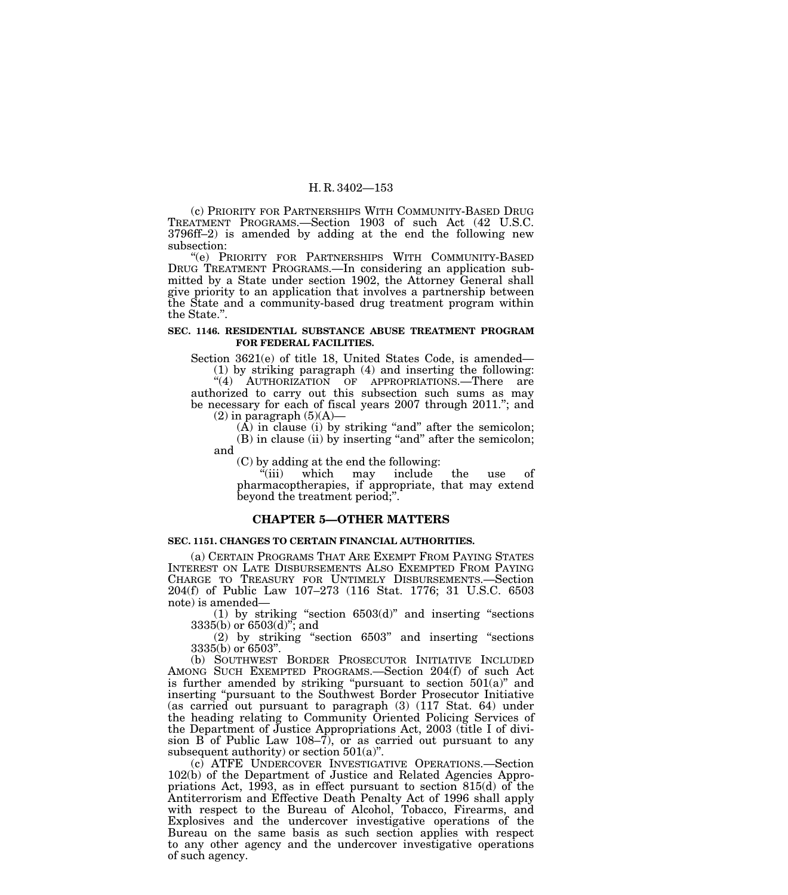(c) PRIORITY FOR PARTNERSHIPS WITH COMMUNITY-BASED DRUG TREATMENT PROGRAMS.—Section 1903 of such Act (42 U.S.C. 3796ff–2) is amended by adding at the end the following new subsection:

''(e) PRIORITY FOR PARTNERSHIPS WITH COMMUNITY-BASED DRUG TREATMENT PROGRAMS.—In considering an application submitted by a State under section 1902, the Attorney General shall give priority to an application that involves a partnership between the State and a community-based drug treatment program within the State.''.

#### **SEC. 1146. RESIDENTIAL SUBSTANCE ABUSE TREATMENT PROGRAM FOR FEDERAL FACILITIES.**

Section 3621(e) of title 18, United States Code, is amended—

(1) by striking paragraph (4) and inserting the following: "(4) AUTHORIZATION OF APPROPRIATIONS.—There are authorized to carry out this subsection such sums as may be necessary for each of fiscal years 2007 through 2011."; and

 $(2)$  in paragraph  $(5)(A)$ 

 $(A)$  in clause (i) by striking "and" after the semicolon;  $(B)$  in clause (ii) by inserting "and" after the semicolon; and

(C) by adding at the end the following:

which may include the use of pharmacoptherapies, if appropriate, that may extend beyond the treatment period;''.

## **CHAPTER 5—OTHER MATTERS**

## **SEC. 1151. CHANGES TO CERTAIN FINANCIAL AUTHORITIES.**

(a) CERTAIN PROGRAMS THAT ARE EXEMPT FROM PAYING STATES INTEREST ON LATE DISBURSEMENTS ALSO EXEMPTED FROM PAYING CHARGE TO TREASURY FOR UNTIMELY DISBURSEMENTS.—Section 204(f) of Public Law 107–273 (116 Stat. 1776; 31 U.S.C. 6503 note) is amended—

 $(1)$  by striking "section  $6503(d)$ " and inserting "sections" 3335(b) or 6503(d)''; and

(2) by striking ''section 6503'' and inserting ''sections 3335(b) or 6503''.

(b) SOUTHWEST BORDER PROSECUTOR INITIATIVE INCLUDED AMONG SUCH EXEMPTED PROGRAMS.—Section 204(f) of such Act is further amended by striking "pursuant to section  $501(a)$ " and inserting ''pursuant to the Southwest Border Prosecutor Initiative (as carried out pursuant to paragraph (3) (117 Stat. 64) under the heading relating to Community Oriented Policing Services of the Department of Justice Appropriations Act, 2003 (title I of division B of Public Law  $108-\overline{7}$ , or as carried out pursuant to any subsequent authority) or section 501(a)''.

(c) ATFE UNDERCOVER INVESTIGATIVE OPERATIONS.—Section 102(b) of the Department of Justice and Related Agencies Appropriations Act, 1993, as in effect pursuant to section 815(d) of the Antiterrorism and Effective Death Penalty Act of 1996 shall apply with respect to the Bureau of Alcohol, Tobacco, Firearms, and Explosives and the undercover investigative operations of the Bureau on the same basis as such section applies with respect to any other agency and the undercover investigative operations of such agency.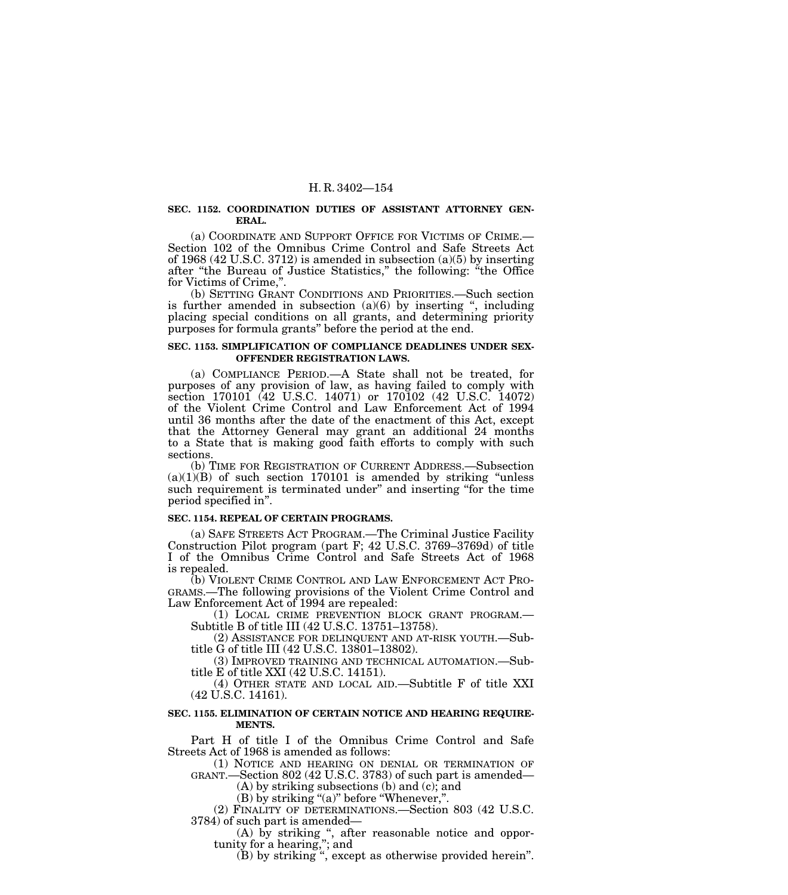#### **SEC. 1152. COORDINATION DUTIES OF ASSISTANT ATTORNEY GEN-ERAL.**

(a) COORDINATE AND SUPPORT OFFICE FOR VICTIMS OF CRIME.— Section 102 of the Omnibus Crime Control and Safe Streets Act of 1968 (42 U.S.C. 3712) is amended in subsection  $(a)(5)$  by inserting after ''the Bureau of Justice Statistics,'' the following: ''the Office for Victims of Crime,''.

(b) SETTING GRANT CONDITIONS AND PRIORITIES.—Such section is further amended in subsection  $(a)(6)$  by inserting ", including placing special conditions on all grants, and determining priority purposes for formula grants'' before the period at the end.

#### **SEC. 1153. SIMPLIFICATION OF COMPLIANCE DEADLINES UNDER SEX-OFFENDER REGISTRATION LAWS.**

(a) COMPLIANCE PERIOD.—A State shall not be treated, for purposes of any provision of law, as having failed to comply with section 170101 (42 U.S.C. 14071) or 170102 (42 U.S.C. 14072) of the Violent Crime Control and Law Enforcement Act of 1994 until 36 months after the date of the enactment of this Act, except that the Attorney General may grant an additional 24 months to a State that is making good faith efforts to comply with such sections.

(b) TIME FOR REGISTRATION OF CURRENT ADDRESS.—Subsection  $(a)(1)(B)$  of such section 170101 is amended by striking "unless" such requirement is terminated under" and inserting "for the time period specified in''.

#### **SEC. 1154. REPEAL OF CERTAIN PROGRAMS.**

(a) SAFE STREETS ACT PROGRAM.—The Criminal Justice Facility Construction Pilot program (part F; 42 U.S.C. 3769–3769d) of title I of the Omnibus Crime Control and Safe Streets Act of 1968 is repealed.

(b) VIOLENT CRIME CONTROL AND LAW ENFORCEMENT ACT PRO-GRAMS.—The following provisions of the Violent Crime Control and Law Enforcement Act of 1994 are repealed:

(1) LOCAL CRIME PREVENTION BLOCK GRANT PROGRAM.— Subtitle B of title III (42 U.S.C. 13751–13758).

(2) ASSISTANCE FOR DELINQUENT AND AT-RISK YOUTH.—Subtitle G of title III (42 U.S.C. 13801–13802).

(3) IMPROVED TRAINING AND TECHNICAL AUTOMATION.—Subtitle E of title XXI (42 U.S.C. 14151).

(4) OTHER STATE AND LOCAL AID.—Subtitle F of title XXI (42 U.S.C. 14161).

## **SEC. 1155. ELIMINATION OF CERTAIN NOTICE AND HEARING REQUIRE-MENTS.**

Part H of title I of the Omnibus Crime Control and Safe Streets Act of 1968 is amended as follows:

(1) NOTICE AND HEARING ON DENIAL OR TERMINATION OF GRANT.—Section 802 (42 U.S.C. 3783) of such part is amended—

(A) by striking subsections (b) and (c); and

(B) by striking "(a)" before "Whenever,".

(2) FINALITY OF DETERMINATIONS.—Section 803 (42 U.S.C. 3784) of such part is amended—

(A) by striking '', after reasonable notice and opportunity for a hearing,''; and

(B) by striking '', except as otherwise provided herein''.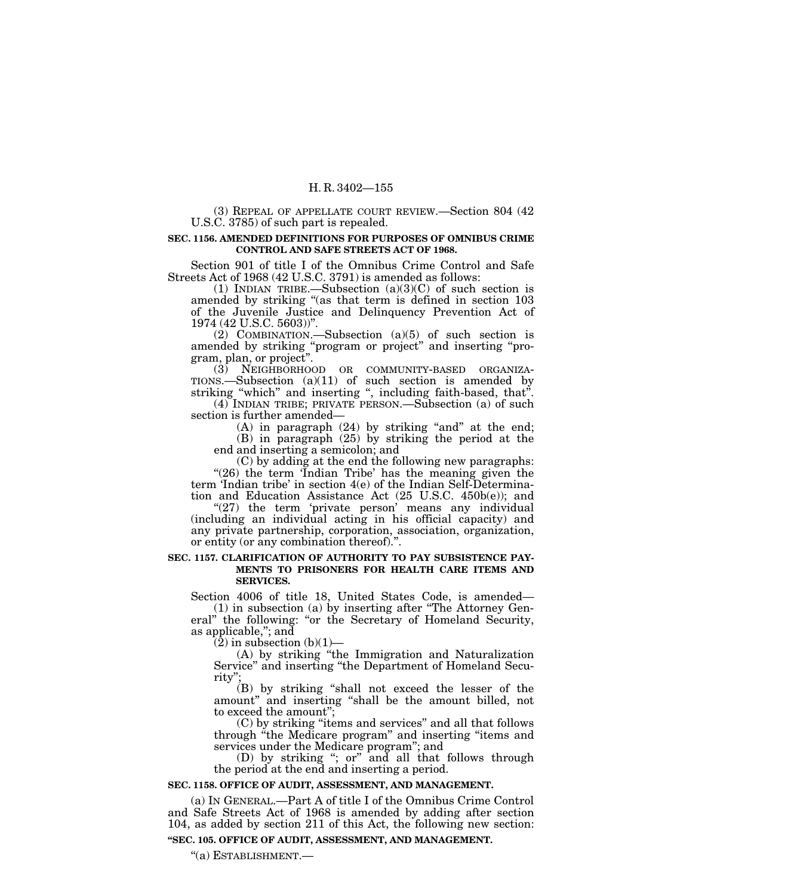(3) REPEAL OF APPELLATE COURT REVIEW.—Section 804 (42 U.S.C. 3785) of such part is repealed.

## **SEC. 1156. AMENDED DEFINITIONS FOR PURPOSES OF OMNIBUS CRIME CONTROL AND SAFE STREETS ACT OF 1968.**

Section 901 of title I of the Omnibus Crime Control and Safe Streets Act of 1968 (42 U.S.C. 3791) is amended as follows:

(1) INDIAN TRIBE.—Subsection  $(a)(3)(C)$  of such section is amended by striking "(as that term is defined in section 103 of the Juvenile Justice and Delinquency Prevention Act of 1974 (42 U.S.C. 5603))''.

(2) COMBINATION.—Subsection (a)(5) of such section is amended by striking ''program or project'' and inserting ''program, plan, or project''.

(3) NEIGHBORHOOD OR COMMUNITY-BASED ORGANIZA- TIONS.—Subsection (a)(11) of such section is amended by striking ''which'' and inserting '', including faith-based, that''.

(4) INDIAN TRIBE; PRIVATE PERSON.—Subsection (a) of such section is further amended—

(A) in paragraph  $(24)$  by striking "and" at the end; (B) in paragraph (25) by striking the period at the

end and inserting a semicolon; and (C) by adding at the end the following new paragraphs:

"(26) the term 'Indian Tribe' has the meaning given the term 'Indian tribe' in section 4(e) of the Indian Self-Determination and Education Assistance Act (25 U.S.C. 450b(e)); and

" $(27)$  the term 'private person' means any individual (including an individual acting in his official capacity) and any private partnership, corporation, association, organization, or entity (or any combination thereof).''.

#### **SEC. 1157. CLARIFICATION OF AUTHORITY TO PAY SUBSISTENCE PAY-MENTS TO PRISONERS FOR HEALTH CARE ITEMS AND SERVICES.**

Section 4006 of title 18, United States Code, is amended— (1) in subsection (a) by inserting after ''The Attorney General" the following: "or the Secretary of Homeland Security, as applicable,''; and

 $\tilde{2}$ ) in subsection (b)(1)–

(A) by striking ''the Immigration and Naturalization Service'' and inserting ''the Department of Homeland Security'';

(B) by striking ''shall not exceed the lesser of the amount'' and inserting ''shall be the amount billed, not to exceed the amount'';

(C) by striking ''items and services'' and all that follows through ''the Medicare program'' and inserting ''items and services under the Medicare program''; and

(D) by striking ''; or'' and all that follows through the period at the end and inserting a period.

## **SEC. 1158. OFFICE OF AUDIT, ASSESSMENT, AND MANAGEMENT.**

(a) IN GENERAL.—Part A of title I of the Omnibus Crime Control and Safe Streets Act of 1968 is amended by adding after section 104, as added by section 211 of this Act, the following new section:

**''SEC. 105. OFFICE OF AUDIT, ASSESSMENT, AND MANAGEMENT.** 

''(a) ESTABLISHMENT.—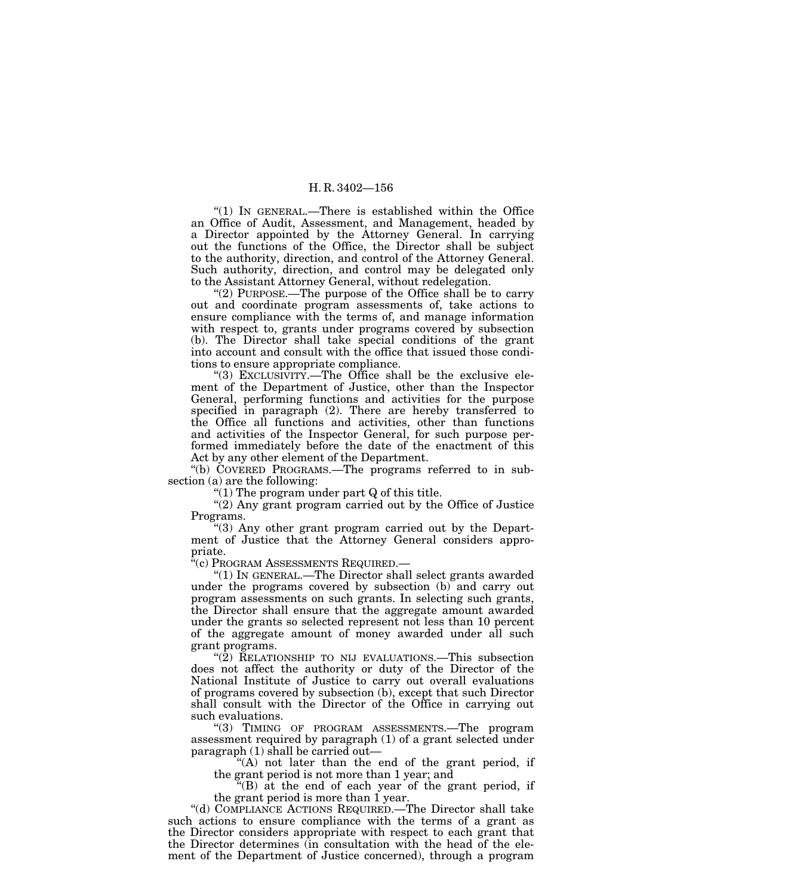" $(1)$  In GENERAL.—There is established within the Office an Office of Audit, Assessment, and Management, headed by a Director appointed by the Attorney General. In carrying out the functions of the Office, the Director shall be subject to the authority, direction, and control of the Attorney General. Such authority, direction, and control may be delegated only to the Assistant Attorney General, without redelegation.

''(2) PURPOSE.—The purpose of the Office shall be to carry out and coordinate program assessments of, take actions to ensure compliance with the terms of, and manage information with respect to, grants under programs covered by subsection (b). The Director shall take special conditions of the grant into account and consult with the office that issued those conditions to ensure appropriate compliance.

''(3) EXCLUSIVITY.—The Office shall be the exclusive element of the Department of Justice, other than the Inspector General, performing functions and activities for the purpose specified in paragraph (2). There are hereby transferred to the Office all functions and activities, other than functions and activities of the Inspector General, for such purpose performed immediately before the date of the enactment of this Act by any other element of the Department.

''(b) COVERED PROGRAMS.—The programs referred to in subsection (a) are the following:

"(1) The program under part  $Q$  of this title.

"(2) Any grant program carried out by the Office of Justice Programs.

''(3) Any other grant program carried out by the Department of Justice that the Attorney General considers appropriate.

''(c) PROGRAM ASSESSMENTS REQUIRED.—

''(1) IN GENERAL.—The Director shall select grants awarded under the programs covered by subsection (b) and carry out program assessments on such grants. In selecting such grants, the Director shall ensure that the aggregate amount awarded under the grants so selected represent not less than 10 percent of the aggregate amount of money awarded under all such grant programs.

" $(2)$  RELATIONSHIP TO NIJ EVALUATIONS.—This subsection does not affect the authority or duty of the Director of the National Institute of Justice to carry out overall evaluations of programs covered by subsection (b), except that such Director shall consult with the Director of the Office in carrying out such evaluations.

''(3) TIMING OF PROGRAM ASSESSMENTS.—The program assessment required by paragraph (1) of a grant selected under paragraph (1) shall be carried out—

''(A) not later than the end of the grant period, if the grant period is not more than 1 year; and

''(B) at the end of each year of the grant period, if the grant period is more than 1 year.

''(d) COMPLIANCE ACTIONS REQUIRED.—The Director shall take such actions to ensure compliance with the terms of a grant as the Director considers appropriate with respect to each grant that the Director determines (in consultation with the head of the element of the Department of Justice concerned), through a program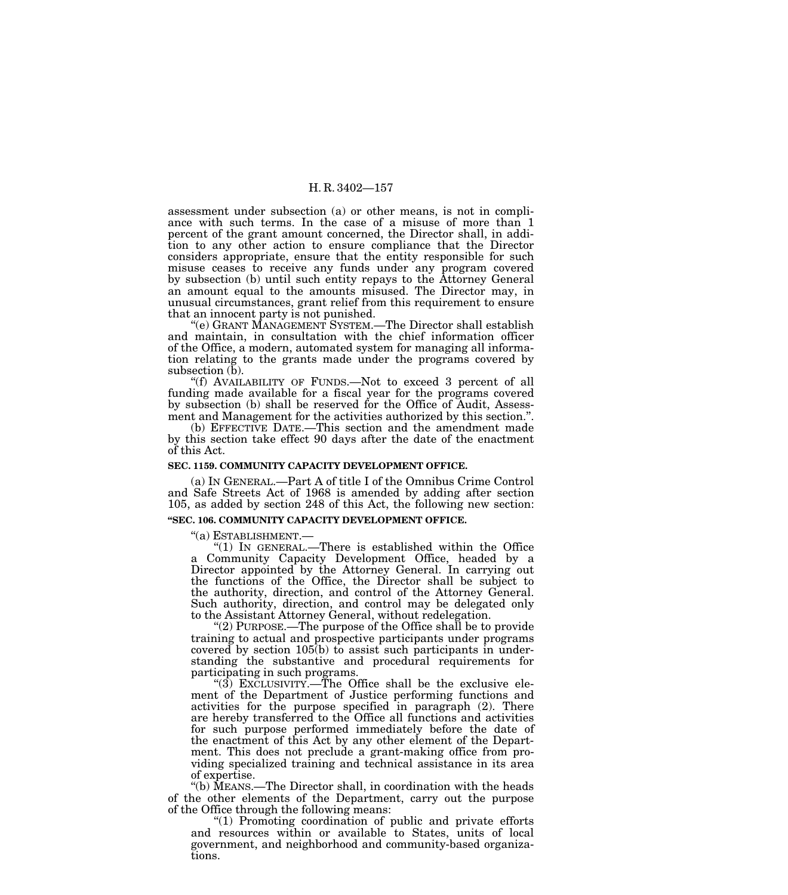assessment under subsection (a) or other means, is not in compliance with such terms. In the case of a misuse of more than 1 percent of the grant amount concerned, the Director shall, in addition to any other action to ensure compliance that the Director considers appropriate, ensure that the entity responsible for such misuse ceases to receive any funds under any program covered by subsection (b) until such entity repays to the Attorney General an amount equal to the amounts misused. The Director may, in unusual circumstances, grant relief from this requirement to ensure that an innocent party is not punished.

''(e) GRANT MANAGEMENT SYSTEM.—The Director shall establish and maintain, in consultation with the chief information officer of the Office, a modern, automated system for managing all information relating to the grants made under the programs covered by subsection (b).

"(f) AVAILABILITY OF FUNDS.—Not to exceed 3 percent of all funding made available for a fiscal year for the programs covered by subsection (b) shall be reserved for the Office of Audit, Assessment and Management for the activities authorized by this section.''.

(b) EFFECTIVE DATE.—This section and the amendment made by this section take effect 90 days after the date of the enactment of this Act.

#### **SEC. 1159. COMMUNITY CAPACITY DEVELOPMENT OFFICE.**

(a) IN GENERAL.—Part A of title I of the Omnibus Crime Control and Safe Streets Act of 1968 is amended by adding after section 105, as added by section 248 of this Act, the following new section:

# **''SEC. 106. COMMUNITY CAPACITY DEVELOPMENT OFFICE.**

''(a) ESTABLISHMENT.— ''(1) IN GENERAL.—There is established within the Office a Community Capacity Development Office, headed by a Director appointed by the Attorney General. In carrying out the functions of the Office, the Director shall be subject to the authority, direction, and control of the Attorney General. Such authority, direction, and control may be delegated only to the Assistant Attorney General, without redelegation.

''(2) PURPOSE.—The purpose of the Office shall be to provide training to actual and prospective participants under programs covered by section 105(b) to assist such participants in understanding the substantive and procedural requirements for participating in such programs.

"(3) EXCLUSIVITY.—The Office shall be the exclusive element of the Department of Justice performing functions and activities for the purpose specified in paragraph (2). There are hereby transferred to the Office all functions and activities for such purpose performed immediately before the date of the enactment of this Act by any other element of the Department. This does not preclude a grant-making office from providing specialized training and technical assistance in its area of expertise.

''(b) MEANS.—The Director shall, in coordination with the heads of the other elements of the Department, carry out the purpose of the Office through the following means:

''(1) Promoting coordination of public and private efforts and resources within or available to States, units of local government, and neighborhood and community-based organizations.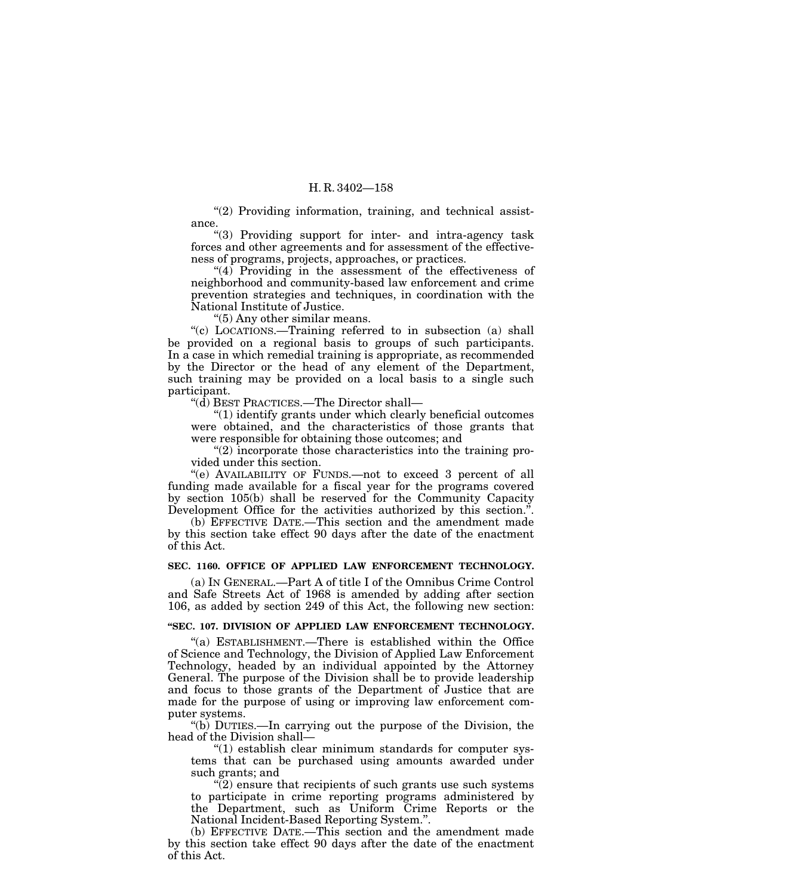''(2) Providing information, training, and technical assistance.

''(3) Providing support for inter- and intra-agency task forces and other agreements and for assessment of the effectiveness of programs, projects, approaches, or practices.

" $(4)$  Providing in the assessment of the effectiveness of neighborhood and community-based law enforcement and crime prevention strategies and techniques, in coordination with the National Institute of Justice.

''(5) Any other similar means.

"(c) LOCATIONS.—Training referred to in subsection (a) shall be provided on a regional basis to groups of such participants. In a case in which remedial training is appropriate, as recommended by the Director or the head of any element of the Department, such training may be provided on a local basis to a single such participant.

''(d) BEST PRACTICES.—The Director shall—

''(1) identify grants under which clearly beneficial outcomes were obtained, and the characteristics of those grants that were responsible for obtaining those outcomes; and

 $''(2)$  incorporate those characteristics into the training provided under this section.

''(e) AVAILABILITY OF FUNDS.—not to exceed 3 percent of all funding made available for a fiscal year for the programs covered by section 105(b) shall be reserved for the Community Capacity Development Office for the activities authorized by this section.".

(b) EFFECTIVE DATE.—This section and the amendment made by this section take effect 90 days after the date of the enactment of this Act.

## **SEC. 1160. OFFICE OF APPLIED LAW ENFORCEMENT TECHNOLOGY.**

(a) IN GENERAL.—Part A of title I of the Omnibus Crime Control and Safe Streets Act of 1968 is amended by adding after section 106, as added by section 249 of this Act, the following new section:

## **''SEC. 107. DIVISION OF APPLIED LAW ENFORCEMENT TECHNOLOGY.**

''(a) ESTABLISHMENT.—There is established within the Office of Science and Technology, the Division of Applied Law Enforcement Technology, headed by an individual appointed by the Attorney General. The purpose of the Division shall be to provide leadership and focus to those grants of the Department of Justice that are made for the purpose of using or improving law enforcement computer systems.

''(b) DUTIES.—In carrying out the purpose of the Division, the head of the Division shall—

''(1) establish clear minimum standards for computer systems that can be purchased using amounts awarded under such grants; and

 $\sqrt{\left(2\right)}$  ensure that recipients of such grants use such systems to participate in crime reporting programs administered by the Department, such as Uniform Crime Reports or the National Incident-Based Reporting System.''.

(b) EFFECTIVE DATE.—This section and the amendment made by this section take effect 90 days after the date of the enactment of this Act.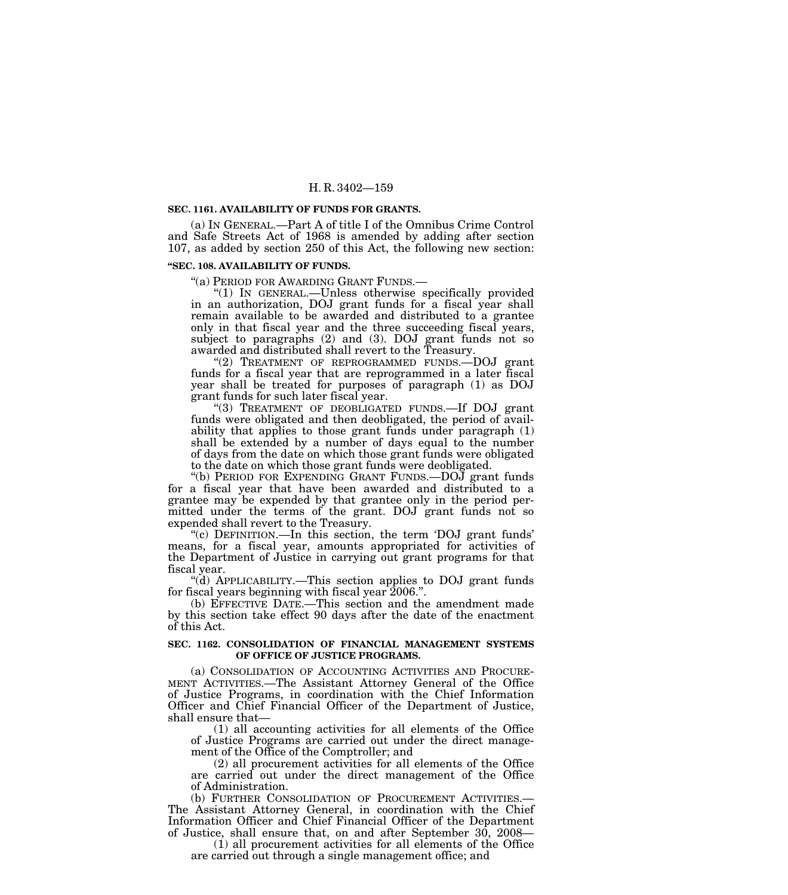## **SEC. 1161. AVAILABILITY OF FUNDS FOR GRANTS.**

(a) IN GENERAL.—Part A of title I of the Omnibus Crime Control and Safe Streets Act of 1968 is amended by adding after section 107, as added by section 250 of this Act, the following new section:

#### **''SEC. 108. AVAILABILITY OF FUNDS.**

''(a) PERIOD FOR AWARDING GRANT FUNDS.—

''(1) IN GENERAL.—Unless otherwise specifically provided in an authorization, DOJ grant funds for a fiscal year shall remain available to be awarded and distributed to a grantee only in that fiscal year and the three succeeding fiscal years, subject to paragraphs (2) and (3). DOJ grant funds not so awarded and distributed shall revert to the Treasury.

"(2) TREATMENT OF REPROGRAMMED FUNDS. DOJ grant funds for a fiscal year that are reprogrammed in a later fiscal year shall be treated for purposes of paragraph (1) as DOJ grant funds for such later fiscal year.

"(3) TREATMENT OF DEOBLIGATED FUNDS.—If DOJ grant funds were obligated and then deobligated, the period of availability that applies to those grant funds under paragraph (1) shall be extended by a number of days equal to the number of days from the date on which those grant funds were obligated to the date on which those grant funds were deobligated.

''(b) PERIOD FOR EXPENDING GRANT FUNDS.—DOJ grant funds for a fiscal year that have been awarded and distributed to a grantee may be expended by that grantee only in the period permitted under the terms of the grant. DOJ grant funds not so expended shall revert to the Treasury.

"(c) DEFINITION.—In this section, the term 'DOJ grant funds' means, for a fiscal year, amounts appropriated for activities of the Department of Justice in carrying out grant programs for that fiscal year.

''(d) APPLICABILITY.—This section applies to DOJ grant funds for fiscal years beginning with fiscal year  $2006$ .".

(b) EFFECTIVE DATE.—This section and the amendment made by this section take effect 90 days after the date of the enactment of this Act.

## **SEC. 1162. CONSOLIDATION OF FINANCIAL MANAGEMENT SYSTEMS OF OFFICE OF JUSTICE PROGRAMS.**

(a) CONSOLIDATION OF ACCOUNTING ACTIVITIES AND PROCURE-MENT ACTIVITIES.—The Assistant Attorney General of the Office of Justice Programs, in coordination with the Chief Information Officer and Chief Financial Officer of the Department of Justice, shall ensure that—

(1) all accounting activities for all elements of the Office of Justice Programs are carried out under the direct management of the Office of the Comptroller; and

(2) all procurement activities for all elements of the Office are carried out under the direct management of the Office of Administration.

(b) FURTHER CONSOLIDATION OF PROCUREMENT ACTIVITIES.— The Assistant Attorney General, in coordination with the Chief Information Officer and Chief Financial Officer of the Department of Justice, shall ensure that, on and after September 30, 2008—

(1) all procurement activities for all elements of the Office are carried out through a single management office; and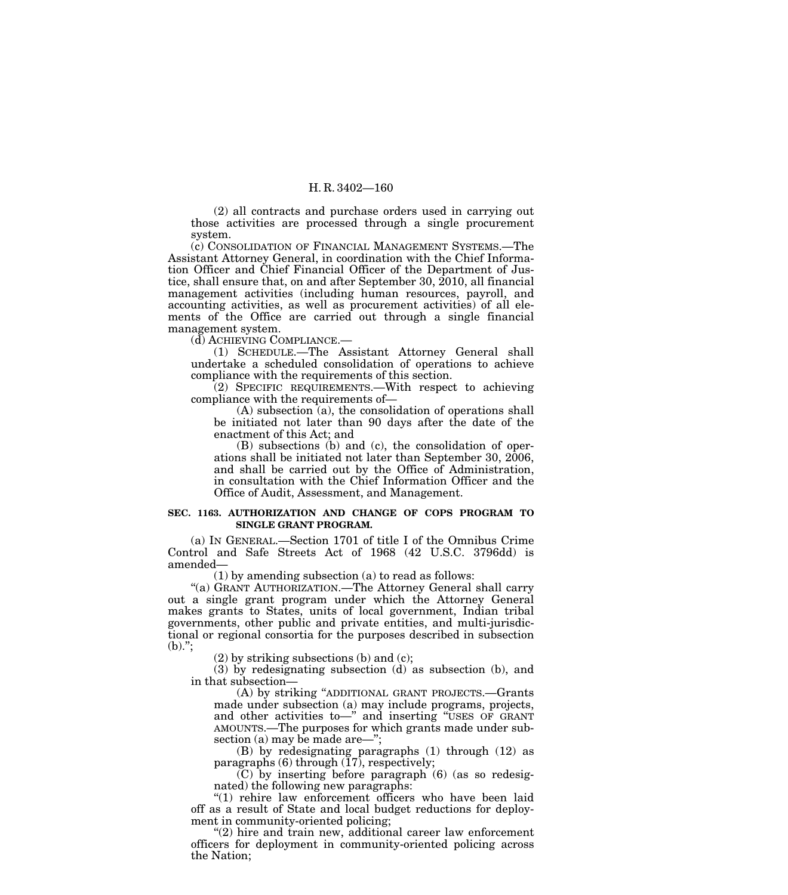(2) all contracts and purchase orders used in carrying out those activities are processed through a single procurement system.

(c) CONSOLIDATION OF FINANCIAL MANAGEMENT SYSTEMS.—The Assistant Attorney General, in coordination with the Chief Information Officer and Chief Financial Officer of the Department of Justice, shall ensure that, on and after September 30, 2010, all financial management activities (including human resources, payroll, and accounting activities, as well as procurement activities) of all elements of the Office are carried out through a single financial management system.

(d) ACHIEVING COMPLIANCE.—

(1) SCHEDULE.—The Assistant Attorney General shall undertake a scheduled consolidation of operations to achieve compliance with the requirements of this section.

(2) SPECIFIC REQUIREMENTS.—With respect to achieving compliance with the requirements of—

(A) subsection (a), the consolidation of operations shall be initiated not later than 90 days after the date of the enactment of this Act; and

(B) subsections (b) and (c), the consolidation of operations shall be initiated not later than September 30, 2006, and shall be carried out by the Office of Administration, in consultation with the Chief Information Officer and the Office of Audit, Assessment, and Management.

#### **SEC. 1163. AUTHORIZATION AND CHANGE OF COPS PROGRAM TO SINGLE GRANT PROGRAM.**

(a) IN GENERAL.—Section 1701 of title I of the Omnibus Crime Control and Safe Streets Act of 1968 (42 U.S.C. 3796dd) is amended—

(1) by amending subsection (a) to read as follows:

"(a) GRANT AUTHORIZATION.—The Attorney General shall carry out a single grant program under which the Attorney General makes grants to States, units of local government, Indian tribal governments, other public and private entities, and multi-jurisdictional or regional consortia for the purposes described in subsection  $(b)$ .";

(2) by striking subsections (b) and (c);

 $(3)$  by redesignating subsection  $(d)$  as subsection  $(b)$ , and in that subsection—

(A) by striking ''ADDITIONAL GRANT PROJECTS.—Grants made under subsection (a) may include programs, projects, and other activities to—'' and inserting ''USES OF GRANT AMOUNTS.—The purposes for which grants made under subsection (a) may be made are—";

(B) by redesignating paragraphs (1) through (12) as paragraphs (6) through (17), respectively;

 $(C)$  by inserting before paragraph  $(6)$  (as so redesignated) the following new paragraphs:

" $(1)$  rehire law enforcement officers who have been laid off as a result of State and local budget reductions for deployment in community-oriented policing;

 $(2)$  hire and train new, additional career law enforcement officers for deployment in community-oriented policing across the Nation;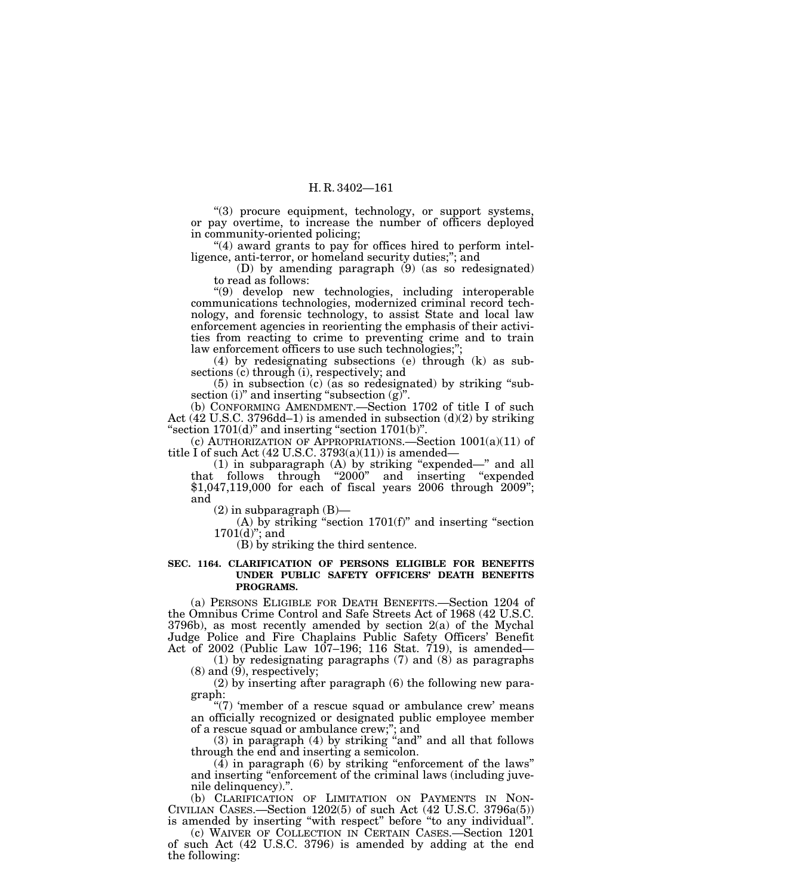"(3) procure equipment, technology, or support systems, or pay overtime, to increase the number of officers deployed in community-oriented policing;

"(4) award grants to pay for offices hired to perform intelligence, anti-terror, or homeland security duties;''; and

(D) by amending paragraph (9) (as so redesignated) to read as follows:

''(9) develop new technologies, including interoperable communications technologies, modernized criminal record technology, and forensic technology, to assist State and local law enforcement agencies in reorienting the emphasis of their activities from reacting to crime to preventing crime and to train law enforcement officers to use such technologies;";

(4) by redesignating subsections (e) through (k) as subsections (c) through (i), respectively; and

(5) in subsection (c) (as so redesignated) by striking ''subsection (i)" and inserting "subsection  $(g)$ ".

(b) CONFORMING AMENDMENT.—Section 1702 of title I of such Act (42 U.S.C. 3796dd–1) is amended in subsection (d)(2) by striking "section 1701(d)" and inserting "section 1701(b)".

(c) AUTHORIZATION OF APPROPRIATIONS.—Section  $1001(a)(11)$  of title I of such Act  $(42 \text{ U.S.C. } 3793(a)(11))$  is amended—

(1) in subparagraph (A) by striking ''expended—'' and all that follows through ''2000'' and inserting ''expended \$1,047,119,000 for each of fiscal years 2006 through 2009''; and

 $(2)$  in subparagraph  $(B)$ —

(A) by striking "section  $1701(f)$ " and inserting "section  $1701(d)$ "; and

(B) by striking the third sentence.

## **SEC. 1164. CLARIFICATION OF PERSONS ELIGIBLE FOR BENEFITS UNDER PUBLIC SAFETY OFFICERS' DEATH BENEFITS PROGRAMS.**

(a) PERSONS ELIGIBLE FOR DEATH BENEFITS.—Section 1204 of the Omnibus Crime Control and Safe Streets Act of 1968 (42 U.S.C. 3796b), as most recently amended by section 2(a) of the Mychal Judge Police and Fire Chaplains Public Safety Officers' Benefit Act of 2002 (Public Law  $107-196$ ; 116 Stat. 719), is amended—

(1) by redesignating paragraphs (7) and  $(8)$  as paragraphs (8) and (9), respectively;

(2) by inserting after paragraph (6) the following new paragraph:

"(7) 'member of a rescue squad or ambulance crew' means an officially recognized or designated public employee member of a rescue squad or ambulance crew;''; and

(3) in paragraph (4) by striking ''and'' and all that follows through the end and inserting a semicolon.

 $(\overline{4})$  in paragraph  $(6)$  by striking "enforcement of the laws" and inserting "enforcement of the criminal laws (including juvenile delinquency).''.

(b) CLARIFICATION OF LIMITATION ON PAYMENTS IN NON-CIVILIAN CASES.—Section 1202(5) of such Act (42 U.S.C. 3796a(5)) is amended by inserting "with respect" before "to any individual".

(c) WAIVER OF COLLECTION IN CERTAIN CASES.—Section 1201 of such Act (42 U.S.C. 3796) is amended by adding at the end the following: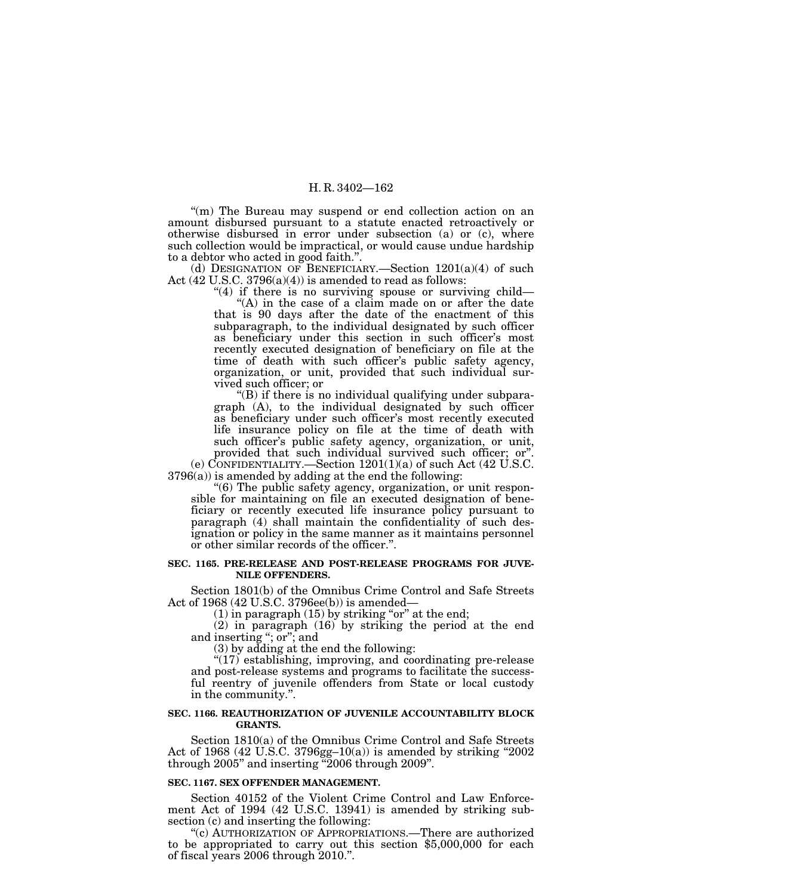"(m) The Bureau may suspend or end collection action on an amount disbursed pursuant to a statute enacted retroactively or otherwise disbursed in error under subsection (a) or (c), where such collection would be impractical, or would cause undue hardship to a debtor who acted in good faith.''.

(d) DESIGNATION OF BENEFICIARY.—Section 1201(a)(4) of such Act  $(42 \text{ U.S.C. } 3796(a)(4))$  is amended to read as follows:

"(4) if there is no surviving spouse or surviving child—

"(A) in the case of a claim made on or after the date that is 90 days after the date of the enactment of this subparagraph, to the individual designated by such officer as beneficiary under this section in such officer's most recently executed designation of beneficiary on file at the time of death with such officer's public safety agency, organization, or unit, provided that such individual survived such officer; or

 $\mathrm{``(B)}$  if there is no individual qualifying under subparagraph (A), to the individual designated by such officer as beneficiary under such officer's most recently executed life insurance policy on file at the time of death with such officer's public safety agency, organization, or unit, provided that such individual survived such officer; or''.

(e) CONFIDENTIALITY.—Section  $1201(1)(a)$  of such Act (42 U.S.C.  $3796(a)$ ) is amended by adding at the end the following:

''(6) The public safety agency, organization, or unit responsible for maintaining on file an executed designation of beneficiary or recently executed life insurance policy pursuant to paragraph (4) shall maintain the confidentiality of such designation or policy in the same manner as it maintains personnel or other similar records of the officer.''.

## **SEC. 1165. PRE-RELEASE AND POST-RELEASE PROGRAMS FOR JUVE-NILE OFFENDERS.**

Section 1801(b) of the Omnibus Crime Control and Safe Streets Act of 1968 (42 U.S.C. 3796ee(b)) is amended—

 $(1)$  in paragraph  $(15)$  by striking "or" at the end;

(2) in paragraph (16) by striking the period at the end and inserting ''; or''; and

(3) by adding at the end the following:

 $(17)$  establishing, improving, and coordinating pre-release and post-release systems and programs to facilitate the successful reentry of juvenile offenders from State or local custody in the community.''.

#### **SEC. 1166. REAUTHORIZATION OF JUVENILE ACCOUNTABILITY BLOCK GRANTS.**

Section 1810(a) of the Omnibus Crime Control and Safe Streets Act of 1968  $(42 \text{ U.S.C. } 3796 \text{gg} - 10(a))$  is amended by striking "2002 through 2005'' and inserting ''2006 through 2009''.

#### **SEC. 1167. SEX OFFENDER MANAGEMENT.**

Section 40152 of the Violent Crime Control and Law Enforcement Act of 1994 (42 U.S.C. 13941) is amended by striking subsection (c) and inserting the following:

''(c) AUTHORIZATION OF APPROPRIATIONS.—There are authorized to be appropriated to carry out this section \$5,000,000 for each of fiscal years 2006 through 2010.''.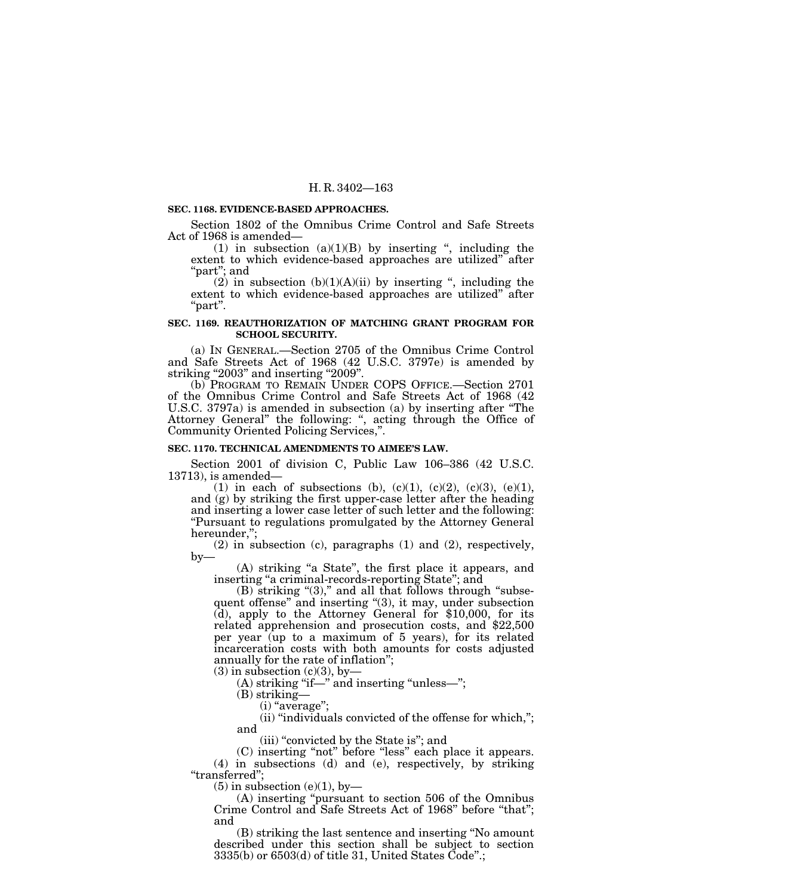#### **SEC. 1168. EVIDENCE-BASED APPROACHES.**

Section 1802 of the Omnibus Crime Control and Safe Streets Act of 1968 is amended—

(1) in subsection  $(a)(1)(B)$  by inserting ", including the extent to which evidence-based approaches are utilized'' after ''part''; and

(2) in subsection  $(b)(1)(A)(ii)$  by inserting ", including the extent to which evidence-based approaches are utilized'' after ''part''.

## **SEC. 1169. REAUTHORIZATION OF MATCHING GRANT PROGRAM FOR SCHOOL SECURITY.**

(a) IN GENERAL.—Section 2705 of the Omnibus Crime Control and Safe Streets Act of 1968 (42 U.S.C. 3797e) is amended by striking "2003" and inserting "2009".

(b) PROGRAM TO REMAIN UNDER COPS OFFICE.—Section 2701 of the Omnibus Crime Control and Safe Streets Act of 1968 (42 U.S.C. 3797a) is amended in subsection (a) by inserting after ''The Attorney General" the following: ", acting through the Office of Community Oriented Policing Services,''.

#### **SEC. 1170. TECHNICAL AMENDMENTS TO AIMEE'S LAW.**

Section 2001 of division C, Public Law 106–386 (42 U.S.C. 13713), is amended—

(1) in each of subsections (b),  $(c)(1)$ ,  $(c)(2)$ ,  $(c)(3)$ ,  $(e)(1)$ , and (g) by striking the first upper-case letter after the heading and inserting a lower case letter of such letter and the following: ''Pursuant to regulations promulgated by the Attorney General hereunder,'';

(2) in subsection (c), paragraphs (1) and (2), respectively, by—

(A) striking ''a State'', the first place it appears, and inserting "a criminal-records-reporting State"; and

 $(B)$  striking " $(3)$ ," and all that follows through "subsequent offense'' and inserting ''(3), it may, under subsection (d), apply to the Attorney General for \$10,000, for its related apprehension and prosecution costs, and \$22,500 per year (up to a maximum of 5 years), for its related incarceration costs with both amounts for costs adjusted annually for the rate of inflation'';

 $(3)$  in subsection  $(c)(3)$ , by-

 $(A)$  striking "if—" and inserting "unless—";

(B) striking—

 $(i)$  "average";

(ii) ''individuals convicted of the offense for which,''; and

(iii) "convicted by the State is"; and

(C) inserting ''not'' before ''less'' each place it appears. (4) in subsections (d) and (e), respectively, by striking ''transferred'';

 $(5)$  in subsection  $(e)(1)$ , by

(A) inserting ''pursuant to section 506 of the Omnibus Crime Control and Safe Streets Act of 1968'' before ''that''; and

(B) striking the last sentence and inserting ''No amount described under this section shall be subject to section 3335(b) or 6503(d) of title 31, United States Code''.;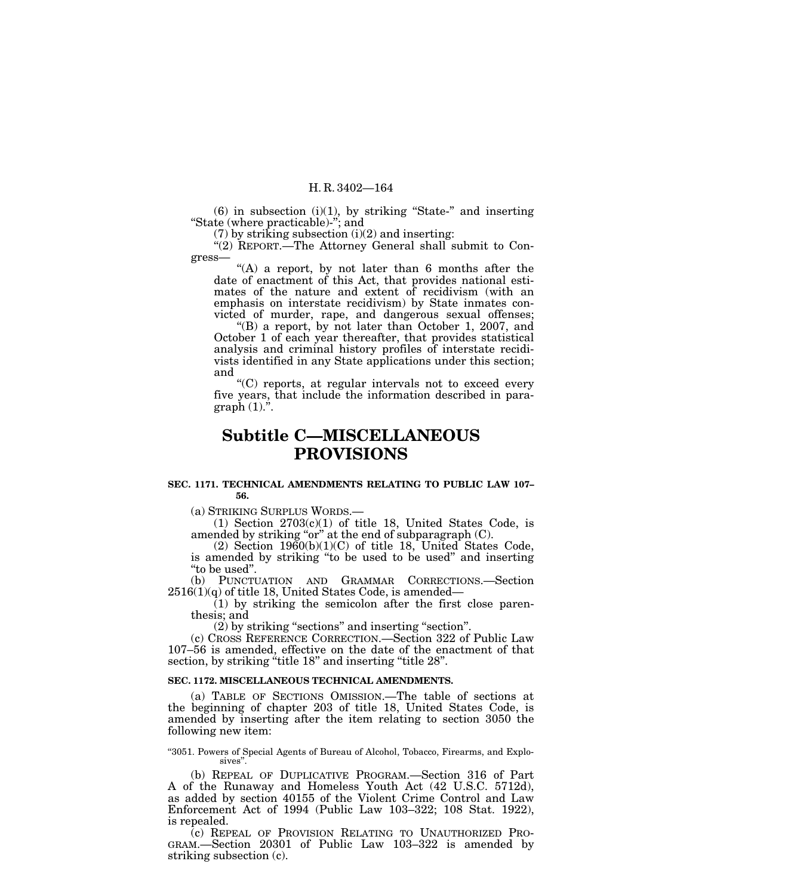$(6)$  in subsection  $(i)(1)$ , by striking "State-" and inserting ''State (where practicable)-''; and

 $(7)$  by striking subsection  $(i)(2)$  and inserting:

"(2) REPORT.—The Attorney General shall submit to Congress—

"(A) a report, by not later than 6 months after the date of enactment of this Act, that provides national estimates of the nature and extent of recidivism (with an emphasis on interstate recidivism) by State inmates convicted of murder, rape, and dangerous sexual offenses;

''(B) a report, by not later than October 1, 2007, and October 1 of each year thereafter, that provides statistical analysis and criminal history profiles of interstate recidivists identified in any State applications under this section; and

''(C) reports, at regular intervals not to exceed every five years, that include the information described in para $graph (1).$ ".

# **Subtitle C—MISCELLANEOUS PROVISIONS**

## **SEC. 1171. TECHNICAL AMENDMENTS RELATING TO PUBLIC LAW 107– 56.**

(a) STRIKING SURPLUS WORDS.— (1) Section 2703(c)(1) of title 18, United States Code, is amended by striking "or" at the end of subparagraph (C).

(2) Section  $1960(b)(1)(C)$  of title 18, United States Code, is amended by striking ''to be used to be used'' and inserting ''to be used''.

(b) PUNCTUATION AND GRAMMAR CORRECTIONS.—Section 2516(1)(q) of title 18, United States Code, is amended—

 $(1)$  by striking the semicolon after the first close parenthesis; and

(2) by striking ''sections'' and inserting ''section''.

(c) CROSS REFERENCE CORRECTION.—Section 322 of Public Law 107–56 is amended, effective on the date of the enactment of that section, by striking "title 18" and inserting "title 28".

## **SEC. 1172. MISCELLANEOUS TECHNICAL AMENDMENTS.**

(a) TABLE OF SECTIONS OMISSION.—The table of sections at the beginning of chapter 203 of title 18, United States Code, is amended by inserting after the item relating to section 3050 the following new item:

''3051. Powers of Special Agents of Bureau of Alcohol, Tobacco, Firearms, and Explosives''.

(b) REPEAL OF DUPLICATIVE PROGRAM.—Section 316 of Part A of the Runaway and Homeless Youth Act (42 U.S.C. 5712d), as added by section 40155 of the Violent Crime Control and Law Enforcement Act of 1994 (Public Law 103–322; 108 Stat. 1922), is repealed.

(c) REPEAL OF PROVISION RELATING TO UNAUTHORIZED PRO-GRAM.—Section 20301 of Public Law 103–322 is amended by striking subsection (c).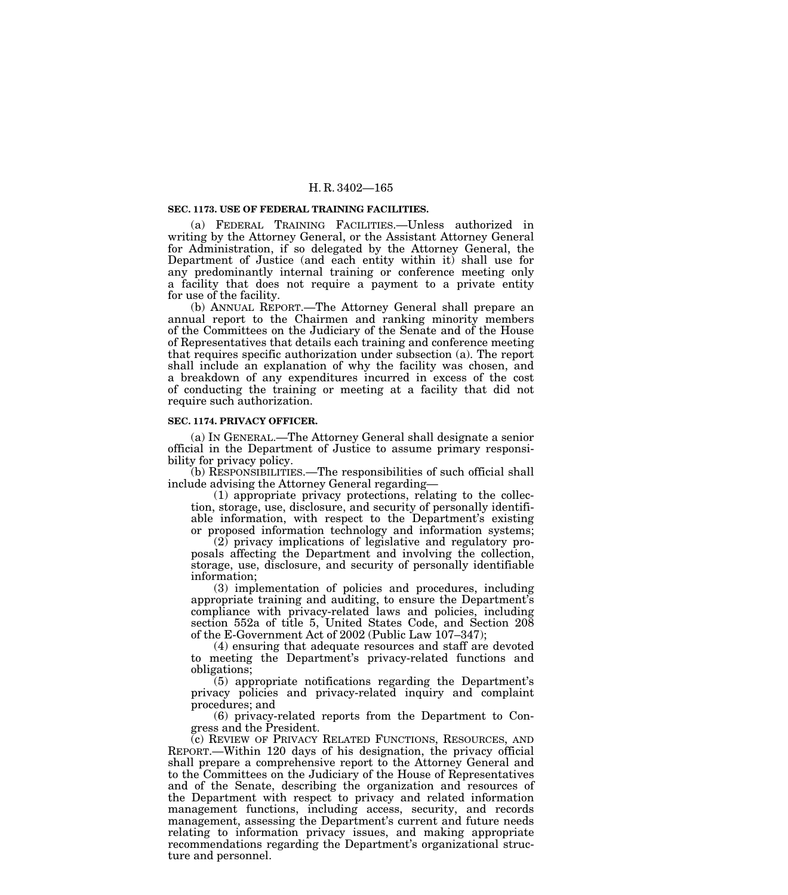#### **SEC. 1173. USE OF FEDERAL TRAINING FACILITIES.**

(a) FEDERAL TRAINING FACILITIES.—Unless authorized in writing by the Attorney General, or the Assistant Attorney General for Administration, if so delegated by the Attorney General, the Department of Justice (and each entity within it) shall use for any predominantly internal training or conference meeting only a facility that does not require a payment to a private entity for use of the facility.

(b) ANNUAL REPORT.—The Attorney General shall prepare an annual report to the Chairmen and ranking minority members of the Committees on the Judiciary of the Senate and of the House of Representatives that details each training and conference meeting that requires specific authorization under subsection (a). The report shall include an explanation of why the facility was chosen, and a breakdown of any expenditures incurred in excess of the cost of conducting the training or meeting at a facility that did not require such authorization.

#### **SEC. 1174. PRIVACY OFFICER.**

(a) IN GENERAL.—The Attorney General shall designate a senior official in the Department of Justice to assume primary responsibility for privacy policy.

(b) RESPONSIBILITIES.—The responsibilities of such official shall include advising the Attorney General regarding—

(1) appropriate privacy protections, relating to the collection, storage, use, disclosure, and security of personally identifiable information, with respect to the Department's existing or proposed information technology and information systems;

(2) privacy implications of legislative and regulatory proposals affecting the Department and involving the collection, storage, use, disclosure, and security of personally identifiable information;

(3) implementation of policies and procedures, including appropriate training and auditing, to ensure the Department's compliance with privacy-related laws and policies, including section 552a of title 5, United States Code, and Section 208 of the E-Government Act of 2002 (Public Law 107–347);

(4) ensuring that adequate resources and staff are devoted to meeting the Department's privacy-related functions and obligations;

(5) appropriate notifications regarding the Department's privacy policies and privacy-related inquiry and complaint procedures; and

(6) privacy-related reports from the Department to Congress and the President.

(c) REVIEW OF PRIVACY RELATED FUNCTIONS, RESOURCES, AND REPORT.—Within 120 days of his designation, the privacy official shall prepare a comprehensive report to the Attorney General and to the Committees on the Judiciary of the House of Representatives and of the Senate, describing the organization and resources of the Department with respect to privacy and related information management functions, including access, security, and records management, assessing the Department's current and future needs relating to information privacy issues, and making appropriate recommendations regarding the Department's organizational structure and personnel.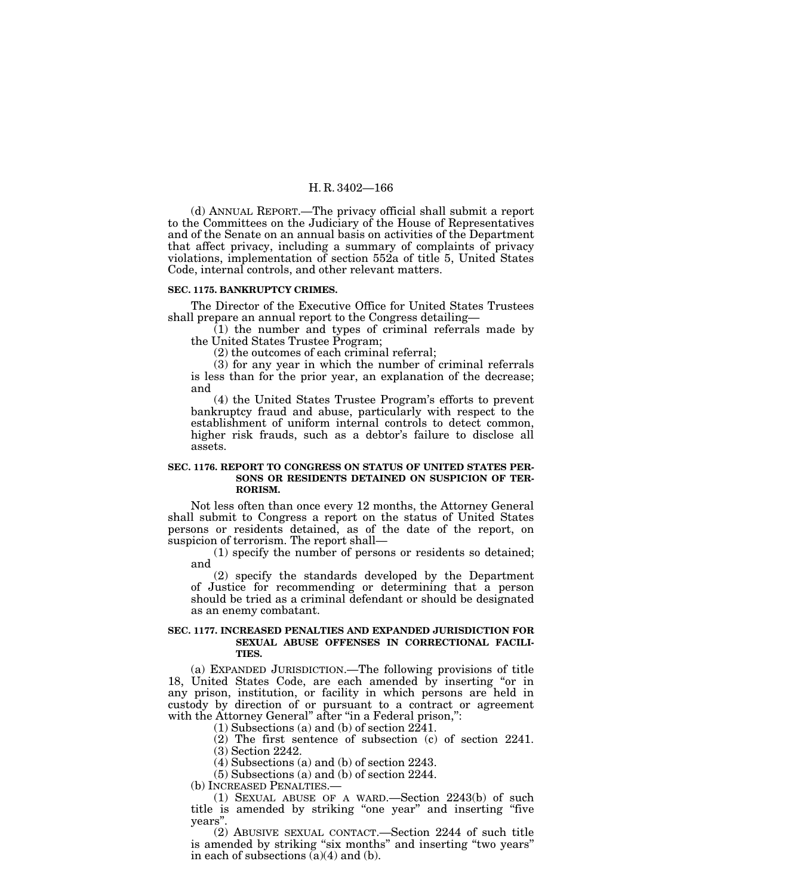(d) ANNUAL REPORT.—The privacy official shall submit a report to the Committees on the Judiciary of the House of Representatives and of the Senate on an annual basis on activities of the Department that affect privacy, including a summary of complaints of privacy violations, implementation of section 552a of title 5, United States Code, internal controls, and other relevant matters.

## **SEC. 1175. BANKRUPTCY CRIMES.**

The Director of the Executive Office for United States Trustees shall prepare an annual report to the Congress detailing—

 $(1)$  the number and types of criminal referrals made by the United States Trustee Program;

(2) the outcomes of each criminal referral;

(3) for any year in which the number of criminal referrals is less than for the prior year, an explanation of the decrease; and

(4) the United States Trustee Program's efforts to prevent bankruptcy fraud and abuse, particularly with respect to the establishment of uniform internal controls to detect common, higher risk frauds, such as a debtor's failure to disclose all assets.

## **SEC. 1176. REPORT TO CONGRESS ON STATUS OF UNITED STATES PER-SONS OR RESIDENTS DETAINED ON SUSPICION OF TER-RORISM.**

Not less often than once every 12 months, the Attorney General shall submit to Congress a report on the status of United States persons or residents detained, as of the date of the report, on suspicion of terrorism. The report shall—

(1) specify the number of persons or residents so detained; and

(2) specify the standards developed by the Department of Justice for recommending or determining that a person should be tried as a criminal defendant or should be designated as an enemy combatant.

## **SEC. 1177. INCREASED PENALTIES AND EXPANDED JURISDICTION FOR SEXUAL ABUSE OFFENSES IN CORRECTIONAL FACILI-TIES.**

(a) EXPANDED JURISDICTION.—The following provisions of title 18, United States Code, are each amended by inserting "or in any prison, institution, or facility in which persons are held in custody by direction of or pursuant to a contract or agreement with the Attorney General" after "in a Federal prison,":

 $(1)$  Subsections (a) and (b) of section 2241.

(2) The first sentence of subsection (c) of section 2241.

(3) Section 2242.

(4) Subsections (a) and (b) of section 2243.

(5) Subsections (a) and (b) of section 2244.

(b) INCREASED PENALTIES.—

(1) SEXUAL ABUSE OF A WARD.—Section 2243(b) of such title is amended by striking "one year" and inserting "five years''.

(2) ABUSIVE SEXUAL CONTACT.—Section 2244 of such title is amended by striking "six months" and inserting "two years" in each of subsections  $(a)(4)$  and  $(b)$ .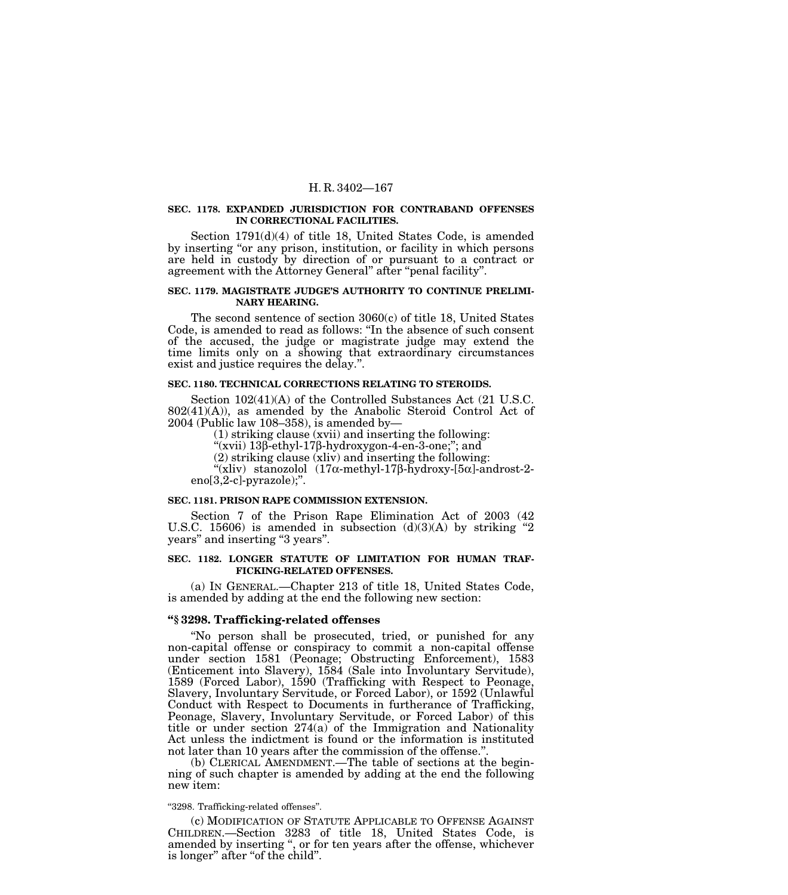#### **SEC. 1178. EXPANDED JURISDICTION FOR CONTRABAND OFFENSES IN CORRECTIONAL FACILITIES.**

Section 1791(d)(4) of title 18, United States Code, is amended by inserting "or any prison, institution, or facility in which persons are held in custody by direction of or pursuant to a contract or agreement with the Attorney General'' after ''penal facility''.

#### **SEC. 1179. MAGISTRATE JUDGE'S AUTHORITY TO CONTINUE PRELIMI-NARY HEARING.**

The second sentence of section 3060(c) of title 18, United States Code, is amended to read as follows: ''In the absence of such consent of the accused, the judge or magistrate judge may extend the time limits only on a showing that extraordinary circumstances exist and justice requires the delay.''.

#### **SEC. 1180. TECHNICAL CORRECTIONS RELATING TO STEROIDS.**

Section 102(41)(A) of the Controlled Substances Act (21 U.S.C.  $802(41)(A)$ , as amended by the Anabolic Steroid Control Act of 2004 (Public law 108–358), is amended by—

(1) striking clause (xvii) and inserting the following:

''(xvii) 13β-ethyl-17β-hydroxygon-4-en-3-one;''; and

(2) striking clause (xliv) and inserting the following:

''(xliv) stanozolol (17α-methyl-17β-hydroxy-[5α]-androst-2 eno[3,2-c]-pyrazole);".

#### **SEC. 1181. PRISON RAPE COMMISSION EXTENSION.**

Section 7 of the Prison Rape Elimination Act of 2003 (42 U.S.C. 15606) is amended in subsection  $(d)(3)(A)$  by striking "2 years'' and inserting ''3 years''.

## **SEC. 1182. LONGER STATUTE OF LIMITATION FOR HUMAN TRAF-FICKING-RELATED OFFENSES.**

(a) IN GENERAL.—Chapter 213 of title 18, United States Code, is amended by adding at the end the following new section:

## **''§ 3298. Trafficking-related offenses**

''No person shall be prosecuted, tried, or punished for any non-capital offense or conspiracy to commit a non-capital offense under section 1581 (Peonage; Obstructing Enforcement), 1583 (Enticement into Slavery), 1584 (Sale into Involuntary Servitude), 1589 (Forced Labor), 1590 (Trafficking with Respect to Peonage, Slavery, Involuntary Servitude, or Forced Labor), or 1592 (Unlawful Conduct with Respect to Documents in furtherance of Trafficking, Peonage, Slavery, Involuntary Servitude, or Forced Labor) of this title or under section 274(a) of the Immigration and Nationality Act unless the indictment is found or the information is instituted not later than 10 years after the commission of the offense."

(b) CLERICAL AMENDMENT.—The table of sections at the beginning of such chapter is amended by adding at the end the following new item:

#### ''3298. Trafficking-related offenses''.

(c) MODIFICATION OF STATUTE APPLICABLE TO OFFENSE AGAINST CHILDREN.—Section 3283 of title 18, United States Code, is amended by inserting '', or for ten years after the offense, whichever is longer" after "of the child".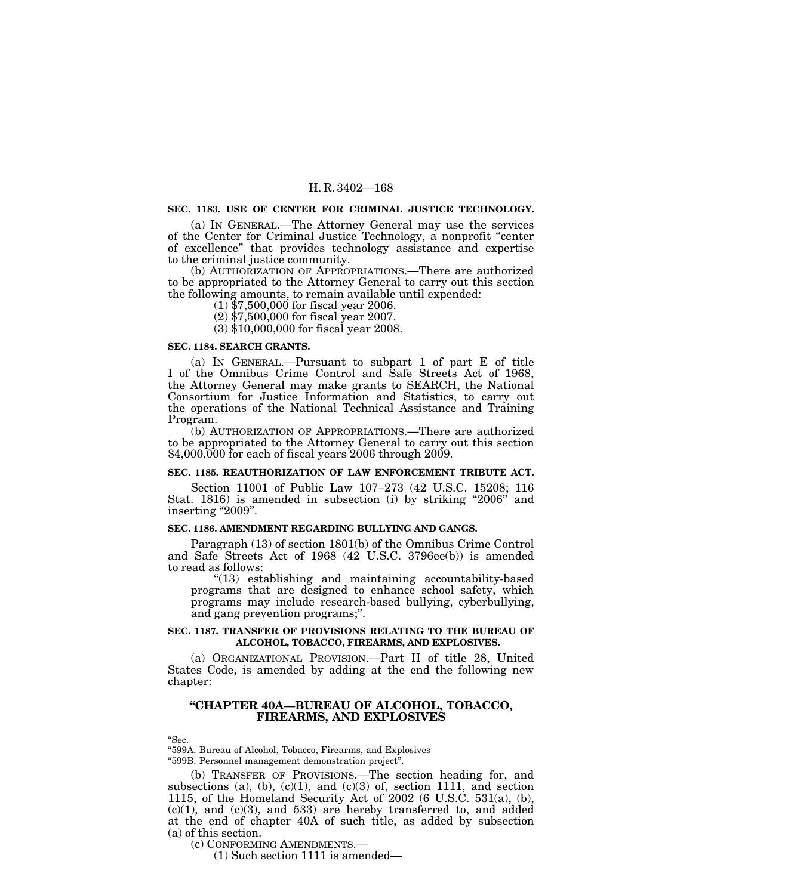#### **SEC. 1183. USE OF CENTER FOR CRIMINAL JUSTICE TECHNOLOGY.**

(a) IN GENERAL.—The Attorney General may use the services of the Center for Criminal Justice Technology, a nonprofit ''center of excellence'' that provides technology assistance and expertise to the criminal justice community.

(b) AUTHORIZATION OF APPROPRIATIONS.—There are authorized to be appropriated to the Attorney General to carry out this section the following amounts, to remain available until expended:

(1) \$7,500,000 for fiscal year 2006.

 $(2)$  \$7,500,000 for fiscal year 2007.

(3) \$10,000,000 for fiscal year 2008.

#### **SEC. 1184. SEARCH GRANTS.**

(a) IN GENERAL.—Pursuant to subpart 1 of part E of title I of the Omnibus Crime Control and Safe Streets Act of 1968, the Attorney General may make grants to SEARCH, the National Consortium for Justice Information and Statistics, to carry out the operations of the National Technical Assistance and Training Program.

(b) AUTHORIZATION OF APPROPRIATIONS.—There are authorized to be appropriated to the Attorney General to carry out this section \$4,000,000 for each of fiscal years 2006 through 2009.

## **SEC. 1185. REAUTHORIZATION OF LAW ENFORCEMENT TRIBUTE ACT.**

Section 11001 of Public Law 107–273 (42 U.S.C. 15208; 116 Stat. 1816) is amended in subsection (i) by striking "2006" and inserting "2009".

#### **SEC. 1186. AMENDMENT REGARDING BULLYING AND GANGS.**

Paragraph (13) of section 1801(b) of the Omnibus Crime Control and Safe Streets Act of 1968 (42 U.S.C. 3796ee(b)) is amended to read as follows:

''(13) establishing and maintaining accountability-based programs that are designed to enhance school safety, which programs may include research-based bullying, cyberbullying, and gang prevention programs;''.

## **SEC. 1187. TRANSFER OF PROVISIONS RELATING TO THE BUREAU OF ALCOHOL, TOBACCO, FIREARMS, AND EXPLOSIVES.**

(a) ORGANIZATIONAL PROVISION.—Part II of title 28, United States Code, is amended by adding at the end the following new chapter:

## **''CHAPTER 40A—BUREAU OF ALCOHOL, TOBACCO, FIREARMS, AND EXPLOSIVES**

''Sec.

''599A. Bureau of Alcohol, Tobacco, Firearms, and Explosives ''599B. Personnel management demonstration project''.

(b) TRANSFER OF PROVISIONS.—The section heading for, and subsections (a), (b), (c)(1), and (c)(3) of, section 1111, and section 1115, of the Homeland Security Act of 2002 (6 U.S.C. 531(a), (b),  $(c)(1)$ , and  $(c)(3)$ , and 533) are hereby transferred to, and added at the end of chapter 40A of such title, as added by subsection (a) of this section.

(c) CONFORMING AMENDMENTS.—

(1) Such section 1111 is amended—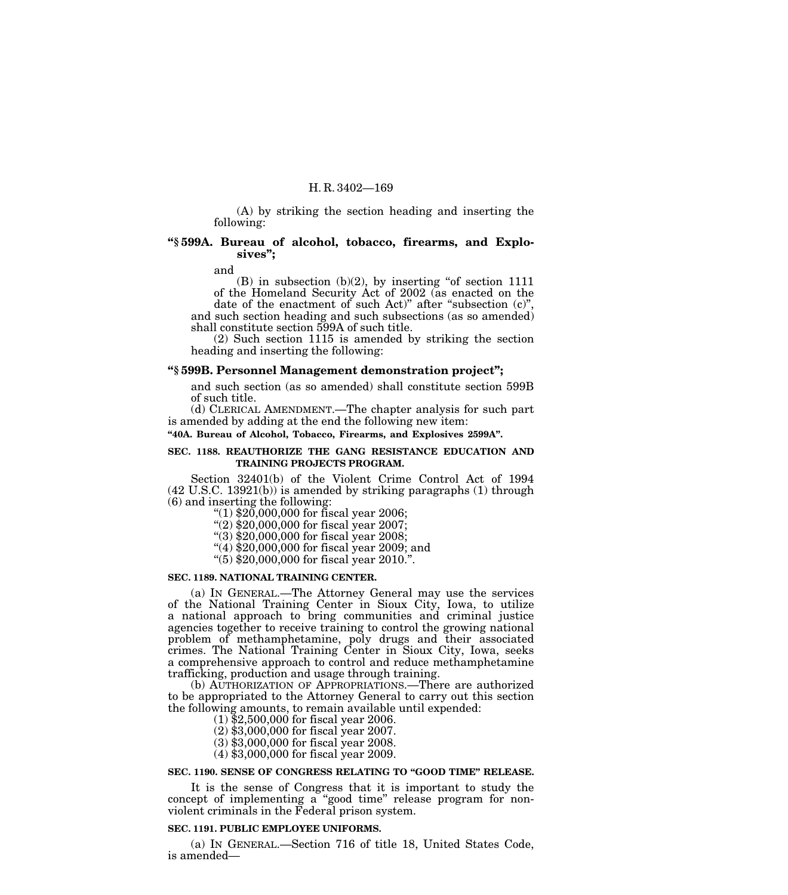(A) by striking the section heading and inserting the following:

## **''§ 599A. Bureau of alcohol, tobacco, firearms, and Explosives'';**

and

 $(B)$  in subsection  $(b)(2)$ , by inserting "of section 1111 of the Homeland Security Act of 2002 (as enacted on the date of the enactment of such Act)" after "subsection  $(c)$ ", and such section heading and such subsections (as so amended)

shall constitute section 599A of such title.

(2) Such section 1115 is amended by striking the section heading and inserting the following:

## **''§ 599B. Personnel Management demonstration project'';**

and such section (as so amended) shall constitute section 599B of such title.

(d) CLERICAL AMENDMENT.—The chapter analysis for such part is amended by adding at the end the following new item:

**''40A. Bureau of Alcohol, Tobacco, Firearms, and Explosives 2599A''.**

## **SEC. 1188. REAUTHORIZE THE GANG RESISTANCE EDUCATION AND TRAINING PROJECTS PROGRAM.**

Section 32401(b) of the Violent Crime Control Act of 1994 (42 U.S.C. 13921(b)) is amended by striking paragraphs (1) through (6) and inserting the following:

"(1)  $$20,000,000$  for fiscal year 2006;

''(2) \$20,000,000 for fiscal year 2007;

 $(3)$  \$20,000,000 for fiscal year 2008;

 $(4)$  \$20,000,000 for fiscal year 2009; and

''(5) \$20,000,000 for fiscal year 2010.''.

#### **SEC. 1189. NATIONAL TRAINING CENTER.**

(a) IN GENERAL.—The Attorney General may use the services of the National Training Center in Sioux City, Iowa, to utilize a national approach to bring communities and criminal justice agencies together to receive training to control the growing national problem of methamphetamine, poly drugs and their associated crimes. The National Training Center in Sioux City, Iowa, seeks a comprehensive approach to control and reduce methamphetamine trafficking, production and usage through training.

(b) AUTHORIZATION OF APPROPRIATIONS.—There are authorized to be appropriated to the Attorney General to carry out this section the following amounts, to remain available until expended:

(1) \$2,500,000 for fiscal year 2006.

(2) \$3,000,000 for fiscal year 2007.

(3) \$3,000,000 for fiscal year 2008.

(4) \$3,000,000 for fiscal year 2009.

#### **SEC. 1190. SENSE OF CONGRESS RELATING TO ''GOOD TIME'' RELEASE.**

It is the sense of Congress that it is important to study the concept of implementing a ''good time'' release program for nonviolent criminals in the Federal prison system.

## **SEC. 1191. PUBLIC EMPLOYEE UNIFORMS.**

(a) IN GENERAL.—Section 716 of title 18, United States Code, is amended—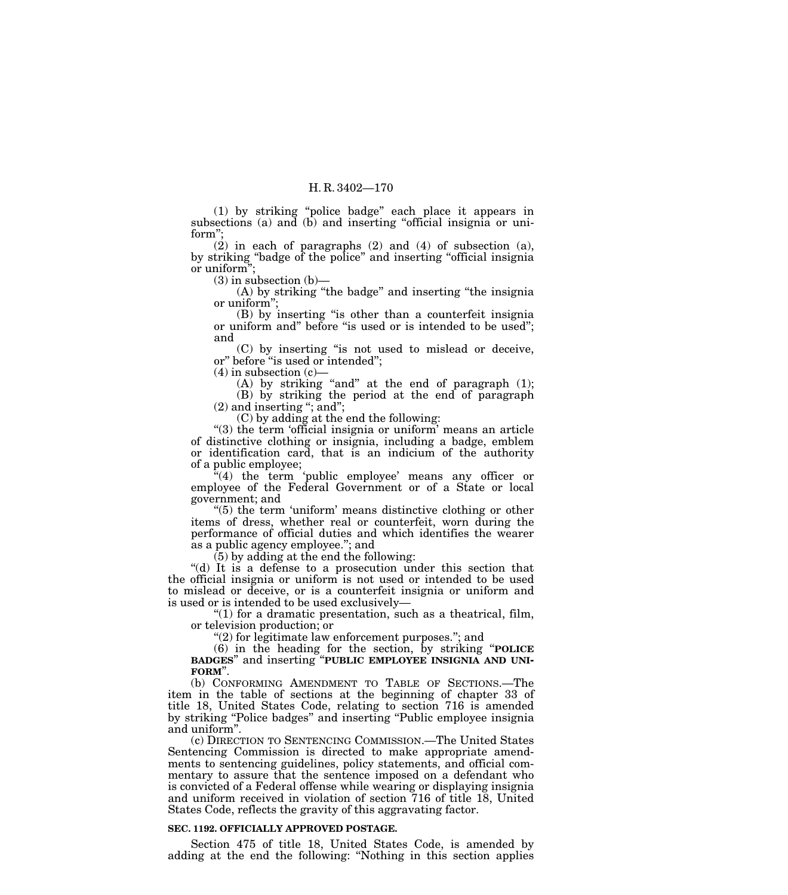(1) by striking ''police badge'' each place it appears in subsections (a) and (b) and inserting "official insignia or uniform'';

(2) in each of paragraphs (2) and (4) of subsection (a), by striking "badge of the police" and inserting "official insignia or uniform'';

 $(3)$  in subsection  $(b)$ —

(A) by striking ''the badge'' and inserting ''the insignia or uniform'';

(B) by inserting ''is other than a counterfeit insignia or uniform and'' before ''is used or is intended to be used''; and

(C) by inserting ''is not used to mislead or deceive, or'' before ''is used or intended'';

 $(4)$  in subsection  $(c)$ —

(A) by striking "and" at the end of paragraph  $(1)$ ;

(B) by striking the period at the end of paragraph (2) and inserting ''; and'';

(C) by adding at the end the following:

"(3) the term 'official insignia or uniform' means an article of distinctive clothing or insignia, including a badge, emblem or identification card, that is an indicium of the authority of a public employee;

"(4) the term 'public employee' means any officer or employee of the Federal Government or of a State or local government; and

 $(5)$  the term 'uniform' means distinctive clothing or other items of dress, whether real or counterfeit, worn during the performance of official duties and which identifies the wearer as a public agency employee.''; and

(5) by adding at the end the following:

"(d) It is a defense to a prosecution under this section that the official insignia or uniform is not used or intended to be used to mislead or deceive, or is a counterfeit insignia or uniform and is used or is intended to be used exclusively—

 $(1)$  for a dramatic presentation, such as a theatrical, film, or television production; or

 $(2)$  for legitimate law enforcement purposes."; and

(6) in the heading for the section, by striking ''**POLICE BADGES**'' and inserting ''**PUBLIC EMPLOYEE INSIGNIA AND UNI-FORM**''.

(b) CONFORMING AMENDMENT TO TABLE OF SECTIONS.—The item in the table of sections at the beginning of chapter 33 of title 18, United States Code, relating to section 716 is amended by striking ''Police badges'' and inserting ''Public employee insignia and uniform''.

(c) DIRECTION TO SENTENCING COMMISSION.—The United States Sentencing Commission is directed to make appropriate amendments to sentencing guidelines, policy statements, and official commentary to assure that the sentence imposed on a defendant who is convicted of a Federal offense while wearing or displaying insignia and uniform received in violation of section 716 of title 18, United States Code, reflects the gravity of this aggravating factor.

## **SEC. 1192. OFFICIALLY APPROVED POSTAGE.**

Section 475 of title 18, United States Code, is amended by adding at the end the following: ''Nothing in this section applies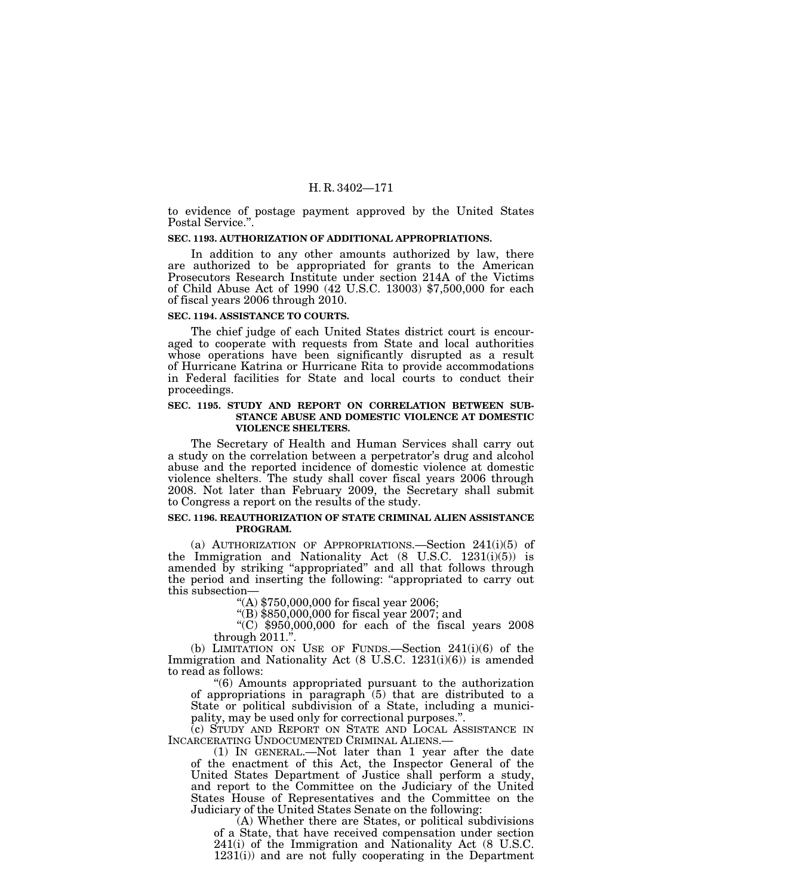to evidence of postage payment approved by the United States Postal Service.''.

#### **SEC. 1193. AUTHORIZATION OF ADDITIONAL APPROPRIATIONS.**

In addition to any other amounts authorized by law, there are authorized to be appropriated for grants to the American Prosecutors Research Institute under section 214A of the Victims of Child Abuse Act of 1990 (42 U.S.C. 13003) \$7,500,000 for each of fiscal years 2006 through 2010.

#### **SEC. 1194. ASSISTANCE TO COURTS.**

The chief judge of each United States district court is encouraged to cooperate with requests from State and local authorities whose operations have been significantly disrupted as a result of Hurricane Katrina or Hurricane Rita to provide accommodations in Federal facilities for State and local courts to conduct their proceedings.

## **SEC. 1195. STUDY AND REPORT ON CORRELATION BETWEEN SUB-STANCE ABUSE AND DOMESTIC VIOLENCE AT DOMESTIC VIOLENCE SHELTERS.**

The Secretary of Health and Human Services shall carry out a study on the correlation between a perpetrator's drug and alcohol abuse and the reported incidence of domestic violence at domestic violence shelters. The study shall cover fiscal years 2006 through 2008. Not later than February 2009, the Secretary shall submit to Congress a report on the results of the study.

## **SEC. 1196. REAUTHORIZATION OF STATE CRIMINAL ALIEN ASSISTANCE PROGRAM.**

(a) AUTHORIZATION OF APPROPRIATIONS.—Section 241(i)(5) of the Immigration and Nationality Act  $(8 \text{ U.S.C. } 1231(i)(5))$  is amended by striking ''appropriated'' and all that follows through the period and inserting the following: ''appropriated to carry out this subsection—

''(A) \$750,000,000 for fiscal year 2006;

''(B) \$850,000,000 for fiscal year 2007; and

" $(C)$  \$950,000,000 for each of the fiscal years 2008 through  $2011$ ."

(b) LIMITATION ON USE OF FUNDS.—Section 241(i)(6) of the Immigration and Nationality Act (8 U.S.C. 1231(i)(6)) is amended to read as follows:

''(6) Amounts appropriated pursuant to the authorization of appropriations in paragraph (5) that are distributed to a State or political subdivision of a State, including a municipality, may be used only for correctional purposes.''.

(c) STUDY AND REPORT ON STATE AND LOCAL ASSISTANCE IN INCARCERATING UNDOCUMENTED CRIMINAL ALIENS.—

(1) IN GENERAL.—Not later than 1 year after the date of the enactment of this Act, the Inspector General of the United States Department of Justice shall perform a study, and report to the Committee on the Judiciary of the United States House of Representatives and the Committee on the Judiciary of the United States Senate on the following:

(A) Whether there are States, or political subdivisions of a State, that have received compensation under section 241(i) of the Immigration and Nationality Act (8 U.S.C. 1231(i)) and are not fully cooperating in the Department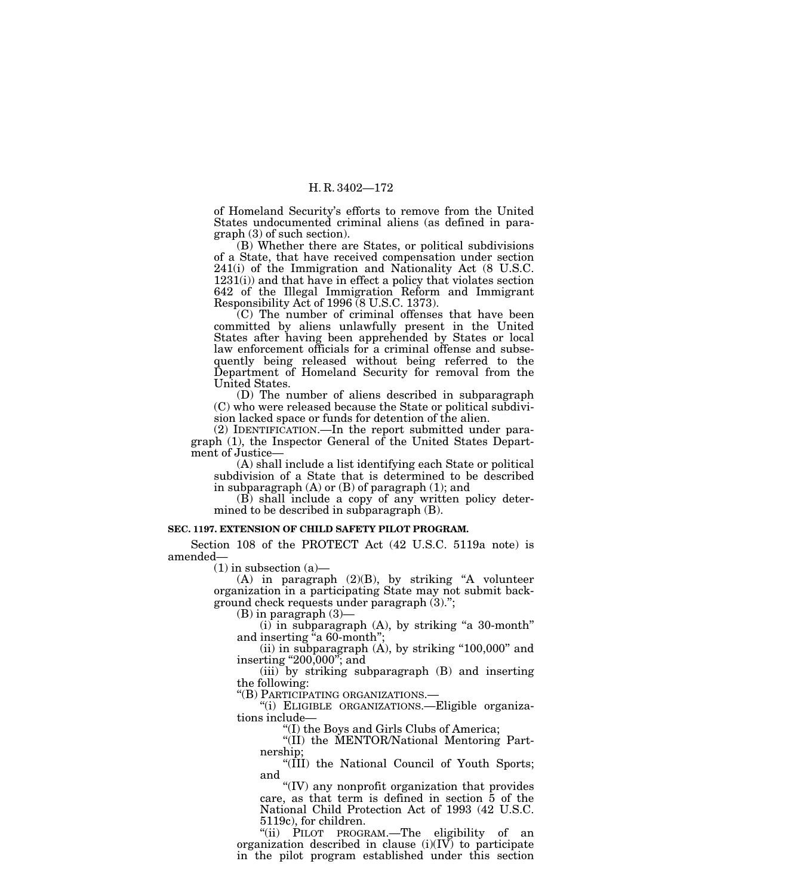of Homeland Security's efforts to remove from the United States undocumented criminal aliens (as defined in paragraph (3) of such section).

(B) Whether there are States, or political subdivisions of a State, that have received compensation under section 241(i) of the Immigration and Nationality Act (8 U.S.C.  $1231(i)$ ) and that have in effect a policy that violates section 642 of the Illegal Immigration Reform and Immigrant Responsibility Act of 1996 (8 U.S.C. 1373).

 $(C)$  The number of criminal offenses that have been committed by aliens unlawfully present in the United States after having been apprehended by States or local law enforcement officials for a criminal offense and subsequently being released without being referred to the Department of Homeland Security for removal from the United States.

(D) The number of aliens described in subparagraph (C) who were released because the State or political subdivision lacked space or funds for detention of the alien.

(2) IDENTIFICATION.—In the report submitted under paragraph (1), the Inspector General of the United States Department of Justice—

(A) shall include a list identifying each State or political subdivision of a State that is determined to be described in subparagraph  $(A)$  or  $(B)$  of paragraph  $(1)$ ; and

(B) shall include a copy of any written policy determined to be described in subparagraph (B).

## **SEC. 1197. EXTENSION OF CHILD SAFETY PILOT PROGRAM.**

Section 108 of the PROTECT Act (42 U.S.C. 5119a note) is amended—

 $(1)$  in subsection  $(a)$ —

(A) in paragraph (2)(B), by striking ''A volunteer organization in a participating State may not submit background check requests under paragraph (3).'';

(B) in paragraph (3)—

 $(i)$  in subparagraph  $(A)$ , by striking "a 30-month" and inserting "a 60-month";

(ii) in subparagraph  $(A)$ , by striking "100,000" and inserting  $"200,000"$ ; and

(iii) by striking subparagraph (B) and inserting the following:

''(B) PARTICIPATING ORGANIZATIONS.—

''(i) ELIGIBLE ORGANIZATIONS.—Eligible organizations include—

''(I) the Boys and Girls Clubs of America;

''(II) the MENTOR/National Mentoring Partnership;

''(III) the National Council of Youth Sports; and

''(IV) any nonprofit organization that provides care, as that term is defined in section 5 of the National Child Protection Act of 1993 (42 U.S.C. 5119c), for children.

''(ii) PILOT PROGRAM.—The eligibility of an organization described in clause  $(i)(IV)$  to participate in the pilot program established under this section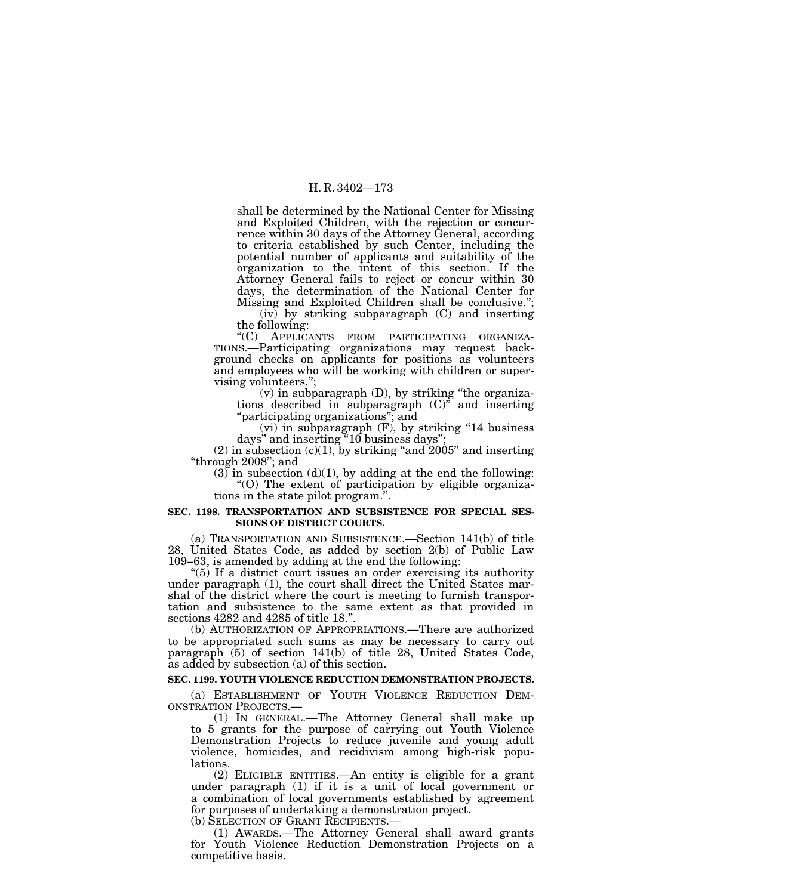shall be determined by the National Center for Missing and Exploited Children, with the rejection or concurrence within 30 days of the Attorney General, according to criteria established by such Center, including the potential number of applicants and suitability of the organization to the intent of this section. If the Attorney General fails to reject or concur within 30 days, the determination of the National Center for Missing and Exploited Children shall be conclusive.'';

(iv) by striking subparagraph (C) and inserting the following:<br>"(C) APPLICANTS FROM PARTICIPATING ORGANIZA-

TIONS.—Participating organizations may request background checks on applicants for positions as volunteers and employees who will be working with children or supervising volunteers.'';

(v) in subparagraph (D), by striking ''the organizations described in subparagraph  $(C)$ <sup>n</sup> and inserting ''participating organizations''; and

 $(vi)$  in subparagraph  $(F)$ , by striking "14 business" days" and inserting "10 business days";

 $(2)$  in subsection  $(c)(1)$ , by striking "and  $2005$ " and inserting ''through 2008''; and

 $(3)$  in subsection  $(d)(1)$ , by adding at the end the following: ''(O) The extent of participation by eligible organizations in the state pilot program.''.

#### **SEC. 1198. TRANSPORTATION AND SUBSISTENCE FOR SPECIAL SES-SIONS OF DISTRICT COURTS.**

(a) TRANSPORTATION AND SUBSISTENCE.—Section 141(b) of title 28, United States Code, as added by section 2(b) of Public Law 109–63, is amended by adding at the end the following:

''(5) If a district court issues an order exercising its authority under paragraph (1), the court shall direct the United States marshal of the district where the court is meeting to furnish transportation and subsistence to the same extent as that provided in sections 4282 and 4285 of title 18.''.

(b) AUTHORIZATION OF APPROPRIATIONS.—There are authorized to be appropriated such sums as may be necessary to carry out paragraph (5) of section 141(b) of title 28, United States Code, as added by subsection (a) of this section.

#### **SEC. 1199. YOUTH VIOLENCE REDUCTION DEMONSTRATION PROJECTS.**

(a) ESTABLISHMENT OF YOUTH VIOLENCE REDUCTION DEM- ONSTRATION PROJECTS.— (1) IN GENERAL.—The Attorney General shall make up

to 5 grants for the purpose of carrying out Youth Violence Demonstration Projects to reduce juvenile and young adult violence, homicides, and recidivism among high-risk populations.

(2) ELIGIBLE ENTITIES.—An entity is eligible for a grant under paragraph (1) if it is a unit of local government or a combination of local governments established by agreement for purposes of undertaking a demonstration project. (b) SELECTION OF GRANT RECIPIENTS.—

(1) AWARDS.—The Attorney General shall award grants for Youth Violence Reduction Demonstration Projects on a competitive basis.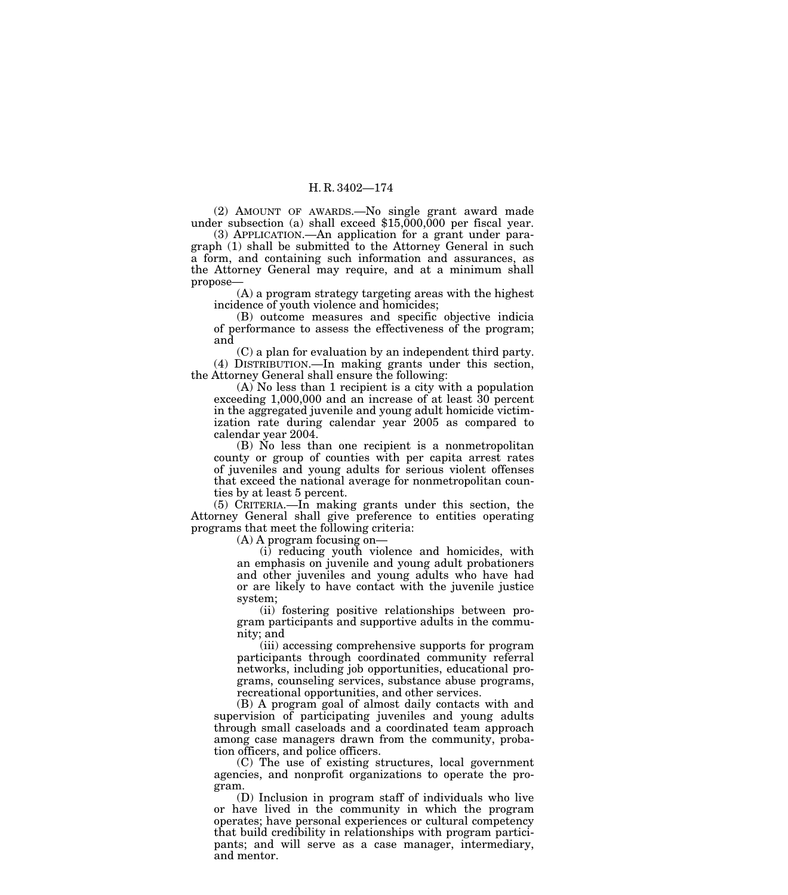(2) AMOUNT OF AWARDS.—No single grant award made under subsection (a) shall exceed \$15,000,000 per fiscal year.

(3) APPLICATION.—An application for a grant under paragraph (1) shall be submitted to the Attorney General in such a form, and containing such information and assurances, as the Attorney General may require, and at a minimum shall propose—

(A) a program strategy targeting areas with the highest incidence of youth violence and homicides;

(B) outcome measures and specific objective indicia of performance to assess the effectiveness of the program; and

(C) a plan for evaluation by an independent third party. (4) DISTRIBUTION.—In making grants under this section, the Attorney General shall ensure the following:

(A) No less than 1 recipient is a city with a population exceeding 1,000,000 and an increase of at least 30 percent in the aggregated juvenile and young adult homicide victimization rate during calendar year 2005 as compared to calendar year 2004.

(B) No less than one recipient is a nonmetropolitan county or group of counties with per capita arrest rates of juveniles and young adults for serious violent offenses that exceed the national average for nonmetropolitan counties by at least 5 percent.

(5) CRITERIA.—In making grants under this section, the Attorney General shall give preference to entities operating programs that meet the following criteria:

(A) A program focusing on—

(i) reducing youth violence and homicides, with an emphasis on juvenile and young adult probationers and other juveniles and young adults who have had or are likely to have contact with the juvenile justice system;

(ii) fostering positive relationships between program participants and supportive adults in the community; and

(iii) accessing comprehensive supports for program participants through coordinated community referral networks, including job opportunities, educational programs, counseling services, substance abuse programs, recreational opportunities, and other services.

(B) A program goal of almost daily contacts with and supervision of participating juveniles and young adults through small caseloads and a coordinated team approach among case managers drawn from the community, probation officers, and police officers.

(C) The use of existing structures, local government agencies, and nonprofit organizations to operate the program.

(D) Inclusion in program staff of individuals who live or have lived in the community in which the program operates; have personal experiences or cultural competency that build credibility in relationships with program participants; and will serve as a case manager, intermediary, and mentor.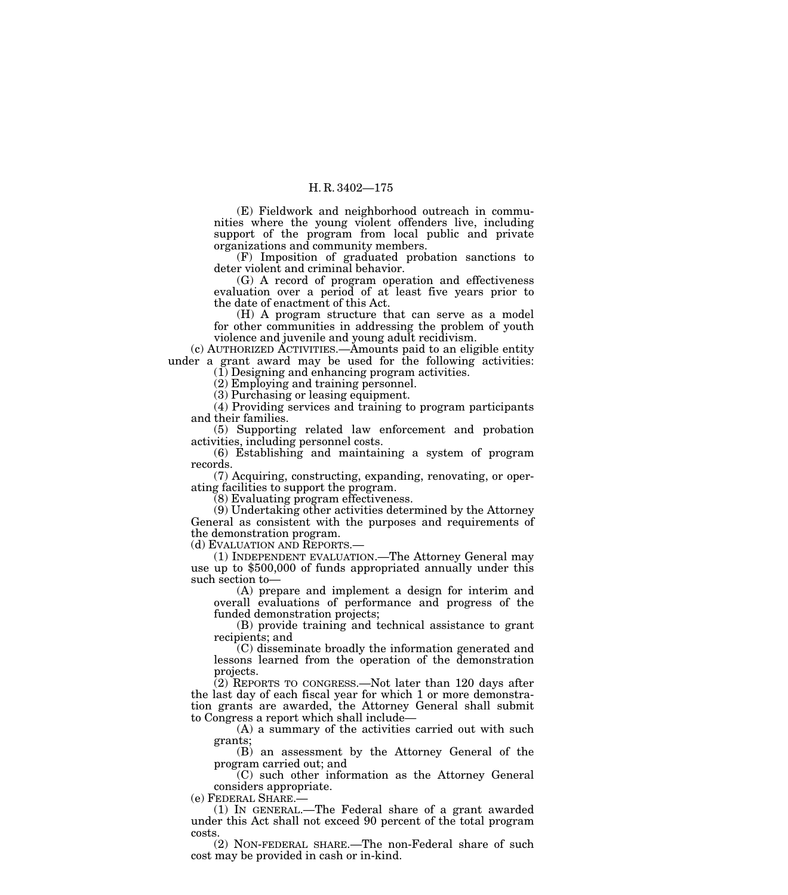(E) Fieldwork and neighborhood outreach in communities where the young violent offenders live, including support of the program from local public and private organizations and community members.

(F) Imposition of graduated probation sanctions to deter violent and criminal behavior.

(G) A record of program operation and effectiveness evaluation over a period of at least five years prior to the date of enactment of this Act.

(H) A program structure that can serve as a model for other communities in addressing the problem of youth violence and juvenile and young adult recidivism.

(c) AUTHORIZED ACTIVITIES.—Amounts paid to an eligible entity under a grant award may be used for the following activities:

(1) Designing and enhancing program activities.

(2) Employing and training personnel.

(3) Purchasing or leasing equipment.

(4) Providing services and training to program participants and their families.

(5) Supporting related law enforcement and probation activities, including personnel costs.

(6) Establishing and maintaining a system of program records.

(7) Acquiring, constructing, expanding, renovating, or operating facilities to support the program.

(8) Evaluating program effectiveness.

(9) Undertaking other activities determined by the Attorney General as consistent with the purposes and requirements of the demonstration program.

(d) EVALUATION AND REPORTS.—

(1) INDEPENDENT EVALUATION.—The Attorney General may use up to \$500,000 of funds appropriated annually under this such section to—

(A) prepare and implement a design for interim and overall evaluations of performance and progress of the funded demonstration projects;

(B) provide training and technical assistance to grant recipients; and

(C) disseminate broadly the information generated and lessons learned from the operation of the demonstration projects.

 $(2)$  REPORTS TO CONGRESS.—Not later than 120 days after the last day of each fiscal year for which 1 or more demonstration grants are awarded, the Attorney General shall submit to Congress a report which shall include—

(A) a summary of the activities carried out with such grants;

(B) an assessment by the Attorney General of the program carried out; and

(C) such other information as the Attorney General considers appropriate.

(e) FEDERAL SHARE.—

(1) IN GENERAL.—The Federal share of a grant awarded under this Act shall not exceed 90 percent of the total program costs.

(2) NON-FEDERAL SHARE.—The non-Federal share of such cost may be provided in cash or in-kind.